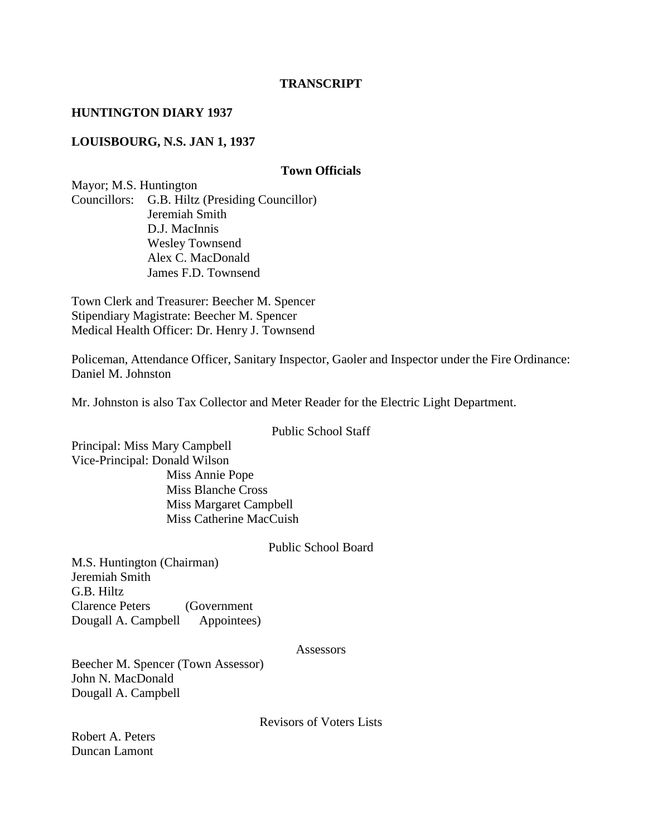### **TRANSCRIPT**

#### **HUNTINGTON DIARY 1937**

## **LOUISBOURG, N.S. JAN 1, 1937**

#### **Town Officials**

Mayor; M.S. Huntington Councillors: G.B. Hiltz (Presiding Councillor) Jeremiah Smith D.J. MacInnis Wesley Townsend Alex C. MacDonald James F.D. Townsend

Town Clerk and Treasurer: Beecher M. Spencer Stipendiary Magistrate: Beecher M. Spencer Medical Health Officer: Dr. Henry J. Townsend

Policeman, Attendance Officer, Sanitary Inspector, Gaoler and Inspector under the Fire Ordinance: Daniel M. Johnston

Mr. Johnston is also Tax Collector and Meter Reader for the Electric Light Department.

#### Public School Staff

Principal: Miss Mary Campbell Vice-Principal: Donald Wilson Miss Annie Pope Miss Blanche Cross Miss Margaret Campbell Miss Catherine MacCuish

### Public School Board

M.S. Huntington (Chairman) Jeremiah Smith G.B. Hiltz Clarence Peters (Government Dougall A. Campbell Appointees)

#### Assessors

Beecher M. Spencer (Town Assessor) John N. MacDonald Dougall A. Campbell

Revisors of Voters Lists

Robert A. Peters Duncan Lamont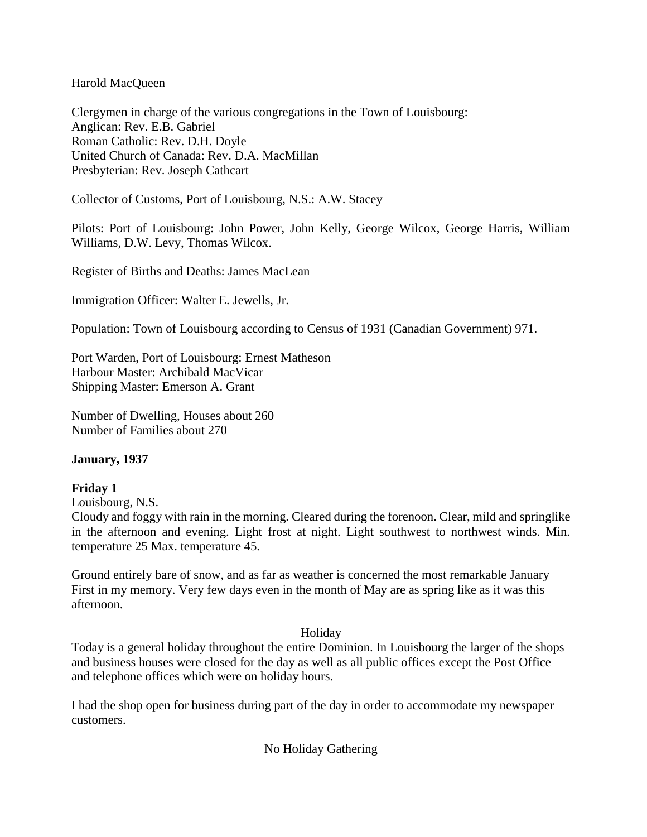Harold MacQueen

Clergymen in charge of the various congregations in the Town of Louisbourg: Anglican: Rev. E.B. Gabriel Roman Catholic: Rev. D.H. Doyle United Church of Canada: Rev. D.A. MacMillan Presbyterian: Rev. Joseph Cathcart

Collector of Customs, Port of Louisbourg, N.S.: A.W. Stacey

Pilots: Port of Louisbourg: John Power, John Kelly, George Wilcox, George Harris, William Williams, D.W. Levy, Thomas Wilcox.

Register of Births and Deaths: James MacLean

Immigration Officer: Walter E. Jewells, Jr.

Population: Town of Louisbourg according to Census of 1931 (Canadian Government) 971.

Port Warden, Port of Louisbourg: Ernest Matheson Harbour Master: Archibald MacVicar Shipping Master: Emerson A. Grant

Number of Dwelling, Houses about 260 Number of Families about 270

## **January, 1937**

## **Friday 1**

Louisbourg, N.S.

Cloudy and foggy with rain in the morning. Cleared during the forenoon. Clear, mild and springlike in the afternoon and evening. Light frost at night. Light southwest to northwest winds. Min. temperature 25 Max. temperature 45.

Ground entirely bare of snow, and as far as weather is concerned the most remarkable January First in my memory. Very few days even in the month of May are as spring like as it was this afternoon.

## Holiday

Today is a general holiday throughout the entire Dominion. In Louisbourg the larger of the shops and business houses were closed for the day as well as all public offices except the Post Office and telephone offices which were on holiday hours.

I had the shop open for business during part of the day in order to accommodate my newspaper customers.

No Holiday Gathering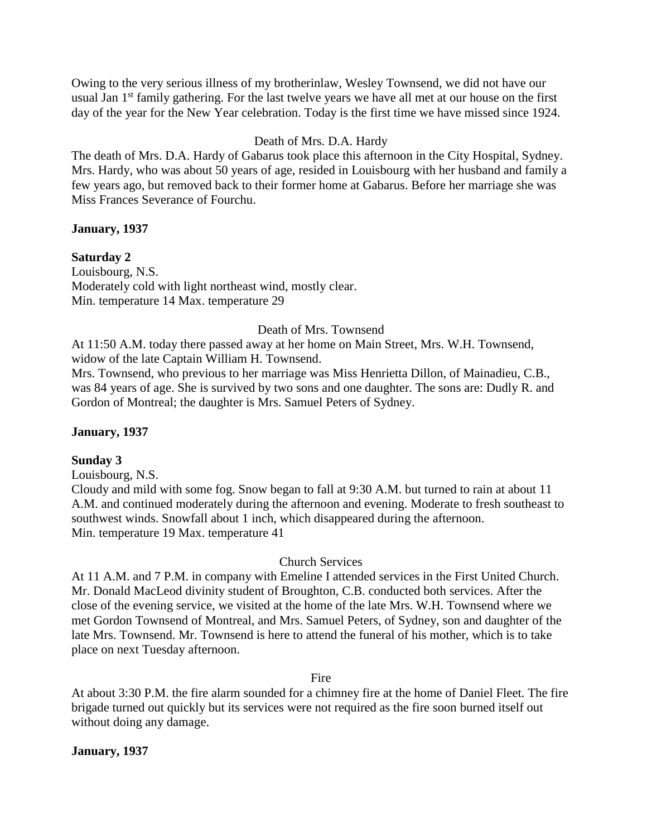Owing to the very serious illness of my brotherinlaw, Wesley Townsend, we did not have our usual Jan  $1<sup>st</sup>$  family gathering. For the last twelve years we have all met at our house on the first day of the year for the New Year celebration. Today is the first time we have missed since 1924.

## Death of Mrs. D.A. Hardy

The death of Mrs. D.A. Hardy of Gabarus took place this afternoon in the City Hospital, Sydney. Mrs. Hardy, who was about 50 years of age, resided in Louisbourg with her husband and family a few years ago, but removed back to their former home at Gabarus. Before her marriage she was Miss Frances Severance of Fourchu.

## **January, 1937**

## **Saturday 2**

Louisbourg, N.S. Moderately cold with light northeast wind, mostly clear. Min. temperature 14 Max. temperature 29

## Death of Mrs. Townsend

At 11:50 A.M. today there passed away at her home on Main Street, Mrs. W.H. Townsend, widow of the late Captain William H. Townsend.

Mrs. Townsend, who previous to her marriage was Miss Henrietta Dillon, of Mainadieu, C.B., was 84 years of age. She is survived by two sons and one daughter. The sons are: Dudly R. and Gordon of Montreal; the daughter is Mrs. Samuel Peters of Sydney.

## **January, 1937**

## **Sunday 3**

Louisbourg, N.S.

Cloudy and mild with some fog. Snow began to fall at 9:30 A.M. but turned to rain at about 11 A.M. and continued moderately during the afternoon and evening. Moderate to fresh southeast to southwest winds. Snowfall about 1 inch, which disappeared during the afternoon. Min. temperature 19 Max. temperature 41

## Church Services

At 11 A.M. and 7 P.M. in company with Emeline I attended services in the First United Church. Mr. Donald MacLeod divinity student of Broughton, C.B. conducted both services. After the close of the evening service, we visited at the home of the late Mrs. W.H. Townsend where we met Gordon Townsend of Montreal, and Mrs. Samuel Peters, of Sydney, son and daughter of the late Mrs. Townsend. Mr. Townsend is here to attend the funeral of his mother, which is to take place on next Tuesday afternoon.

## Fire

At about 3:30 P.M. the fire alarm sounded for a chimney fire at the home of Daniel Fleet. The fire brigade turned out quickly but its services were not required as the fire soon burned itself out without doing any damage.

## **January, 1937**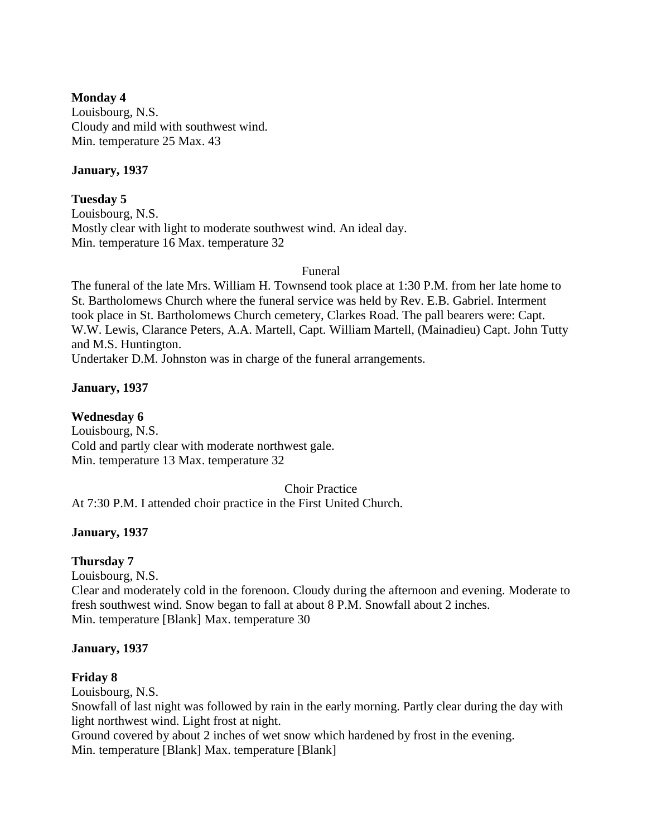## **Monday 4**

Louisbourg, N.S. Cloudy and mild with southwest wind. Min. temperature 25 Max. 43

## **January, 1937**

**Tuesday 5** Louisbourg, N.S. Mostly clear with light to moderate southwest wind. An ideal day. Min. temperature 16 Max. temperature 32

Funeral

The funeral of the late Mrs. William H. Townsend took place at 1:30 P.M. from her late home to St. Bartholomews Church where the funeral service was held by Rev. E.B. Gabriel. Interment took place in St. Bartholomews Church cemetery, Clarkes Road. The pall bearers were: Capt. W.W. Lewis, Clarance Peters, A.A. Martell, Capt. William Martell, (Mainadieu) Capt. John Tutty and M.S. Huntington.

Undertaker D.M. Johnston was in charge of the funeral arrangements.

## **January, 1937**

**Wednesday 6** Louisbourg, N.S. Cold and partly clear with moderate northwest gale. Min. temperature 13 Max. temperature 32

## Choir Practice

At 7:30 P.M. I attended choir practice in the First United Church.

## **January, 1937**

## **Thursday 7**

Louisbourg, N.S. Clear and moderately cold in the forenoon. Cloudy during the afternoon and evening. Moderate to fresh southwest wind. Snow began to fall at about 8 P.M. Snowfall about 2 inches. Min. temperature [Blank] Max. temperature 30

## **January, 1937**

## **Friday 8**

Louisbourg, N.S. Snowfall of last night was followed by rain in the early morning. Partly clear during the day with light northwest wind. Light frost at night. Ground covered by about 2 inches of wet snow which hardened by frost in the evening. Min. temperature [Blank] Max. temperature [Blank]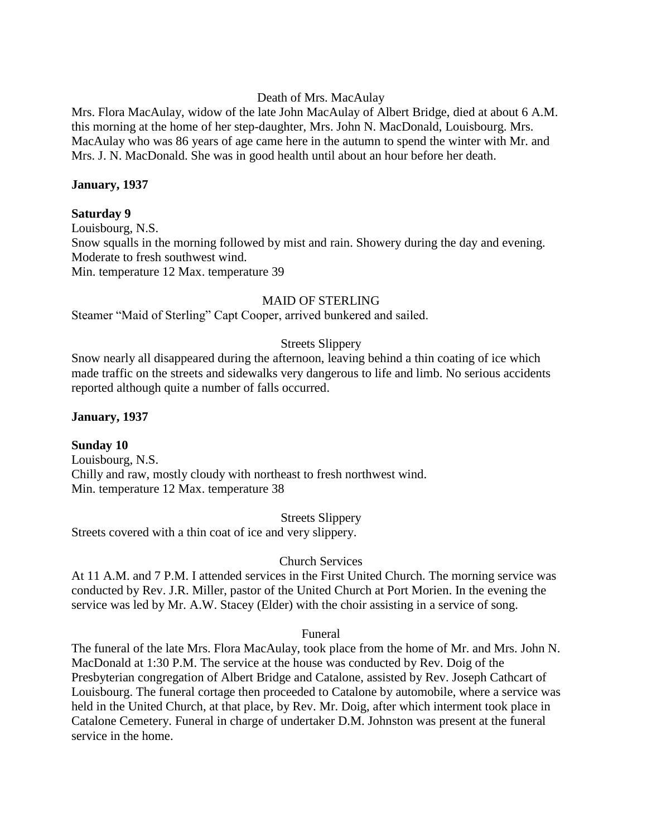### Death of Mrs. MacAulay

Mrs. Flora MacAulay, widow of the late John MacAulay of Albert Bridge, died at about 6 A.M. this morning at the home of her step-daughter, Mrs. John N. MacDonald, Louisbourg. Mrs. MacAulay who was 86 years of age came here in the autumn to spend the winter with Mr. and Mrs. J. N. MacDonald. She was in good health until about an hour before her death.

#### **January, 1937**

#### **Saturday 9**

Louisbourg, N.S. Snow squalls in the morning followed by mist and rain. Showery during the day and evening. Moderate to fresh southwest wind. Min. temperature 12 Max. temperature 39

### MAID OF STERLING

Steamer "Maid of Sterling" Capt Cooper, arrived bunkered and sailed.

## Streets Slippery

Snow nearly all disappeared during the afternoon, leaving behind a thin coating of ice which made traffic on the streets and sidewalks very dangerous to life and limb. No serious accidents reported although quite a number of falls occurred.

#### **January, 1937**

## **Sunday 10**

Louisbourg, N.S. Chilly and raw, mostly cloudy with northeast to fresh northwest wind. Min. temperature 12 Max. temperature 38

Streets Slippery

Streets covered with a thin coat of ice and very slippery.

#### Church Services

At 11 A.M. and 7 P.M. I attended services in the First United Church. The morning service was conducted by Rev. J.R. Miller, pastor of the United Church at Port Morien. In the evening the service was led by Mr. A.W. Stacey (Elder) with the choir assisting in a service of song.

#### Funeral

The funeral of the late Mrs. Flora MacAulay, took place from the home of Mr. and Mrs. John N. MacDonald at 1:30 P.M. The service at the house was conducted by Rev. Doig of the Presbyterian congregation of Albert Bridge and Catalone, assisted by Rev. Joseph Cathcart of Louisbourg. The funeral cortage then proceeded to Catalone by automobile, where a service was held in the United Church, at that place, by Rev. Mr. Doig, after which interment took place in Catalone Cemetery. Funeral in charge of undertaker D.M. Johnston was present at the funeral service in the home.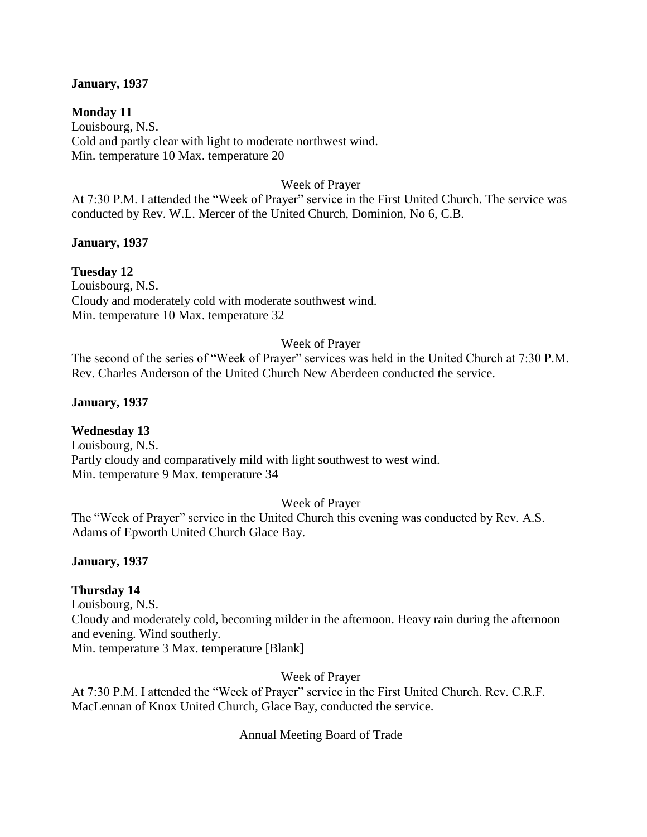## **January, 1937**

**Monday 11** Louisbourg, N.S. Cold and partly clear with light to moderate northwest wind. Min. temperature 10 Max. temperature 20

## Week of Prayer

At 7:30 P.M. I attended the "Week of Prayer" service in the First United Church. The service was conducted by Rev. W.L. Mercer of the United Church, Dominion, No 6, C.B.

### **January, 1937**

**Tuesday 12** Louisbourg, N.S. Cloudy and moderately cold with moderate southwest wind. Min. temperature 10 Max. temperature 32

## Week of Prayer

The second of the series of "Week of Prayer" services was held in the United Church at 7:30 P.M. Rev. Charles Anderson of the United Church New Aberdeen conducted the service.

## **January, 1937**

## **Wednesday 13**

Louisbourg, N.S. Partly cloudy and comparatively mild with light southwest to west wind. Min. temperature 9 Max. temperature 34

## Week of Prayer

The "Week of Prayer" service in the United Church this evening was conducted by Rev. A.S. Adams of Epworth United Church Glace Bay.

#### **January, 1937**

## **Thursday 14**

Louisbourg, N.S. Cloudy and moderately cold, becoming milder in the afternoon. Heavy rain during the afternoon and evening. Wind southerly.

Min. temperature 3 Max. temperature [Blank]

Week of Prayer

At 7:30 P.M. I attended the "Week of Prayer" service in the First United Church. Rev. C.R.F. MacLennan of Knox United Church, Glace Bay, conducted the service.

## Annual Meeting Board of Trade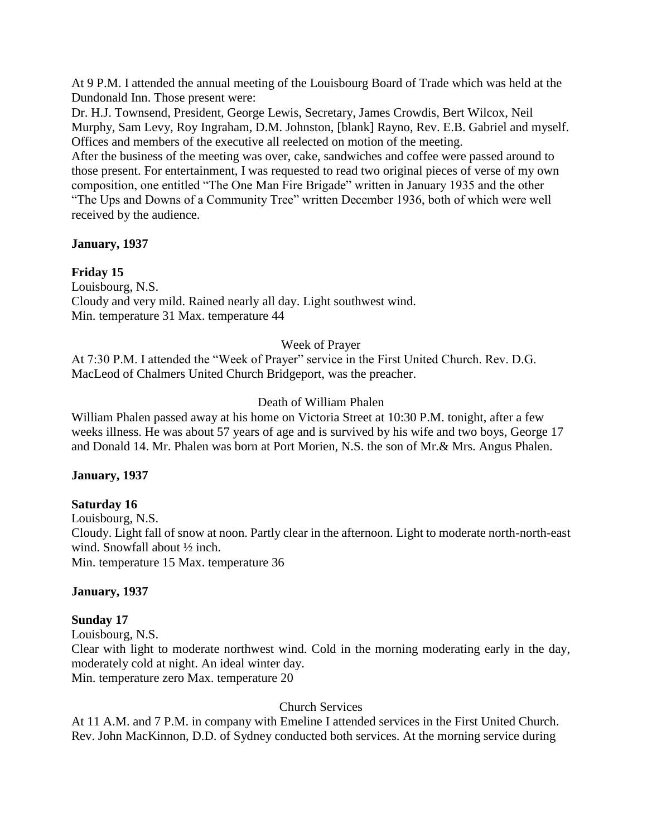At 9 P.M. I attended the annual meeting of the Louisbourg Board of Trade which was held at the Dundonald Inn. Those present were:

Dr. H.J. Townsend, President, George Lewis, Secretary, James Crowdis, Bert Wilcox, Neil Murphy, Sam Levy, Roy Ingraham, D.M. Johnston, [blank] Rayno, Rev. E.B. Gabriel and myself. Offices and members of the executive all reelected on motion of the meeting.

After the business of the meeting was over, cake, sandwiches and coffee were passed around to those present. For entertainment, I was requested to read two original pieces of verse of my own composition, one entitled "The One Man Fire Brigade" written in January 1935 and the other "The Ups and Downs of a Community Tree" written December 1936, both of which were well received by the audience.

## **January, 1937**

# **Friday 15**

Louisbourg, N.S. Cloudy and very mild. Rained nearly all day. Light southwest wind. Min. temperature 31 Max. temperature 44

# Week of Prayer

At 7:30 P.M. I attended the "Week of Prayer" service in the First United Church. Rev. D.G. MacLeod of Chalmers United Church Bridgeport, was the preacher.

# Death of William Phalen

William Phalen passed away at his home on Victoria Street at 10:30 P.M. tonight, after a few weeks illness. He was about 57 years of age and is survived by his wife and two boys, George 17 and Donald 14. Mr. Phalen was born at Port Morien, N.S. the son of Mr.& Mrs. Angus Phalen.

## **January, 1937**

# **Saturday 16**

Louisbourg, N.S. Cloudy. Light fall of snow at noon. Partly clear in the afternoon. Light to moderate north-north-east wind. Snowfall about ½ inch. Min. temperature 15 Max. temperature 36

## **January, 1937**

## **Sunday 17**

Louisbourg, N.S. Clear with light to moderate northwest wind. Cold in the morning moderating early in the day, moderately cold at night. An ideal winter day. Min. temperature zero Max. temperature 20

# Church Services

At 11 A.M. and 7 P.M. in company with Emeline I attended services in the First United Church. Rev. John MacKinnon, D.D. of Sydney conducted both services. At the morning service during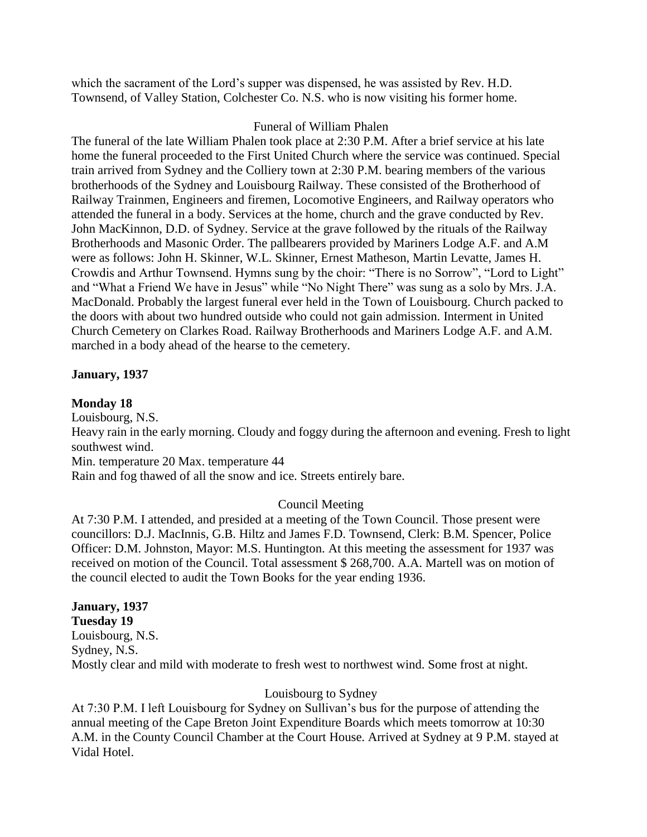which the sacrament of the Lord's supper was dispensed, he was assisted by Rev. H.D. Townsend, of Valley Station, Colchester Co. N.S. who is now visiting his former home.

## Funeral of William Phalen

The funeral of the late William Phalen took place at 2:30 P.M. After a brief service at his late home the funeral proceeded to the First United Church where the service was continued. Special train arrived from Sydney and the Colliery town at 2:30 P.M. bearing members of the various brotherhoods of the Sydney and Louisbourg Railway. These consisted of the Brotherhood of Railway Trainmen, Engineers and firemen, Locomotive Engineers, and Railway operators who attended the funeral in a body. Services at the home, church and the grave conducted by Rev. John MacKinnon, D.D. of Sydney. Service at the grave followed by the rituals of the Railway Brotherhoods and Masonic Order. The pallbearers provided by Mariners Lodge A.F. and A.M were as follows: John H. Skinner, W.L. Skinner, Ernest Matheson, Martin Levatte, James H. Crowdis and Arthur Townsend. Hymns sung by the choir: "There is no Sorrow", "Lord to Light" and "What a Friend We have in Jesus" while "No Night There" was sung as a solo by Mrs. J.A. MacDonald. Probably the largest funeral ever held in the Town of Louisbourg. Church packed to the doors with about two hundred outside who could not gain admission. Interment in United Church Cemetery on Clarkes Road. Railway Brotherhoods and Mariners Lodge A.F. and A.M. marched in a body ahead of the hearse to the cemetery.

### **January, 1937**

### **Monday 18**

Louisbourg, N.S. Heavy rain in the early morning. Cloudy and foggy during the afternoon and evening. Fresh to light southwest wind. Min. temperature 20 Max. temperature 44 Rain and fog thawed of all the snow and ice. Streets entirely bare.

## Council Meeting

At 7:30 P.M. I attended, and presided at a meeting of the Town Council. Those present were councillors: D.J. MacInnis, G.B. Hiltz and James F.D. Townsend, Clerk: B.M. Spencer, Police Officer: D.M. Johnston, Mayor: M.S. Huntington. At this meeting the assessment for 1937 was received on motion of the Council. Total assessment \$ 268,700. A.A. Martell was on motion of the council elected to audit the Town Books for the year ending 1936.

## **January, 1937 Tuesday 19** Louisbourg, N.S. Sydney, N.S. Mostly clear and mild with moderate to fresh west to northwest wind. Some frost at night.

## Louisbourg to Sydney

At 7:30 P.M. I left Louisbourg for Sydney on Sullivan's bus for the purpose of attending the annual meeting of the Cape Breton Joint Expenditure Boards which meets tomorrow at 10:30 A.M. in the County Council Chamber at the Court House. Arrived at Sydney at 9 P.M. stayed at Vidal Hotel.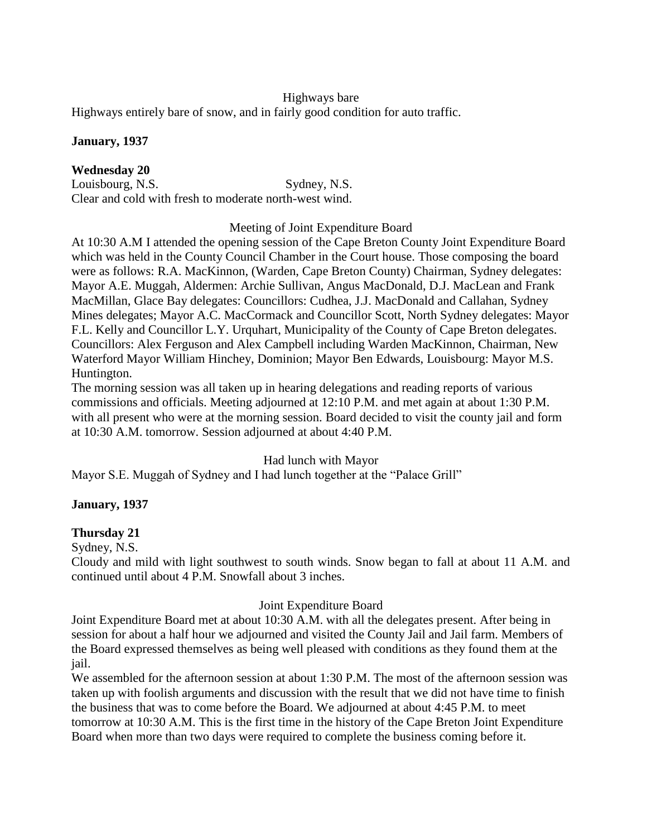## Highways bare

Highways entirely bare of snow, and in fairly good condition for auto traffic.

### **January, 1937**

**Wednesday 20** Louisbourg, N.S. Sydney, N.S. Clear and cold with fresh to moderate north-west wind.

### Meeting of Joint Expenditure Board

At 10:30 A.M I attended the opening session of the Cape Breton County Joint Expenditure Board which was held in the County Council Chamber in the Court house. Those composing the board were as follows: R.A. MacKinnon, (Warden, Cape Breton County) Chairman, Sydney delegates: Mayor A.E. Muggah, Aldermen: Archie Sullivan, Angus MacDonald, D.J. MacLean and Frank MacMillan, Glace Bay delegates: Councillors: Cudhea, J.J. MacDonald and Callahan, Sydney Mines delegates; Mayor A.C. MacCormack and Councillor Scott, North Sydney delegates: Mayor F.L. Kelly and Councillor L.Y. Urquhart, Municipality of the County of Cape Breton delegates. Councillors: Alex Ferguson and Alex Campbell including Warden MacKinnon, Chairman, New Waterford Mayor William Hinchey, Dominion; Mayor Ben Edwards, Louisbourg: Mayor M.S. Huntington.

The morning session was all taken up in hearing delegations and reading reports of various commissions and officials. Meeting adjourned at 12:10 P.M. and met again at about 1:30 P.M. with all present who were at the morning session. Board decided to visit the county jail and form at 10:30 A.M. tomorrow. Session adjourned at about 4:40 P.M.

Had lunch with Mayor

Mayor S.E. Muggah of Sydney and I had lunch together at the "Palace Grill"

## **January, 1937**

## **Thursday 21**

Sydney, N.S.

Cloudy and mild with light southwest to south winds. Snow began to fall at about 11 A.M. and continued until about 4 P.M. Snowfall about 3 inches.

## Joint Expenditure Board

Joint Expenditure Board met at about 10:30 A.M. with all the delegates present. After being in session for about a half hour we adjourned and visited the County Jail and Jail farm. Members of the Board expressed themselves as being well pleased with conditions as they found them at the jail.

We assembled for the afternoon session at about 1:30 P.M. The most of the afternoon session was taken up with foolish arguments and discussion with the result that we did not have time to finish the business that was to come before the Board. We adjourned at about 4:45 P.M. to meet tomorrow at 10:30 A.M. This is the first time in the history of the Cape Breton Joint Expenditure Board when more than two days were required to complete the business coming before it.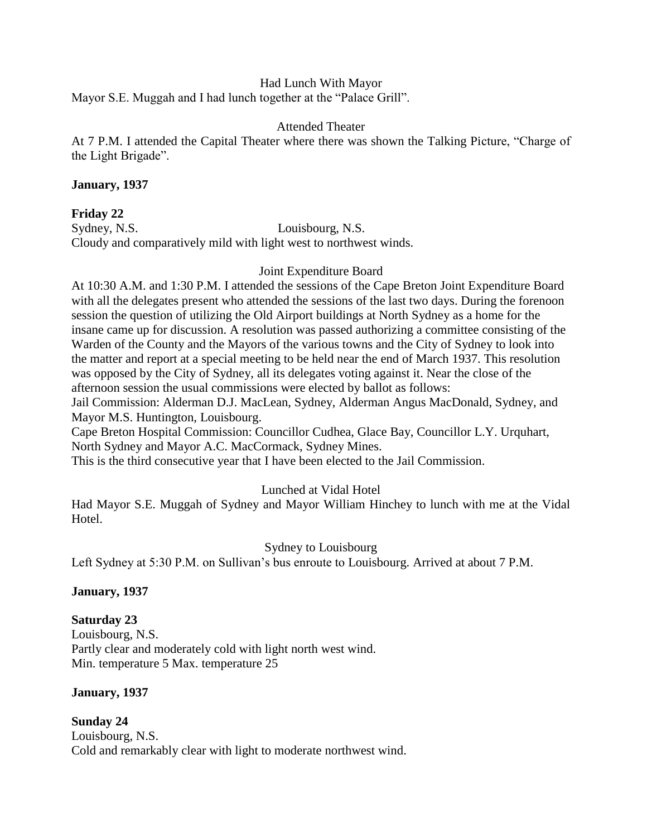## Had Lunch With Mayor

Mayor S.E. Muggah and I had lunch together at the "Palace Grill".

## Attended Theater

At 7 P.M. I attended the Capital Theater where there was shown the Talking Picture, "Charge of the Light Brigade".

## **January, 1937**

## **Friday 22**

Sydney, N.S. Louisbourg, N.S. Cloudy and comparatively mild with light west to northwest winds.

## Joint Expenditure Board

At 10:30 A.M. and 1:30 P.M. I attended the sessions of the Cape Breton Joint Expenditure Board with all the delegates present who attended the sessions of the last two days. During the forenoon session the question of utilizing the Old Airport buildings at North Sydney as a home for the insane came up for discussion. A resolution was passed authorizing a committee consisting of the Warden of the County and the Mayors of the various towns and the City of Sydney to look into the matter and report at a special meeting to be held near the end of March 1937. This resolution was opposed by the City of Sydney, all its delegates voting against it. Near the close of the afternoon session the usual commissions were elected by ballot as follows:

Jail Commission: Alderman D.J. MacLean, Sydney, Alderman Angus MacDonald, Sydney, and Mayor M.S. Huntington, Louisbourg.

Cape Breton Hospital Commission: Councillor Cudhea, Glace Bay, Councillor L.Y. Urquhart, North Sydney and Mayor A.C. MacCormack, Sydney Mines.

This is the third consecutive year that I have been elected to the Jail Commission.

## Lunched at Vidal Hotel

Had Mayor S.E. Muggah of Sydney and Mayor William Hinchey to lunch with me at the Vidal Hotel.

## Sydney to Louisbourg

Left Sydney at 5:30 P.M. on Sullivan's bus enroute to Louisbourg. Arrived at about 7 P.M.

## **January, 1937**

## **Saturday 23**

Louisbourg, N.S. Partly clear and moderately cold with light north west wind. Min. temperature 5 Max. temperature 25

## **January, 1937**

**Sunday 24** Louisbourg, N.S. Cold and remarkably clear with light to moderate northwest wind.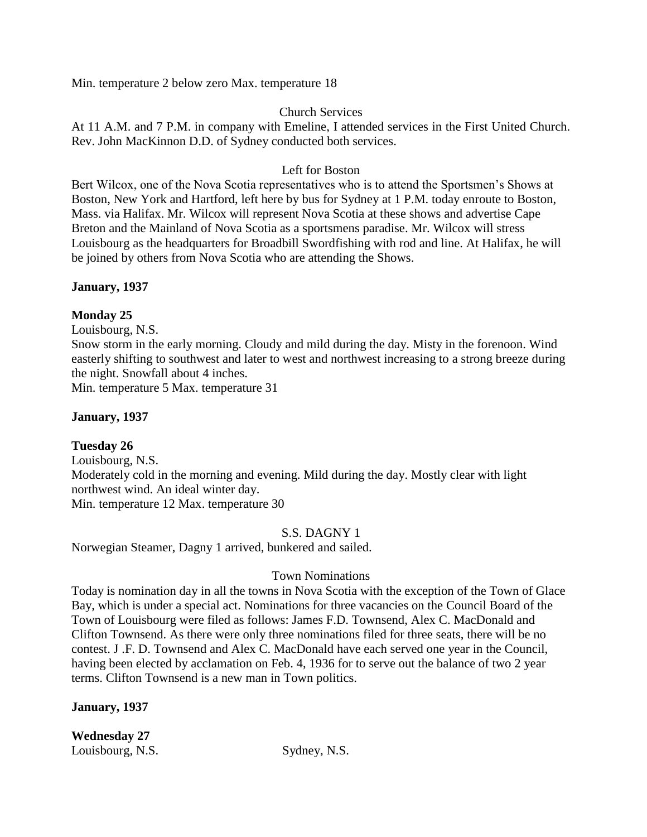Min. temperature 2 below zero Max. temperature 18

## Church Services

At 11 A.M. and 7 P.M. in company with Emeline, I attended services in the First United Church. Rev. John MacKinnon D.D. of Sydney conducted both services.

## Left for Boston

Bert Wilcox, one of the Nova Scotia representatives who is to attend the Sportsmen's Shows at Boston, New York and Hartford, left here by bus for Sydney at 1 P.M. today enroute to Boston, Mass. via Halifax. Mr. Wilcox will represent Nova Scotia at these shows and advertise Cape Breton and the Mainland of Nova Scotia as a sportsmens paradise. Mr. Wilcox will stress Louisbourg as the headquarters for Broadbill Swordfishing with rod and line. At Halifax, he will be joined by others from Nova Scotia who are attending the Shows.

## **January, 1937**

## **Monday 25**

Louisbourg, N.S.

Snow storm in the early morning. Cloudy and mild during the day. Misty in the forenoon. Wind easterly shifting to southwest and later to west and northwest increasing to a strong breeze during the night. Snowfall about 4 inches.

Min. temperature 5 Max. temperature 31

## **January, 1937**

## **Tuesday 26**

Louisbourg, N.S. Moderately cold in the morning and evening. Mild during the day. Mostly clear with light northwest wind. An ideal winter day. Min. temperature 12 Max. temperature 30

## S.S. DAGNY 1

Norwegian Steamer, Dagny 1 arrived, bunkered and sailed.

## Town Nominations

Today is nomination day in all the towns in Nova Scotia with the exception of the Town of Glace Bay, which is under a special act. Nominations for three vacancies on the Council Board of the Town of Louisbourg were filed as follows: James F.D. Townsend, Alex C. MacDonald and Clifton Townsend. As there were only three nominations filed for three seats, there will be no contest. J .F. D. Townsend and Alex C. MacDonald have each served one year in the Council, having been elected by acclamation on Feb. 4, 1936 for to serve out the balance of two 2 year terms. Clifton Townsend is a new man in Town politics.

## **January, 1937**

**Wednesday 27** Louisbourg, N.S. Sydney, N.S.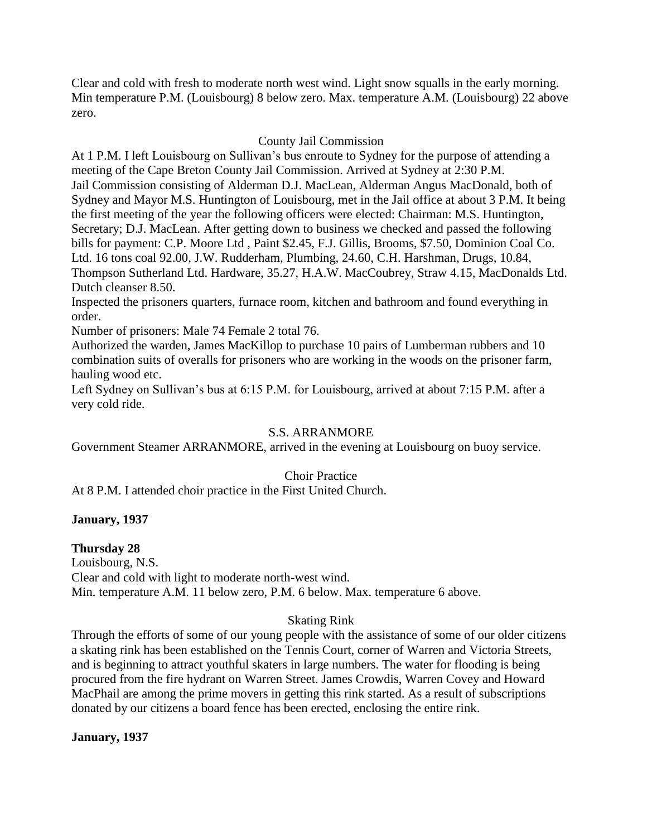Clear and cold with fresh to moderate north west wind. Light snow squalls in the early morning. Min temperature P.M. (Louisbourg) 8 below zero. Max. temperature A.M. (Louisbourg) 22 above zero.

## County Jail Commission

At 1 P.M. I left Louisbourg on Sullivan's bus enroute to Sydney for the purpose of attending a meeting of the Cape Breton County Jail Commission. Arrived at Sydney at 2:30 P.M. Jail Commission consisting of Alderman D.J. MacLean, Alderman Angus MacDonald, both of Sydney and Mayor M.S. Huntington of Louisbourg, met in the Jail office at about 3 P.M. It being the first meeting of the year the following officers were elected: Chairman: M.S. Huntington, Secretary; D.J. MacLean. After getting down to business we checked and passed the following bills for payment: C.P. Moore Ltd , Paint \$2.45, F.J. Gillis, Brooms, \$7.50, Dominion Coal Co. Ltd. 16 tons coal 92.00, J.W. Rudderham, Plumbing, 24.60, C.H. Harshman, Drugs, 10.84, Thompson Sutherland Ltd. Hardware, 35.27, H.A.W. MacCoubrey, Straw 4.15, MacDonalds Ltd. Dutch cleanser 8.50.

Inspected the prisoners quarters, furnace room, kitchen and bathroom and found everything in order.

Number of prisoners: Male 74 Female 2 total 76.

Authorized the warden, James MacKillop to purchase 10 pairs of Lumberman rubbers and 10 combination suits of overalls for prisoners who are working in the woods on the prisoner farm, hauling wood etc.

Left Sydney on Sullivan's bus at 6:15 P.M. for Louisbourg, arrived at about 7:15 P.M. after a very cold ride.

## S.S. ARRANMORE

Government Steamer ARRANMORE, arrived in the evening at Louisbourg on buoy service.

## Choir Practice

At 8 P.M. I attended choir practice in the First United Church.

## **January, 1937**

## **Thursday 28**

Louisbourg, N.S. Clear and cold with light to moderate north-west wind. Min. temperature A.M. 11 below zero, P.M. 6 below. Max. temperature 6 above.

## Skating Rink

Through the efforts of some of our young people with the assistance of some of our older citizens a skating rink has been established on the Tennis Court, corner of Warren and Victoria Streets, and is beginning to attract youthful skaters in large numbers. The water for flooding is being procured from the fire hydrant on Warren Street. James Crowdis, Warren Covey and Howard MacPhail are among the prime movers in getting this rink started. As a result of subscriptions donated by our citizens a board fence has been erected, enclosing the entire rink.

## **January, 1937**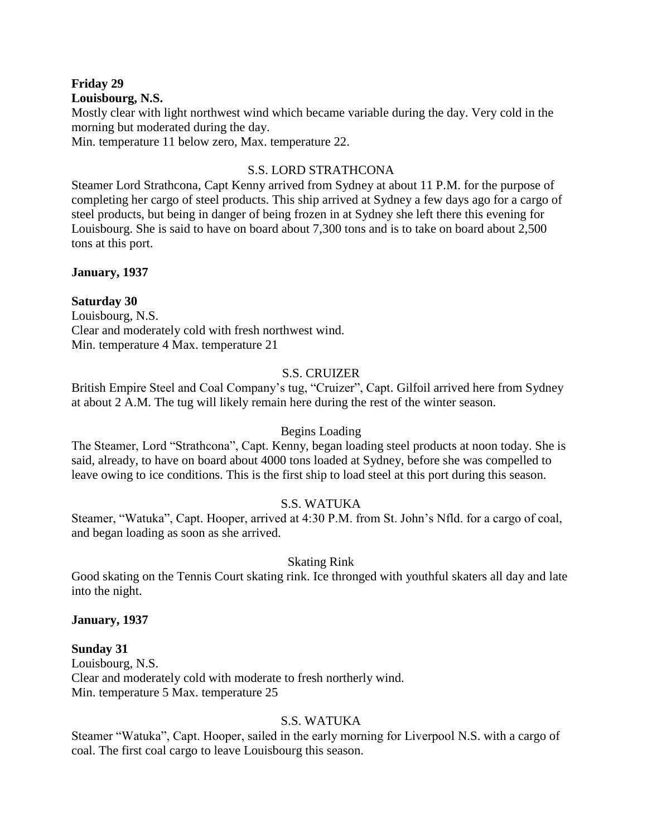#### **Friday 29 Louisbourg, N.S.**

Mostly clear with light northwest wind which became variable during the day. Very cold in the morning but moderated during the day.

Min. temperature 11 below zero, Max. temperature 22.

## S.S. LORD STRATHCONA

Steamer Lord Strathcona, Capt Kenny arrived from Sydney at about 11 P.M. for the purpose of completing her cargo of steel products. This ship arrived at Sydney a few days ago for a cargo of steel products, but being in danger of being frozen in at Sydney she left there this evening for Louisbourg. She is said to have on board about 7,300 tons and is to take on board about 2,500 tons at this port.

## **January, 1937**

## **Saturday 30**

Louisbourg, N.S. Clear and moderately cold with fresh northwest wind. Min. temperature 4 Max. temperature 21

## S.S. CRUIZER

British Empire Steel and Coal Company's tug, "Cruizer", Capt. Gilfoil arrived here from Sydney at about 2 A.M. The tug will likely remain here during the rest of the winter season.

## Begins Loading

The Steamer, Lord "Strathcona", Capt. Kenny, began loading steel products at noon today. She is said, already, to have on board about 4000 tons loaded at Sydney, before she was compelled to leave owing to ice conditions. This is the first ship to load steel at this port during this season.

## S.S. WATUKA

Steamer, "Watuka", Capt. Hooper, arrived at 4:30 P.M. from St. John's Nfld. for a cargo of coal, and began loading as soon as she arrived.

## Skating Rink

Good skating on the Tennis Court skating rink. Ice thronged with youthful skaters all day and late into the night.

#### **January, 1937**

#### **Sunday 31**

Louisbourg, N.S. Clear and moderately cold with moderate to fresh northerly wind. Min. temperature 5 Max. temperature 25

## S.S. WATUKA

Steamer "Watuka", Capt. Hooper, sailed in the early morning for Liverpool N.S. with a cargo of coal. The first coal cargo to leave Louisbourg this season.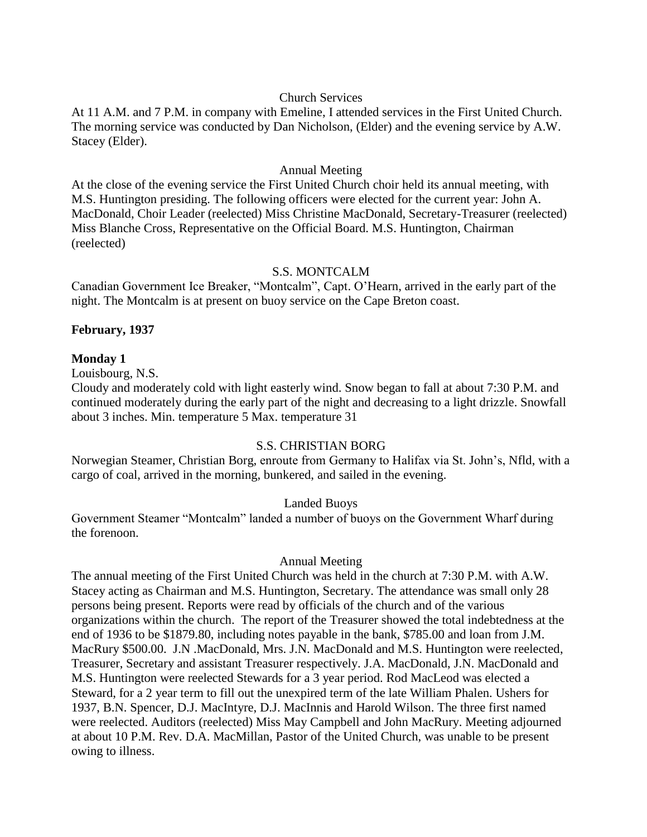### Church Services

At 11 A.M. and 7 P.M. in company with Emeline, I attended services in the First United Church. The morning service was conducted by Dan Nicholson, (Elder) and the evening service by A.W. Stacey (Elder).

#### Annual Meeting

At the close of the evening service the First United Church choir held its annual meeting, with M.S. Huntington presiding. The following officers were elected for the current year: John A. MacDonald, Choir Leader (reelected) Miss Christine MacDonald, Secretary-Treasurer (reelected) Miss Blanche Cross, Representative on the Official Board. M.S. Huntington, Chairman (reelected)

## S.S. MONTCALM

Canadian Government Ice Breaker, "Montcalm", Capt. O'Hearn, arrived in the early part of the night. The Montcalm is at present on buoy service on the Cape Breton coast.

## **February, 1937**

### **Monday 1**

Louisbourg, N.S.

Cloudy and moderately cold with light easterly wind. Snow began to fall at about 7:30 P.M. and continued moderately during the early part of the night and decreasing to a light drizzle. Snowfall about 3 inches. Min. temperature 5 Max. temperature 31

## S.S. CHRISTIAN BORG

Norwegian Steamer, Christian Borg, enroute from Germany to Halifax via St. John's, Nfld, with a cargo of coal, arrived in the morning, bunkered, and sailed in the evening.

## Landed Buoys

Government Steamer "Montcalm" landed a number of buoys on the Government Wharf during the forenoon.

## Annual Meeting

The annual meeting of the First United Church was held in the church at 7:30 P.M. with A.W. Stacey acting as Chairman and M.S. Huntington, Secretary. The attendance was small only 28 persons being present. Reports were read by officials of the church and of the various organizations within the church. The report of the Treasurer showed the total indebtedness at the end of 1936 to be \$1879.80, including notes payable in the bank, \$785.00 and loan from J.M. MacRury \$500.00. J.N .MacDonald, Mrs. J.N. MacDonald and M.S. Huntington were reelected, Treasurer, Secretary and assistant Treasurer respectively. J.A. MacDonald, J.N. MacDonald and M.S. Huntington were reelected Stewards for a 3 year period. Rod MacLeod was elected a Steward, for a 2 year term to fill out the unexpired term of the late William Phalen. Ushers for 1937, B.N. Spencer, D.J. MacIntyre, D.J. MacInnis and Harold Wilson. The three first named were reelected. Auditors (reelected) Miss May Campbell and John MacRury. Meeting adjourned at about 10 P.M. Rev. D.A. MacMillan, Pastor of the United Church, was unable to be present owing to illness.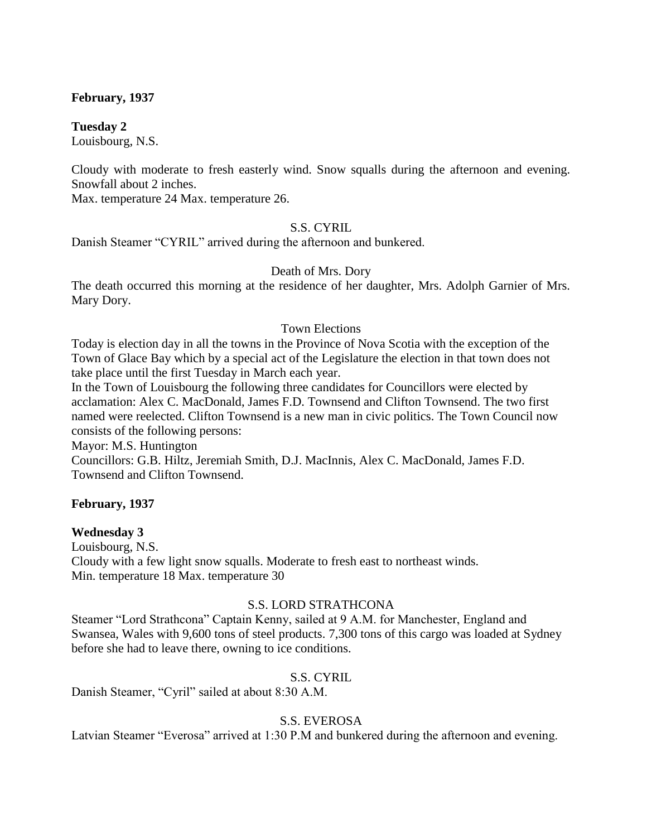## **February, 1937**

**Tuesday 2** Louisbourg, N.S.

Cloudy with moderate to fresh easterly wind. Snow squalls during the afternoon and evening. Snowfall about 2 inches.

Max. temperature 24 Max. temperature 26.

## S.S. CYRIL

Danish Steamer "CYRIL" arrived during the afternoon and bunkered.

### Death of Mrs. Dory

The death occurred this morning at the residence of her daughter, Mrs. Adolph Garnier of Mrs. Mary Dory.

### Town Elections

Today is election day in all the towns in the Province of Nova Scotia with the exception of the Town of Glace Bay which by a special act of the Legislature the election in that town does not take place until the first Tuesday in March each year.

In the Town of Louisbourg the following three candidates for Councillors were elected by acclamation: Alex C. MacDonald, James F.D. Townsend and Clifton Townsend. The two first named were reelected. Clifton Townsend is a new man in civic politics. The Town Council now consists of the following persons:

Mayor: M.S. Huntington

Councillors: G.B. Hiltz, Jeremiah Smith, D.J. MacInnis, Alex C. MacDonald, James F.D. Townsend and Clifton Townsend.

## **February, 1937**

#### **Wednesday 3**

Louisbourg, N.S. Cloudy with a few light snow squalls. Moderate to fresh east to northeast winds. Min. temperature 18 Max. temperature 30

## S.S. LORD STRATHCONA

Steamer "Lord Strathcona" Captain Kenny, sailed at 9 A.M. for Manchester, England and Swansea, Wales with 9,600 tons of steel products. 7,300 tons of this cargo was loaded at Sydney before she had to leave there, owning to ice conditions.

#### S.S. CYRIL

Danish Steamer, "Cyril" sailed at about 8:30 A.M.

## S.S. EVEROSA

Latvian Steamer "Everosa" arrived at 1:30 P.M and bunkered during the afternoon and evening.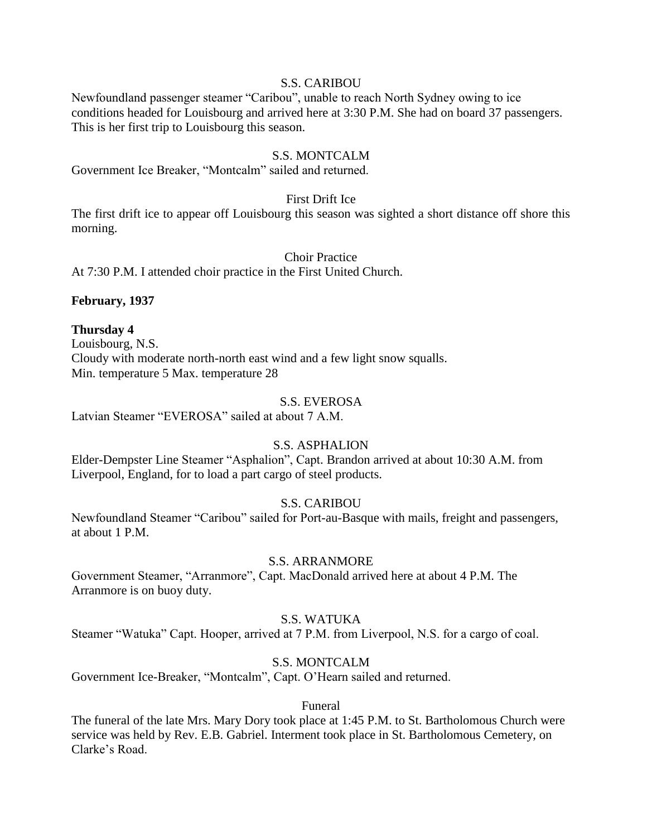#### S.S. CARIBOU

Newfoundland passenger steamer "Caribou", unable to reach North Sydney owing to ice conditions headed for Louisbourg and arrived here at 3:30 P.M. She had on board 37 passengers. This is her first trip to Louisbourg this season.

## S.S. MONTCALM

Government Ice Breaker, "Montcalm" sailed and returned.

#### First Drift Ice

The first drift ice to appear off Louisbourg this season was sighted a short distance off shore this morning.

### Choir Practice

At 7:30 P.M. I attended choir practice in the First United Church.

## **February, 1937**

## **Thursday 4**

Louisbourg, N.S. Cloudy with moderate north-north east wind and a few light snow squalls. Min. temperature 5 Max. temperature 28

## S.S. EVEROSA

Latvian Steamer "EVEROSA" sailed at about 7 A.M.

## S.S. ASPHALION

Elder-Dempster Line Steamer "Asphalion", Capt. Brandon arrived at about 10:30 A.M. from Liverpool, England, for to load a part cargo of steel products.

## S.S. CARIBOU

Newfoundland Steamer "Caribou" sailed for Port-au-Basque with mails, freight and passengers, at about 1 P.M.

## S.S. ARRANMORE

Government Steamer, "Arranmore", Capt. MacDonald arrived here at about 4 P.M. The Arranmore is on buoy duty.

## S.S. WATUKA

Steamer "Watuka" Capt. Hooper, arrived at 7 P.M. from Liverpool, N.S. for a cargo of coal.

## S.S. MONTCALM

Government Ice-Breaker, "Montcalm", Capt. O'Hearn sailed and returned.

## Funeral

The funeral of the late Mrs. Mary Dory took place at 1:45 P.M. to St. Bartholomous Church were service was held by Rev. E.B. Gabriel. Interment took place in St. Bartholomous Cemetery, on Clarke's Road.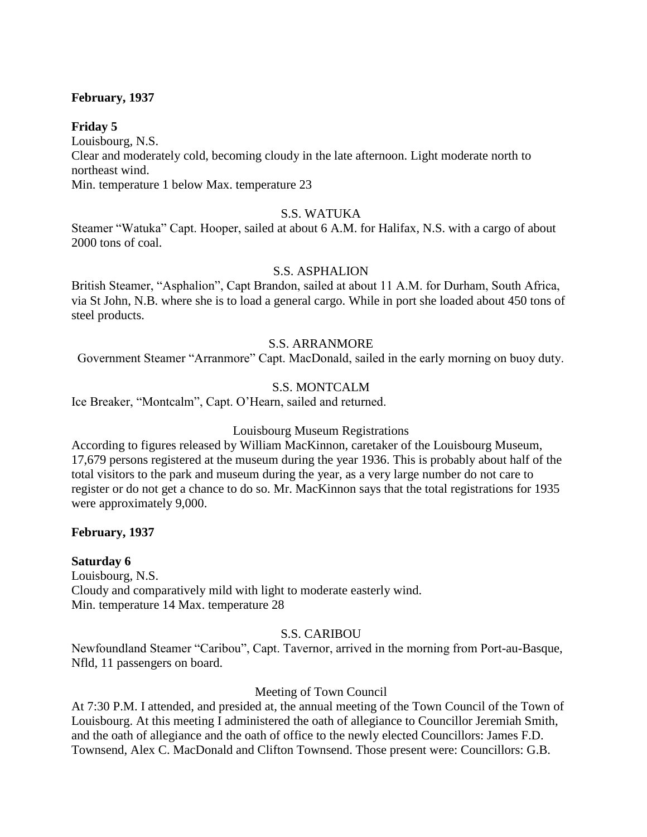## **February, 1937**

### **Friday 5**

Louisbourg, N.S. Clear and moderately cold, becoming cloudy in the late afternoon. Light moderate north to northeast wind. Min. temperature 1 below Max. temperature 23

### S.S. WATUKA

Steamer "Watuka" Capt. Hooper, sailed at about 6 A.M. for Halifax, N.S. with a cargo of about 2000 tons of coal.

### S.S. ASPHALION

British Steamer, "Asphalion", Capt Brandon, sailed at about 11 A.M. for Durham, South Africa, via St John, N.B. where she is to load a general cargo. While in port she loaded about 450 tons of steel products.

### S.S. ARRANMORE

Government Steamer "Arranmore" Capt. MacDonald, sailed in the early morning on buoy duty.

### S.S. MONTCALM

Ice Breaker, "Montcalm", Capt. O'Hearn, sailed and returned.

#### Louisbourg Museum Registrations

According to figures released by William MacKinnon, caretaker of the Louisbourg Museum, 17,679 persons registered at the museum during the year 1936. This is probably about half of the total visitors to the park and museum during the year, as a very large number do not care to register or do not get a chance to do so. Mr. MacKinnon says that the total registrations for 1935 were approximately 9,000.

## **February, 1937**

## **Saturday 6**

Louisbourg, N.S. Cloudy and comparatively mild with light to moderate easterly wind. Min. temperature 14 Max. temperature 28

#### S.S. CARIBOU

Newfoundland Steamer "Caribou", Capt. Tavernor, arrived in the morning from Port-au-Basque, Nfld, 11 passengers on board.

#### Meeting of Town Council

At 7:30 P.M. I attended, and presided at, the annual meeting of the Town Council of the Town of Louisbourg. At this meeting I administered the oath of allegiance to Councillor Jeremiah Smith, and the oath of allegiance and the oath of office to the newly elected Councillors: James F.D. Townsend, Alex C. MacDonald and Clifton Townsend. Those present were: Councillors: G.B.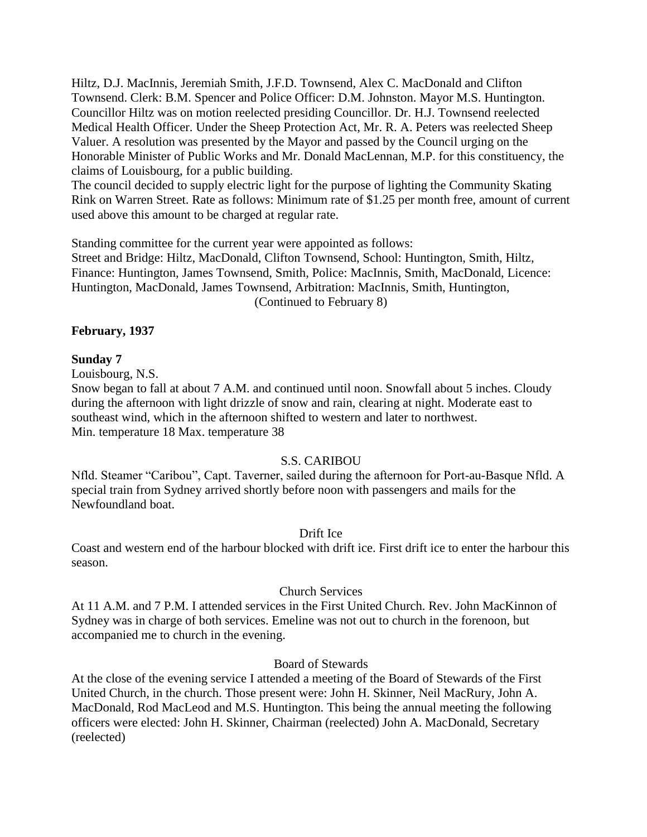Hiltz, D.J. MacInnis, Jeremiah Smith, J.F.D. Townsend, Alex C. MacDonald and Clifton Townsend. Clerk: B.M. Spencer and Police Officer: D.M. Johnston. Mayor M.S. Huntington. Councillor Hiltz was on motion reelected presiding Councillor. Dr. H.J. Townsend reelected Medical Health Officer. Under the Sheep Protection Act, Mr. R. A. Peters was reelected Sheep Valuer. A resolution was presented by the Mayor and passed by the Council urging on the Honorable Minister of Public Works and Mr. Donald MacLennan, M.P. for this constituency, the claims of Louisbourg, for a public building.

The council decided to supply electric light for the purpose of lighting the Community Skating Rink on Warren Street. Rate as follows: Minimum rate of \$1.25 per month free, amount of current used above this amount to be charged at regular rate.

Standing committee for the current year were appointed as follows: Street and Bridge: Hiltz, MacDonald, Clifton Townsend, School: Huntington, Smith, Hiltz, Finance: Huntington, James Townsend, Smith, Police: MacInnis, Smith, MacDonald, Licence: Huntington, MacDonald, James Townsend, Arbitration: MacInnis, Smith, Huntington,

(Continued to February 8)

## **February, 1937**

## **Sunday 7**

Louisbourg, N.S.

Snow began to fall at about 7 A.M. and continued until noon. Snowfall about 5 inches. Cloudy during the afternoon with light drizzle of snow and rain, clearing at night. Moderate east to southeast wind, which in the afternoon shifted to western and later to northwest. Min. temperature 18 Max. temperature 38

## S.S. CARIBOU

Nfld. Steamer "Caribou", Capt. Taverner, sailed during the afternoon for Port-au-Basque Nfld. A special train from Sydney arrived shortly before noon with passengers and mails for the Newfoundland boat.

## Drift Ice

Coast and western end of the harbour blocked with drift ice. First drift ice to enter the harbour this season.

## Church Services

At 11 A.M. and 7 P.M. I attended services in the First United Church. Rev. John MacKinnon of Sydney was in charge of both services. Emeline was not out to church in the forenoon, but accompanied me to church in the evening.

## Board of Stewards

At the close of the evening service I attended a meeting of the Board of Stewards of the First United Church, in the church. Those present were: John H. Skinner, Neil MacRury, John A. MacDonald, Rod MacLeod and M.S. Huntington. This being the annual meeting the following officers were elected: John H. Skinner, Chairman (reelected) John A. MacDonald, Secretary (reelected)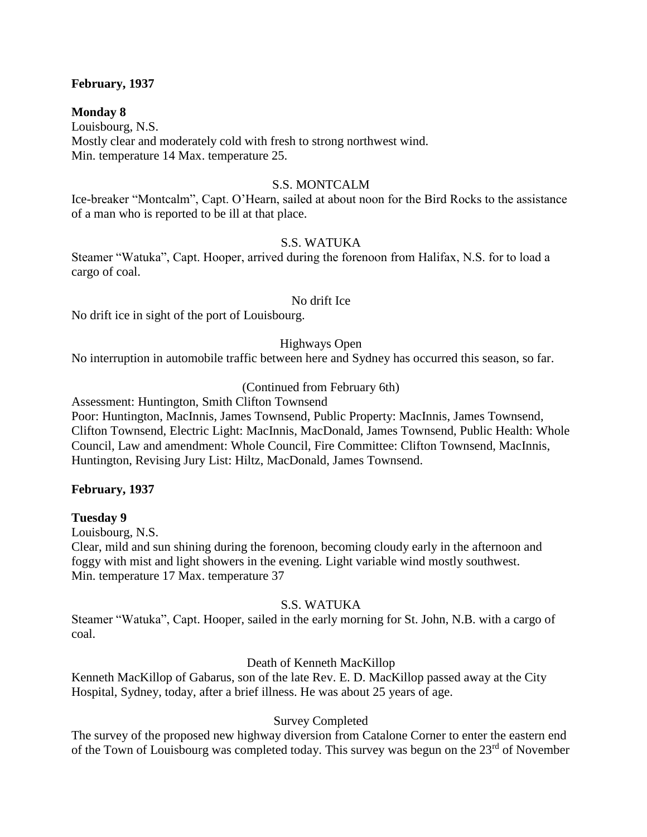## **February, 1937**

#### **Monday 8**

Louisbourg, N.S. Mostly clear and moderately cold with fresh to strong northwest wind. Min. temperature 14 Max. temperature 25.

### S.S. MONTCALM

Ice-breaker "Montcalm", Capt. O'Hearn, sailed at about noon for the Bird Rocks to the assistance of a man who is reported to be ill at that place.

#### S.S. WATUKA

Steamer "Watuka", Capt. Hooper, arrived during the forenoon from Halifax, N.S. for to load a cargo of coal.

#### No drift Ice

No drift ice in sight of the port of Louisbourg.

### Highways Open

No interruption in automobile traffic between here and Sydney has occurred this season, so far.

#### (Continued from February 6th)

Assessment: Huntington, Smith Clifton Townsend

Poor: Huntington, MacInnis, James Townsend, Public Property: MacInnis, James Townsend, Clifton Townsend, Electric Light: MacInnis, MacDonald, James Townsend, Public Health: Whole Council, Law and amendment: Whole Council, Fire Committee: Clifton Townsend, MacInnis, Huntington, Revising Jury List: Hiltz, MacDonald, James Townsend.

#### **February, 1937**

#### **Tuesday 9**

Louisbourg, N.S.

Clear, mild and sun shining during the forenoon, becoming cloudy early in the afternoon and foggy with mist and light showers in the evening. Light variable wind mostly southwest. Min. temperature 17 Max. temperature 37

## S.S. WATUKA

Steamer "Watuka", Capt. Hooper, sailed in the early morning for St. John, N.B. with a cargo of coal.

## Death of Kenneth MacKillop

Kenneth MacKillop of Gabarus, son of the late Rev. E. D. MacKillop passed away at the City Hospital, Sydney, today, after a brief illness. He was about 25 years of age.

## Survey Completed

The survey of the proposed new highway diversion from Catalone Corner to enter the eastern end of the Town of Louisbourg was completed today. This survey was begun on the  $23<sup>rd</sup>$  of November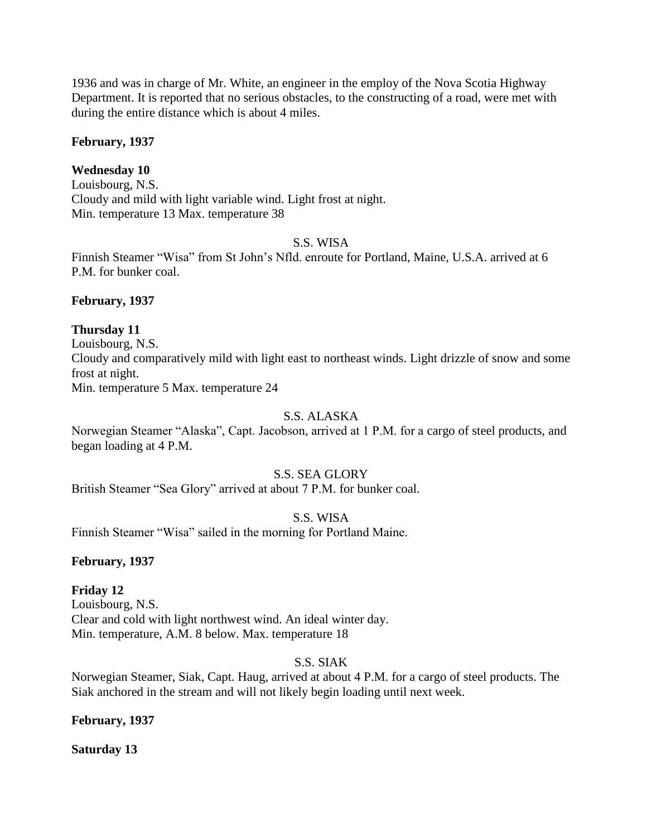1936 and was in charge of Mr. White, an engineer in the employ of the Nova Scotia Highway Department. It is reported that no serious obstacles, to the constructing of a road, were met with during the entire distance which is about 4 miles.

### **February, 1937**

## **Wednesday 10**

Louisbourg, N.S. Cloudy and mild with light variable wind. Light frost at night. Min. temperature 13 Max. temperature 38

#### S.S. WISA

Finnish Steamer "Wisa" from St John's Nfld. enroute for Portland, Maine, U.S.A. arrived at 6 P.M. for bunker coal.

#### **February, 1937**

### **Thursday 11**

Louisbourg, N.S. Cloudy and comparatively mild with light east to northeast winds. Light drizzle of snow and some frost at night. Min. temperature 5 Max. temperature 24

#### S.S. ALASKA

Norwegian Steamer "Alaska", Capt. Jacobson, arrived at 1 P.M. for a cargo of steel products, and began loading at 4 P.M.

#### S.S. SEA GLORY

British Steamer "Sea Glory" arrived at about 7 P.M. for bunker coal.

### S.S. WISA

Finnish Steamer "Wisa" sailed in the morning for Portland Maine.

#### **February, 1937**

## **Friday 12**

Louisbourg, N.S. Clear and cold with light northwest wind. An ideal winter day. Min. temperature, A.M. 8 below. Max. temperature 18

## S.S. SIAK

Norwegian Steamer, Siak, Capt. Haug, arrived at about 4 P.M. for a cargo of steel products. The Siak anchored in the stream and will not likely begin loading until next week.

## **February, 1937**

**Saturday 13**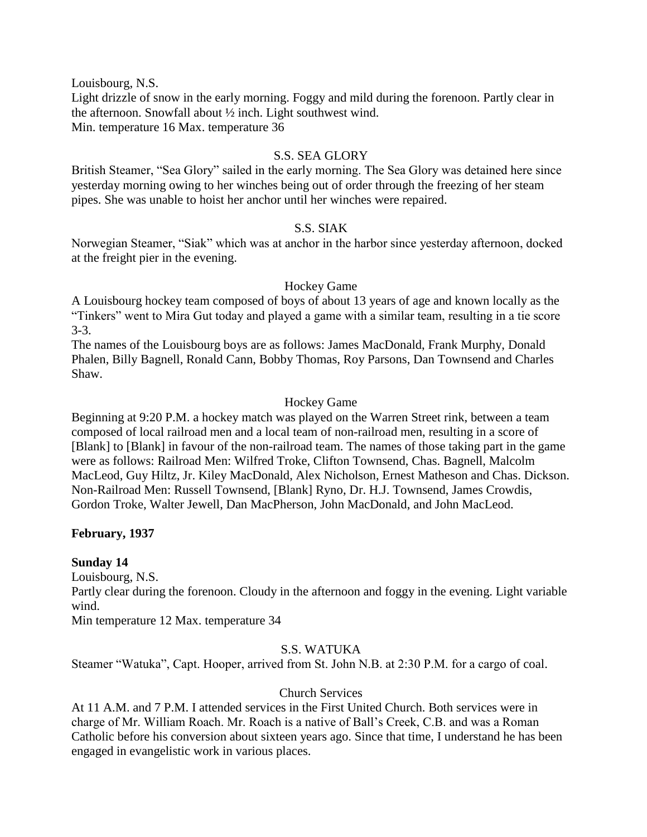Louisbourg, N.S.

Light drizzle of snow in the early morning. Foggy and mild during the forenoon. Partly clear in the afternoon. Snowfall about ½ inch. Light southwest wind. Min. temperature 16 Max. temperature 36

## S.S. SEA GLORY

British Steamer, "Sea Glory" sailed in the early morning. The Sea Glory was detained here since yesterday morning owing to her winches being out of order through the freezing of her steam pipes. She was unable to hoist her anchor until her winches were repaired.

## S.S. SIAK

Norwegian Steamer, "Siak" which was at anchor in the harbor since yesterday afternoon, docked at the freight pier in the evening.

## Hockey Game

A Louisbourg hockey team composed of boys of about 13 years of age and known locally as the "Tinkers" went to Mira Gut today and played a game with a similar team, resulting in a tie score 3-3.

The names of the Louisbourg boys are as follows: James MacDonald, Frank Murphy, Donald Phalen, Billy Bagnell, Ronald Cann, Bobby Thomas, Roy Parsons, Dan Townsend and Charles Shaw.

## Hockey Game

Beginning at 9:20 P.M. a hockey match was played on the Warren Street rink, between a team composed of local railroad men and a local team of non-railroad men, resulting in a score of [Blank] to [Blank] in favour of the non-railroad team. The names of those taking part in the game were as follows: Railroad Men: Wilfred Troke, Clifton Townsend, Chas. Bagnell, Malcolm MacLeod, Guy Hiltz, Jr. Kiley MacDonald, Alex Nicholson, Ernest Matheson and Chas. Dickson. Non-Railroad Men: Russell Townsend, [Blank] Ryno, Dr. H.J. Townsend, James Crowdis, Gordon Troke, Walter Jewell, Dan MacPherson, John MacDonald, and John MacLeod.

## **February, 1937**

## **Sunday 14**

Louisbourg, N.S.

Partly clear during the forenoon. Cloudy in the afternoon and foggy in the evening. Light variable wind.

Min temperature 12 Max. temperature 34

## S.S. WATUKA

Steamer "Watuka", Capt. Hooper, arrived from St. John N.B. at 2:30 P.M. for a cargo of coal.

## Church Services

At 11 A.M. and 7 P.M. I attended services in the First United Church. Both services were in charge of Mr. William Roach. Mr. Roach is a native of Ball's Creek, C.B. and was a Roman Catholic before his conversion about sixteen years ago. Since that time, I understand he has been engaged in evangelistic work in various places.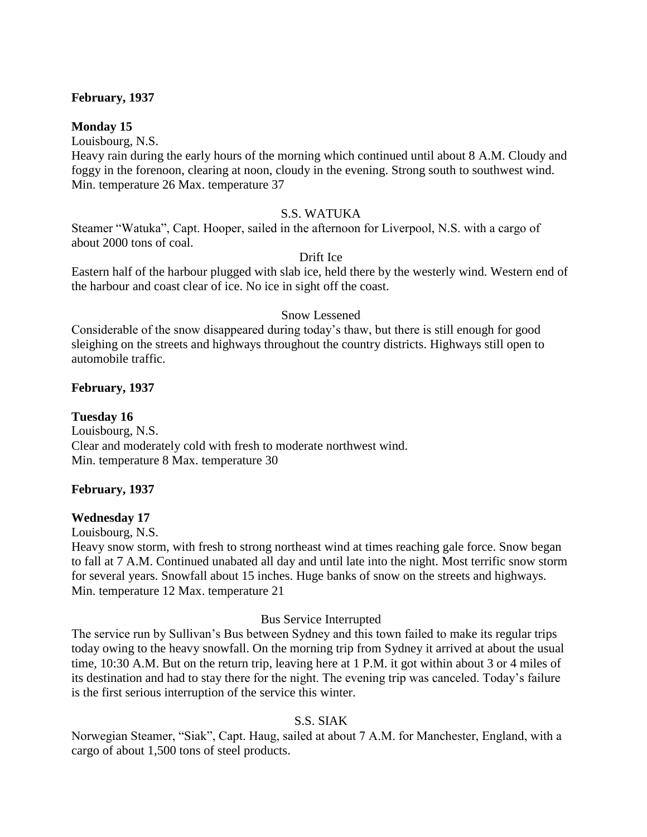### **February, 1937**

### **Monday 15**

Louisbourg, N.S.

Heavy rain during the early hours of the morning which continued until about 8 A.M. Cloudy and foggy in the forenoon, clearing at noon, cloudy in the evening. Strong south to southwest wind. Min. temperature 26 Max. temperature 37

### S.S. WATUKA

Steamer "Watuka", Capt. Hooper, sailed in the afternoon for Liverpool, N.S. with a cargo of about 2000 tons of coal.

#### Drift Ice

Eastern half of the harbour plugged with slab ice, held there by the westerly wind. Western end of the harbour and coast clear of ice. No ice in sight off the coast.

#### Snow Lessened

Considerable of the snow disappeared during today's thaw, but there is still enough for good sleighing on the streets and highways throughout the country districts. Highways still open to automobile traffic.

#### **February, 1937**

### **Tuesday 16**

Louisbourg, N.S. Clear and moderately cold with fresh to moderate northwest wind. Min. temperature 8 Max. temperature 30

## **February, 1937**

#### **Wednesday 17**

Louisbourg, N.S.

Heavy snow storm, with fresh to strong northeast wind at times reaching gale force. Snow began to fall at 7 A.M. Continued unabated all day and until late into the night. Most terrific snow storm for several years. Snowfall about 15 inches. Huge banks of snow on the streets and highways. Min. temperature 12 Max. temperature 21

#### Bus Service Interrupted

The service run by Sullivan's Bus between Sydney and this town failed to make its regular trips today owing to the heavy snowfall. On the morning trip from Sydney it arrived at about the usual time, 10:30 A.M. But on the return trip, leaving here at 1 P.M. it got within about 3 or 4 miles of its destination and had to stay there for the night. The evening trip was canceled. Today's failure is the first serious interruption of the service this winter.

## S.S. SIAK

Norwegian Steamer, "Siak", Capt. Haug, sailed at about 7 A.M. for Manchester, England, with a cargo of about 1,500 tons of steel products.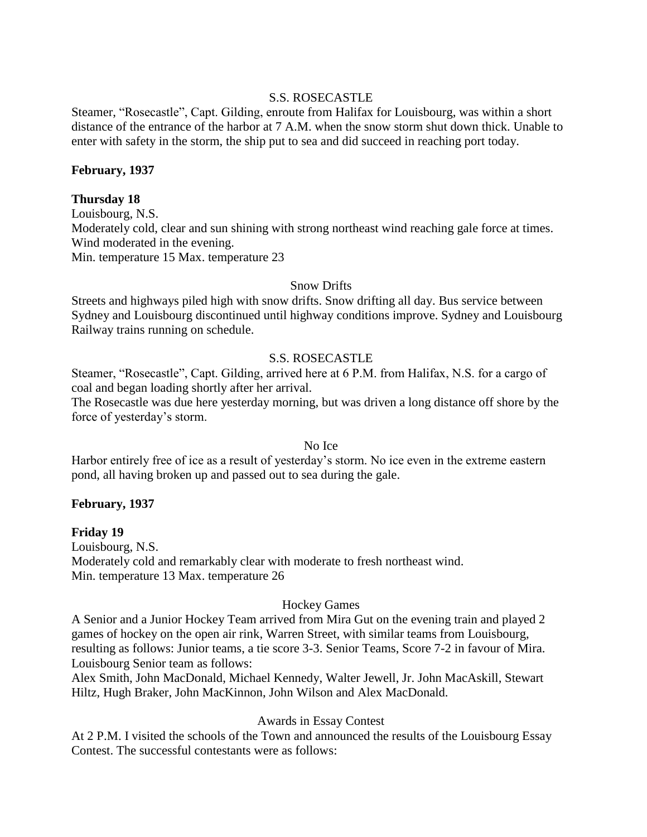## S.S. ROSECASTLE

Steamer, "Rosecastle", Capt. Gilding, enroute from Halifax for Louisbourg, was within a short distance of the entrance of the harbor at 7 A.M. when the snow storm shut down thick. Unable to enter with safety in the storm, the ship put to sea and did succeed in reaching port today.

### **February, 1937**

### **Thursday 18**

Louisbourg, N.S. Moderately cold, clear and sun shining with strong northeast wind reaching gale force at times. Wind moderated in the evening. Min. temperature 15 Max. temperature 23

### Snow Drifts

Streets and highways piled high with snow drifts. Snow drifting all day. Bus service between Sydney and Louisbourg discontinued until highway conditions improve. Sydney and Louisbourg Railway trains running on schedule.

### S.S. ROSECASTLE

Steamer, "Rosecastle", Capt. Gilding, arrived here at 6 P.M. from Halifax, N.S. for a cargo of coal and began loading shortly after her arrival.

The Rosecastle was due here yesterday morning, but was driven a long distance off shore by the force of yesterday's storm.

#### No Ice

Harbor entirely free of ice as a result of yesterday's storm. No ice even in the extreme eastern pond, all having broken up and passed out to sea during the gale.

#### **February, 1937**

#### **Friday 19**

Louisbourg, N.S. Moderately cold and remarkably clear with moderate to fresh northeast wind. Min. temperature 13 Max. temperature 26

#### Hockey Games

A Senior and a Junior Hockey Team arrived from Mira Gut on the evening train and played 2 games of hockey on the open air rink, Warren Street, with similar teams from Louisbourg, resulting as follows: Junior teams, a tie score 3-3. Senior Teams, Score 7-2 in favour of Mira. Louisbourg Senior team as follows:

Alex Smith, John MacDonald, Michael Kennedy, Walter Jewell, Jr. John MacAskill, Stewart Hiltz, Hugh Braker, John MacKinnon, John Wilson and Alex MacDonald.

#### Awards in Essay Contest

At 2 P.M. I visited the schools of the Town and announced the results of the Louisbourg Essay Contest. The successful contestants were as follows: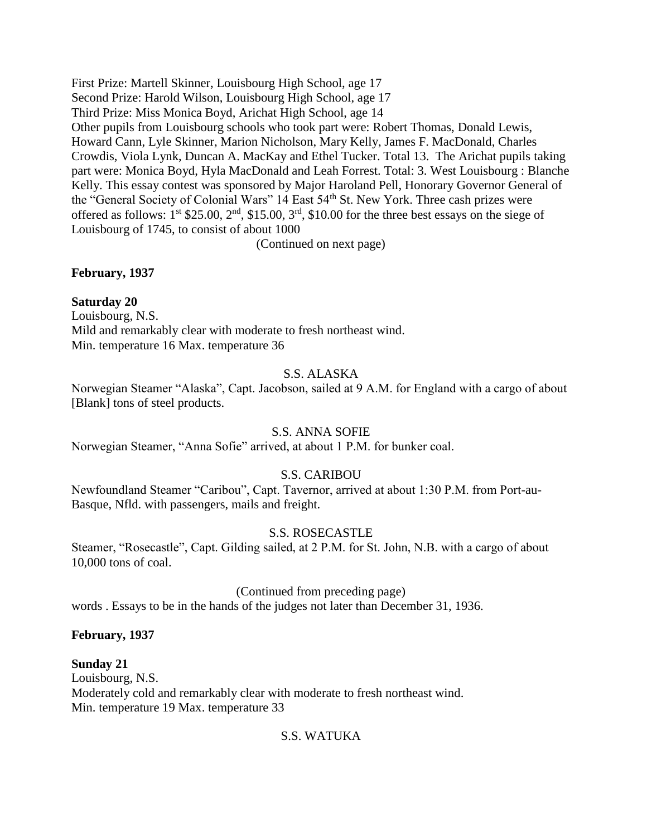First Prize: Martell Skinner, Louisbourg High School, age 17 Second Prize: Harold Wilson, Louisbourg High School, age 17 Third Prize: Miss Monica Boyd, Arichat High School, age 14 Other pupils from Louisbourg schools who took part were: Robert Thomas, Donald Lewis, Howard Cann, Lyle Skinner, Marion Nicholson, Mary Kelly, James F. MacDonald, Charles Crowdis, Viola Lynk, Duncan A. MacKay and Ethel Tucker. Total 13. The Arichat pupils taking part were: Monica Boyd, Hyla MacDonald and Leah Forrest. Total: 3. West Louisbourg : Blanche Kelly. This essay contest was sponsored by Major Haroland Pell, Honorary Governor General of the "General Society of Colonial Wars" 14 East 54<sup>th</sup> St. New York. Three cash prizes were offered as follows:  $1^{st}$  \$25.00,  $2^{nd}$ , \$15.00,  $3^{rd}$ , \$10.00 for the three best essays on the siege of Louisbourg of 1745, to consist of about 1000

(Continued on next page)

## **February, 1937**

## **Saturday 20**

Louisbourg, N.S. Mild and remarkably clear with moderate to fresh northeast wind. Min. temperature 16 Max. temperature 36

## S.S. ALASKA

Norwegian Steamer "Alaska", Capt. Jacobson, sailed at 9 A.M. for England with a cargo of about [Blank] tons of steel products.

## S.S. ANNA SOFIE

Norwegian Steamer, "Anna Sofie" arrived, at about 1 P.M. for bunker coal.

## S.S. CARIBOU

Newfoundland Steamer "Caribou", Capt. Tavernor, arrived at about 1:30 P.M. from Port-au-Basque, Nfld. with passengers, mails and freight.

## S.S. ROSECASTLE

Steamer, "Rosecastle", Capt. Gilding sailed, at 2 P.M. for St. John, N.B. with a cargo of about 10,000 tons of coal.

(Continued from preceding page)

words . Essays to be in the hands of the judges not later than December 31, 1936.

## **February, 1937**

**Sunday 21** Louisbourg, N.S. Moderately cold and remarkably clear with moderate to fresh northeast wind. Min. temperature 19 Max. temperature 33

## S.S. WATUKA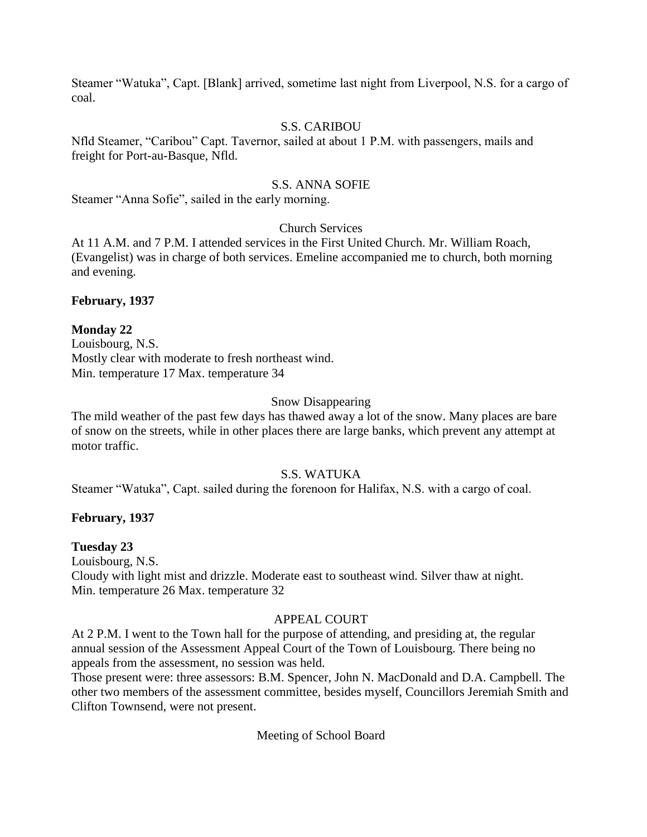Steamer "Watuka", Capt. [Blank] arrived, sometime last night from Liverpool, N.S. for a cargo of coal.

## S.S. CARIBOU

Nfld Steamer, "Caribou" Capt. Tavernor, sailed at about 1 P.M. with passengers, mails and freight for Port-au-Basque, Nfld.

## S.S. ANNA SOFIE

Steamer "Anna Sofie", sailed in the early morning.

## Church Services

At 11 A.M. and 7 P.M. I attended services in the First United Church. Mr. William Roach, (Evangelist) was in charge of both services. Emeline accompanied me to church, both morning and evening.

## **February, 1937**

## **Monday 22**

Louisbourg, N.S. Mostly clear with moderate to fresh northeast wind. Min. temperature 17 Max. temperature 34

### Snow Disappearing

The mild weather of the past few days has thawed away a lot of the snow. Many places are bare of snow on the streets, while in other places there are large banks, which prevent any attempt at motor traffic.

## S.S. WATUKA

Steamer "Watuka", Capt. sailed during the forenoon for Halifax, N.S. with a cargo of coal.

## **February, 1937**

## **Tuesday 23**

Louisbourg, N.S. Cloudy with light mist and drizzle. Moderate east to southeast wind. Silver thaw at night. Min. temperature 26 Max. temperature 32

## APPEAL COURT

At 2 P.M. I went to the Town hall for the purpose of attending, and presiding at, the regular annual session of the Assessment Appeal Court of the Town of Louisbourg. There being no appeals from the assessment, no session was held.

Those present were: three assessors: B.M. Spencer, John N. MacDonald and D.A. Campbell. The other two members of the assessment committee, besides myself, Councillors Jeremiah Smith and Clifton Townsend, were not present.

Meeting of School Board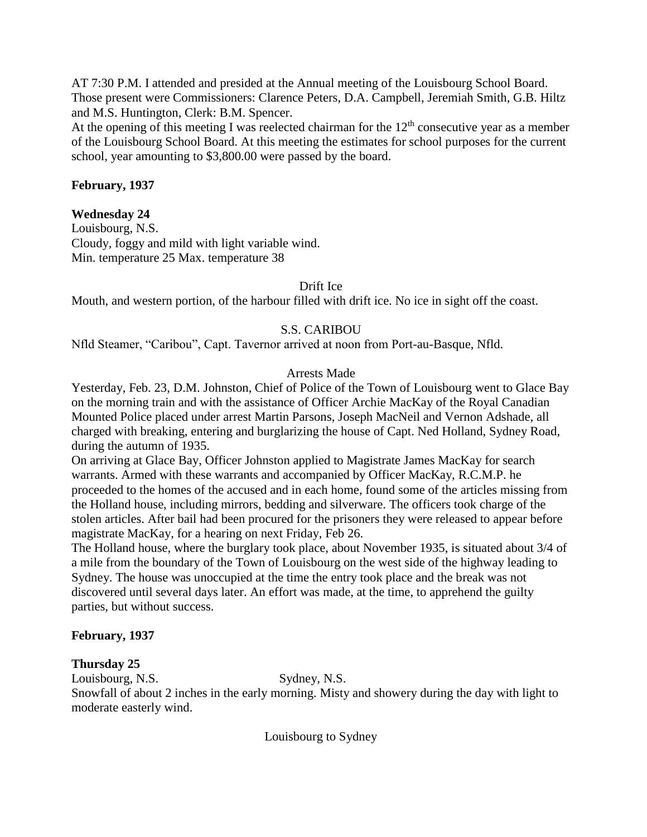AT 7:30 P.M. I attended and presided at the Annual meeting of the Louisbourg School Board. Those present were Commissioners: Clarence Peters, D.A. Campbell, Jeremiah Smith, G.B. Hiltz and M.S. Huntington, Clerk: B.M. Spencer.

At the opening of this meeting I was reelected chairman for the  $12<sup>th</sup>$  consecutive year as a member of the Louisbourg School Board. At this meeting the estimates for school purposes for the current school, year amounting to \$3,800.00 were passed by the board.

## **February, 1937**

## **Wednesday 24**

Louisbourg, N.S. Cloudy, foggy and mild with light variable wind. Min. temperature 25 Max. temperature 38

Drift Ice

Mouth, and western portion, of the harbour filled with drift ice. No ice in sight off the coast.

## S.S. CARIBOU

Nfld Steamer, "Caribou", Capt. Tavernor arrived at noon from Port-au-Basque, Nfld.

## Arrests Made

Yesterday, Feb. 23, D.M. Johnston, Chief of Police of the Town of Louisbourg went to Glace Bay on the morning train and with the assistance of Officer Archie MacKay of the Royal Canadian Mounted Police placed under arrest Martin Parsons, Joseph MacNeil and Vernon Adshade, all charged with breaking, entering and burglarizing the house of Capt. Ned Holland, Sydney Road, during the autumn of 1935.

On arriving at Glace Bay, Officer Johnston applied to Magistrate James MacKay for search warrants. Armed with these warrants and accompanied by Officer MacKay, R.C.M.P. he proceeded to the homes of the accused and in each home, found some of the articles missing from the Holland house, including mirrors, bedding and silverware. The officers took charge of the stolen articles. After bail had been procured for the prisoners they were released to appear before magistrate MacKay, for a hearing on next Friday, Feb 26.

The Holland house, where the burglary took place, about November 1935, is situated about 3/4 of a mile from the boundary of the Town of Louisbourg on the west side of the highway leading to Sydney. The house was unoccupied at the time the entry took place and the break was not discovered until several days later. An effort was made, at the time, to apprehend the guilty parties, but without success.

## **February, 1937**

## **Thursday 25**

Louisbourg, N.S. Sydney, N.S.

Snowfall of about 2 inches in the early morning. Misty and showery during the day with light to moderate easterly wind.

Louisbourg to Sydney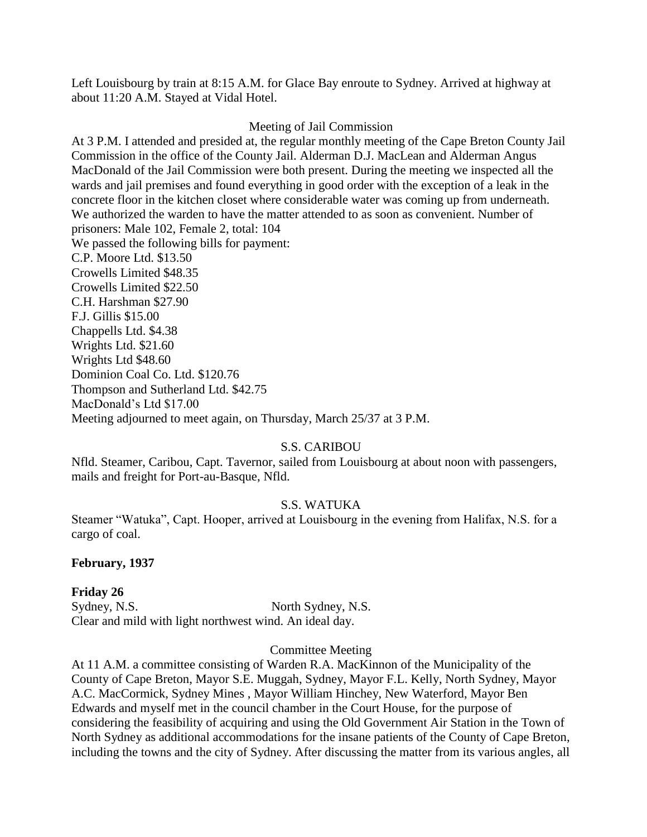Left Louisbourg by train at 8:15 A.M. for Glace Bay enroute to Sydney. Arrived at highway at about 11:20 A.M. Stayed at Vidal Hotel.

## Meeting of Jail Commission

At 3 P.M. I attended and presided at, the regular monthly meeting of the Cape Breton County Jail Commission in the office of the County Jail. Alderman D.J. MacLean and Alderman Angus MacDonald of the Jail Commission were both present. During the meeting we inspected all the wards and jail premises and found everything in good order with the exception of a leak in the concrete floor in the kitchen closet where considerable water was coming up from underneath. We authorized the warden to have the matter attended to as soon as convenient. Number of prisoners: Male 102, Female 2, total: 104 We passed the following bills for payment: C.P. Moore Ltd. \$13.50 Crowells Limited \$48.35 Crowells Limited \$22.50 C.H. Harshman \$27.90 F.J. Gillis \$15.00 Chappells Ltd. \$4.38 Wrights Ltd. \$21.60 Wrights Ltd \$48.60 Dominion Coal Co. Ltd. \$120.76 Thompson and Sutherland Ltd. \$42.75 MacDonald's Ltd \$17.00 Meeting adjourned to meet again, on Thursday, March 25/37 at 3 P.M.

## S.S. CARIBOU

Nfld. Steamer, Caribou, Capt. Tavernor, sailed from Louisbourg at about noon with passengers, mails and freight for Port-au-Basque, Nfld.

## S.S. WATUKA

Steamer "Watuka", Capt. Hooper, arrived at Louisbourg in the evening from Halifax, N.S. for a cargo of coal.

## **February, 1937**

**Friday 26** Sydney, N.S. North Sydney, N.S. Clear and mild with light northwest wind. An ideal day.

#### Committee Meeting

At 11 A.M. a committee consisting of Warden R.A. MacKinnon of the Municipality of the County of Cape Breton, Mayor S.E. Muggah, Sydney, Mayor F.L. Kelly, North Sydney, Mayor A.C. MacCormick, Sydney Mines , Mayor William Hinchey, New Waterford, Mayor Ben Edwards and myself met in the council chamber in the Court House, for the purpose of considering the feasibility of acquiring and using the Old Government Air Station in the Town of North Sydney as additional accommodations for the insane patients of the County of Cape Breton, including the towns and the city of Sydney. After discussing the matter from its various angles, all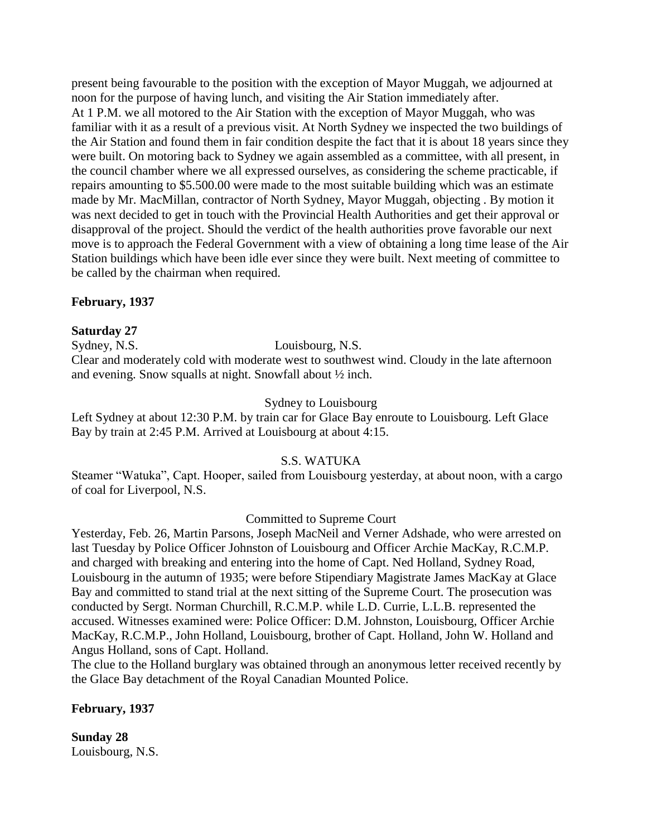present being favourable to the position with the exception of Mayor Muggah, we adjourned at noon for the purpose of having lunch, and visiting the Air Station immediately after. At 1 P.M. we all motored to the Air Station with the exception of Mayor Muggah, who was familiar with it as a result of a previous visit. At North Sydney we inspected the two buildings of the Air Station and found them in fair condition despite the fact that it is about 18 years since they were built. On motoring back to Sydney we again assembled as a committee, with all present, in the council chamber where we all expressed ourselves, as considering the scheme practicable, if repairs amounting to \$5.500.00 were made to the most suitable building which was an estimate made by Mr. MacMillan, contractor of North Sydney, Mayor Muggah, objecting . By motion it was next decided to get in touch with the Provincial Health Authorities and get their approval or disapproval of the project. Should the verdict of the health authorities prove favorable our next move is to approach the Federal Government with a view of obtaining a long time lease of the Air Station buildings which have been idle ever since they were built. Next meeting of committee to be called by the chairman when required.

## **February, 1937**

## **Saturday 27**

Sydney, N.S. Louisbourg, N.S.

Clear and moderately cold with moderate west to southwest wind. Cloudy in the late afternoon and evening. Snow squalls at night. Snowfall about ½ inch.

## Sydney to Louisbourg

Left Sydney at about 12:30 P.M. by train car for Glace Bay enroute to Louisbourg. Left Glace Bay by train at 2:45 P.M. Arrived at Louisbourg at about 4:15.

## S.S. WATUKA

Steamer "Watuka", Capt. Hooper, sailed from Louisbourg yesterday, at about noon, with a cargo of coal for Liverpool, N.S.

## Committed to Supreme Court

Yesterday, Feb. 26, Martin Parsons, Joseph MacNeil and Verner Adshade, who were arrested on last Tuesday by Police Officer Johnston of Louisbourg and Officer Archie MacKay, R.C.M.P. and charged with breaking and entering into the home of Capt. Ned Holland, Sydney Road, Louisbourg in the autumn of 1935; were before Stipendiary Magistrate James MacKay at Glace Bay and committed to stand trial at the next sitting of the Supreme Court. The prosecution was conducted by Sergt. Norman Churchill, R.C.M.P. while L.D. Currie, L.L.B. represented the accused. Witnesses examined were: Police Officer: D.M. Johnston, Louisbourg, Officer Archie MacKay, R.C.M.P., John Holland, Louisbourg, brother of Capt. Holland, John W. Holland and Angus Holland, sons of Capt. Holland.

The clue to the Holland burglary was obtained through an anonymous letter received recently by the Glace Bay detachment of the Royal Canadian Mounted Police.

## **February, 1937**

**Sunday 28** Louisbourg, N.S.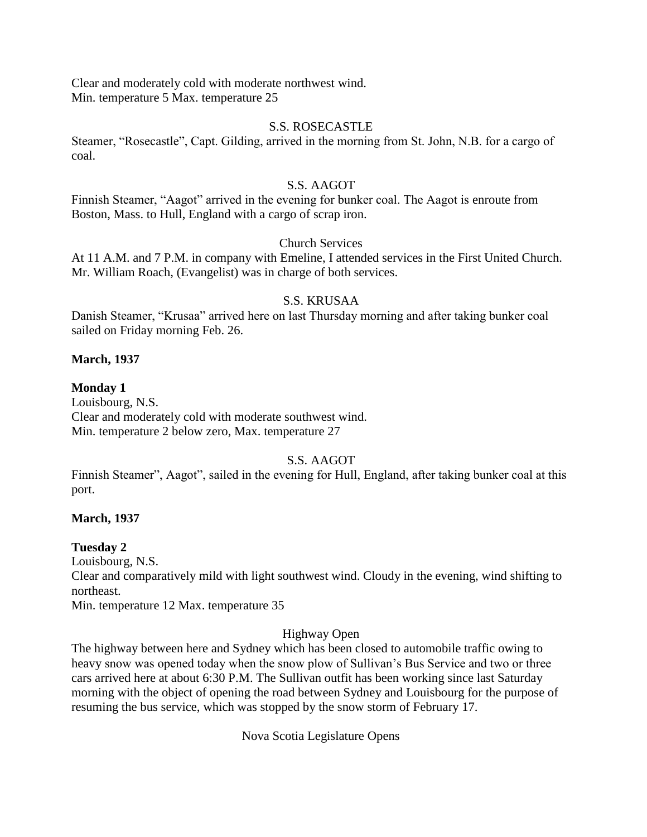Clear and moderately cold with moderate northwest wind. Min. temperature 5 Max. temperature 25

## S.S. ROSECASTLE

Steamer, "Rosecastle", Capt. Gilding, arrived in the morning from St. John, N.B. for a cargo of coal.

## S.S. AAGOT

Finnish Steamer, "Aagot" arrived in the evening for bunker coal. The Aagot is enroute from Boston, Mass. to Hull, England with a cargo of scrap iron.

# Church Services

At 11 A.M. and 7 P.M. in company with Emeline, I attended services in the First United Church. Mr. William Roach, (Evangelist) was in charge of both services.

## S.S. KRUSAA

Danish Steamer, "Krusaa" arrived here on last Thursday morning and after taking bunker coal sailed on Friday morning Feb. 26.

## **March, 1937**

## **Monday 1**

Louisbourg, N.S. Clear and moderately cold with moderate southwest wind. Min. temperature 2 below zero, Max. temperature 27

## S.S. AAGOT

Finnish Steamer", Aagot", sailed in the evening for Hull, England, after taking bunker coal at this port.

## **March, 1937**

## **Tuesday 2**

Louisbourg, N.S.

Clear and comparatively mild with light southwest wind. Cloudy in the evening, wind shifting to northeast.

Min. temperature 12 Max. temperature 35

## Highway Open

The highway between here and Sydney which has been closed to automobile traffic owing to heavy snow was opened today when the snow plow of Sullivan's Bus Service and two or three cars arrived here at about 6:30 P.M. The Sullivan outfit has been working since last Saturday morning with the object of opening the road between Sydney and Louisbourg for the purpose of resuming the bus service, which was stopped by the snow storm of February 17.

Nova Scotia Legislature Opens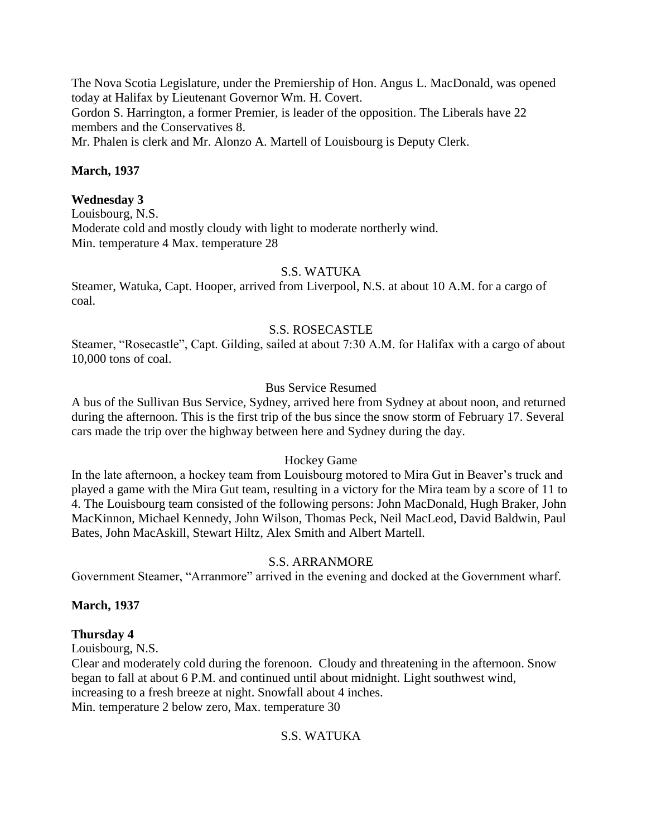The Nova Scotia Legislature, under the Premiership of Hon. Angus L. MacDonald, was opened today at Halifax by Lieutenant Governor Wm. H. Covert.

Gordon S. Harrington, a former Premier, is leader of the opposition. The Liberals have 22 members and the Conservatives 8.

Mr. Phalen is clerk and Mr. Alonzo A. Martell of Louisbourg is Deputy Clerk.

## **March, 1937**

## **Wednesday 3**

Louisbourg, N.S. Moderate cold and mostly cloudy with light to moderate northerly wind. Min. temperature 4 Max. temperature 28

### S.S. WATUKA

Steamer, Watuka, Capt. Hooper, arrived from Liverpool, N.S. at about 10 A.M. for a cargo of coal.

### S.S. ROSECASTLE

Steamer, "Rosecastle", Capt. Gilding, sailed at about 7:30 A.M. for Halifax with a cargo of about 10,000 tons of coal.

## Bus Service Resumed

A bus of the Sullivan Bus Service, Sydney, arrived here from Sydney at about noon, and returned during the afternoon. This is the first trip of the bus since the snow storm of February 17. Several cars made the trip over the highway between here and Sydney during the day.

## Hockey Game

In the late afternoon, a hockey team from Louisbourg motored to Mira Gut in Beaver's truck and played a game with the Mira Gut team, resulting in a victory for the Mira team by a score of 11 to 4. The Louisbourg team consisted of the following persons: John MacDonald, Hugh Braker, John MacKinnon, Michael Kennedy, John Wilson, Thomas Peck, Neil MacLeod, David Baldwin, Paul Bates, John MacAskill, Stewart Hiltz, Alex Smith and Albert Martell.

## S.S. ARRANMORE

Government Steamer, "Arranmore" arrived in the evening and docked at the Government wharf.

## **March, 1937**

#### **Thursday 4**

Louisbourg, N.S.

Clear and moderately cold during the forenoon. Cloudy and threatening in the afternoon. Snow began to fall at about 6 P.M. and continued until about midnight. Light southwest wind, increasing to a fresh breeze at night. Snowfall about 4 inches. Min. temperature 2 below zero, Max. temperature 30

## S.S. WATUKA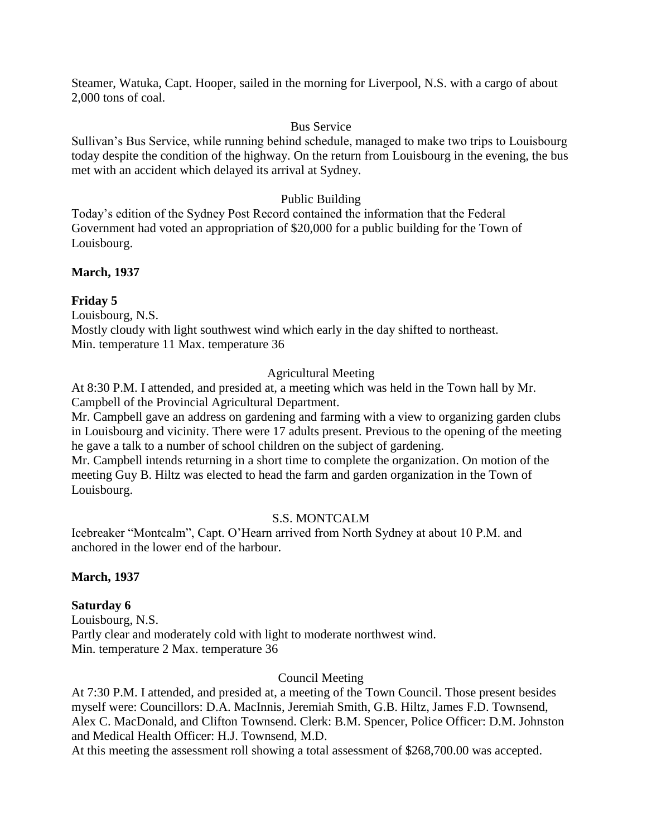Steamer, Watuka, Capt. Hooper, sailed in the morning for Liverpool, N.S. with a cargo of about 2,000 tons of coal.

## Bus Service

Sullivan's Bus Service, while running behind schedule, managed to make two trips to Louisbourg today despite the condition of the highway. On the return from Louisbourg in the evening, the bus met with an accident which delayed its arrival at Sydney.

## Public Building

Today's edition of the Sydney Post Record contained the information that the Federal Government had voted an appropriation of \$20,000 for a public building for the Town of Louisbourg.

## **March, 1937**

## **Friday 5**

Louisbourg, N.S.

Mostly cloudy with light southwest wind which early in the day shifted to northeast. Min. temperature 11 Max. temperature 36

## Agricultural Meeting

At 8:30 P.M. I attended, and presided at, a meeting which was held in the Town hall by Mr. Campbell of the Provincial Agricultural Department.

Mr. Campbell gave an address on gardening and farming with a view to organizing garden clubs in Louisbourg and vicinity. There were 17 adults present. Previous to the opening of the meeting he gave a talk to a number of school children on the subject of gardening.

Mr. Campbell intends returning in a short time to complete the organization. On motion of the meeting Guy B. Hiltz was elected to head the farm and garden organization in the Town of Louisbourg.

## S.S. MONTCALM

Icebreaker "Montcalm", Capt. O'Hearn arrived from North Sydney at about 10 P.M. and anchored in the lower end of the harbour.

## **March, 1937**

## **Saturday 6**

Louisbourg, N.S. Partly clear and moderately cold with light to moderate northwest wind. Min. temperature 2 Max. temperature 36

## Council Meeting

At 7:30 P.M. I attended, and presided at, a meeting of the Town Council. Those present besides myself were: Councillors: D.A. MacInnis, Jeremiah Smith, G.B. Hiltz, James F.D. Townsend, Alex C. MacDonald, and Clifton Townsend. Clerk: B.M. Spencer, Police Officer: D.M. Johnston and Medical Health Officer: H.J. Townsend, M.D.

At this meeting the assessment roll showing a total assessment of \$268,700.00 was accepted.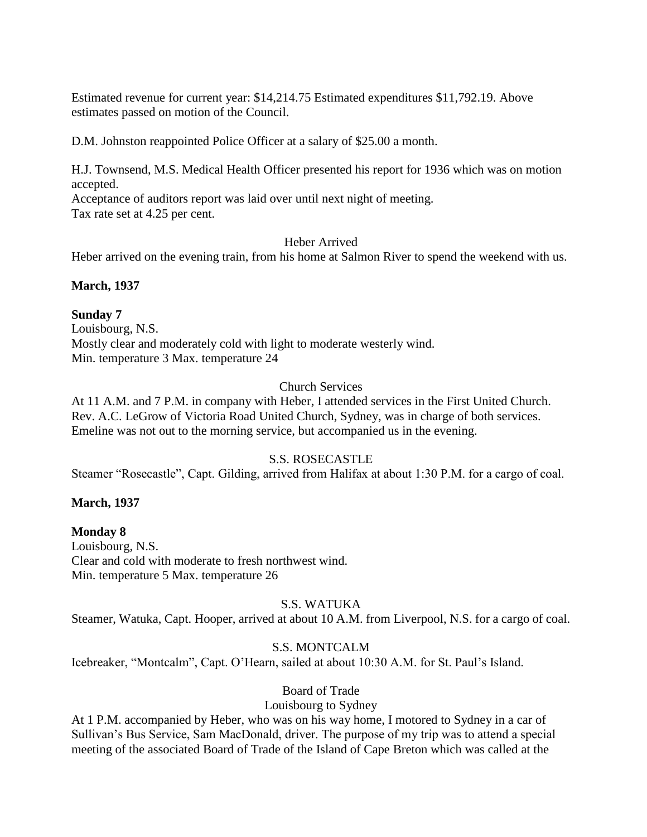Estimated revenue for current year: \$14,214.75 Estimated expenditures \$11,792.19. Above estimates passed on motion of the Council.

D.M. Johnston reappointed Police Officer at a salary of \$25.00 a month.

H.J. Townsend, M.S. Medical Health Officer presented his report for 1936 which was on motion accepted.

Acceptance of auditors report was laid over until next night of meeting.

Tax rate set at 4.25 per cent.

Heber Arrived

Heber arrived on the evening train, from his home at Salmon River to spend the weekend with us.

**March, 1937**

**Sunday 7** Louisbourg, N.S. Mostly clear and moderately cold with light to moderate westerly wind. Min. temperature 3 Max. temperature 24

## Church Services

At 11 A.M. and 7 P.M. in company with Heber, I attended services in the First United Church. Rev. A.C. LeGrow of Victoria Road United Church, Sydney, was in charge of both services. Emeline was not out to the morning service, but accompanied us in the evening.

## S.S. ROSECASTLE

Steamer "Rosecastle", Capt. Gilding, arrived from Halifax at about 1:30 P.M. for a cargo of coal.

## **March, 1937**

## **Monday 8**

Louisbourg, N.S. Clear and cold with moderate to fresh northwest wind. Min. temperature 5 Max. temperature 26

## S.S. WATUKA

Steamer, Watuka, Capt. Hooper, arrived at about 10 A.M. from Liverpool, N.S. for a cargo of coal.

## S.S. MONTCALM

Icebreaker, "Montcalm", Capt. O'Hearn, sailed at about 10:30 A.M. for St. Paul's Island.

## Board of Trade

## Louisbourg to Sydney

At 1 P.M. accompanied by Heber, who was on his way home, I motored to Sydney in a car of Sullivan's Bus Service, Sam MacDonald, driver. The purpose of my trip was to attend a special meeting of the associated Board of Trade of the Island of Cape Breton which was called at the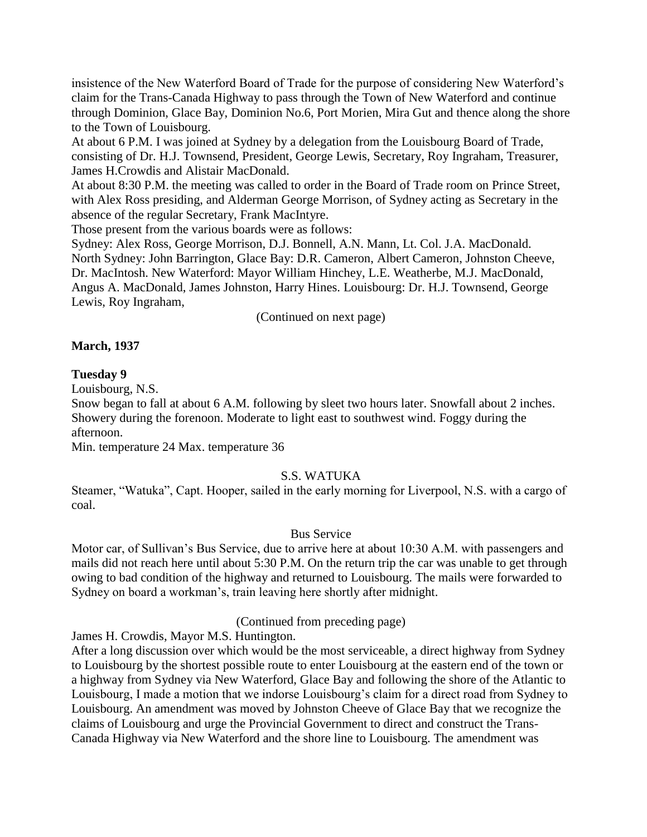insistence of the New Waterford Board of Trade for the purpose of considering New Waterford's claim for the Trans-Canada Highway to pass through the Town of New Waterford and continue through Dominion, Glace Bay, Dominion No.6, Port Morien, Mira Gut and thence along the shore to the Town of Louisbourg.

At about 6 P.M. I was joined at Sydney by a delegation from the Louisbourg Board of Trade, consisting of Dr. H.J. Townsend, President, George Lewis, Secretary, Roy Ingraham, Treasurer, James H.Crowdis and Alistair MacDonald.

At about 8:30 P.M. the meeting was called to order in the Board of Trade room on Prince Street, with Alex Ross presiding, and Alderman George Morrison, of Sydney acting as Secretary in the absence of the regular Secretary, Frank MacIntyre.

Those present from the various boards were as follows:

Sydney: Alex Ross, George Morrison, D.J. Bonnell, A.N. Mann, Lt. Col. J.A. MacDonald. North Sydney: John Barrington, Glace Bay: D.R. Cameron, Albert Cameron, Johnston Cheeve, Dr. MacIntosh. New Waterford: Mayor William Hinchey, L.E. Weatherbe, M.J. MacDonald, Angus A. MacDonald, James Johnston, Harry Hines. Louisbourg: Dr. H.J. Townsend, George Lewis, Roy Ingraham,

(Continued on next page)

## **March, 1937**

#### **Tuesday 9**

Louisbourg, N.S.

Snow began to fall at about 6 A.M. following by sleet two hours later. Snowfall about 2 inches. Showery during the forenoon. Moderate to light east to southwest wind. Foggy during the afternoon.

Min. temperature 24 Max. temperature 36

## S.S. WATUKA

Steamer, "Watuka", Capt. Hooper, sailed in the early morning for Liverpool, N.S. with a cargo of coal.

#### Bus Service

Motor car, of Sullivan's Bus Service, due to arrive here at about 10:30 A.M. with passengers and mails did not reach here until about 5:30 P.M. On the return trip the car was unable to get through owing to bad condition of the highway and returned to Louisbourg. The mails were forwarded to Sydney on board a workman's, train leaving here shortly after midnight.

## (Continued from preceding page)

James H. Crowdis, Mayor M.S. Huntington.

After a long discussion over which would be the most serviceable, a direct highway from Sydney to Louisbourg by the shortest possible route to enter Louisbourg at the eastern end of the town or a highway from Sydney via New Waterford, Glace Bay and following the shore of the Atlantic to Louisbourg, I made a motion that we indorse Louisbourg's claim for a direct road from Sydney to Louisbourg. An amendment was moved by Johnston Cheeve of Glace Bay that we recognize the claims of Louisbourg and urge the Provincial Government to direct and construct the Trans-Canada Highway via New Waterford and the shore line to Louisbourg. The amendment was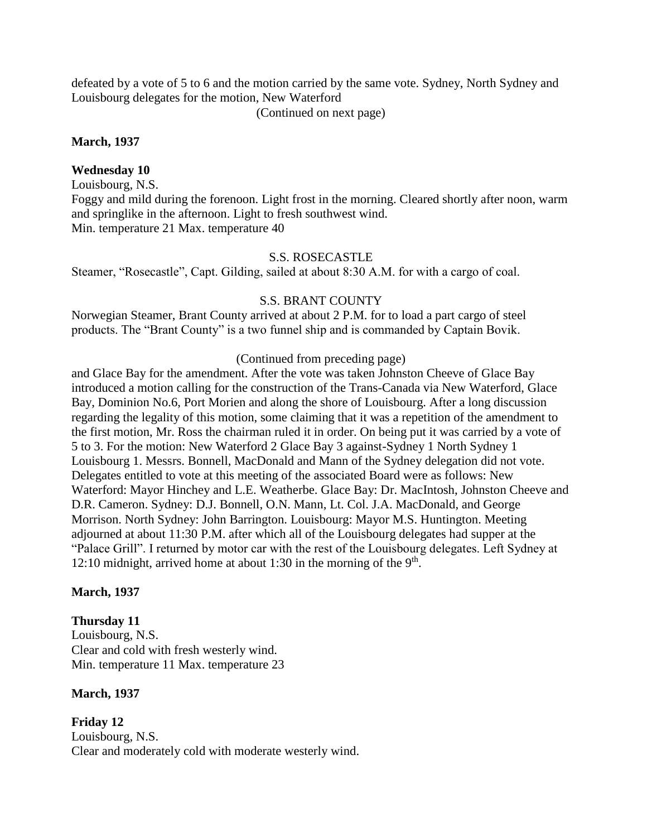defeated by a vote of 5 to 6 and the motion carried by the same vote. Sydney, North Sydney and Louisbourg delegates for the motion, New Waterford

(Continued on next page)

### **March, 1937**

### **Wednesday 10**

Louisbourg, N.S.

Foggy and mild during the forenoon. Light frost in the morning. Cleared shortly after noon, warm and springlike in the afternoon. Light to fresh southwest wind. Min. temperature 21 Max. temperature 40

#### S.S. ROSECASTLE

Steamer, "Rosecastle", Capt. Gilding, sailed at about 8:30 A.M. for with a cargo of coal.

#### S.S. BRANT COUNTY

Norwegian Steamer, Brant County arrived at about 2 P.M. for to load a part cargo of steel products. The "Brant County" is a two funnel ship and is commanded by Captain Bovik.

#### (Continued from preceding page)

and Glace Bay for the amendment. After the vote was taken Johnston Cheeve of Glace Bay introduced a motion calling for the construction of the Trans-Canada via New Waterford, Glace Bay, Dominion No.6, Port Morien and along the shore of Louisbourg. After a long discussion regarding the legality of this motion, some claiming that it was a repetition of the amendment to the first motion, Mr. Ross the chairman ruled it in order. On being put it was carried by a vote of 5 to 3. For the motion: New Waterford 2 Glace Bay 3 against-Sydney 1 North Sydney 1 Louisbourg 1. Messrs. Bonnell, MacDonald and Mann of the Sydney delegation did not vote. Delegates entitled to vote at this meeting of the associated Board were as follows: New Waterford: Mayor Hinchey and L.E. Weatherbe. Glace Bay: Dr. MacIntosh, Johnston Cheeve and D.R. Cameron. Sydney: D.J. Bonnell, O.N. Mann, Lt. Col. J.A. MacDonald, and George Morrison. North Sydney: John Barrington. Louisbourg: Mayor M.S. Huntington. Meeting adjourned at about 11:30 P.M. after which all of the Louisbourg delegates had supper at the "Palace Grill". I returned by motor car with the rest of the Louisbourg delegates. Left Sydney at 12:10 midnight, arrived home at about 1:30 in the morning of the  $9<sup>th</sup>$ .

#### **March, 1937**

## **Thursday 11**

Louisbourg, N.S. Clear and cold with fresh westerly wind. Min. temperature 11 Max. temperature 23

#### **March, 1937**

**Friday 12** Louisbourg, N.S. Clear and moderately cold with moderate westerly wind.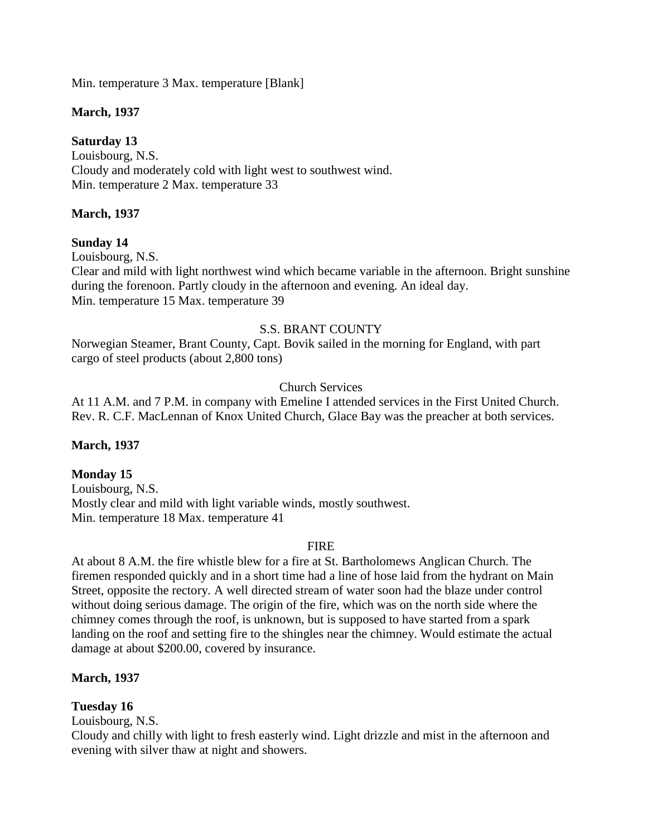Min. temperature 3 Max. temperature [Blank]

## **March, 1937**

# **Saturday 13**

Louisbourg, N.S. Cloudy and moderately cold with light west to southwest wind. Min. temperature 2 Max. temperature 33

## **March, 1937**

# **Sunday 14**

Louisbourg, N.S.

Clear and mild with light northwest wind which became variable in the afternoon. Bright sunshine during the forenoon. Partly cloudy in the afternoon and evening. An ideal day. Min. temperature 15 Max. temperature 39

# S.S. BRANT COUNTY

Norwegian Steamer, Brant County, Capt. Bovik sailed in the morning for England, with part cargo of steel products (about 2,800 tons)

Church Services

At 11 A.M. and 7 P.M. in company with Emeline I attended services in the First United Church. Rev. R. C.F. MacLennan of Knox United Church, Glace Bay was the preacher at both services.

# **March, 1937**

# **Monday 15**

Louisbourg, N.S. Mostly clear and mild with light variable winds, mostly southwest. Min. temperature 18 Max. temperature 41

## FIRE

At about 8 A.M. the fire whistle blew for a fire at St. Bartholomews Anglican Church. The firemen responded quickly and in a short time had a line of hose laid from the hydrant on Main Street, opposite the rectory. A well directed stream of water soon had the blaze under control without doing serious damage. The origin of the fire, which was on the north side where the chimney comes through the roof, is unknown, but is supposed to have started from a spark landing on the roof and setting fire to the shingles near the chimney. Would estimate the actual damage at about \$200.00, covered by insurance.

# **March, 1937**

## **Tuesday 16**

Louisbourg, N.S.

Cloudy and chilly with light to fresh easterly wind. Light drizzle and mist in the afternoon and evening with silver thaw at night and showers.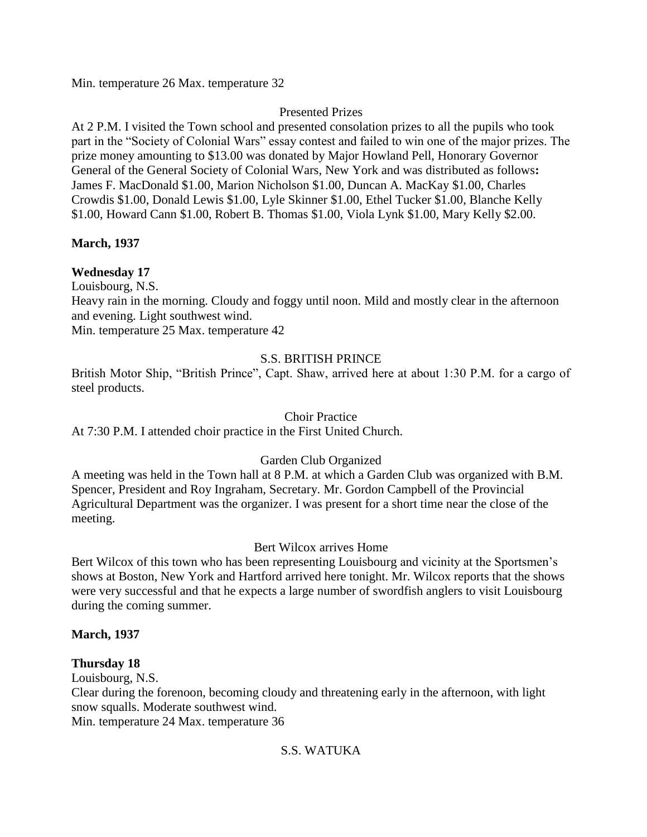Min. temperature 26 Max. temperature 32

## Presented Prizes

At 2 P.M. I visited the Town school and presented consolation prizes to all the pupils who took part in the "Society of Colonial Wars" essay contest and failed to win one of the major prizes. The prize money amounting to \$13.00 was donated by Major Howland Pell, Honorary Governor General of the General Society of Colonial Wars, New York and was distributed as follows**:**  James F. MacDonald \$1.00, Marion Nicholson \$1.00, Duncan A. MacKay \$1.00, Charles Crowdis \$1.00, Donald Lewis \$1.00, Lyle Skinner \$1.00, Ethel Tucker \$1.00, Blanche Kelly \$1.00, Howard Cann \$1.00, Robert B. Thomas \$1.00, Viola Lynk \$1.00, Mary Kelly \$2.00.

# **March, 1937**

# **Wednesday 17**

Louisbourg, N.S.

Heavy rain in the morning. Cloudy and foggy until noon. Mild and mostly clear in the afternoon and evening. Light southwest wind.

Min. temperature 25 Max. temperature 42

# S.S. BRITISH PRINCE

British Motor Ship, "British Prince", Capt. Shaw, arrived here at about 1:30 P.M. for a cargo of steel products.

## Choir Practice

At 7:30 P.M. I attended choir practice in the First United Church.

## Garden Club Organized

A meeting was held in the Town hall at 8 P.M. at which a Garden Club was organized with B.M. Spencer, President and Roy Ingraham, Secretary. Mr. Gordon Campbell of the Provincial Agricultural Department was the organizer. I was present for a short time near the close of the meeting.

## Bert Wilcox arrives Home

Bert Wilcox of this town who has been representing Louisbourg and vicinity at the Sportsmen's shows at Boston, New York and Hartford arrived here tonight. Mr. Wilcox reports that the shows were very successful and that he expects a large number of swordfish anglers to visit Louisbourg during the coming summer.

## **March, 1937**

## **Thursday 18**

Louisbourg, N.S.

Clear during the forenoon, becoming cloudy and threatening early in the afternoon, with light snow squalls. Moderate southwest wind.

Min. temperature 24 Max. temperature 36

# S.S. WATUKA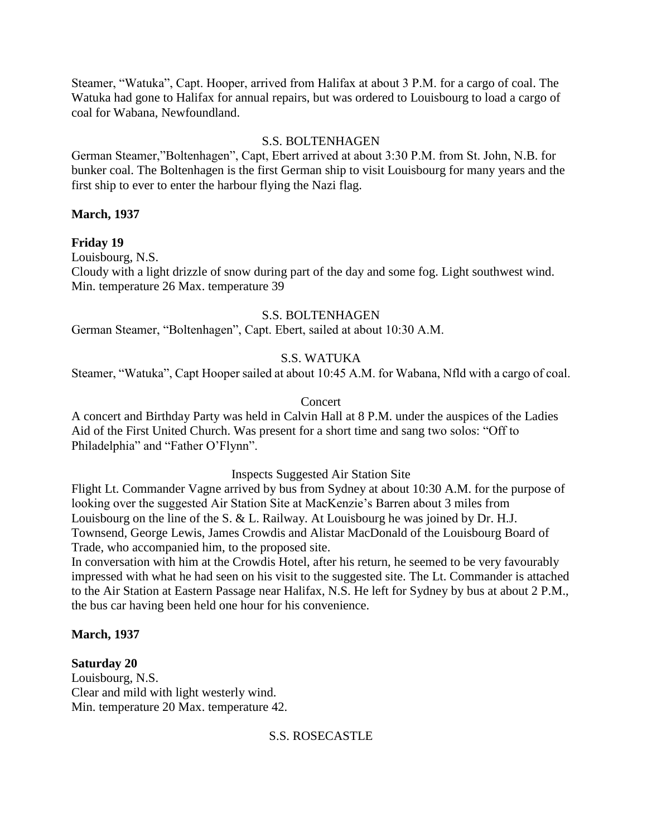Steamer, "Watuka", Capt. Hooper, arrived from Halifax at about 3 P.M. for a cargo of coal. The Watuka had gone to Halifax for annual repairs, but was ordered to Louisbourg to load a cargo of coal for Wabana, Newfoundland.

### S.S. BOLTENHAGEN

German Steamer,"Boltenhagen", Capt, Ebert arrived at about 3:30 P.M. from St. John, N.B. for bunker coal. The Boltenhagen is the first German ship to visit Louisbourg for many years and the first ship to ever to enter the harbour flying the Nazi flag.

## **March, 1937**

**Friday 19**

Louisbourg, N.S. Cloudy with a light drizzle of snow during part of the day and some fog. Light southwest wind. Min. temperature 26 Max. temperature 39

## S.S. BOLTENHAGEN

German Steamer, "Boltenhagen", Capt. Ebert, sailed at about 10:30 A.M.

## S.S. WATUKA

Steamer, "Watuka", Capt Hooper sailed at about 10:45 A.M. for Wabana, Nfld with a cargo of coal.

## Concert

A concert and Birthday Party was held in Calvin Hall at 8 P.M. under the auspices of the Ladies Aid of the First United Church. Was present for a short time and sang two solos: "Off to Philadelphia" and "Father O'Flynn".

## Inspects Suggested Air Station Site

Flight Lt. Commander Vagne arrived by bus from Sydney at about 10:30 A.M. for the purpose of looking over the suggested Air Station Site at MacKenzie's Barren about 3 miles from Louisbourg on the line of the S. & L. Railway. At Louisbourg he was joined by Dr. H.J. Townsend, George Lewis, James Crowdis and Alistar MacDonald of the Louisbourg Board of Trade, who accompanied him, to the proposed site.

In conversation with him at the Crowdis Hotel, after his return, he seemed to be very favourably impressed with what he had seen on his visit to the suggested site. The Lt. Commander is attached to the Air Station at Eastern Passage near Halifax, N.S. He left for Sydney by bus at about 2 P.M., the bus car having been held one hour for his convenience.

## **March, 1937**

**Saturday 20** Louisbourg, N.S. Clear and mild with light westerly wind. Min. temperature 20 Max. temperature 42.

## S.S. ROSECASTLE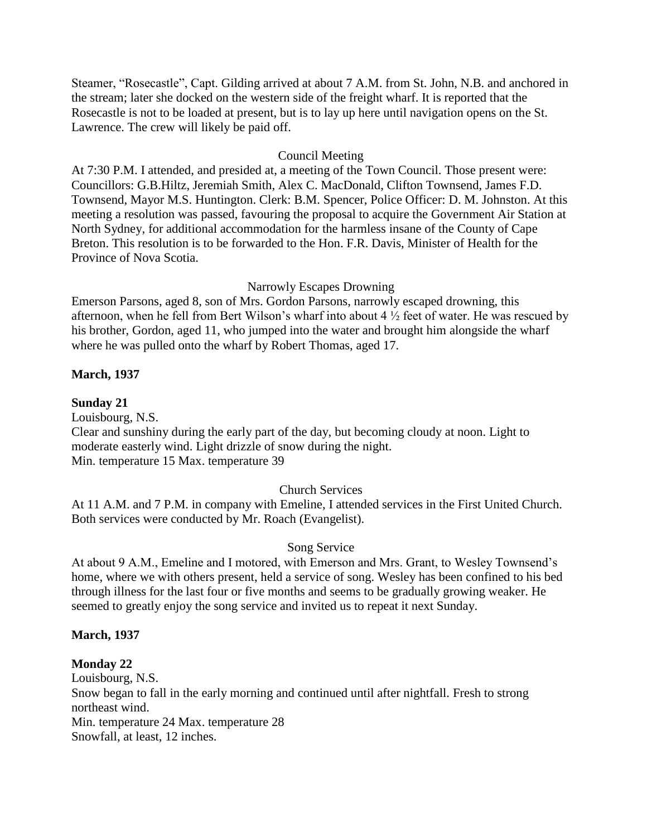Steamer, "Rosecastle", Capt. Gilding arrived at about 7 A.M. from St. John, N.B. and anchored in the stream; later she docked on the western side of the freight wharf. It is reported that the Rosecastle is not to be loaded at present, but is to lay up here until navigation opens on the St. Lawrence. The crew will likely be paid off.

## Council Meeting

At 7:30 P.M. I attended, and presided at, a meeting of the Town Council. Those present were: Councillors: G.B.Hiltz, Jeremiah Smith, Alex C. MacDonald, Clifton Townsend, James F.D. Townsend, Mayor M.S. Huntington. Clerk: B.M. Spencer, Police Officer: D. M. Johnston. At this meeting a resolution was passed, favouring the proposal to acquire the Government Air Station at North Sydney, for additional accommodation for the harmless insane of the County of Cape Breton. This resolution is to be forwarded to the Hon. F.R. Davis, Minister of Health for the Province of Nova Scotia.

## Narrowly Escapes Drowning

Emerson Parsons, aged 8, son of Mrs. Gordon Parsons, narrowly escaped drowning, this afternoon, when he fell from Bert Wilson's wharf into about 4 ½ feet of water. He was rescued by his brother, Gordon, aged 11, who jumped into the water and brought him alongside the wharf where he was pulled onto the wharf by Robert Thomas, aged 17.

## **March, 1937**

## **Sunday 21**

Louisbourg, N.S.

Clear and sunshiny during the early part of the day, but becoming cloudy at noon. Light to moderate easterly wind. Light drizzle of snow during the night. Min. temperature 15 Max. temperature 39

## Church Services

At 11 A.M. and 7 P.M. in company with Emeline, I attended services in the First United Church. Both services were conducted by Mr. Roach (Evangelist).

## Song Service

At about 9 A.M., Emeline and I motored, with Emerson and Mrs. Grant, to Wesley Townsend's home, where we with others present, held a service of song. Wesley has been confined to his bed through illness for the last four or five months and seems to be gradually growing weaker. He seemed to greatly enjoy the song service and invited us to repeat it next Sunday.

### **March, 1937**

**Monday 22** Louisbourg, N.S. Snow began to fall in the early morning and continued until after nightfall. Fresh to strong northeast wind. Min. temperature 24 Max. temperature 28 Snowfall, at least, 12 inches.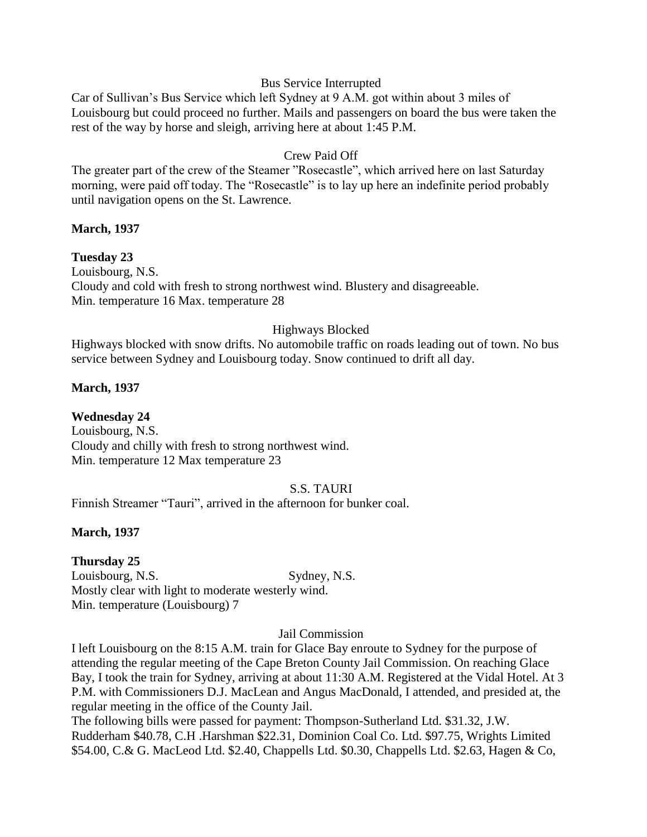### Bus Service Interrupted

Car of Sullivan's Bus Service which left Sydney at 9 A.M. got within about 3 miles of Louisbourg but could proceed no further. Mails and passengers on board the bus were taken the rest of the way by horse and sleigh, arriving here at about 1:45 P.M.

## Crew Paid Off

The greater part of the crew of the Steamer "Rosecastle", which arrived here on last Saturday morning, were paid off today. The "Rosecastle" is to lay up here an indefinite period probably until navigation opens on the St. Lawrence.

### **March, 1937**

### **Tuesday 23**

Louisbourg, N.S. Cloudy and cold with fresh to strong northwest wind. Blustery and disagreeable. Min. temperature 16 Max. temperature 28

### Highways Blocked

Highways blocked with snow drifts. No automobile traffic on roads leading out of town. No bus service between Sydney and Louisbourg today. Snow continued to drift all day.

### **March, 1937**

**Wednesday 24** Louisbourg, N.S. Cloudy and chilly with fresh to strong northwest wind. Min. temperature 12 Max temperature 23

### S.S. TAURI

Finnish Streamer "Tauri", arrived in the afternoon for bunker coal.

### **March, 1937**

#### **Thursday 25**

Louisbourg, N.S. Sydney, N.S. Mostly clear with light to moderate westerly wind. Min. temperature (Louisbourg) 7

#### Jail Commission

I left Louisbourg on the 8:15 A.M. train for Glace Bay enroute to Sydney for the purpose of attending the regular meeting of the Cape Breton County Jail Commission. On reaching Glace Bay, I took the train for Sydney, arriving at about 11:30 A.M. Registered at the Vidal Hotel. At 3 P.M. with Commissioners D.J. MacLean and Angus MacDonald, I attended, and presided at, the regular meeting in the office of the County Jail.

The following bills were passed for payment: Thompson-Sutherland Ltd. \$31.32, J.W. Rudderham \$40.78, C.H .Harshman \$22.31, Dominion Coal Co. Ltd. \$97.75, Wrights Limited \$54.00, C.& G. MacLeod Ltd. \$2.40, Chappells Ltd. \$0.30, Chappells Ltd. \$2.63, Hagen & Co,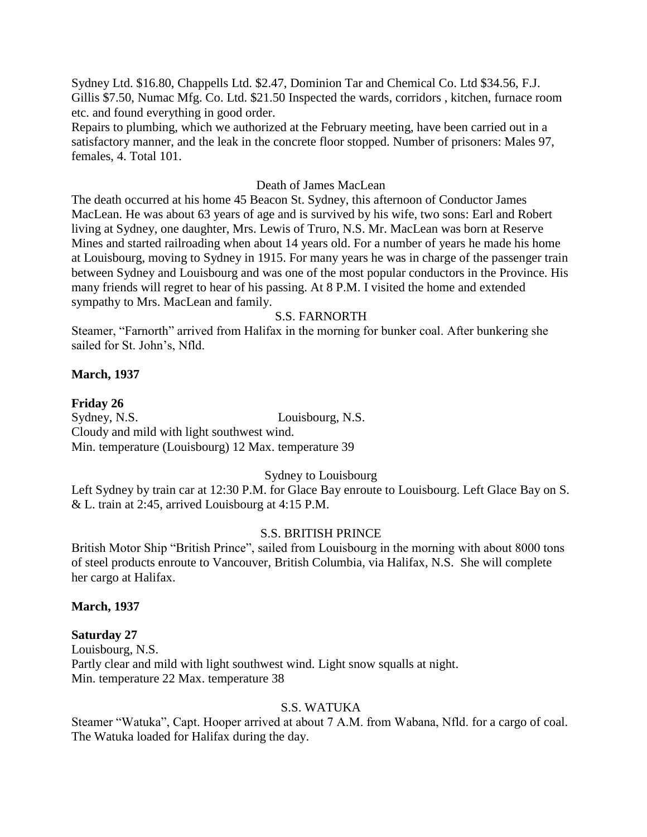Sydney Ltd. \$16.80, Chappells Ltd. \$2.47, Dominion Tar and Chemical Co. Ltd \$34.56, F.J. Gillis \$7.50, Numac Mfg. Co. Ltd. \$21.50 Inspected the wards, corridors , kitchen, furnace room etc. and found everything in good order.

Repairs to plumbing, which we authorized at the February meeting, have been carried out in a satisfactory manner, and the leak in the concrete floor stopped. Number of prisoners: Males 97, females, 4. Total 101.

#### Death of James MacLean

The death occurred at his home 45 Beacon St. Sydney, this afternoon of Conductor James MacLean. He was about 63 years of age and is survived by his wife, two sons: Earl and Robert living at Sydney, one daughter, Mrs. Lewis of Truro, N.S. Mr. MacLean was born at Reserve Mines and started railroading when about 14 years old. For a number of years he made his home at Louisbourg, moving to Sydney in 1915. For many years he was in charge of the passenger train between Sydney and Louisbourg and was one of the most popular conductors in the Province. His many friends will regret to hear of his passing. At 8 P.M. I visited the home and extended sympathy to Mrs. MacLean and family.

### S.S. FARNORTH

Steamer, "Farnorth" arrived from Halifax in the morning for bunker coal. After bunkering she sailed for St. John's, Nfld.

#### **March, 1937**

#### **Friday 26**

Sydney, N.S. Louisbourg, N.S. Cloudy and mild with light southwest wind. Min. temperature (Louisbourg) 12 Max. temperature 39

#### Sydney to Louisbourg

Left Sydney by train car at 12:30 P.M. for Glace Bay enroute to Louisbourg. Left Glace Bay on S. & L. train at 2:45, arrived Louisbourg at 4:15 P.M.

#### S.S. BRITISH PRINCE

British Motor Ship "British Prince", sailed from Louisbourg in the morning with about 8000 tons of steel products enroute to Vancouver, British Columbia, via Halifax, N.S. She will complete her cargo at Halifax.

#### **March, 1937**

#### **Saturday 27**

Louisbourg, N.S. Partly clear and mild with light southwest wind. Light snow squalls at night. Min. temperature 22 Max. temperature 38

#### S.S. WATUKA

Steamer "Watuka", Capt. Hooper arrived at about 7 A.M. from Wabana, Nfld. for a cargo of coal. The Watuka loaded for Halifax during the day.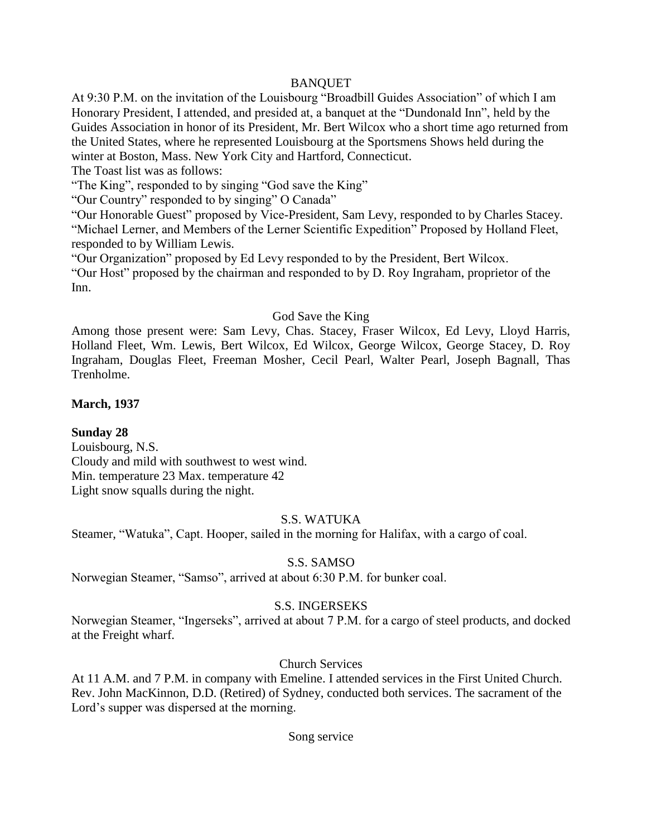### BANQUET

At 9:30 P.M. on the invitation of the Louisbourg "Broadbill Guides Association" of which I am Honorary President, I attended, and presided at, a banquet at the "Dundonald Inn", held by the Guides Association in honor of its President, Mr. Bert Wilcox who a short time ago returned from the United States, where he represented Louisbourg at the Sportsmens Shows held during the winter at Boston, Mass. New York City and Hartford, Connecticut.

The Toast list was as follows:

"The King", responded to by singing "God save the King"

"Our Country" responded to by singing" O Canada"

"Our Honorable Guest" proposed by Vice-President, Sam Levy, responded to by Charles Stacey. "Michael Lerner, and Members of the Lerner Scientific Expedition" Proposed by Holland Fleet, responded to by William Lewis.

"Our Organization" proposed by Ed Levy responded to by the President, Bert Wilcox. "Our Host" proposed by the chairman and responded to by D. Roy Ingraham, proprietor of the Inn.

### God Save the King

Among those present were: Sam Levy, Chas. Stacey, Fraser Wilcox, Ed Levy, Lloyd Harris, Holland Fleet, Wm. Lewis, Bert Wilcox, Ed Wilcox, George Wilcox, George Stacey, D. Roy Ingraham, Douglas Fleet, Freeman Mosher, Cecil Pearl, Walter Pearl, Joseph Bagnall, Thas Trenholme.

**March, 1937**

## **Sunday 28**

Louisbourg, N.S. Cloudy and mild with southwest to west wind. Min. temperature 23 Max. temperature 42 Light snow squalls during the night.

### S.S. WATUKA

Steamer, "Watuka", Capt. Hooper, sailed in the morning for Halifax, with a cargo of coal.

## S.S. SAMSO

Norwegian Steamer, "Samso", arrived at about 6:30 P.M. for bunker coal.

## S.S. INGERSEKS

Norwegian Steamer, "Ingerseks", arrived at about 7 P.M. for a cargo of steel products, and docked at the Freight wharf.

## Church Services

At 11 A.M. and 7 P.M. in company with Emeline. I attended services in the First United Church. Rev. John MacKinnon, D.D. (Retired) of Sydney, conducted both services. The sacrament of the Lord's supper was dispersed at the morning.

### Song service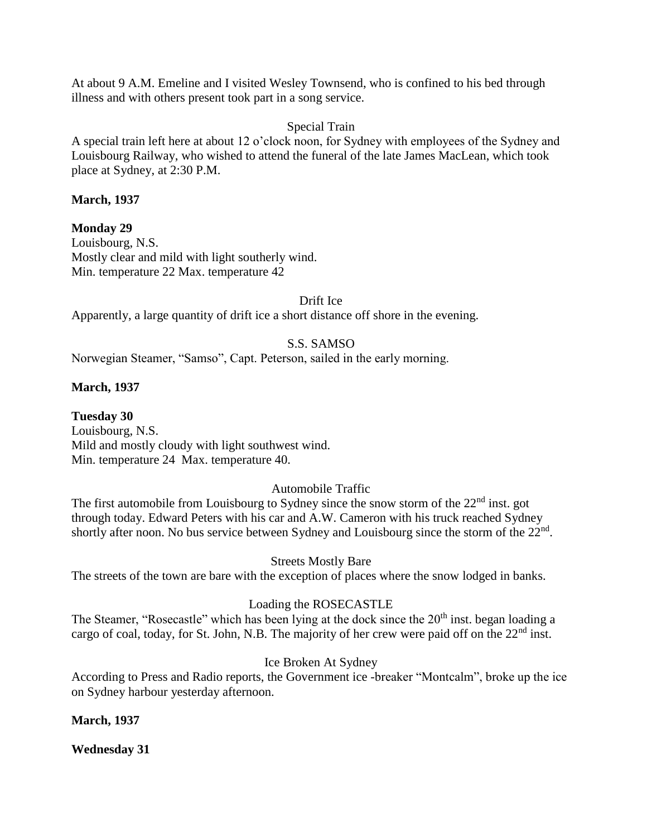At about 9 A.M. Emeline and I visited Wesley Townsend, who is confined to his bed through illness and with others present took part in a song service.

## Special Train

A special train left here at about 12 o'clock noon, for Sydney with employees of the Sydney and Louisbourg Railway, who wished to attend the funeral of the late James MacLean, which took place at Sydney, at 2:30 P.M.

## **March, 1937**

**Monday 29** Louisbourg, N.S. Mostly clear and mild with light southerly wind. Min. temperature 22 Max. temperature 42

### Drift Ice

Apparently, a large quantity of drift ice a short distance off shore in the evening.

## S.S. SAMSO

Norwegian Steamer, "Samso", Capt. Peterson, sailed in the early morning.

## **March, 1937**

**Tuesday 30** Louisbourg, N.S. Mild and mostly cloudy with light southwest wind. Min. temperature 24 Max. temperature 40.

## Automobile Traffic

The first automobile from Louisbourg to Sydney since the snow storm of the 22<sup>nd</sup> inst. got through today. Edward Peters with his car and A.W. Cameron with his truck reached Sydney shortly after noon. No bus service between Sydney and Louisbourg since the storm of the 22<sup>nd</sup>.

## Streets Mostly Bare

The streets of the town are bare with the exception of places where the snow lodged in banks.

## Loading the ROSECASTLE

The Steamer, "Rosecastle" which has been lying at the dock since the 20<sup>th</sup> inst. began loading a cargo of coal, today, for St. John, N.B. The majority of her crew were paid off on the  $22<sup>nd</sup>$  inst.

## Ice Broken At Sydney

According to Press and Radio reports, the Government ice -breaker "Montcalm", broke up the ice on Sydney harbour yesterday afternoon.

## **March, 1937**

**Wednesday 31**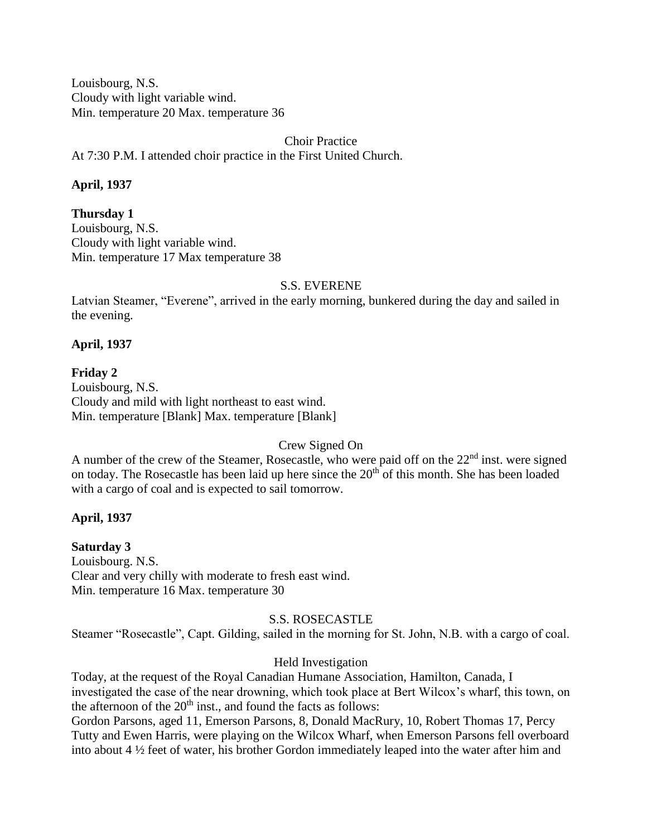Louisbourg, N.S. Cloudy with light variable wind. Min. temperature 20 Max. temperature 36

### Choir Practice

At 7:30 P.M. I attended choir practice in the First United Church.

### **April, 1937**

### **Thursday 1**

Louisbourg, N.S. Cloudy with light variable wind. Min. temperature 17 Max temperature 38

### S.S. EVERENE

Latvian Steamer, "Everene", arrived in the early morning, bunkered during the day and sailed in the evening.

## **April, 1937**

**Friday 2** Louisbourg, N.S. Cloudy and mild with light northeast to east wind. Min. temperature [Blank] Max. temperature [Blank]

## Crew Signed On

A number of the crew of the Steamer, Rosecastle, who were paid off on the  $22<sup>nd</sup>$  inst. were signed on today. The Rosecastle has been laid up here since the  $20<sup>th</sup>$  of this month. She has been loaded with a cargo of coal and is expected to sail tomorrow.

### **April, 1937**

# **Saturday 3**

Louisbourg. N.S. Clear and very chilly with moderate to fresh east wind. Min. temperature 16 Max. temperature 30

### S.S. ROSECASTLE

Steamer "Rosecastle", Capt. Gilding, sailed in the morning for St. John, N.B. with a cargo of coal.

### Held Investigation

Today, at the request of the Royal Canadian Humane Association, Hamilton, Canada, I investigated the case of the near drowning, which took place at Bert Wilcox's wharf, this town, on the afternoon of the  $20<sup>th</sup>$  inst., and found the facts as follows:

Gordon Parsons, aged 11, Emerson Parsons, 8, Donald MacRury, 10, Robert Thomas 17, Percy Tutty and Ewen Harris, were playing on the Wilcox Wharf, when Emerson Parsons fell overboard into about 4 ½ feet of water, his brother Gordon immediately leaped into the water after him and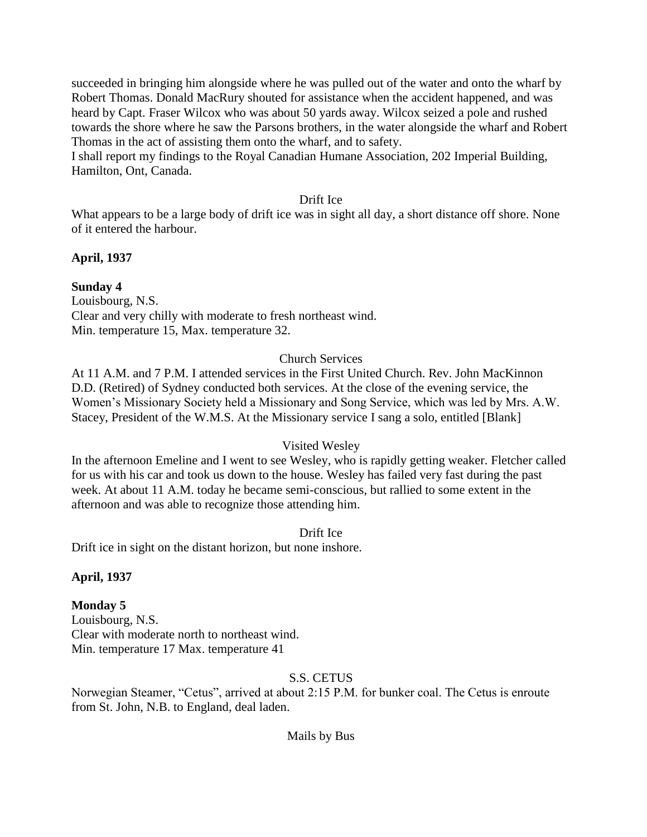succeeded in bringing him alongside where he was pulled out of the water and onto the wharf by Robert Thomas. Donald MacRury shouted for assistance when the accident happened, and was heard by Capt. Fraser Wilcox who was about 50 yards away. Wilcox seized a pole and rushed towards the shore where he saw the Parsons brothers, in the water alongside the wharf and Robert Thomas in the act of assisting them onto the wharf, and to safety.

I shall report my findings to the Royal Canadian Humane Association, 202 Imperial Building, Hamilton, Ont, Canada.

### Drift Ice

What appears to be a large body of drift ice was in sight all day, a short distance off shore. None of it entered the harbour.

## **April, 1937**

## **Sunday 4**

Louisbourg, N.S. Clear and very chilly with moderate to fresh northeast wind. Min. temperature 15, Max. temperature 32.

## Church Services

At 11 A.M. and 7 P.M. I attended services in the First United Church. Rev. John MacKinnon D.D. (Retired) of Sydney conducted both services. At the close of the evening service, the Women's Missionary Society held a Missionary and Song Service, which was led by Mrs. A.W. Stacey, President of the W.M.S. At the Missionary service I sang a solo, entitled [Blank]

### Visited Wesley

In the afternoon Emeline and I went to see Wesley, who is rapidly getting weaker. Fletcher called for us with his car and took us down to the house. Wesley has failed very fast during the past week. At about 11 A.M. today he became semi-conscious, but rallied to some extent in the afternoon and was able to recognize those attending him.

Drift Ice

Drift ice in sight on the distant horizon, but none inshore.

### **April, 1937**

## **Monday 5**

Louisbourg, N.S. Clear with moderate north to northeast wind. Min. temperature 17 Max. temperature 41

## S.S. CETUS

Norwegian Steamer, "Cetus", arrived at about 2:15 P.M. for bunker coal. The Cetus is enroute from St. John, N.B. to England, deal laden.

### Mails by Bus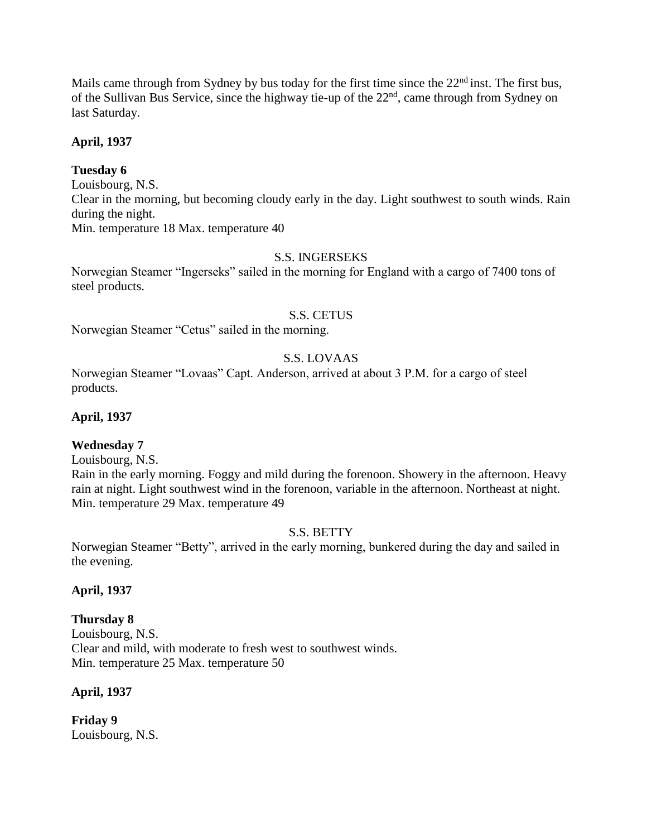Mails came through from Sydney by bus today for the first time since the  $22<sup>nd</sup>$  inst. The first bus, of the Sullivan Bus Service, since the highway tie-up of the 22<sup>nd</sup>, came through from Sydney on last Saturday.

## **April, 1937**

## **Tuesday 6**

Louisbourg, N.S. Clear in the morning, but becoming cloudy early in the day. Light southwest to south winds. Rain during the night.

Min. temperature 18 Max. temperature 40

# S.S. INGERSEKS

Norwegian Steamer "Ingerseks" sailed in the morning for England with a cargo of 7400 tons of steel products.

### S.S. CETUS

Norwegian Steamer "Cetus" sailed in the morning.

## S.S. LOVAAS

Norwegian Steamer "Lovaas" Capt. Anderson, arrived at about 3 P.M. for a cargo of steel products.

## **April, 1937**

### **Wednesday 7**

Louisbourg, N.S.

Rain in the early morning. Foggy and mild during the forenoon. Showery in the afternoon. Heavy rain at night. Light southwest wind in the forenoon, variable in the afternoon. Northeast at night. Min. temperature 29 Max. temperature 49

### S.S. BETTY

Norwegian Steamer "Betty", arrived in the early morning, bunkered during the day and sailed in the evening.

### **April, 1937**

### **Thursday 8**

Louisbourg, N.S. Clear and mild, with moderate to fresh west to southwest winds. Min. temperature 25 Max. temperature 50

### **April, 1937**

**Friday 9** Louisbourg, N.S.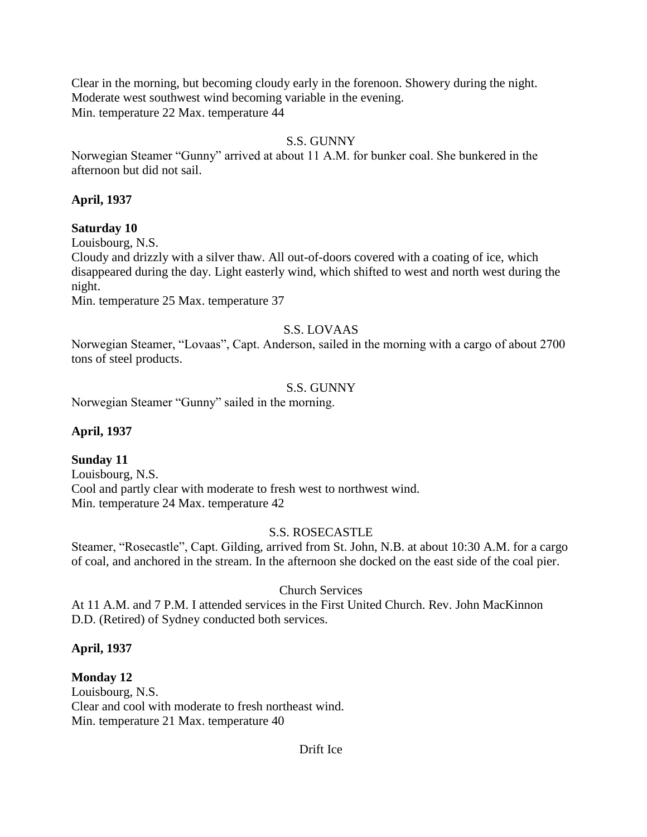Clear in the morning, but becoming cloudy early in the forenoon. Showery during the night. Moderate west southwest wind becoming variable in the evening. Min. temperature 22 Max. temperature 44

## S.S. GUNNY

Norwegian Steamer "Gunny" arrived at about 11 A.M. for bunker coal. She bunkered in the afternoon but did not sail.

## **April, 1937**

## **Saturday 10**

Louisbourg, N.S.

Cloudy and drizzly with a silver thaw. All out-of-doors covered with a coating of ice, which disappeared during the day. Light easterly wind, which shifted to west and north west during the night.

Min. temperature 25 Max. temperature 37

# S.S. LOVAAS

Norwegian Steamer, "Lovaas", Capt. Anderson, sailed in the morning with a cargo of about 2700 tons of steel products.

## S.S. GUNNY

Norwegian Steamer "Gunny" sailed in the morning.

# **April, 1937**

# **Sunday 11**

Louisbourg, N.S. Cool and partly clear with moderate to fresh west to northwest wind. Min. temperature 24 Max. temperature 42

# S.S. ROSECASTLE

Steamer, "Rosecastle", Capt. Gilding, arrived from St. John, N.B. at about 10:30 A.M. for a cargo of coal, and anchored in the stream. In the afternoon she docked on the east side of the coal pier.

## Church Services

At 11 A.M. and 7 P.M. I attended services in the First United Church. Rev. John MacKinnon D.D. (Retired) of Sydney conducted both services.

# **April, 1937**

# **Monday 12**

Louisbourg, N.S. Clear and cool with moderate to fresh northeast wind. Min. temperature 21 Max. temperature 40

## Drift Ice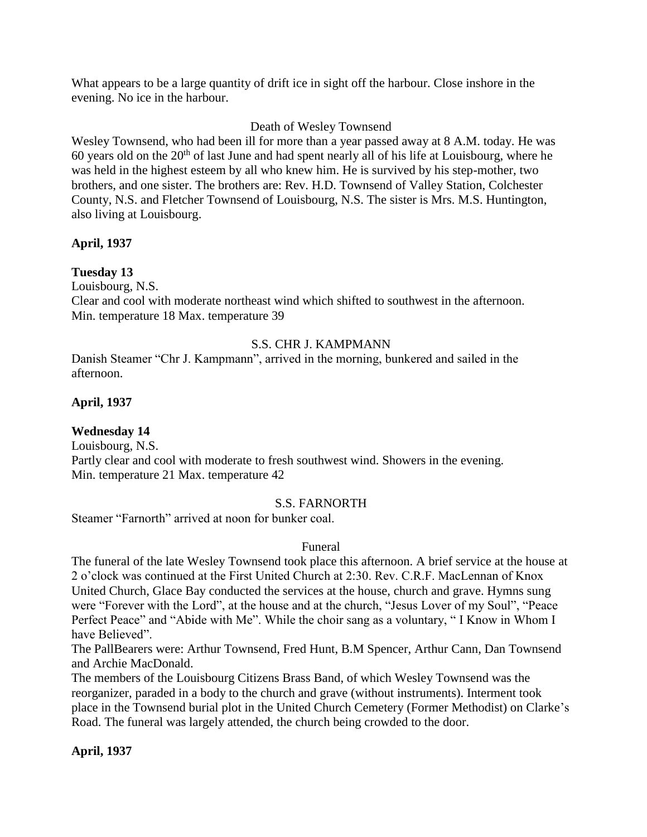What appears to be a large quantity of drift ice in sight off the harbour. Close inshore in the evening. No ice in the harbour.

## Death of Wesley Townsend

Wesley Townsend, who had been ill for more than a year passed away at 8 A.M. today. He was 60 years old on the  $20<sup>th</sup>$  of last June and had spent nearly all of his life at Louisbourg, where he was held in the highest esteem by all who knew him. He is survived by his step-mother, two brothers, and one sister. The brothers are: Rev. H.D. Townsend of Valley Station, Colchester County, N.S. and Fletcher Townsend of Louisbourg, N.S. The sister is Mrs. M.S. Huntington, also living at Louisbourg.

## **April, 1937**

## **Tuesday 13**

Louisbourg, N.S.

Clear and cool with moderate northeast wind which shifted to southwest in the afternoon. Min. temperature 18 Max. temperature 39

## S.S. CHR J. KAMPMANN

Danish Steamer "Chr J. Kampmann", arrived in the morning, bunkered and sailed in the afternoon.

## **April, 1937**

## **Wednesday 14**

Louisbourg, N.S.

Partly clear and cool with moderate to fresh southwest wind. Showers in the evening. Min. temperature 21 Max. temperature 42

## S.S. FARNORTH

Steamer "Farnorth" arrived at noon for bunker coal.

## Funeral

The funeral of the late Wesley Townsend took place this afternoon. A brief service at the house at 2 o'clock was continued at the First United Church at 2:30. Rev. C.R.F. MacLennan of Knox United Church, Glace Bay conducted the services at the house, church and grave. Hymns sung were "Forever with the Lord", at the house and at the church, "Jesus Lover of my Soul", "Peace Perfect Peace" and "Abide with Me". While the choir sang as a voluntary, "I Know in Whom I have Believed".

The PallBearers were: Arthur Townsend, Fred Hunt, B.M Spencer, Arthur Cann, Dan Townsend and Archie MacDonald.

The members of the Louisbourg Citizens Brass Band, of which Wesley Townsend was the reorganizer, paraded in a body to the church and grave (without instruments). Interment took place in the Townsend burial plot in the United Church Cemetery (Former Methodist) on Clarke's Road. The funeral was largely attended, the church being crowded to the door.

## **April, 1937**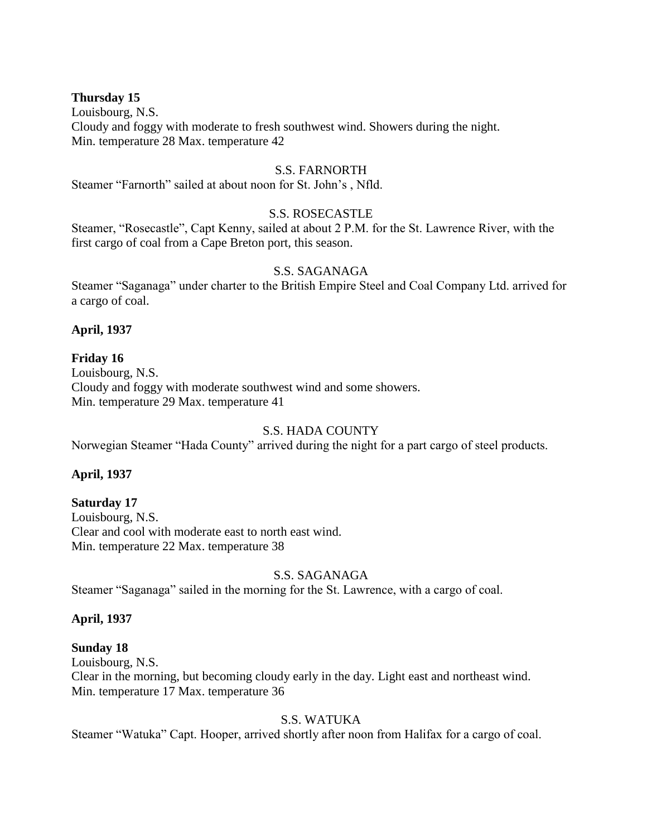### **Thursday 15**

Louisbourg, N.S. Cloudy and foggy with moderate to fresh southwest wind. Showers during the night. Min. temperature 28 Max. temperature 42

### S.S. FARNORTH

Steamer "Farnorth" sailed at about noon for St. John's , Nfld.

### S.S. ROSECASTLE

Steamer, "Rosecastle", Capt Kenny, sailed at about 2 P.M. for the St. Lawrence River, with the first cargo of coal from a Cape Breton port, this season.

### S.S. SAGANAGA

Steamer "Saganaga" under charter to the British Empire Steel and Coal Company Ltd. arrived for a cargo of coal.

### **April, 1937**

### **Friday 16**

Louisbourg, N.S. Cloudy and foggy with moderate southwest wind and some showers. Min. temperature 29 Max. temperature 41

## S.S. HADA COUNTY

Norwegian Steamer "Hada County" arrived during the night for a part cargo of steel products.

### **April, 1937**

#### **Saturday 17**

Louisbourg, N.S. Clear and cool with moderate east to north east wind. Min. temperature 22 Max. temperature 38

### S.S. SAGANAGA

Steamer "Saganaga" sailed in the morning for the St. Lawrence, with a cargo of coal.

#### **April, 1937**

#### **Sunday 18**

Louisbourg, N.S. Clear in the morning, but becoming cloudy early in the day. Light east and northeast wind. Min. temperature 17 Max. temperature 36

#### S.S. WATUKA

Steamer "Watuka" Capt. Hooper, arrived shortly after noon from Halifax for a cargo of coal.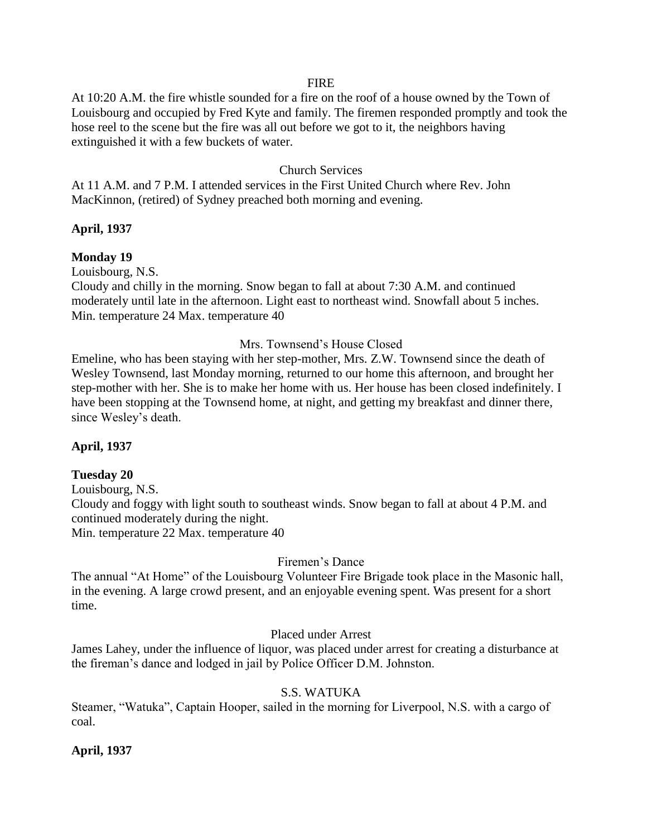#### FIRE

At 10:20 A.M. the fire whistle sounded for a fire on the roof of a house owned by the Town of Louisbourg and occupied by Fred Kyte and family. The firemen responded promptly and took the hose reel to the scene but the fire was all out before we got to it, the neighbors having extinguished it with a few buckets of water.

### Church Services

At 11 A.M. and 7 P.M. I attended services in the First United Church where Rev. John MacKinnon, (retired) of Sydney preached both morning and evening.

### **April, 1937**

### **Monday 19**

Louisbourg, N.S.

Cloudy and chilly in the morning. Snow began to fall at about 7:30 A.M. and continued moderately until late in the afternoon. Light east to northeast wind. Snowfall about 5 inches. Min. temperature 24 Max. temperature 40

### Mrs. Townsend's House Closed

Emeline, who has been staying with her step-mother, Mrs. Z.W. Townsend since the death of Wesley Townsend, last Monday morning, returned to our home this afternoon, and brought her step-mother with her. She is to make her home with us. Her house has been closed indefinitely. I have been stopping at the Townsend home, at night, and getting my breakfast and dinner there, since Wesley's death.

### **April, 1937**

#### **Tuesday 20**

Louisbourg, N.S. Cloudy and foggy with light south to southeast winds. Snow began to fall at about 4 P.M. and continued moderately during the night. Min. temperature 22 Max. temperature 40

#### Firemen's Dance

The annual "At Home" of the Louisbourg Volunteer Fire Brigade took place in the Masonic hall, in the evening. A large crowd present, and an enjoyable evening spent. Was present for a short time.

### Placed under Arrest

James Lahey, under the influence of liquor, was placed under arrest for creating a disturbance at the fireman's dance and lodged in jail by Police Officer D.M. Johnston.

### S.S. WATUKA

Steamer, "Watuka", Captain Hooper, sailed in the morning for Liverpool, N.S. with a cargo of coal.

#### **April, 1937**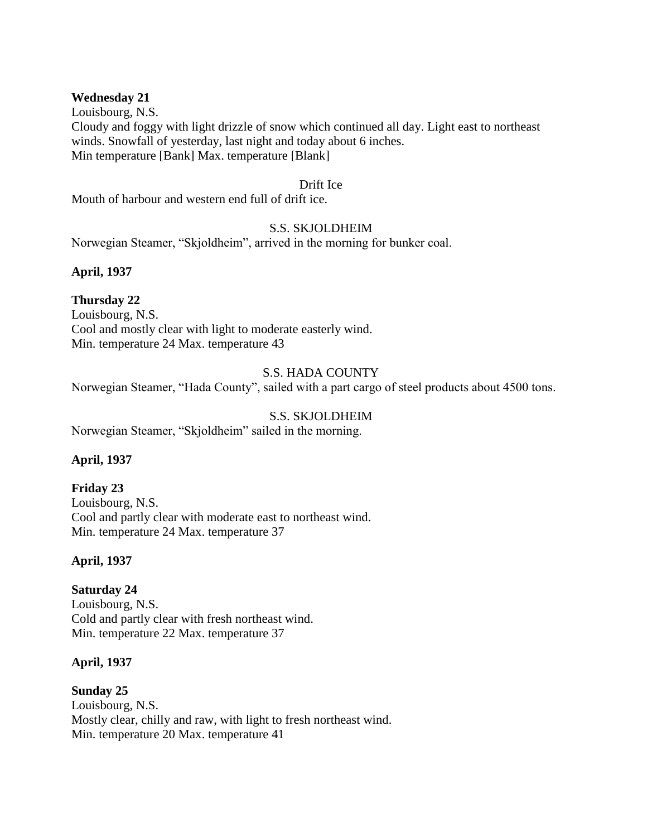### **Wednesday 21**

Louisbourg, N.S. Cloudy and foggy with light drizzle of snow which continued all day. Light east to northeast winds. Snowfall of yesterday, last night and today about 6 inches. Min temperature [Bank] Max. temperature [Blank]

### Drift Ice

Mouth of harbour and western end full of drift ice.

### S.S. SKJOLDHEIM

Norwegian Steamer, "Skjoldheim", arrived in the morning for bunker coal.

### **April, 1937**

## **Thursday 22**

Louisbourg, N.S. Cool and mostly clear with light to moderate easterly wind. Min. temperature 24 Max. temperature 43

### S.S. HADA COUNTY

Norwegian Steamer, "Hada County", sailed with a part cargo of steel products about 4500 tons.

### S.S. SKJOLDHEIM

Norwegian Steamer, "Skjoldheim" sailed in the morning.

### **April, 1937**

### **Friday 23**

Louisbourg, N.S. Cool and partly clear with moderate east to northeast wind. Min. temperature 24 Max. temperature 37

### **April, 1937**

**Saturday 24** Louisbourg, N.S. Cold and partly clear with fresh northeast wind. Min. temperature 22 Max. temperature 37

### **April, 1937**

**Sunday 25** Louisbourg, N.S. Mostly clear, chilly and raw, with light to fresh northeast wind. Min. temperature 20 Max. temperature 41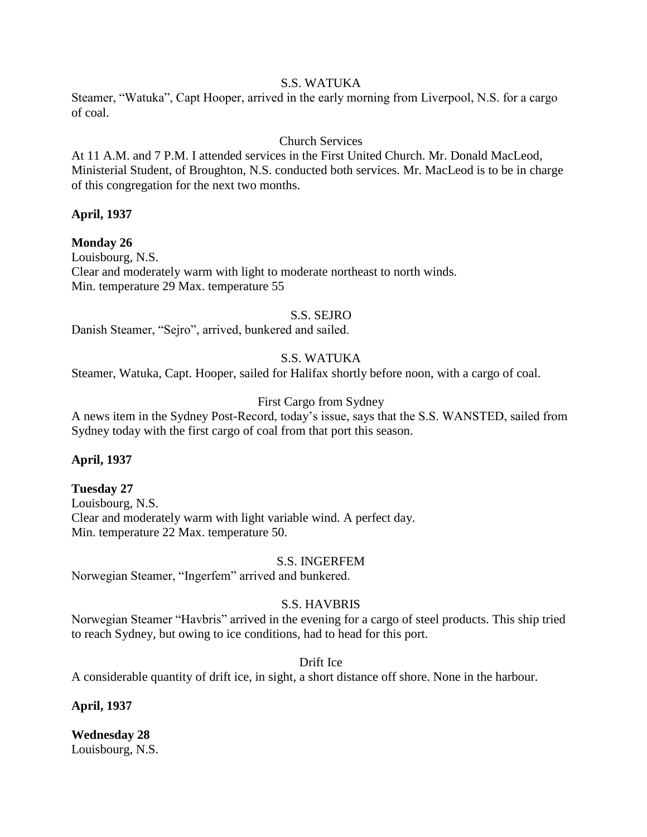## S.S. WATUKA

Steamer, "Watuka", Capt Hooper, arrived in the early morning from Liverpool, N.S. for a cargo of coal.

## Church Services

At 11 A.M. and 7 P.M. I attended services in the First United Church. Mr. Donald MacLeod, Ministerial Student, of Broughton, N.S. conducted both services. Mr. MacLeod is to be in charge of this congregation for the next two months.

### **April, 1937**

**Monday 26** Louisbourg, N.S. Clear and moderately warm with light to moderate northeast to north winds. Min. temperature 29 Max. temperature 55

### S.S. SEJRO

Danish Steamer, "Sejro", arrived, bunkered and sailed.

## S.S. WATUKA

Steamer, Watuka, Capt. Hooper, sailed for Halifax shortly before noon, with a cargo of coal.

### First Cargo from Sydney

A news item in the Sydney Post-Record, today's issue, says that the S.S. WANSTED, sailed from Sydney today with the first cargo of coal from that port this season.

### **April, 1937**

### **Tuesday 27**

Louisbourg, N.S. Clear and moderately warm with light variable wind. A perfect day. Min. temperature 22 Max. temperature 50.

#### S.S. INGERFEM

Norwegian Steamer, "Ingerfem" arrived and bunkered.

## S.S. HAVBRIS

Norwegian Steamer "Havbris" arrived in the evening for a cargo of steel products. This ship tried to reach Sydney, but owing to ice conditions, had to head for this port.

Drift Ice

A considerable quantity of drift ice, in sight, a short distance off shore. None in the harbour.

**April, 1937**

**Wednesday 28** Louisbourg, N.S.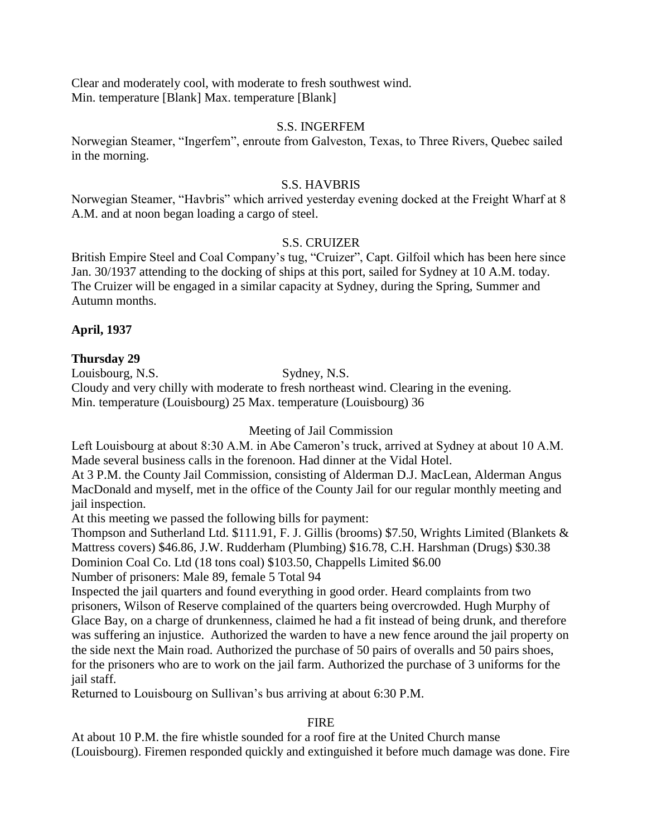Clear and moderately cool, with moderate to fresh southwest wind. Min. temperature [Blank] Max. temperature [Blank]

### S.S. INGERFEM

Norwegian Steamer, "Ingerfem", enroute from Galveston, Texas, to Three Rivers, Quebec sailed in the morning.

### S.S. HAVBRIS

Norwegian Steamer, "Havbris" which arrived yesterday evening docked at the Freight Wharf at 8 A.M. and at noon began loading a cargo of steel.

### S.S. CRUIZER

British Empire Steel and Coal Company's tug, "Cruizer", Capt. Gilfoil which has been here since Jan. 30/1937 attending to the docking of ships at this port, sailed for Sydney at 10 A.M. today. The Cruizer will be engaged in a similar capacity at Sydney, during the Spring, Summer and Autumn months.

## **April, 1937**

### **Thursday 29**

Louisbourg, N.S. Sydney, N.S.

Cloudy and very chilly with moderate to fresh northeast wind. Clearing in the evening. Min. temperature (Louisbourg) 25 Max. temperature (Louisbourg) 36

Meeting of Jail Commission

Left Louisbourg at about 8:30 A.M. in Abe Cameron's truck, arrived at Sydney at about 10 A.M. Made several business calls in the forenoon. Had dinner at the Vidal Hotel.

At 3 P.M. the County Jail Commission, consisting of Alderman D.J. MacLean, Alderman Angus MacDonald and myself, met in the office of the County Jail for our regular monthly meeting and jail inspection.

At this meeting we passed the following bills for payment:

Thompson and Sutherland Ltd. \$111.91, F. J. Gillis (brooms) \$7.50, Wrights Limited (Blankets & Mattress covers) \$46.86, J.W. Rudderham (Plumbing) \$16.78, C.H. Harshman (Drugs) \$30.38 Dominion Coal Co. Ltd (18 tons coal) \$103.50, Chappells Limited \$6.00

Number of prisoners: Male 89, female 5 Total 94

Inspected the jail quarters and found everything in good order. Heard complaints from two prisoners, Wilson of Reserve complained of the quarters being overcrowded. Hugh Murphy of Glace Bay, on a charge of drunkenness, claimed he had a fit instead of being drunk, and therefore was suffering an injustice. Authorized the warden to have a new fence around the jail property on the side next the Main road. Authorized the purchase of 50 pairs of overalls and 50 pairs shoes, for the prisoners who are to work on the jail farm. Authorized the purchase of 3 uniforms for the jail staff.

Returned to Louisbourg on Sullivan's bus arriving at about 6:30 P.M.

## FIRE

At about 10 P.M. the fire whistle sounded for a roof fire at the United Church manse (Louisbourg). Firemen responded quickly and extinguished it before much damage was done. Fire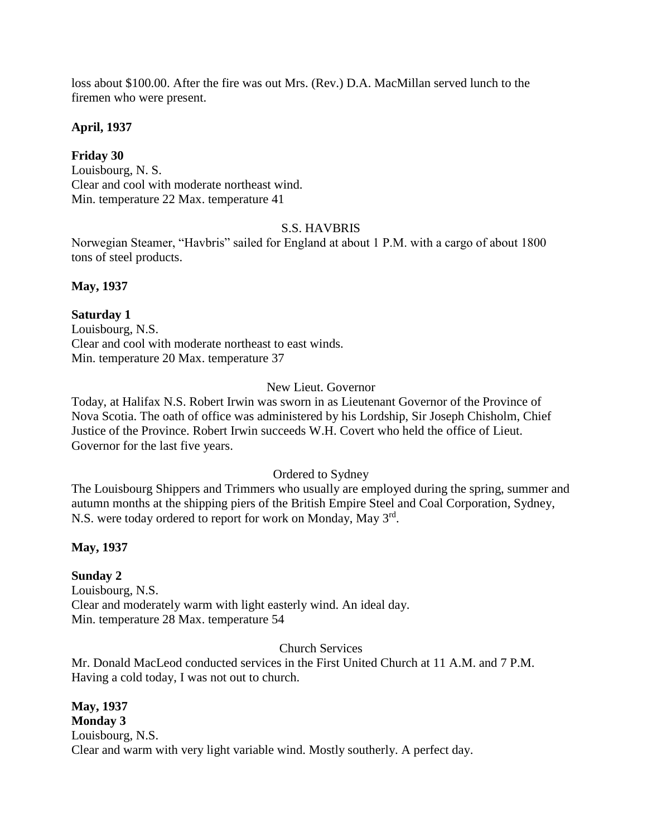loss about \$100.00. After the fire was out Mrs. (Rev.) D.A. MacMillan served lunch to the firemen who were present.

## **April, 1937**

## **Friday 30**

Louisbourg, N. S. Clear and cool with moderate northeast wind. Min. temperature 22 Max. temperature 41

## S.S. HAVBRIS

Norwegian Steamer, "Havbris" sailed for England at about 1 P.M. with a cargo of about 1800 tons of steel products.

**May, 1937**

## **Saturday 1**

Louisbourg, N.S. Clear and cool with moderate northeast to east winds. Min. temperature 20 Max. temperature 37

## New Lieut. Governor

Today, at Halifax N.S. Robert Irwin was sworn in as Lieutenant Governor of the Province of Nova Scotia. The oath of office was administered by his Lordship, Sir Joseph Chisholm, Chief Justice of the Province. Robert Irwin succeeds W.H. Covert who held the office of Lieut. Governor for the last five years.

## Ordered to Sydney

The Louisbourg Shippers and Trimmers who usually are employed during the spring, summer and autumn months at the shipping piers of the British Empire Steel and Coal Corporation, Sydney, N.S. were today ordered to report for work on Monday, May 3rd.

## **May, 1937**

# **Sunday 2**

Louisbourg, N.S. Clear and moderately warm with light easterly wind. An ideal day. Min. temperature 28 Max. temperature 54

## Church Services

Mr. Donald MacLeod conducted services in the First United Church at 11 A.M. and 7 P.M. Having a cold today, I was not out to church.

**May, 1937 Monday 3** Louisbourg, N.S. Clear and warm with very light variable wind. Mostly southerly. A perfect day.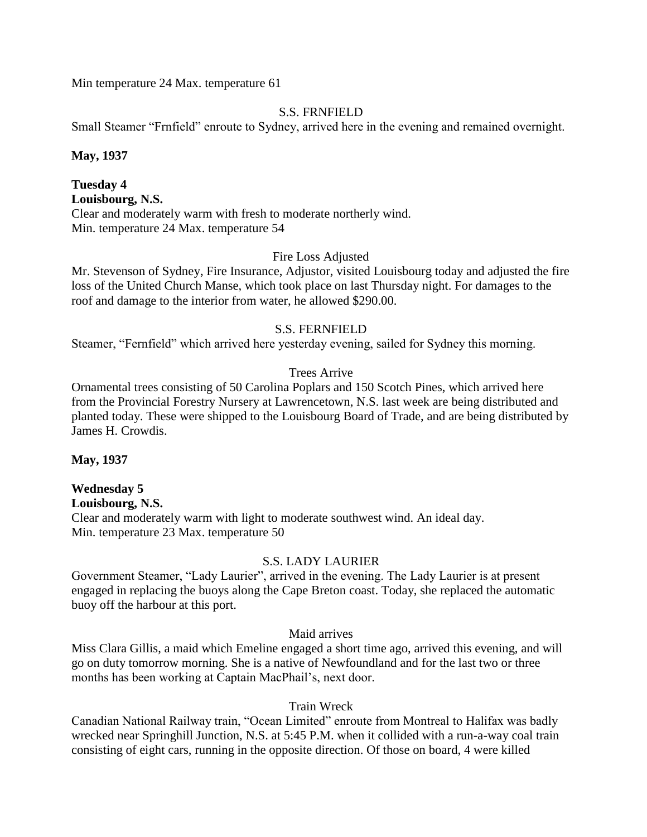Min temperature 24 Max. temperature 61

### S.S. FRNFIELD

Small Steamer "Frnfield" enroute to Sydney, arrived here in the evening and remained overnight.

**May, 1937**

### **Tuesday 4 Louisbourg, N.S.** Clear and moderately warm with fresh to moderate northerly wind. Min. temperature 24 Max. temperature 54

## Fire Loss Adjusted

Mr. Stevenson of Sydney, Fire Insurance, Adjustor, visited Louisbourg today and adjusted the fire loss of the United Church Manse, which took place on last Thursday night. For damages to the roof and damage to the interior from water, he allowed \$290.00.

## S.S. FERNFIELD

Steamer, "Fernfield" which arrived here yesterday evening, sailed for Sydney this morning.

## Trees Arrive

Ornamental trees consisting of 50 Carolina Poplars and 150 Scotch Pines, which arrived here from the Provincial Forestry Nursery at Lawrencetown, N.S. last week are being distributed and planted today. These were shipped to the Louisbourg Board of Trade, and are being distributed by James H. Crowdis.

**May, 1937**

# **Wednesday 5**

**Louisbourg, N.S.** Clear and moderately warm with light to moderate southwest wind. An ideal day. Min. temperature 23 Max. temperature 50

## S.S. LADY LAURIER

Government Steamer, "Lady Laurier", arrived in the evening. The Lady Laurier is at present engaged in replacing the buoys along the Cape Breton coast. Today, she replaced the automatic buoy off the harbour at this port.

Maid arrives

Miss Clara Gillis, a maid which Emeline engaged a short time ago, arrived this evening, and will go on duty tomorrow morning. She is a native of Newfoundland and for the last two or three months has been working at Captain MacPhail's, next door.

## Train Wreck

Canadian National Railway train, "Ocean Limited" enroute from Montreal to Halifax was badly wrecked near Springhill Junction, N.S. at 5:45 P.M. when it collided with a run-a-way coal train consisting of eight cars, running in the opposite direction. Of those on board, 4 were killed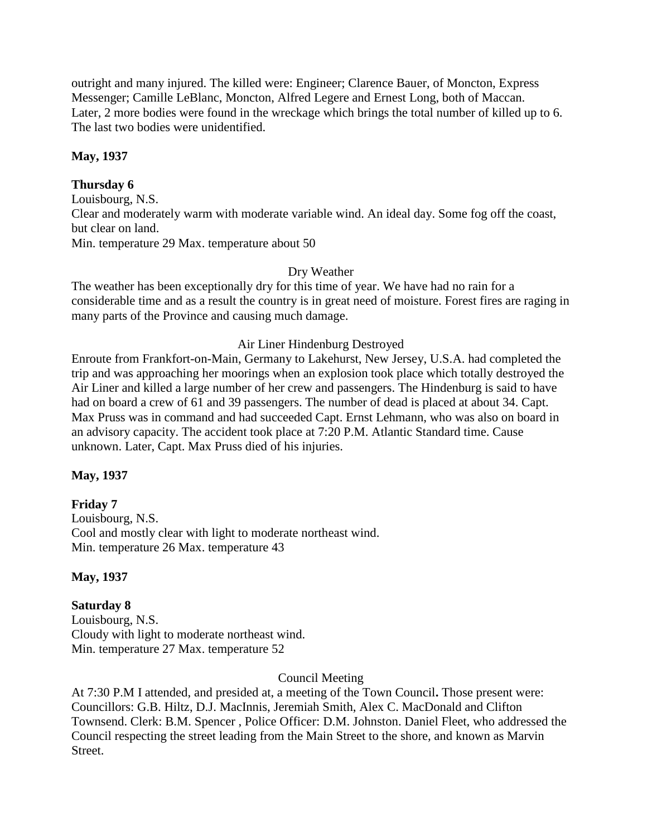outright and many injured. The killed were: Engineer; Clarence Bauer, of Moncton, Express Messenger; Camille LeBlanc, Moncton, Alfred Legere and Ernest Long, both of Maccan. Later, 2 more bodies were found in the wreckage which brings the total number of killed up to 6. The last two bodies were unidentified.

## **May, 1937**

## **Thursday 6**

Louisbourg, N.S. Clear and moderately warm with moderate variable wind. An ideal day. Some fog off the coast, but clear on land. Min. temperature 29 Max. temperature about 50

## Dry Weather

The weather has been exceptionally dry for this time of year. We have had no rain for a considerable time and as a result the country is in great need of moisture. Forest fires are raging in many parts of the Province and causing much damage.

## Air Liner Hindenburg Destroyed

Enroute from Frankfort-on-Main, Germany to Lakehurst, New Jersey, U.S.A. had completed the trip and was approaching her moorings when an explosion took place which totally destroyed the Air Liner and killed a large number of her crew and passengers. The Hindenburg is said to have had on board a crew of 61 and 39 passengers. The number of dead is placed at about 34. Capt. Max Pruss was in command and had succeeded Capt. Ernst Lehmann, who was also on board in an advisory capacity. The accident took place at 7:20 P.M. Atlantic Standard time. Cause unknown. Later, Capt. Max Pruss died of his injuries.

## **May, 1937**

## **Friday 7**

Louisbourg, N.S. Cool and mostly clear with light to moderate northeast wind. Min. temperature 26 Max. temperature 43

## **May, 1937**

## **Saturday 8**

Louisbourg, N.S. Cloudy with light to moderate northeast wind. Min. temperature 27 Max. temperature 52

### Council Meeting

At 7:30 P.M I attended, and presided at, a meeting of the Town Council**.** Those present were: Councillors: G.B. Hiltz, D.J. MacInnis, Jeremiah Smith, Alex C. MacDonald and Clifton Townsend. Clerk: B.M. Spencer , Police Officer: D.M. Johnston. Daniel Fleet, who addressed the Council respecting the street leading from the Main Street to the shore, and known as Marvin Street.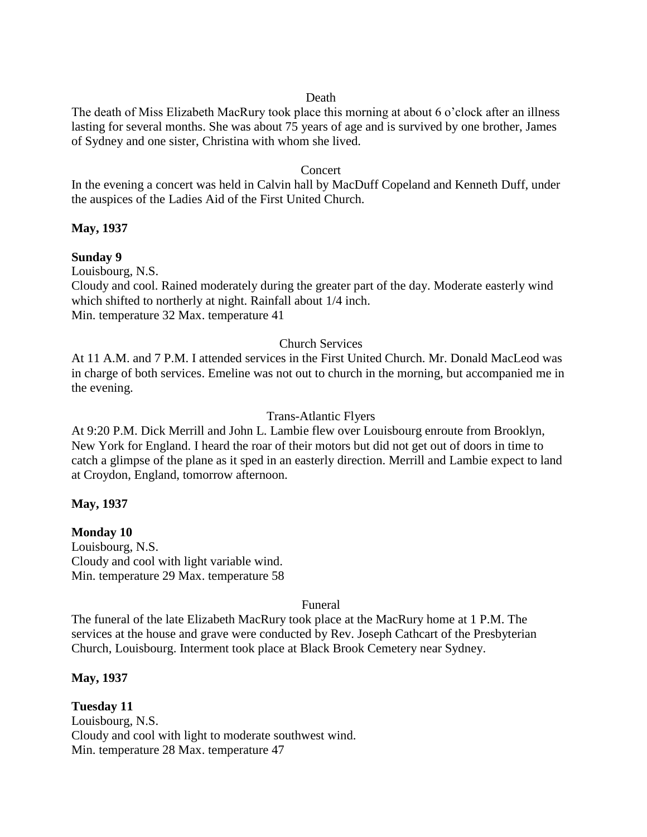### Death

The death of Miss Elizabeth MacRury took place this morning at about 6 o'clock after an illness lasting for several months. She was about 75 years of age and is survived by one brother, James of Sydney and one sister, Christina with whom she lived.

#### Concert

In the evening a concert was held in Calvin hall by MacDuff Copeland and Kenneth Duff, under the auspices of the Ladies Aid of the First United Church.

### **May, 1937**

### **Sunday 9**

Louisbourg, N.S.

Cloudy and cool. Rained moderately during the greater part of the day. Moderate easterly wind which shifted to northerly at night. Rainfall about 1/4 inch. Min. temperature 32 Max. temperature 41

### Church Services

At 11 A.M. and 7 P.M. I attended services in the First United Church. Mr. Donald MacLeod was in charge of both services. Emeline was not out to church in the morning, but accompanied me in the evening.

### Trans-Atlantic Flyers

At 9:20 P.M. Dick Merrill and John L. Lambie flew over Louisbourg enroute from Brooklyn, New York for England. I heard the roar of their motors but did not get out of doors in time to catch a glimpse of the plane as it sped in an easterly direction. Merrill and Lambie expect to land at Croydon, England, tomorrow afternoon.

### **May, 1937**

### **Monday 10**

Louisbourg, N.S. Cloudy and cool with light variable wind. Min. temperature 29 Max. temperature 58

#### Funeral

The funeral of the late Elizabeth MacRury took place at the MacRury home at 1 P.M. The services at the house and grave were conducted by Rev. Joseph Cathcart of the Presbyterian Church, Louisbourg. Interment took place at Black Brook Cemetery near Sydney.

### **May, 1937**

**Tuesday 11** Louisbourg, N.S. Cloudy and cool with light to moderate southwest wind. Min. temperature 28 Max. temperature 47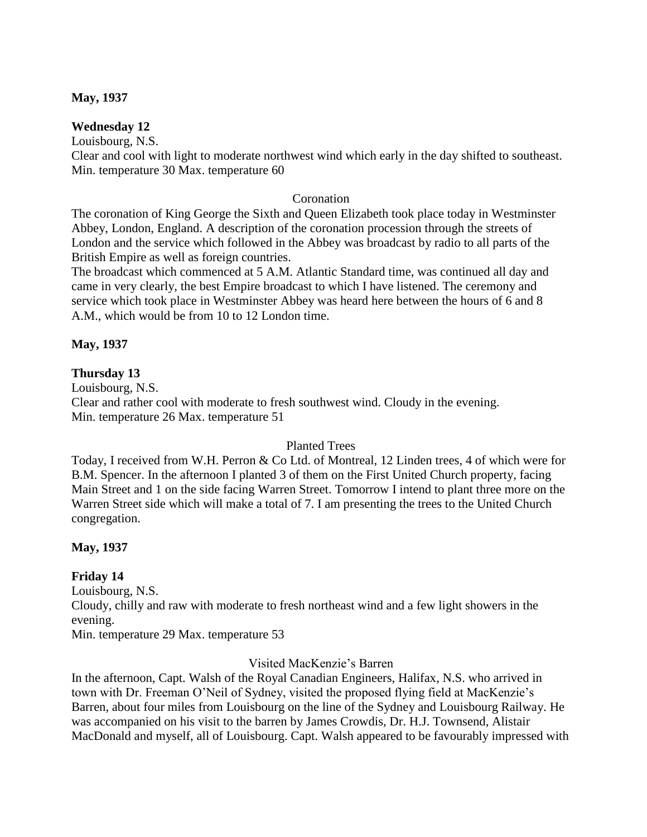### **May, 1937**

## **Wednesday 12**

Louisbourg, N.S.

Clear and cool with light to moderate northwest wind which early in the day shifted to southeast. Min. temperature 30 Max. temperature 60

### Coronation

The coronation of King George the Sixth and Queen Elizabeth took place today in Westminster Abbey, London, England. A description of the coronation procession through the streets of London and the service which followed in the Abbey was broadcast by radio to all parts of the British Empire as well as foreign countries.

The broadcast which commenced at 5 A.M. Atlantic Standard time, was continued all day and came in very clearly, the best Empire broadcast to which I have listened. The ceremony and service which took place in Westminster Abbey was heard here between the hours of 6 and 8 A.M., which would be from 10 to 12 London time.

## **May, 1937**

## **Thursday 13**

Louisbourg, N.S. Clear and rather cool with moderate to fresh southwest wind. Cloudy in the evening. Min. temperature 26 Max. temperature 51

## Planted Trees

Today, I received from W.H. Perron & Co Ltd. of Montreal, 12 Linden trees, 4 of which were for B.M. Spencer. In the afternoon I planted 3 of them on the First United Church property, facing Main Street and 1 on the side facing Warren Street. Tomorrow I intend to plant three more on the Warren Street side which will make a total of 7. I am presenting the trees to the United Church congregation.

## **May, 1937**

## **Friday 14**

Louisbourg, N.S. Cloudy, chilly and raw with moderate to fresh northeast wind and a few light showers in the evening. Min. temperature 29 Max. temperature 53

Visited MacKenzie's Barren

In the afternoon, Capt. Walsh of the Royal Canadian Engineers, Halifax, N.S. who arrived in town with Dr. Freeman O'Neil of Sydney, visited the proposed flying field at MacKenzie's Barren, about four miles from Louisbourg on the line of the Sydney and Louisbourg Railway. He was accompanied on his visit to the barren by James Crowdis, Dr. H.J. Townsend, Alistair MacDonald and myself, all of Louisbourg. Capt. Walsh appeared to be favourably impressed with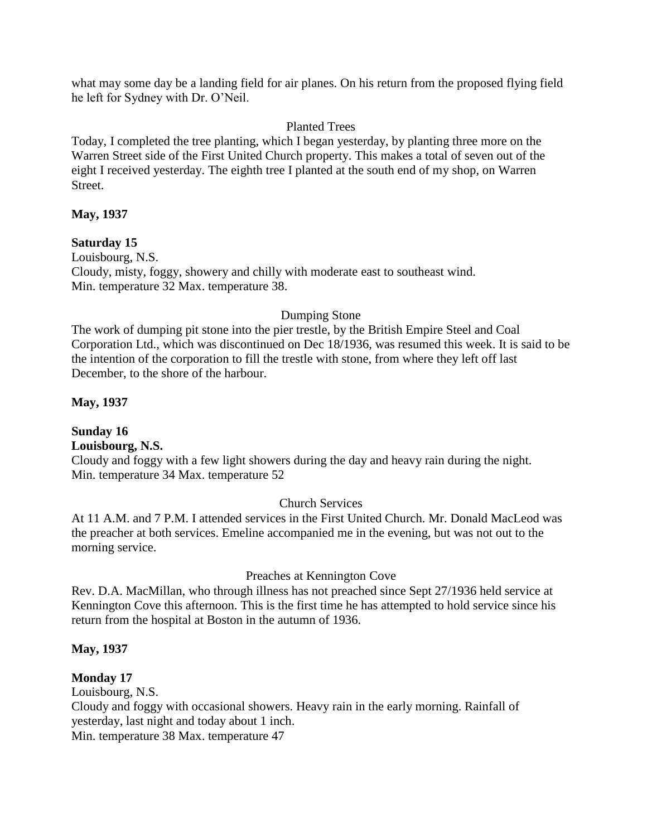what may some day be a landing field for air planes. On his return from the proposed flying field he left for Sydney with Dr. O'Neil.

## Planted Trees

Today, I completed the tree planting, which I began yesterday, by planting three more on the Warren Street side of the First United Church property. This makes a total of seven out of the eight I received yesterday. The eighth tree I planted at the south end of my shop, on Warren Street.

## **May, 1937**

**Saturday 15** Louisbourg, N.S. Cloudy, misty, foggy, showery and chilly with moderate east to southeast wind. Min. temperature 32 Max. temperature 38.

## Dumping Stone

The work of dumping pit stone into the pier trestle, by the British Empire Steel and Coal Corporation Ltd., which was discontinued on Dec 18/1936, was resumed this week. It is said to be the intention of the corporation to fill the trestle with stone, from where they left off last December, to the shore of the harbour.

**May, 1937**

#### **Sunday 16 Louisbourg, N.S.**

Cloudy and foggy with a few light showers during the day and heavy rain during the night. Min. temperature 34 Max. temperature 52

### Church Services

At 11 A.M. and 7 P.M. I attended services in the First United Church. Mr. Donald MacLeod was the preacher at both services. Emeline accompanied me in the evening, but was not out to the morning service.

## Preaches at Kennington Cove

Rev. D.A. MacMillan, who through illness has not preached since Sept 27/1936 held service at Kennington Cove this afternoon. This is the first time he has attempted to hold service since his return from the hospital at Boston in the autumn of 1936.

## **May, 1937**

## **Monday 17**

Louisbourg, N.S.

Cloudy and foggy with occasional showers. Heavy rain in the early morning. Rainfall of yesterday, last night and today about 1 inch.

Min. temperature 38 Max. temperature 47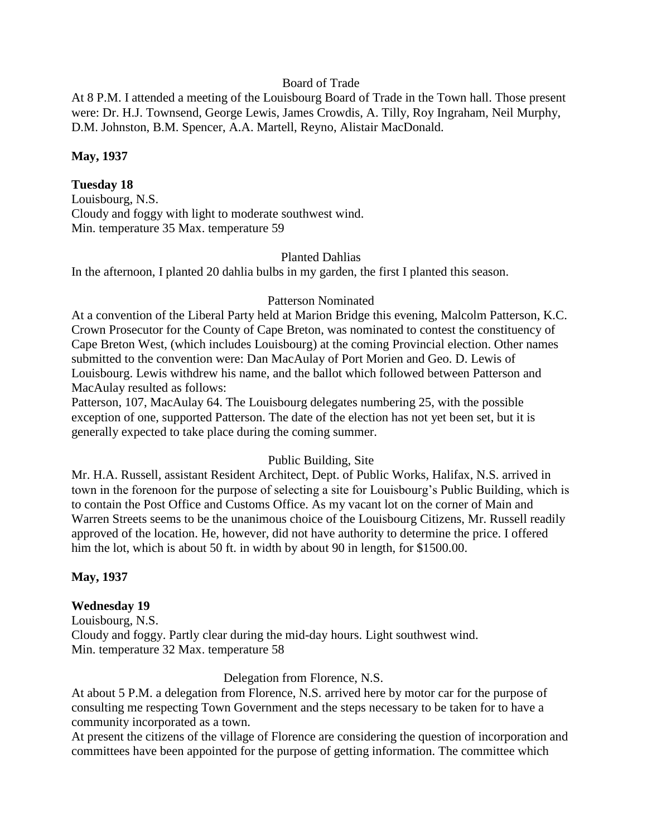#### Board of Trade

At 8 P.M. I attended a meeting of the Louisbourg Board of Trade in the Town hall. Those present were: Dr. H.J. Townsend, George Lewis, James Crowdis, A. Tilly, Roy Ingraham, Neil Murphy, D.M. Johnston, B.M. Spencer, A.A. Martell, Reyno, Alistair MacDonald.

### **May, 1937**

### **Tuesday 18**

Louisbourg, N.S. Cloudy and foggy with light to moderate southwest wind. Min. temperature 35 Max. temperature 59

#### Planted Dahlias

In the afternoon, I planted 20 dahlia bulbs in my garden, the first I planted this season.

#### Patterson Nominated

At a convention of the Liberal Party held at Marion Bridge this evening, Malcolm Patterson, K.C. Crown Prosecutor for the County of Cape Breton, was nominated to contest the constituency of Cape Breton West, (which includes Louisbourg) at the coming Provincial election. Other names submitted to the convention were: Dan MacAulay of Port Morien and Geo. D. Lewis of Louisbourg. Lewis withdrew his name, and the ballot which followed between Patterson and MacAulay resulted as follows:

Patterson, 107, MacAulay 64. The Louisbourg delegates numbering 25, with the possible exception of one, supported Patterson. The date of the election has not yet been set, but it is generally expected to take place during the coming summer.

### Public Building, Site

Mr. H.A. Russell, assistant Resident Architect, Dept. of Public Works, Halifax, N.S. arrived in town in the forenoon for the purpose of selecting a site for Louisbourg's Public Building, which is to contain the Post Office and Customs Office. As my vacant lot on the corner of Main and Warren Streets seems to be the unanimous choice of the Louisbourg Citizens, Mr. Russell readily approved of the location. He, however, did not have authority to determine the price. I offered him the lot, which is about 50 ft. in width by about 90 in length, for \$1500.00.

### **May, 1937**

#### **Wednesday 19**

Louisbourg, N.S. Cloudy and foggy. Partly clear during the mid-day hours. Light southwest wind. Min. temperature 32 Max. temperature 58

#### Delegation from Florence, N.S.

At about 5 P.M. a delegation from Florence, N.S. arrived here by motor car for the purpose of consulting me respecting Town Government and the steps necessary to be taken for to have a community incorporated as a town.

At present the citizens of the village of Florence are considering the question of incorporation and committees have been appointed for the purpose of getting information. The committee which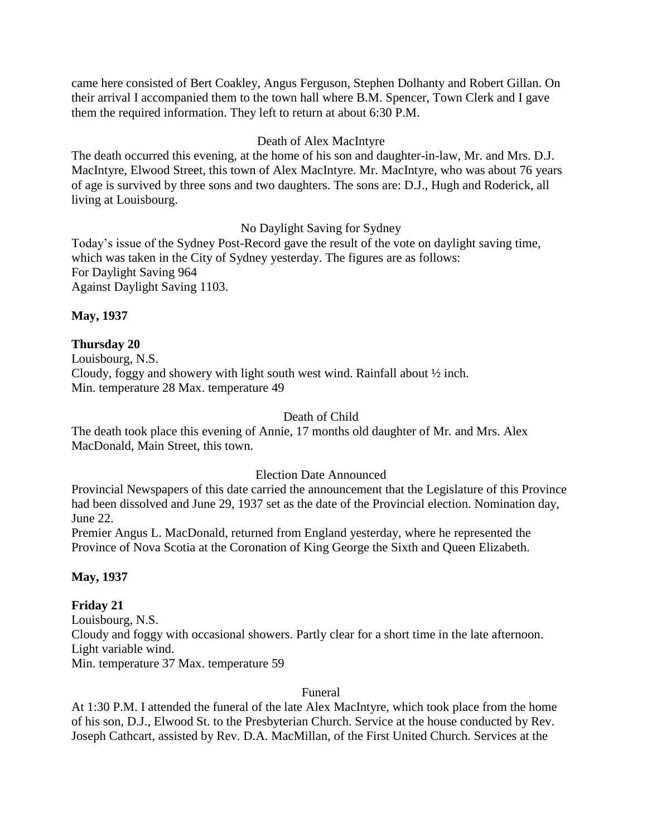came here consisted of Bert Coakley, Angus Ferguson, Stephen Dolhanty and Robert Gillan. On their arrival I accompanied them to the town hall where B.M. Spencer, Town Clerk and I gave them the required information. They left to return at about 6:30 P.M.

## Death of Alex MacIntyre

The death occurred this evening, at the home of his son and daughter-in-law, Mr. and Mrs. D.J. MacIntyre, Elwood Street, this town of Alex MacIntyre. Mr. MacIntyre, who was about 76 years of age is survived by three sons and two daughters. The sons are: D.J., Hugh and Roderick, all living at Louisbourg.

## No Daylight Saving for Sydney

Today's issue of the Sydney Post-Record gave the result of the vote on daylight saving time, which was taken in the City of Sydney yesterday. The figures are as follows: For Daylight Saving 964 Against Daylight Saving 1103.

**May, 1937**

## **Thursday 20**

Louisbourg, N.S. Cloudy, foggy and showery with light south west wind. Rainfall about ½ inch. Min. temperature 28 Max. temperature 49

### Death of Child

The death took place this evening of Annie, 17 months old daughter of Mr. and Mrs. Alex MacDonald, Main Street, this town.

### Election Date Announced

Provincial Newspapers of this date carried the announcement that the Legislature of this Province had been dissolved and June 29, 1937 set as the date of the Provincial election. Nomination day, June 22.

Premier Angus L. MacDonald, returned from England yesterday, where he represented the Province of Nova Scotia at the Coronation of King George the Sixth and Queen Elizabeth.

## **May, 1937**

## **Friday 21**

Louisbourg, N.S. Cloudy and foggy with occasional showers. Partly clear for a short time in the late afternoon. Light variable wind. Min. temperature 37 Max. temperature 59

### Funeral

At 1:30 P.M. I attended the funeral of the late Alex MacIntyre, which took place from the home of his son, D.J., Elwood St. to the Presbyterian Church. Service at the house conducted by Rev. Joseph Cathcart, assisted by Rev. D.A. MacMillan, of the First United Church. Services at the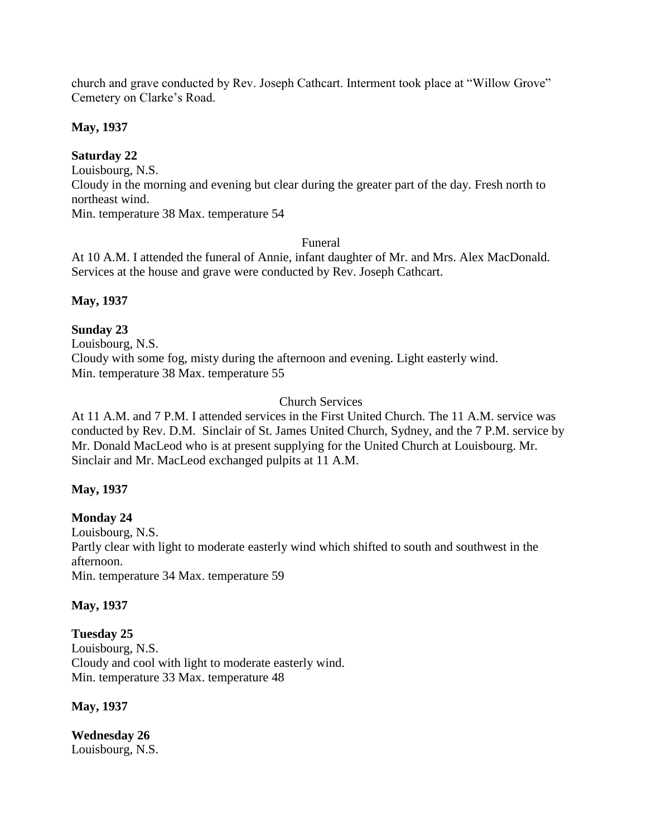church and grave conducted by Rev. Joseph Cathcart. Interment took place at "Willow Grove" Cemetery on Clarke's Road.

**May, 1937**

# **Saturday 22**

Louisbourg, N.S.

Cloudy in the morning and evening but clear during the greater part of the day. Fresh north to northeast wind.

Min. temperature 38 Max. temperature 54

## Funeral

At 10 A.M. I attended the funeral of Annie, infant daughter of Mr. and Mrs. Alex MacDonald. Services at the house and grave were conducted by Rev. Joseph Cathcart.

# **May, 1937**

# **Sunday 23**

Louisbourg, N.S. Cloudy with some fog, misty during the afternoon and evening. Light easterly wind. Min. temperature 38 Max. temperature 55

# Church Services

At 11 A.M. and 7 P.M. I attended services in the First United Church. The 11 A.M. service was conducted by Rev. D.M. Sinclair of St. James United Church, Sydney, and the 7 P.M. service by Mr. Donald MacLeod who is at present supplying for the United Church at Louisbourg. Mr. Sinclair and Mr. MacLeod exchanged pulpits at 11 A.M.

# **May, 1937**

# **Monday 24**

Louisbourg, N.S. Partly clear with light to moderate easterly wind which shifted to south and southwest in the afternoon. Min. temperature 34 Max. temperature 59

# **May, 1937**

**Tuesday 25** Louisbourg, N.S. Cloudy and cool with light to moderate easterly wind. Min. temperature 33 Max. temperature 48

**May, 1937**

**Wednesday 26** Louisbourg, N.S.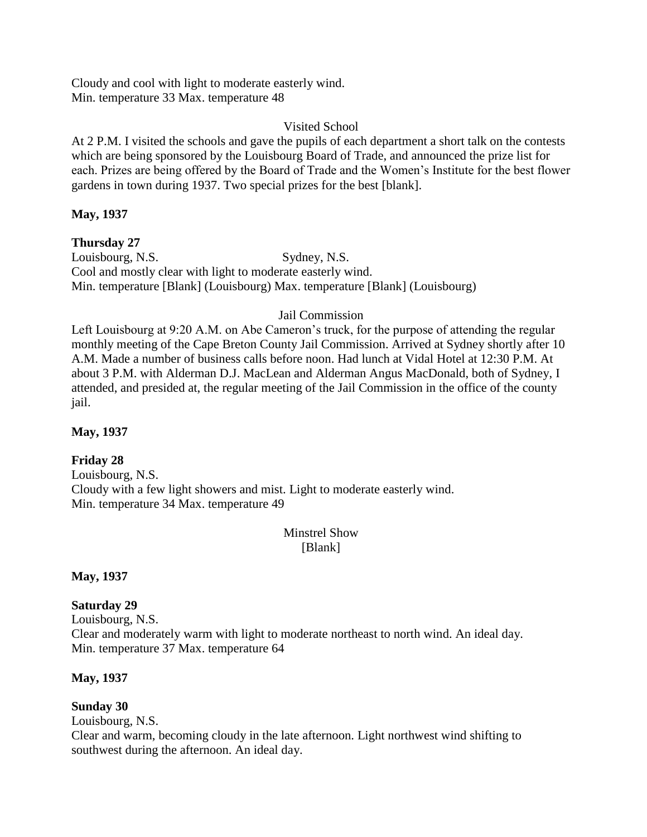Cloudy and cool with light to moderate easterly wind. Min. temperature 33 Max. temperature 48

## Visited School

At 2 P.M. I visited the schools and gave the pupils of each department a short talk on the contests which are being sponsored by the Louisbourg Board of Trade, and announced the prize list for each. Prizes are being offered by the Board of Trade and the Women's Institute for the best flower gardens in town during 1937. Two special prizes for the best [blank].

## **May, 1937**

**Thursday 27** Louisbourg, N.S. Sydney, N.S. Cool and mostly clear with light to moderate easterly wind. Min. temperature [Blank] (Louisbourg) Max. temperature [Blank] (Louisbourg)

## Jail Commission

Left Louisbourg at 9:20 A.M. on Abe Cameron's truck, for the purpose of attending the regular monthly meeting of the Cape Breton County Jail Commission. Arrived at Sydney shortly after 10 A.M. Made a number of business calls before noon. Had lunch at Vidal Hotel at 12:30 P.M. At about 3 P.M. with Alderman D.J. MacLean and Alderman Angus MacDonald, both of Sydney, I attended, and presided at, the regular meeting of the Jail Commission in the office of the county jail.

## **May, 1937**

## **Friday 28**

Louisbourg, N.S. Cloudy with a few light showers and mist. Light to moderate easterly wind. Min. temperature 34 Max. temperature 49

## Minstrel Show [Blank]

**May, 1937**

## **Saturday 29**

Louisbourg, N.S. Clear and moderately warm with light to moderate northeast to north wind. An ideal day. Min. temperature 37 Max. temperature 64

## **May, 1937**

## **Sunday 30**

Louisbourg, N.S.

Clear and warm, becoming cloudy in the late afternoon. Light northwest wind shifting to southwest during the afternoon. An ideal day.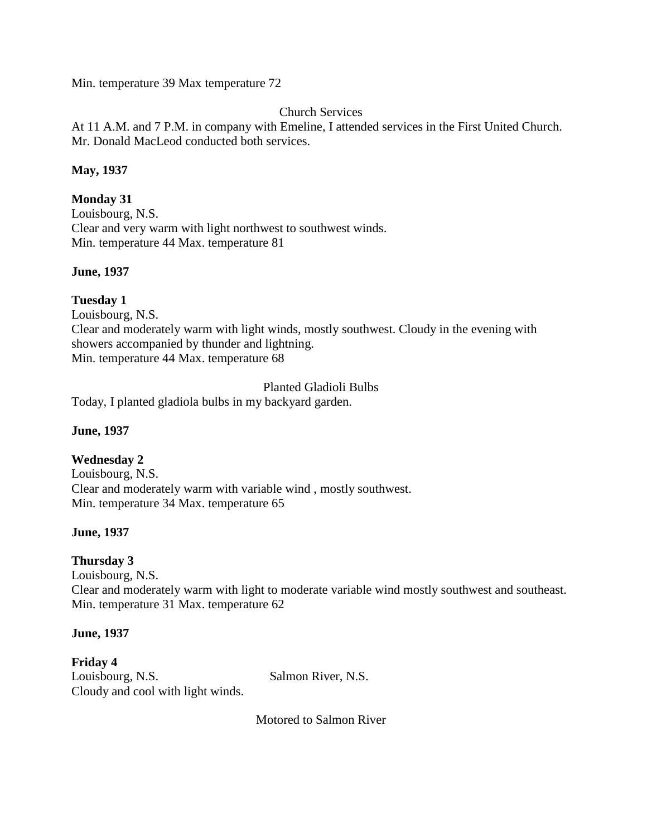Min. temperature 39 Max temperature 72

## Church Services

At 11 A.M. and 7 P.M. in company with Emeline, I attended services in the First United Church. Mr. Donald MacLeod conducted both services.

## **May, 1937**

## **Monday 31**

Louisbourg, N.S. Clear and very warm with light northwest to southwest winds. Min. temperature 44 Max. temperature 81

### **June, 1937**

## **Tuesday 1**

Louisbourg, N.S.

Clear and moderately warm with light winds, mostly southwest. Cloudy in the evening with showers accompanied by thunder and lightning. Min. temperature 44 Max. temperature 68

Planted Gladioli Bulbs

Today, I planted gladiola bulbs in my backyard garden.

### **June, 1937**

## **Wednesday 2**

Louisbourg, N.S. Clear and moderately warm with variable wind , mostly southwest. Min. temperature 34 Max. temperature 65

## **June, 1937**

### **Thursday 3**

Louisbourg, N.S. Clear and moderately warm with light to moderate variable wind mostly southwest and southeast. Min. temperature 31 Max. temperature 62

### **June, 1937**

**Friday 4** Louisbourg, N.S. Salmon River, N.S. Cloudy and cool with light winds.

Motored to Salmon River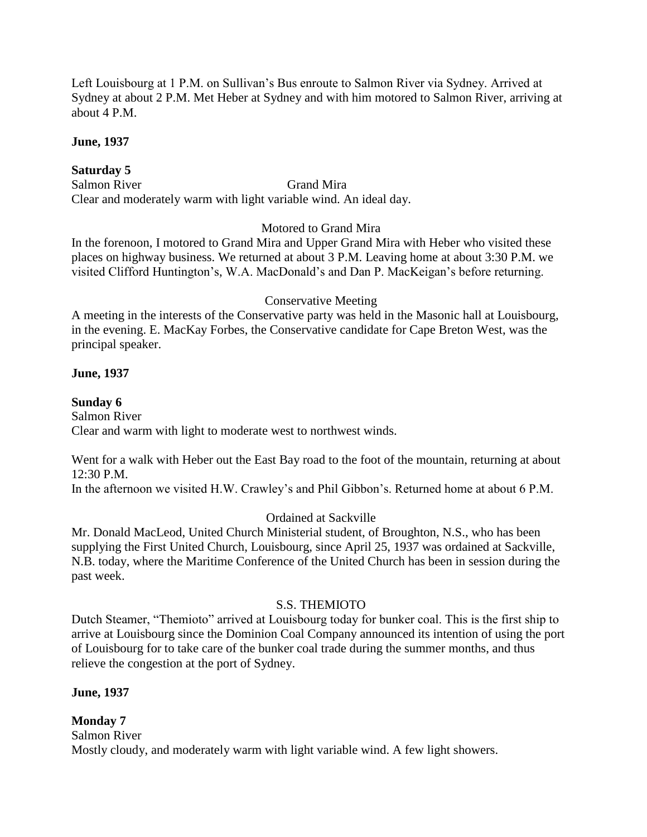Left Louisbourg at 1 P.M. on Sullivan's Bus enroute to Salmon River via Sydney. Arrived at Sydney at about 2 P.M. Met Heber at Sydney and with him motored to Salmon River, arriving at about 4 P.M.

### **June, 1937**

## **Saturday 5**

Salmon River Grand Mira Clear and moderately warm with light variable wind. An ideal day.

## Motored to Grand Mira

In the forenoon, I motored to Grand Mira and Upper Grand Mira with Heber who visited these places on highway business. We returned at about 3 P.M. Leaving home at about 3:30 P.M. we visited Clifford Huntington's, W.A. MacDonald's and Dan P. MacKeigan's before returning.

## Conservative Meeting

A meeting in the interests of the Conservative party was held in the Masonic hall at Louisbourg, in the evening. E. MacKay Forbes, the Conservative candidate for Cape Breton West, was the principal speaker.

## **June, 1937**

## **Sunday 6**

Salmon River Clear and warm with light to moderate west to northwest winds.

Went for a walk with Heber out the East Bay road to the foot of the mountain, returning at about 12:30 P.M.

In the afternoon we visited H.W. Crawley's and Phil Gibbon's. Returned home at about 6 P.M.

## Ordained at Sackville

Mr. Donald MacLeod, United Church Ministerial student, of Broughton, N.S., who has been supplying the First United Church, Louisbourg, since April 25, 1937 was ordained at Sackville, N.B. today, where the Maritime Conference of the United Church has been in session during the past week.

## S.S. THEMIOTO

Dutch Steamer, "Themioto" arrived at Louisbourg today for bunker coal. This is the first ship to arrive at Louisbourg since the Dominion Coal Company announced its intention of using the port of Louisbourg for to take care of the bunker coal trade during the summer months, and thus relieve the congestion at the port of Sydney.

## **June, 1937**

# **Monday 7**

Salmon River Mostly cloudy, and moderately warm with light variable wind. A few light showers.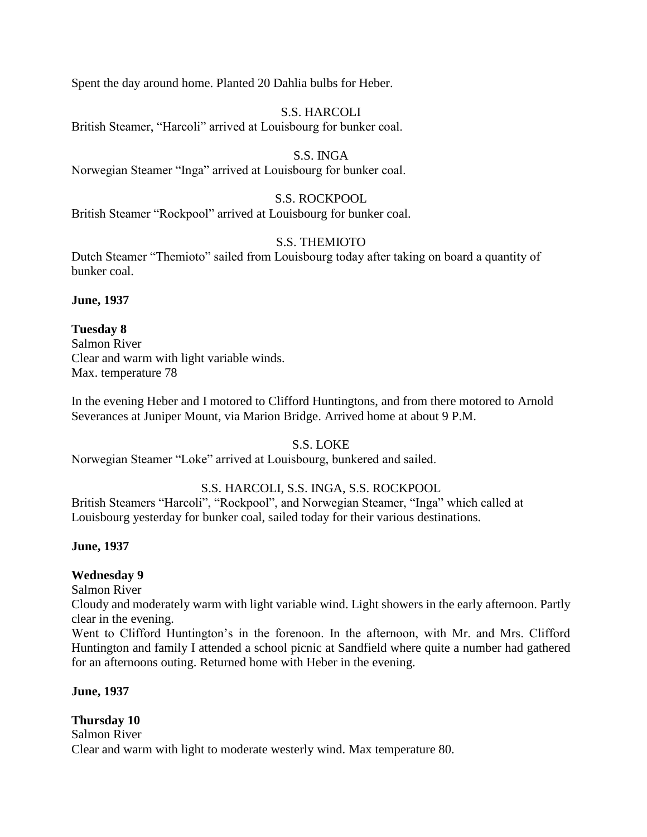Spent the day around home. Planted 20 Dahlia bulbs for Heber.

### S.S. HARCOLI

British Steamer, "Harcoli" arrived at Louisbourg for bunker coal.

## S.S. INGA

Norwegian Steamer "Inga" arrived at Louisbourg for bunker coal.

## S.S. ROCKPOOL

British Steamer "Rockpool" arrived at Louisbourg for bunker coal.

## S.S. THEMIOTO

Dutch Steamer "Themioto" sailed from Louisbourg today after taking on board a quantity of bunker coal.

**June, 1937**

## **Tuesday 8**

Salmon River Clear and warm with light variable winds. Max. temperature 78

In the evening Heber and I motored to Clifford Huntingtons, and from there motored to Arnold Severances at Juniper Mount, via Marion Bridge. Arrived home at about 9 P.M.

## S.S. LOKE

Norwegian Steamer "Loke" arrived at Louisbourg, bunkered and sailed.

# S.S. HARCOLI, S.S. INGA, S.S. ROCKPOOL

British Steamers "Harcoli", "Rockpool", and Norwegian Steamer, "Inga" which called at Louisbourg yesterday for bunker coal, sailed today for their various destinations.

## **June, 1937**

## **Wednesday 9**

Salmon River

Cloudy and moderately warm with light variable wind. Light showers in the early afternoon. Partly clear in the evening.

Went to Clifford Huntington's in the forenoon. In the afternoon, with Mr. and Mrs. Clifford Huntington and family I attended a school picnic at Sandfield where quite a number had gathered for an afternoons outing. Returned home with Heber in the evening.

## **June, 1937**

## **Thursday 10**

Salmon River Clear and warm with light to moderate westerly wind. Max temperature 80.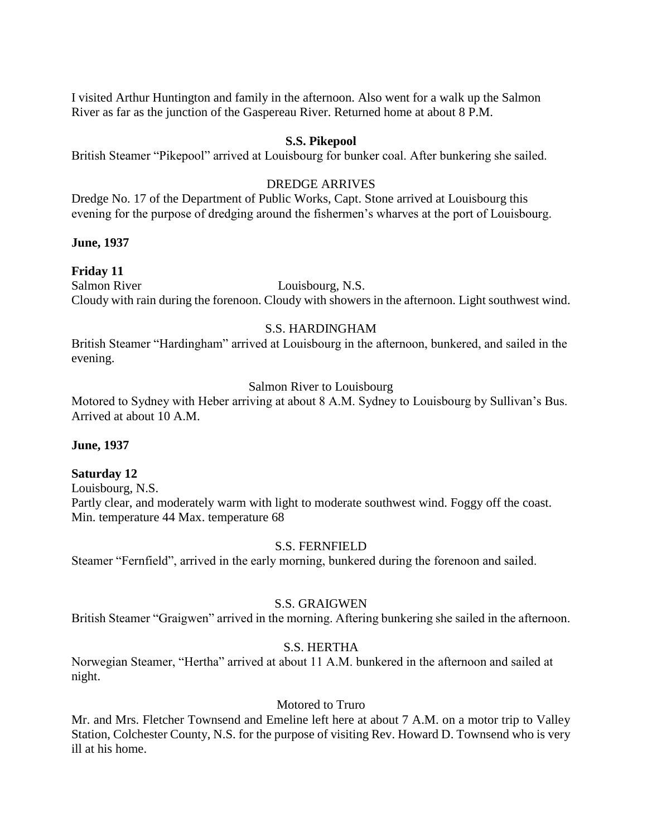I visited Arthur Huntington and family in the afternoon. Also went for a walk up the Salmon River as far as the junction of the Gaspereau River. Returned home at about 8 P.M.

### **S.S. Pikepool**

British Steamer "Pikepool" arrived at Louisbourg for bunker coal. After bunkering she sailed.

## DREDGE ARRIVES

Dredge No. 17 of the Department of Public Works, Capt. Stone arrived at Louisbourg this evening for the purpose of dredging around the fishermen's wharves at the port of Louisbourg.

### **June, 1937**

### **Friday 11**

Salmon River Louisbourg, N.S. Cloudy with rain during the forenoon. Cloudy with showers in the afternoon. Light southwest wind.

### S.S. HARDINGHAM

British Steamer "Hardingham" arrived at Louisbourg in the afternoon, bunkered, and sailed in the evening.

## Salmon River to Louisbourg

Motored to Sydney with Heber arriving at about 8 A.M. Sydney to Louisbourg by Sullivan's Bus. Arrived at about 10 A.M.

### **June, 1937**

### **Saturday 12**

Louisbourg, N.S. Partly clear, and moderately warm with light to moderate southwest wind. Foggy off the coast. Min. temperature 44 Max. temperature 68

### S.S. FERNFIELD

Steamer "Fernfield", arrived in the early morning, bunkered during the forenoon and sailed.

### S.S. GRAIGWEN

British Steamer "Graigwen" arrived in the morning. Aftering bunkering she sailed in the afternoon.

### S.S. HERTHA

Norwegian Steamer, "Hertha" arrived at about 11 A.M. bunkered in the afternoon and sailed at night.

## Motored to Truro

Mr. and Mrs. Fletcher Townsend and Emeline left here at about 7 A.M. on a motor trip to Valley Station, Colchester County, N.S. for the purpose of visiting Rev. Howard D. Townsend who is very ill at his home.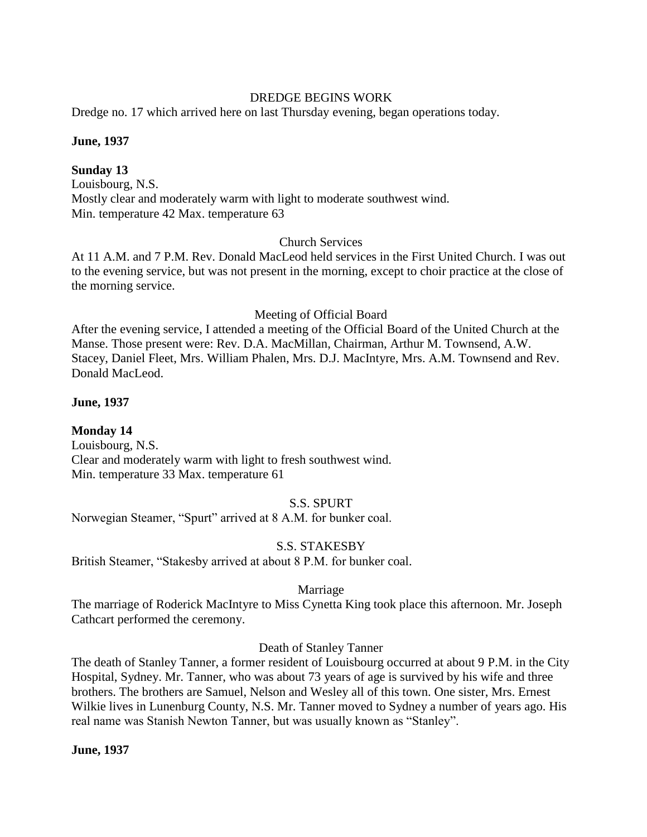### DREDGE BEGINS WORK

Dredge no. 17 which arrived here on last Thursday evening, began operations today.

### **June, 1937**

### **Sunday 13**

Louisbourg, N.S. Mostly clear and moderately warm with light to moderate southwest wind. Min. temperature 42 Max. temperature 63

### Church Services

At 11 A.M. and 7 P.M. Rev. Donald MacLeod held services in the First United Church. I was out to the evening service, but was not present in the morning, except to choir practice at the close of the morning service.

#### Meeting of Official Board

After the evening service, I attended a meeting of the Official Board of the United Church at the Manse. Those present were: Rev. D.A. MacMillan, Chairman, Arthur M. Townsend, A.W. Stacey, Daniel Fleet, Mrs. William Phalen, Mrs. D.J. MacIntyre, Mrs. A.M. Townsend and Rev. Donald MacLeod.

### **June, 1937**

### **Monday 14**

Louisbourg, N.S. Clear and moderately warm with light to fresh southwest wind. Min. temperature 33 Max. temperature 61

#### S.S. SPURT

Norwegian Steamer, "Spurt" arrived at 8 A.M. for bunker coal.

### S.S. STAKESBY

British Steamer, "Stakesby arrived at about 8 P.M. for bunker coal.

### Marriage

The marriage of Roderick MacIntyre to Miss Cynetta King took place this afternoon. Mr. Joseph Cathcart performed the ceremony.

### Death of Stanley Tanner

The death of Stanley Tanner, a former resident of Louisbourg occurred at about 9 P.M. in the City Hospital, Sydney. Mr. Tanner, who was about 73 years of age is survived by his wife and three brothers. The brothers are Samuel, Nelson and Wesley all of this town. One sister, Mrs. Ernest Wilkie lives in Lunenburg County, N.S. Mr. Tanner moved to Sydney a number of years ago. His real name was Stanish Newton Tanner, but was usually known as "Stanley".

#### **June, 1937**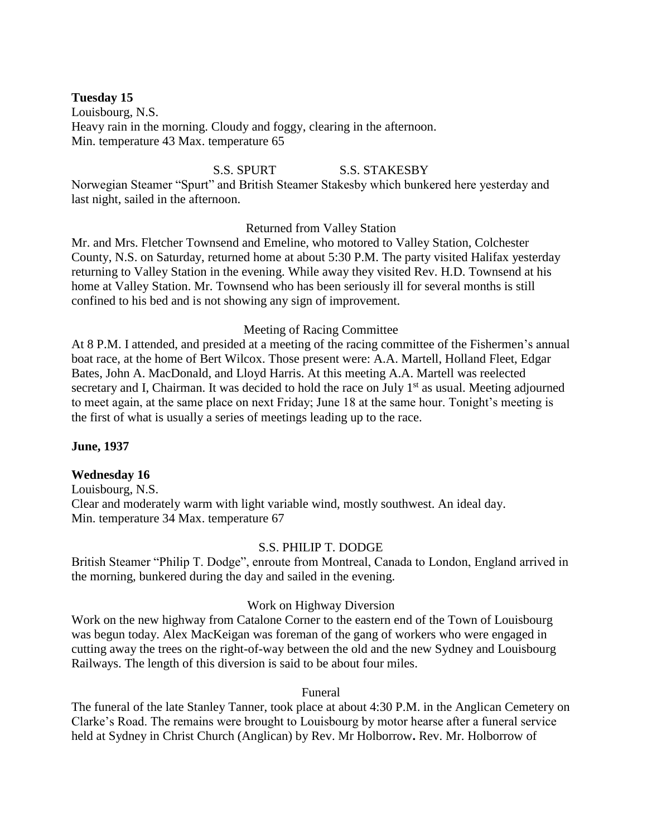### **Tuesday 15**

Louisbourg, N.S. Heavy rain in the morning. Cloudy and foggy, clearing in the afternoon. Min. temperature 43 Max. temperature 65

### S.S. SPURT S.S. STAKESBY

Norwegian Steamer "Spurt" and British Steamer Stakesby which bunkered here yesterday and last night, sailed in the afternoon.

### Returned from Valley Station

Mr. and Mrs. Fletcher Townsend and Emeline, who motored to Valley Station, Colchester County, N.S. on Saturday, returned home at about 5:30 P.M. The party visited Halifax yesterday returning to Valley Station in the evening. While away they visited Rev. H.D. Townsend at his home at Valley Station. Mr. Townsend who has been seriously ill for several months is still confined to his bed and is not showing any sign of improvement.

### Meeting of Racing Committee

At 8 P.M. I attended, and presided at a meeting of the racing committee of the Fishermen's annual boat race, at the home of Bert Wilcox. Those present were: A.A. Martell, Holland Fleet, Edgar Bates, John A. MacDonald, and Lloyd Harris. At this meeting A.A. Martell was reelected secretary and I, Chairman. It was decided to hold the race on July  $1<sup>st</sup>$  as usual. Meeting adjourned to meet again, at the same place on next Friday; June 18 at the same hour. Tonight's meeting is the first of what is usually a series of meetings leading up to the race.

### **June, 1937**

### **Wednesday 16**

Louisbourg, N.S. Clear and moderately warm with light variable wind, mostly southwest. An ideal day. Min. temperature 34 Max. temperature 67

#### S.S. PHILIP T. DODGE

British Steamer "Philip T. Dodge", enroute from Montreal, Canada to London, England arrived in the morning, bunkered during the day and sailed in the evening.

#### Work on Highway Diversion

Work on the new highway from Catalone Corner to the eastern end of the Town of Louisbourg was begun today. Alex MacKeigan was foreman of the gang of workers who were engaged in cutting away the trees on the right-of-way between the old and the new Sydney and Louisbourg Railways. The length of this diversion is said to be about four miles.

#### Funeral

The funeral of the late Stanley Tanner, took place at about 4:30 P.M. in the Anglican Cemetery on Clarke's Road. The remains were brought to Louisbourg by motor hearse after a funeral service held at Sydney in Christ Church (Anglican) by Rev. Mr Holborrow**.** Rev. Mr. Holborrow of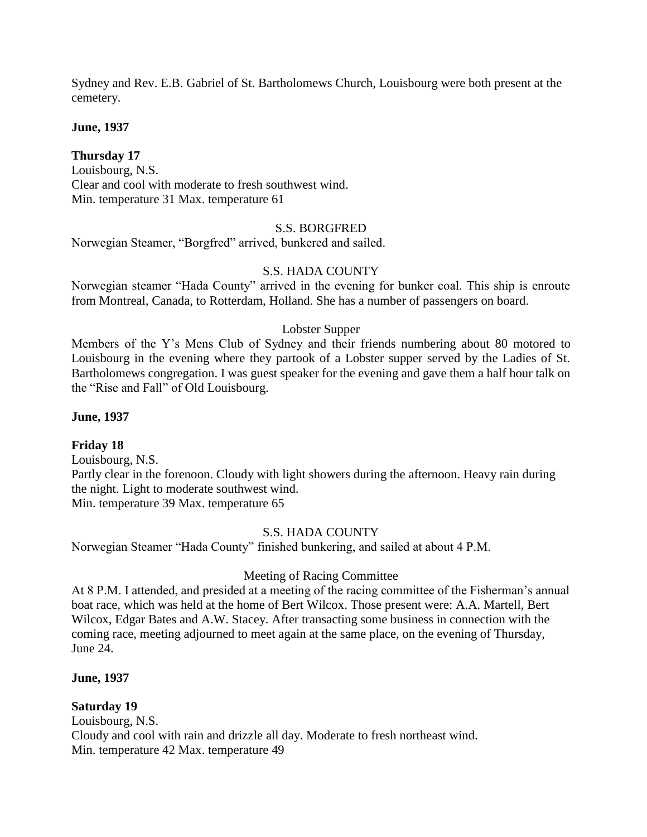Sydney and Rev. E.B. Gabriel of St. Bartholomews Church, Louisbourg were both present at the cemetery.

**June, 1937**

## **Thursday 17**

Louisbourg, N.S. Clear and cool with moderate to fresh southwest wind. Min. temperature 31 Max. temperature 61

## S.S. BORGFRED

Norwegian Steamer, "Borgfred" arrived, bunkered and sailed.

## S.S. HADA COUNTY

Norwegian steamer "Hada County" arrived in the evening for bunker coal. This ship is enroute from Montreal, Canada, to Rotterdam, Holland. She has a number of passengers on board.

### Lobster Supper

Members of the Y's Mens Club of Sydney and their friends numbering about 80 motored to Louisbourg in the evening where they partook of a Lobster supper served by the Ladies of St. Bartholomews congregation. I was guest speaker for the evening and gave them a half hour talk on the "Rise and Fall" of Old Louisbourg.

### **June, 1937**

## **Friday 18**

Louisbourg, N.S. Partly clear in the forenoon. Cloudy with light showers during the afternoon. Heavy rain during the night. Light to moderate southwest wind. Min. temperature 39 Max. temperature 65

### S.S. HADA COUNTY

Norwegian Steamer "Hada County" finished bunkering, and sailed at about 4 P.M.

### Meeting of Racing Committee

At 8 P.M. I attended, and presided at a meeting of the racing committee of the Fisherman's annual boat race, which was held at the home of Bert Wilcox. Those present were: A.A. Martell, Bert Wilcox, Edgar Bates and A.W. Stacey. After transacting some business in connection with the coming race, meeting adjourned to meet again at the same place, on the evening of Thursday, June 24.

### **June, 1937**

## **Saturday 19**

Louisbourg, N.S. Cloudy and cool with rain and drizzle all day. Moderate to fresh northeast wind. Min. temperature 42 Max. temperature 49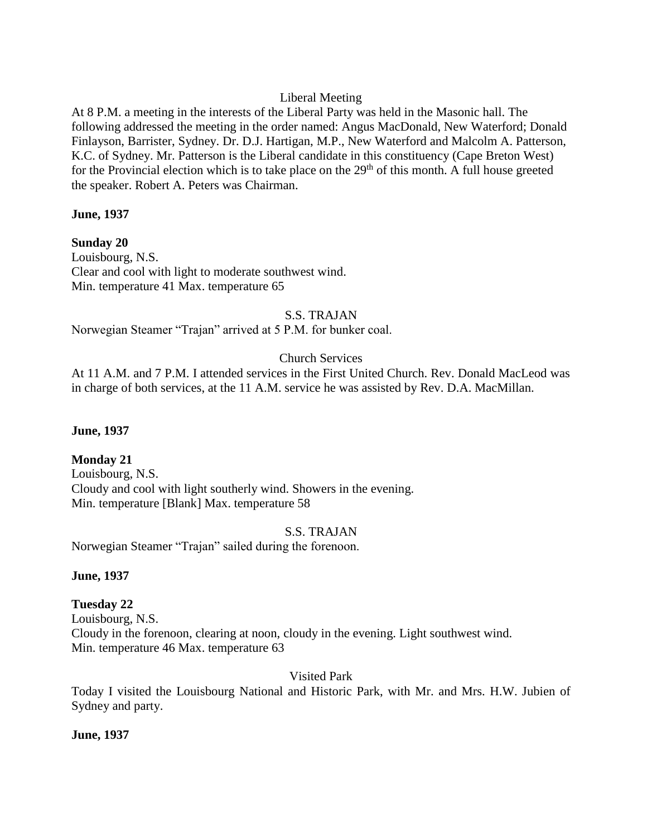## Liberal Meeting

At 8 P.M. a meeting in the interests of the Liberal Party was held in the Masonic hall. The following addressed the meeting in the order named: Angus MacDonald, New Waterford; Donald Finlayson, Barrister, Sydney. Dr. D.J. Hartigan, M.P., New Waterford and Malcolm A. Patterson, K.C. of Sydney. Mr. Patterson is the Liberal candidate in this constituency (Cape Breton West) for the Provincial election which is to take place on the  $29<sup>th</sup>$  of this month. A full house greeted the speaker. Robert A. Peters was Chairman.

### **June, 1937**

**Sunday 20** Louisbourg, N.S. Clear and cool with light to moderate southwest wind. Min. temperature 41 Max. temperature 65

## S.S. TRAJAN

Norwegian Steamer "Trajan" arrived at 5 P.M. for bunker coal.

## Church Services

At 11 A.M. and 7 P.M. I attended services in the First United Church. Rev. Donald MacLeod was in charge of both services, at the 11 A.M. service he was assisted by Rev. D.A. MacMillan.

### **June, 1937**

## **Monday 21**

Louisbourg, N.S. Cloudy and cool with light southerly wind. Showers in the evening. Min. temperature [Blank] Max. temperature 58

### S.S. TRAJAN

Norwegian Steamer "Trajan" sailed during the forenoon.

### **June, 1937**

## **Tuesday 22**

Louisbourg, N.S. Cloudy in the forenoon, clearing at noon, cloudy in the evening. Light southwest wind. Min. temperature 46 Max. temperature 63

Visited Park

Today I visited the Louisbourg National and Historic Park, with Mr. and Mrs. H.W. Jubien of Sydney and party.

### **June, 1937**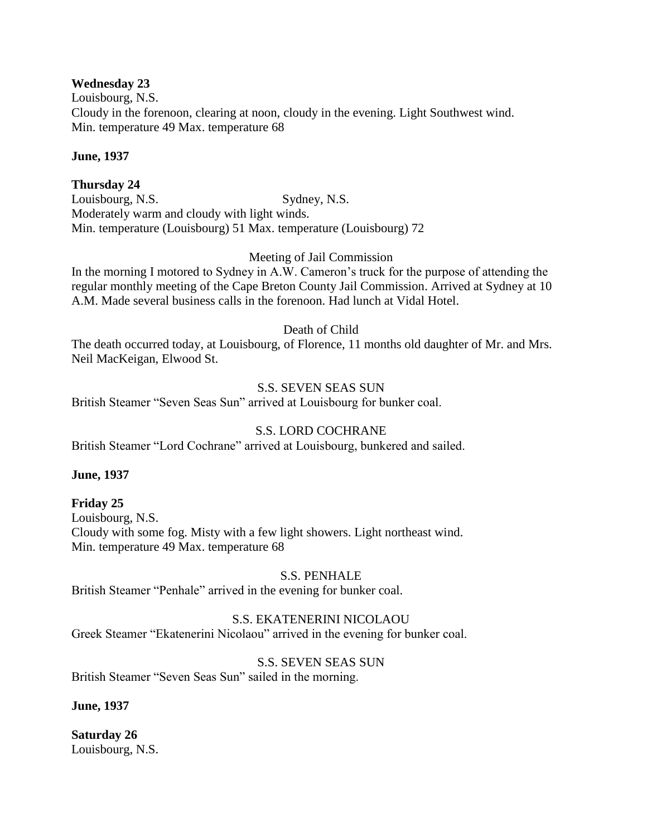### **Wednesday 23**

Louisbourg, N.S. Cloudy in the forenoon, clearing at noon, cloudy in the evening. Light Southwest wind. Min. temperature 49 Max. temperature 68

### **June, 1937**

## **Thursday 24**

Louisbourg, N.S. Sydney, N.S. Moderately warm and cloudy with light winds. Min. temperature (Louisbourg) 51 Max. temperature (Louisbourg) 72

### Meeting of Jail Commission

In the morning I motored to Sydney in A.W. Cameron's truck for the purpose of attending the regular monthly meeting of the Cape Breton County Jail Commission. Arrived at Sydney at 10 A.M. Made several business calls in the forenoon. Had lunch at Vidal Hotel.

Death of Child

The death occurred today, at Louisbourg, of Florence, 11 months old daughter of Mr. and Mrs. Neil MacKeigan, Elwood St.

## S.S. SEVEN SEAS SUN

British Steamer "Seven Seas Sun" arrived at Louisbourg for bunker coal.

### S.S. LORD COCHRANE

British Steamer "Lord Cochrane" arrived at Louisbourg, bunkered and sailed.

### **June, 1937**

### **Friday 25**

Louisbourg, N.S. Cloudy with some fog. Misty with a few light showers. Light northeast wind. Min. temperature 49 Max. temperature 68

### S.S. PENHALE

British Steamer "Penhale" arrived in the evening for bunker coal.

### S.S. EKATENERINI NICOLAOU

Greek Steamer "Ekatenerini Nicolaou" arrived in the evening for bunker coal.

### S.S. SEVEN SEAS SUN

British Steamer "Seven Seas Sun" sailed in the morning.

### **June, 1937**

**Saturday 26** Louisbourg, N.S.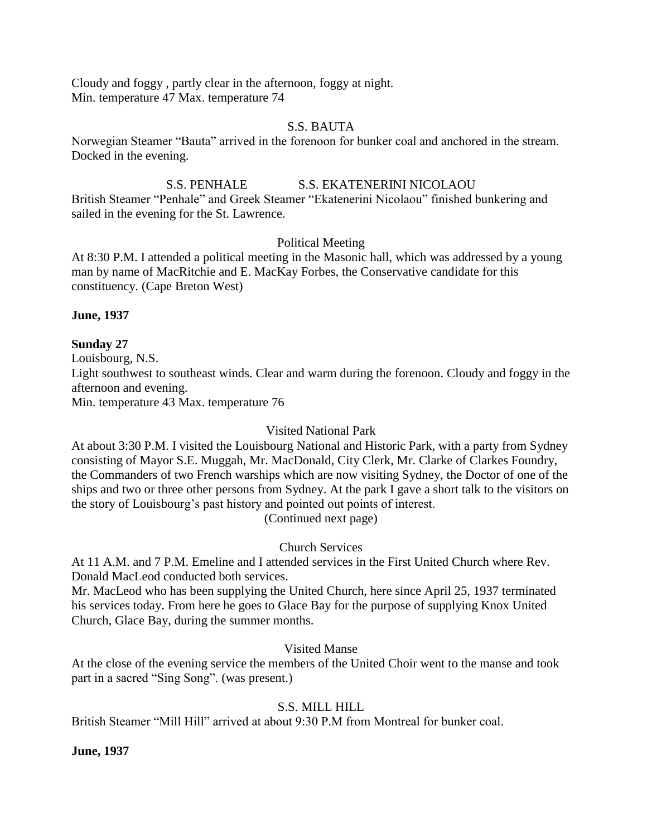Cloudy and foggy , partly clear in the afternoon, foggy at night. Min. temperature 47 Max. temperature 74

### S.S. BAUTA

Norwegian Steamer "Bauta" arrived in the forenoon for bunker coal and anchored in the stream. Docked in the evening.

## S.S. PENHALE S.S. EKATENERINI NICOLAOU

British Steamer "Penhale" and Greek Steamer "Ekatenerini Nicolaou" finished bunkering and sailed in the evening for the St. Lawrence.

## Political Meeting

At 8:30 P.M. I attended a political meeting in the Masonic hall, which was addressed by a young man by name of MacRitchie and E. MacKay Forbes, the Conservative candidate for this constituency. (Cape Breton West)

## **June, 1937**

**Sunday 27**

Louisbourg, N.S.

Light southwest to southeast winds. Clear and warm during the forenoon. Cloudy and foggy in the afternoon and evening.

Min. temperature 43 Max. temperature 76

## Visited National Park

At about 3:30 P.M. I visited the Louisbourg National and Historic Park, with a party from Sydney consisting of Mayor S.E. Muggah, Mr. MacDonald, City Clerk, Mr. Clarke of Clarkes Foundry, the Commanders of two French warships which are now visiting Sydney, the Doctor of one of the ships and two or three other persons from Sydney. At the park I gave a short talk to the visitors on the story of Louisbourg's past history and pointed out points of interest. (Continued next page)

Church Services

At 11 A.M. and 7 P.M. Emeline and I attended services in the First United Church where Rev. Donald MacLeod conducted both services.

Mr. MacLeod who has been supplying the United Church, here since April 25, 1937 terminated his services today. From here he goes to Glace Bay for the purpose of supplying Knox United Church, Glace Bay, during the summer months.

## Visited Manse

At the close of the evening service the members of the United Choir went to the manse and took part in a sacred "Sing Song". (was present.)

# S.S. MILL HILL

British Steamer "Mill Hill" arrived at about 9:30 P.M from Montreal for bunker coal.

## **June, 1937**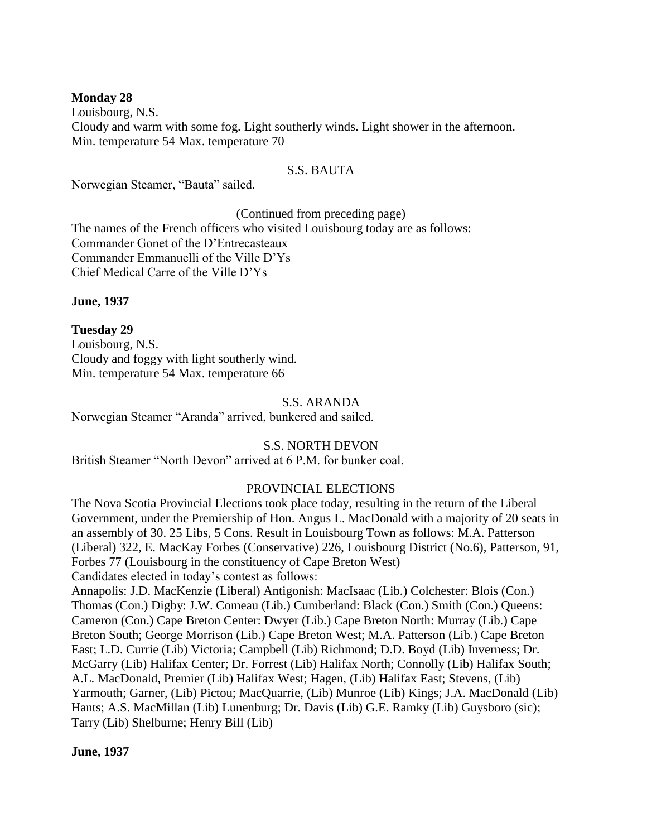#### **Monday 28**

Louisbourg, N.S. Cloudy and warm with some fog. Light southerly winds. Light shower in the afternoon. Min. temperature 54 Max. temperature 70

#### S.S. BAUTA

Norwegian Steamer, "Bauta" sailed.

(Continued from preceding page)

The names of the French officers who visited Louisbourg today are as follows: Commander Gonet of the D'Entrecasteaux Commander Emmanuelli of the Ville D'Ys Chief Medical Carre of the Ville D'Ys

**June, 1937**

**Tuesday 29** Louisbourg, N.S. Cloudy and foggy with light southerly wind. Min. temperature 54 Max. temperature 66

#### S.S. ARANDA

Norwegian Steamer "Aranda" arrived, bunkered and sailed.

### S.S. NORTH DEVON

British Steamer "North Devon" arrived at 6 P.M. for bunker coal.

### PROVINCIAL ELECTIONS

The Nova Scotia Provincial Elections took place today, resulting in the return of the Liberal Government, under the Premiership of Hon. Angus L. MacDonald with a majority of 20 seats in an assembly of 30. 25 Libs, 5 Cons. Result in Louisbourg Town as follows: M.A. Patterson (Liberal) 322, E. MacKay Forbes (Conservative) 226, Louisbourg District (No.6), Patterson, 91, Forbes 77 (Louisbourg in the constituency of Cape Breton West) Candidates elected in today's contest as follows:

Annapolis: J.D. MacKenzie (Liberal) Antigonish: MacIsaac (Lib.) Colchester: Blois (Con.) Thomas (Con.) Digby: J.W. Comeau (Lib.) Cumberland: Black (Con.) Smith (Con.) Queens: Cameron (Con.) Cape Breton Center: Dwyer (Lib.) Cape Breton North: Murray (Lib.) Cape Breton South; George Morrison (Lib.) Cape Breton West; M.A. Patterson (Lib.) Cape Breton East; L.D. Currie (Lib) Victoria; Campbell (Lib) Richmond; D.D. Boyd (Lib) Inverness; Dr. McGarry (Lib) Halifax Center; Dr. Forrest (Lib) Halifax North; Connolly (Lib) Halifax South; A.L. MacDonald, Premier (Lib) Halifax West; Hagen, (Lib) Halifax East; Stevens, (Lib) Yarmouth; Garner, (Lib) Pictou; MacQuarrie, (Lib) Munroe (Lib) Kings; J.A. MacDonald (Lib) Hants; A.S. MacMillan (Lib) Lunenburg; Dr. Davis (Lib) G.E. Ramky (Lib) Guysboro (sic); Tarry (Lib) Shelburne; Henry Bill (Lib)

### **June, 1937**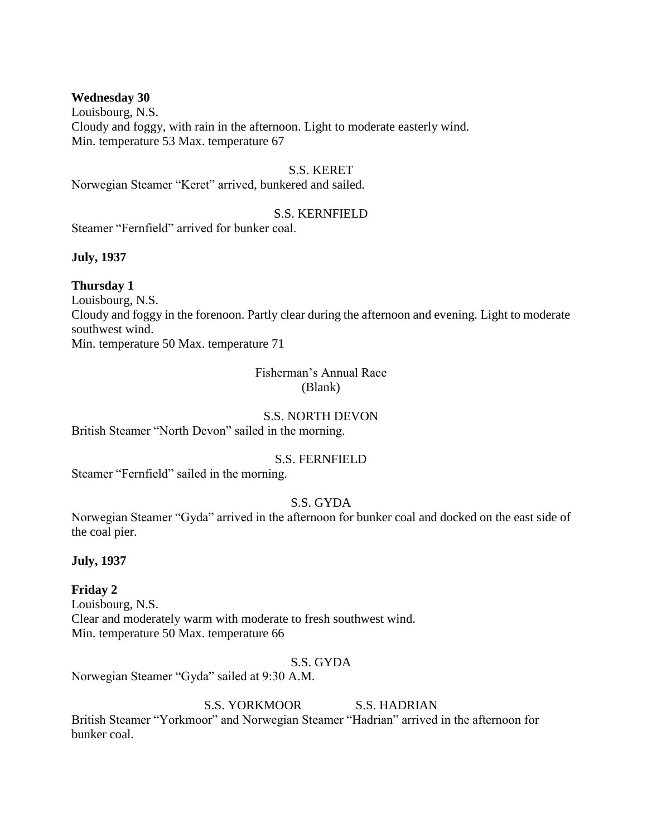#### **Wednesday 30**

Louisbourg, N.S. Cloudy and foggy, with rain in the afternoon. Light to moderate easterly wind. Min. temperature 53 Max. temperature 67

#### S.S. KERET

Norwegian Steamer "Keret" arrived, bunkered and sailed.

#### S.S. KERNFIELD

Steamer "Fernfield" arrived for bunker coal.

#### **July, 1937**

#### **Thursday 1**

Louisbourg, N.S. Cloudy and foggy in the forenoon. Partly clear during the afternoon and evening. Light to moderate southwest wind. Min. temperature 50 Max. temperature 71

# Fisherman's Annual Race (Blank)

#### S.S. NORTH DEVON

British Steamer "North Devon" sailed in the morning.

### S.S. FERNFIELD

Steamer "Fernfield" sailed in the morning.

### S.S. GYDA

Norwegian Steamer "Gyda" arrived in the afternoon for bunker coal and docked on the east side of the coal pier.

### **July, 1937**

### **Friday 2**

Louisbourg, N.S. Clear and moderately warm with moderate to fresh southwest wind. Min. temperature 50 Max. temperature 66

### S.S. GYDA

Norwegian Steamer "Gyda" sailed at 9:30 A.M.

# S.S. YORKMOOR S.S. HADRIAN

British Steamer "Yorkmoor" and Norwegian Steamer "Hadrian" arrived in the afternoon for bunker coal.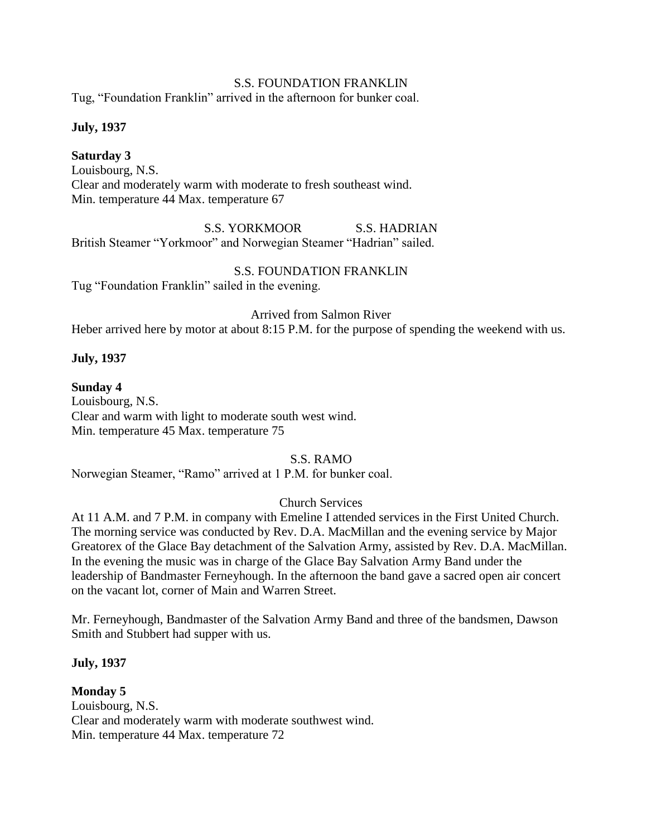### S.S. FOUNDATION FRANKLIN

Tug, "Foundation Franklin" arrived in the afternoon for bunker coal.

**July, 1937**

**Saturday 3** Louisbourg, N.S. Clear and moderately warm with moderate to fresh southeast wind. Min. temperature 44 Max. temperature 67

S.S. YORKMOOR S.S. HADRIAN British Steamer "Yorkmoor" and Norwegian Steamer "Hadrian" sailed.

S.S. FOUNDATION FRANKLIN Tug "Foundation Franklin" sailed in the evening.

Arrived from Salmon River

Heber arrived here by motor at about 8:15 P.M. for the purpose of spending the weekend with us.

### **July, 1937**

#### **Sunday 4**

Louisbourg, N.S. Clear and warm with light to moderate south west wind. Min. temperature 45 Max. temperature 75

S.S. RAMO

Norwegian Steamer, "Ramo" arrived at 1 P.M. for bunker coal.

### Church Services

At 11 A.M. and 7 P.M. in company with Emeline I attended services in the First United Church. The morning service was conducted by Rev. D.A. MacMillan and the evening service by Major Greatorex of the Glace Bay detachment of the Salvation Army, assisted by Rev. D.A. MacMillan. In the evening the music was in charge of the Glace Bay Salvation Army Band under the leadership of Bandmaster Ferneyhough. In the afternoon the band gave a sacred open air concert on the vacant lot, corner of Main and Warren Street.

Mr. Ferneyhough, Bandmaster of the Salvation Army Band and three of the bandsmen, Dawson Smith and Stubbert had supper with us.

### **July, 1937**

### **Monday 5**

Louisbourg, N.S. Clear and moderately warm with moderate southwest wind. Min. temperature 44 Max. temperature 72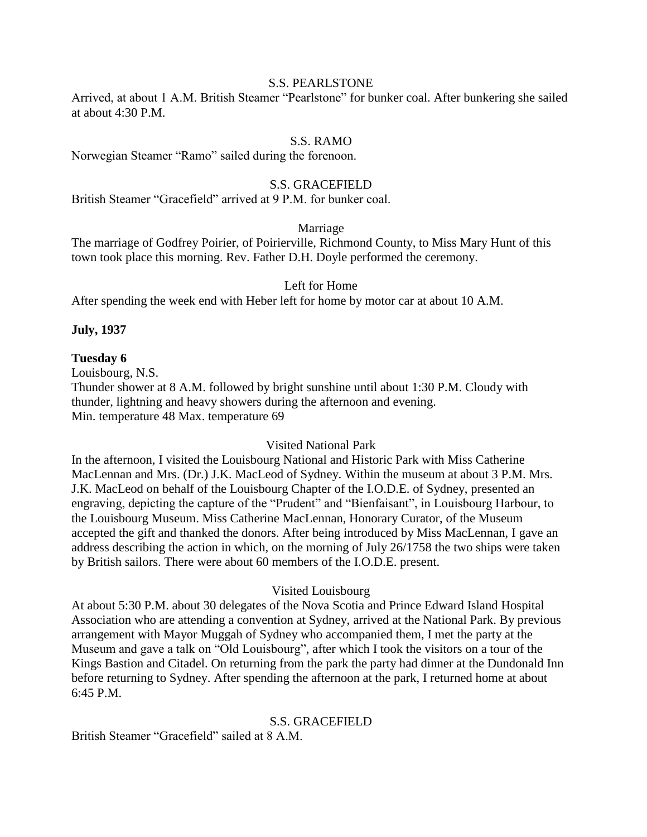### S.S. PEARLSTONE

Arrived, at about 1 A.M. British Steamer "Pearlstone" for bunker coal. After bunkering she sailed at about 4:30 P.M.

### S.S. RAMO

Norwegian Steamer "Ramo" sailed during the forenoon.

#### S.S. GRACEFIELD

British Steamer "Gracefield" arrived at 9 P.M. for bunker coal.

### Marriage

The marriage of Godfrey Poirier, of Poirierville, Richmond County, to Miss Mary Hunt of this town took place this morning. Rev. Father D.H. Doyle performed the ceremony.

#### Left for Home

After spending the week end with Heber left for home by motor car at about 10 A.M.

#### **July, 1937**

#### **Tuesday 6**

Louisbourg, N.S. Thunder shower at 8 A.M. followed by bright sunshine until about 1:30 P.M. Cloudy with thunder, lightning and heavy showers during the afternoon and evening. Min. temperature 48 Max. temperature 69

#### Visited National Park

In the afternoon, I visited the Louisbourg National and Historic Park with Miss Catherine MacLennan and Mrs. (Dr.) J.K. MacLeod of Sydney. Within the museum at about 3 P.M. Mrs. J.K. MacLeod on behalf of the Louisbourg Chapter of the I.O.D.E. of Sydney, presented an engraving, depicting the capture of the "Prudent" and "Bienfaisant", in Louisbourg Harbour, to the Louisbourg Museum. Miss Catherine MacLennan, Honorary Curator, of the Museum accepted the gift and thanked the donors. After being introduced by Miss MacLennan, I gave an address describing the action in which, on the morning of July 26/1758 the two ships were taken by British sailors. There were about 60 members of the I.O.D.E. present.

#### Visited Louisbourg

At about 5:30 P.M. about 30 delegates of the Nova Scotia and Prince Edward Island Hospital Association who are attending a convention at Sydney, arrived at the National Park. By previous arrangement with Mayor Muggah of Sydney who accompanied them, I met the party at the Museum and gave a talk on "Old Louisbourg", after which I took the visitors on a tour of the Kings Bastion and Citadel. On returning from the park the party had dinner at the Dundonald Inn before returning to Sydney. After spending the afternoon at the park, I returned home at about 6:45 P.M.

#### S.S. GRACEFIELD

British Steamer "Gracefield" sailed at 8 A M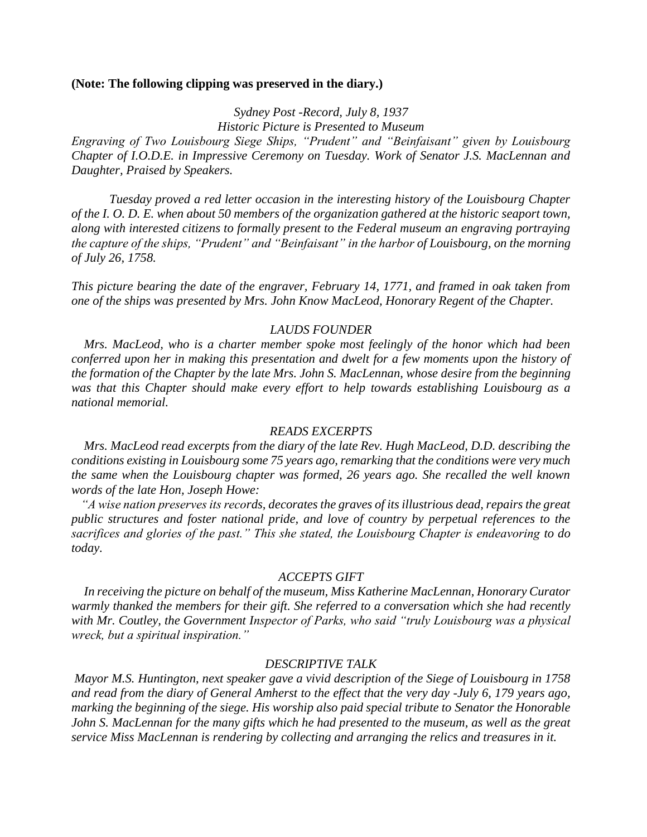#### **(Note: The following clipping was preserved in the diary.)**

*Sydney Post -Record, July 8, 1937 Historic Picture is Presented to Museum*

*Engraving of Two Louisbourg Siege Ships, "Prudent" and "Beinfaisant" given by Louisbourg Chapter of I.O.D.E. in Impressive Ceremony on Tuesday. Work of Senator J.S. MacLennan and Daughter, Praised by Speakers.*

*Tuesday proved a red letter occasion in the interesting history of the Louisbourg Chapter of the I. O. D. E. when about 50 members of the organization gathered at the historic seaport town, along with interested citizens to formally present to the Federal museum an engraving portraying the capture of the ships, "Prudent" and "Beinfaisant" in the harbor of Louisbourg, on the morning of July 26, 1758.*

*This picture bearing the date of the engraver, February 14, 1771, and framed in oak taken from one of the ships was presented by Mrs. John Know MacLeod, Honorary Regent of the Chapter.*

#### *LAUDS FOUNDER*

 *Mrs. MacLeod, who is a charter member spoke most feelingly of the honor which had been conferred upon her in making this presentation and dwelt for a few moments upon the history of the formation of the Chapter by the late Mrs. John S. MacLennan, whose desire from the beginning was that this Chapter should make every effort to help towards establishing Louisbourg as a national memorial.*

#### *READS EXCERPTS*

 *Mrs. MacLeod read excerpts from the diary of the late Rev. Hugh MacLeod, D.D. describing the conditions existing in Louisbourg some 75 years ago, remarking that the conditions were very much the same when the Louisbourg chapter was formed, 26 years ago. She recalled the well known words of the late Hon, Joseph Howe:*

 *"A wise nation preserves its records, decorates the graves of its illustrious dead, repairs the great public structures and foster national pride, and love of country by perpetual references to the sacrifices and glories of the past." This she stated, the Louisbourg Chapter is endeavoring to do today.*

#### *ACCEPTS GIFT*

 *In receiving the picture on behalf of the museum, Miss Katherine MacLennan, Honorary Curator warmly thanked the members for their gift. She referred to a conversation which she had recently with Mr. Coutley, the Government Inspector of Parks, who said "truly Louisbourg was a physical wreck, but a spiritual inspiration."*

#### *DESCRIPTIVE TALK*

*Mayor M.S. Huntington, next speaker gave a vivid description of the Siege of Louisbourg in 1758 and read from the diary of General Amherst to the effect that the very day -July 6, 179 years ago, marking the beginning of the siege. His worship also paid special tribute to Senator the Honorable John S. MacLennan for the many gifts which he had presented to the museum, as well as the great service Miss MacLennan is rendering by collecting and arranging the relics and treasures in it.*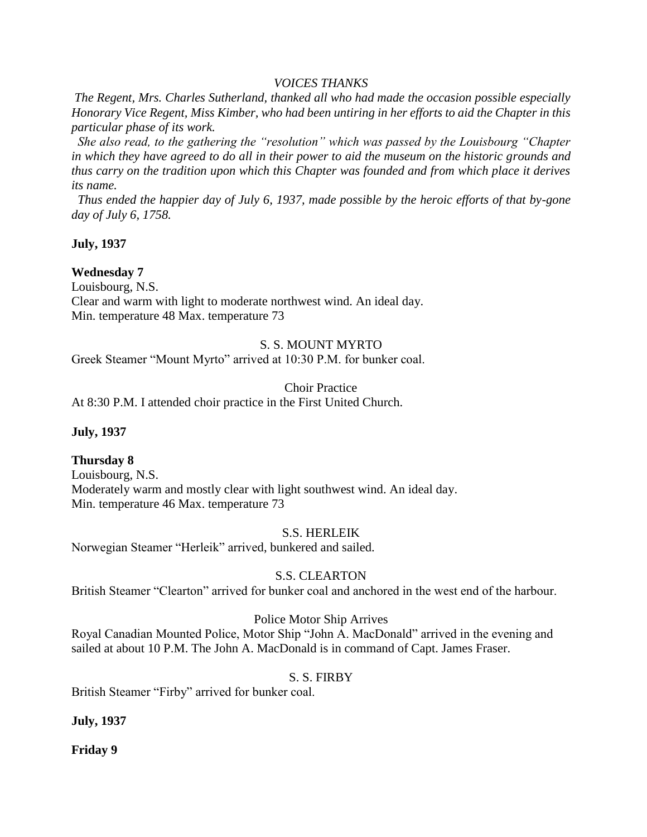### *VOICES THANKS*

*The Regent, Mrs. Charles Sutherland, thanked all who had made the occasion possible especially Honorary Vice Regent, Miss Kimber, who had been untiring in her efforts to aid the Chapter in this particular phase of its work.*

 *She also read, to the gathering the "resolution" which was passed by the Louisbourg "Chapter in which they have agreed to do all in their power to aid the museum on the historic grounds and thus carry on the tradition upon which this Chapter was founded and from which place it derives its name.* 

 *Thus ended the happier day of July 6, 1937, made possible by the heroic efforts of that by-gone day of July 6, 1758.*

**July, 1937**

### **Wednesday 7**

Louisbourg, N.S.

Clear and warm with light to moderate northwest wind. An ideal day. Min. temperature 48 Max. temperature 73

### S. S. MOUNT MYRTO

Greek Steamer "Mount Myrto" arrived at 10:30 P.M. for bunker coal.

Choir Practice

At 8:30 P.M. I attended choir practice in the First United Church.

### **July, 1937**

# **Thursday 8**

Louisbourg, N.S. Moderately warm and mostly clear with light southwest wind. An ideal day. Min. temperature 46 Max. temperature 73

### S.S. HERLEIK

Norwegian Steamer "Herleik" arrived, bunkered and sailed.

# S.S. CLEARTON

British Steamer "Clearton" arrived for bunker coal and anchored in the west end of the harbour.

### Police Motor Ship Arrives

Royal Canadian Mounted Police, Motor Ship "John A. MacDonald" arrived in the evening and sailed at about 10 P.M. The John A. MacDonald is in command of Capt. James Fraser.

### S. S. FIRBY

British Steamer "Firby" arrived for bunker coal.

# **July, 1937**

**Friday 9**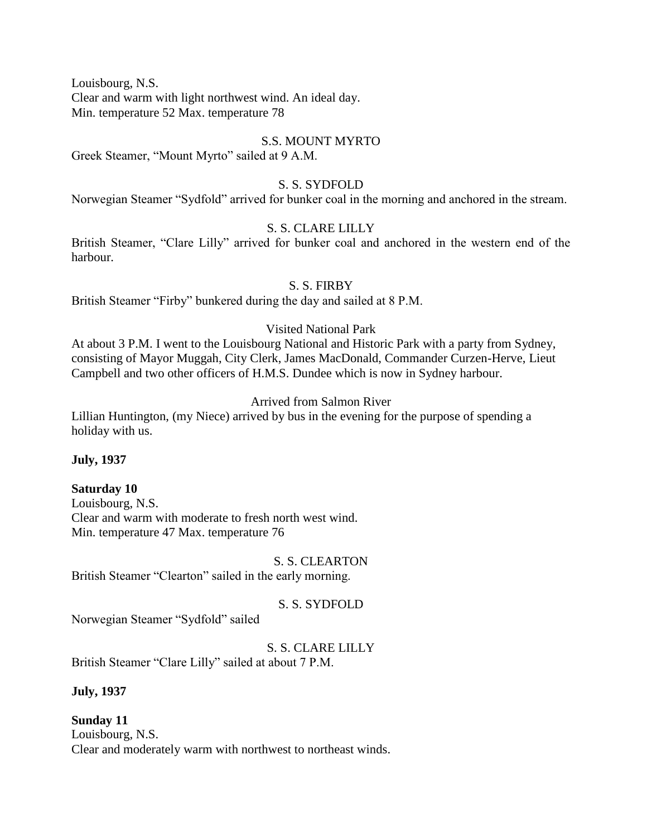Louisbourg, N.S. Clear and warm with light northwest wind. An ideal day. Min. temperature 52 Max. temperature 78

#### S.S. MOUNT MYRTO

Greek Steamer, "Mount Myrto" sailed at 9 A.M.

### S. S. SYDFOLD

Norwegian Steamer "Sydfold" arrived for bunker coal in the morning and anchored in the stream.

#### S. S. CLARE LILLY

British Steamer, "Clare Lilly" arrived for bunker coal and anchored in the western end of the harbour.

#### S. S. FIRBY

British Steamer "Firby" bunkered during the day and sailed at 8 P.M.

#### Visited National Park

At about 3 P.M. I went to the Louisbourg National and Historic Park with a party from Sydney, consisting of Mayor Muggah, City Clerk, James MacDonald, Commander Curzen-Herve, Lieut Campbell and two other officers of H.M.S. Dundee which is now in Sydney harbour.

### Arrived from Salmon River

Lillian Huntington, (my Niece) arrived by bus in the evening for the purpose of spending a holiday with us.

### **July, 1937**

### **Saturday 10**

Louisbourg, N.S. Clear and warm with moderate to fresh north west wind. Min. temperature 47 Max. temperature 76

S. S. CLEARTON British Steamer "Clearton" sailed in the early morning.

S. S. SYDFOLD

Norwegian Steamer "Sydfold" sailed

# S. S. CLARE LILLY

British Steamer "Clare Lilly" sailed at about 7 P.M.

### **July, 1937**

### **Sunday 11** Louisbourg, N.S. Clear and moderately warm with northwest to northeast winds.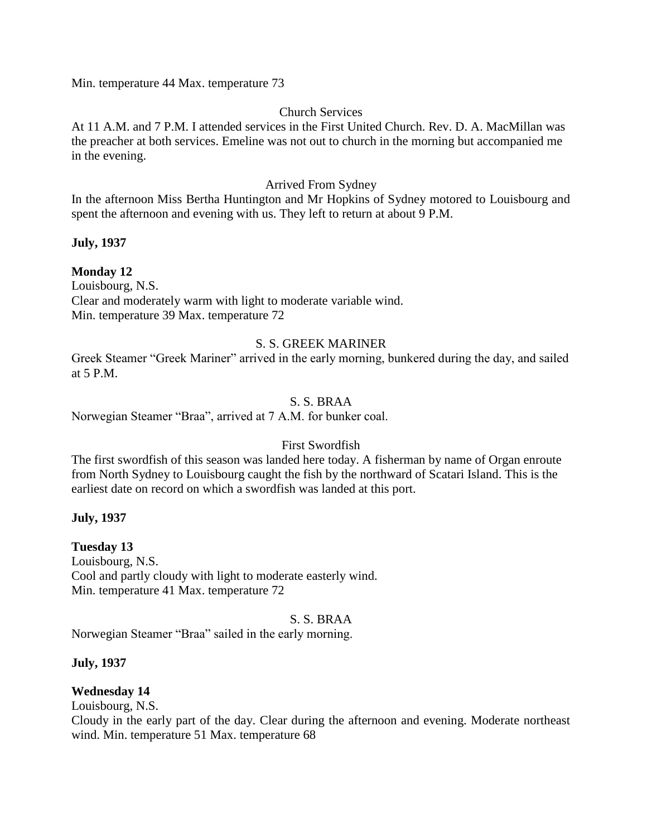Min. temperature 44 Max. temperature 73

### Church Services

At 11 A.M. and 7 P.M. I attended services in the First United Church. Rev. D. A. MacMillan was the preacher at both services. Emeline was not out to church in the morning but accompanied me in the evening.

# Arrived From Sydney

In the afternoon Miss Bertha Huntington and Mr Hopkins of Sydney motored to Louisbourg and spent the afternoon and evening with us. They left to return at about 9 P.M.

### **July, 1937**

# **Monday 12**

Louisbourg, N.S. Clear and moderately warm with light to moderate variable wind. Min. temperature 39 Max. temperature 72

### S. S. GREEK MARINER

Greek Steamer "Greek Mariner" arrived in the early morning, bunkered during the day, and sailed at 5 P.M.

### S. S. BRAA

Norwegian Steamer "Braa", arrived at 7 A.M. for bunker coal.

### First Swordfish

The first swordfish of this season was landed here today. A fisherman by name of Organ enroute from North Sydney to Louisbourg caught the fish by the northward of Scatari Island. This is the earliest date on record on which a swordfish was landed at this port.

### **July, 1937**

# **Tuesday 13**

Louisbourg, N.S. Cool and partly cloudy with light to moderate easterly wind. Min. temperature 41 Max. temperature 72

### S. S. BRAA

Norwegian Steamer "Braa" sailed in the early morning.

# **July, 1937**

# **Wednesday 14**

Louisbourg, N.S.

Cloudy in the early part of the day. Clear during the afternoon and evening. Moderate northeast wind. Min. temperature 51 Max. temperature 68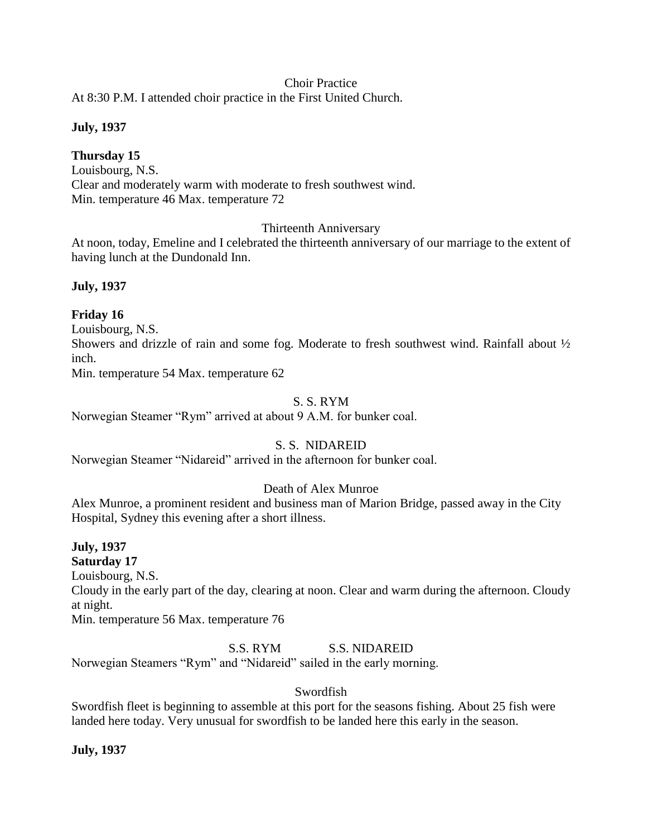### Choir Practice

At 8:30 P.M. I attended choir practice in the First United Church.

### **July, 1937**

**Thursday 15** Louisbourg, N.S. Clear and moderately warm with moderate to fresh southwest wind. Min. temperature 46 Max. temperature 72

Thirteenth Anniversary

At noon, today, Emeline and I celebrated the thirteenth anniversary of our marriage to the extent of having lunch at the Dundonald Inn.

### **July, 1937**

# **Friday 16**

Louisbourg, N.S. Showers and drizzle of rain and some fog. Moderate to fresh southwest wind. Rainfall about  $\frac{1}{2}$ inch.

Min. temperature 54 Max. temperature 62

### S. S. RYM

Norwegian Steamer "Rym" arrived at about 9 A.M. for bunker coal.

# S. S. NIDAREID

Norwegian Steamer "Nidareid" arrived in the afternoon for bunker coal.

# Death of Alex Munroe

Alex Munroe, a prominent resident and business man of Marion Bridge, passed away in the City Hospital, Sydney this evening after a short illness.

**July, 1937 Saturday 17** Louisbourg, N.S. Cloudy in the early part of the day, clearing at noon. Clear and warm during the afternoon. Cloudy at night.

Min. temperature 56 Max. temperature 76

S.S. RYM S.S. NIDAREID

Norwegian Steamers "Rym" and "Nidareid" sailed in the early morning.

### Swordfish

Swordfish fleet is beginning to assemble at this port for the seasons fishing. About 25 fish were landed here today. Very unusual for swordfish to be landed here this early in the season.

### **July, 1937**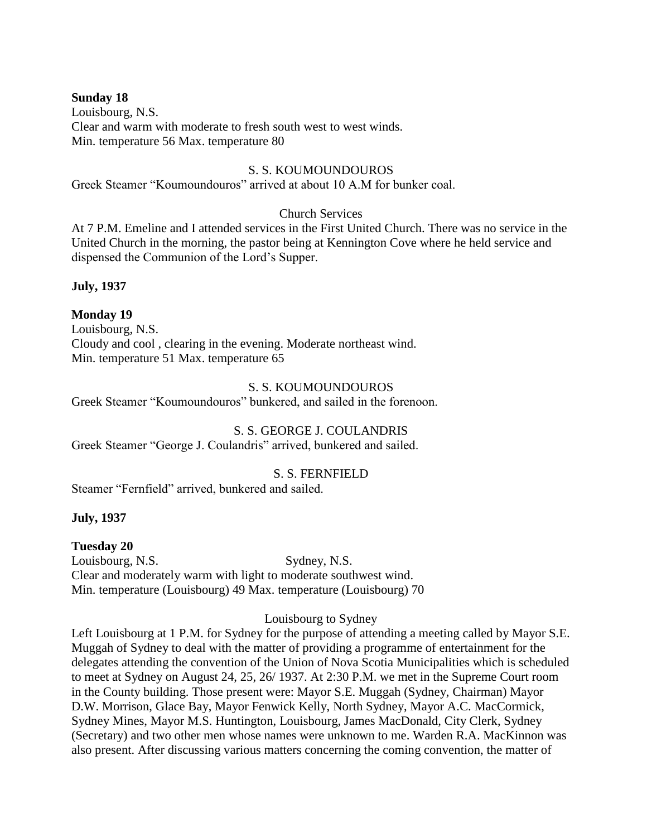### **Sunday 18**

Louisbourg, N.S. Clear and warm with moderate to fresh south west to west winds. Min. temperature 56 Max. temperature 80

#### S. S. KOUMOUNDOUROS

Greek Steamer "Koumoundouros" arrived at about 10 A.M for bunker coal.

#### Church Services

At 7 P.M. Emeline and I attended services in the First United Church. There was no service in the United Church in the morning, the pastor being at Kennington Cove where he held service and dispensed the Communion of the Lord's Supper.

**July, 1937**

### **Monday 19**

Louisbourg, N.S. Cloudy and cool , clearing in the evening. Moderate northeast wind. Min. temperature 51 Max. temperature 65

### S. S. KOUMOUNDOUROS

Greek Steamer "Koumoundouros" bunkered, and sailed in the forenoon.

# S. S. GEORGE J. COULANDRIS

Greek Steamer "George J. Coulandris" arrived, bunkered and sailed.

### S. S. FERNFIELD

Steamer "Fernfield" arrived, bunkered and sailed.

### **July, 1937**

**Tuesday 20** Louisbourg, N.S. Sydney, N.S. Clear and moderately warm with light to moderate southwest wind. Min. temperature (Louisbourg) 49 Max. temperature (Louisbourg) 70

### Louisbourg to Sydney

Left Louisbourg at 1 P.M. for Sydney for the purpose of attending a meeting called by Mayor S.E. Muggah of Sydney to deal with the matter of providing a programme of entertainment for the delegates attending the convention of the Union of Nova Scotia Municipalities which is scheduled to meet at Sydney on August 24, 25, 26/ 1937. At 2:30 P.M. we met in the Supreme Court room in the County building. Those present were: Mayor S.E. Muggah (Sydney, Chairman) Mayor D.W. Morrison, Glace Bay, Mayor Fenwick Kelly, North Sydney, Mayor A.C. MacCormick, Sydney Mines, Mayor M.S. Huntington, Louisbourg, James MacDonald, City Clerk, Sydney (Secretary) and two other men whose names were unknown to me. Warden R.A. MacKinnon was also present. After discussing various matters concerning the coming convention, the matter of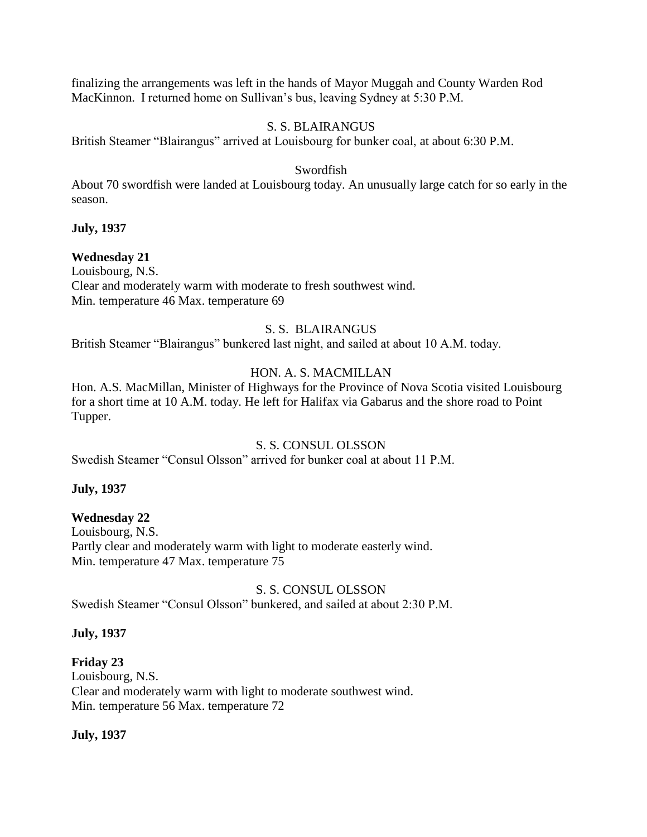finalizing the arrangements was left in the hands of Mayor Muggah and County Warden Rod MacKinnon. I returned home on Sullivan's bus, leaving Sydney at 5:30 P.M.

# S. S. BLAIRANGUS

British Steamer "Blairangus" arrived at Louisbourg for bunker coal, at about 6:30 P.M.

### Swordfish

About 70 swordfish were landed at Louisbourg today. An unusually large catch for so early in the season.

### **July, 1937**

### **Wednesday 21**

Louisbourg, N.S. Clear and moderately warm with moderate to fresh southwest wind. Min. temperature 46 Max. temperature 69

### S. S. BLAIRANGUS

British Steamer "Blairangus" bunkered last night, and sailed at about 10 A.M. today.

# HON. A. S. MACMILLAN

Hon. A.S. MacMillan, Minister of Highways for the Province of Nova Scotia visited Louisbourg for a short time at 10 A.M. today. He left for Halifax via Gabarus and the shore road to Point Tupper.

### S. S. CONSUL OLSSON

Swedish Steamer "Consul Olsson" arrived for bunker coal at about 11 P.M.

### **July, 1937**

### **Wednesday 22**

Louisbourg, N.S. Partly clear and moderately warm with light to moderate easterly wind. Min. temperature 47 Max. temperature 75

### S. S. CONSUL OLSSON

Swedish Steamer "Consul Olsson" bunkered, and sailed at about 2:30 P.M.

### **July, 1937**

# **Friday 23**

Louisbourg, N.S. Clear and moderately warm with light to moderate southwest wind. Min. temperature 56 Max. temperature 72

# **July, 1937**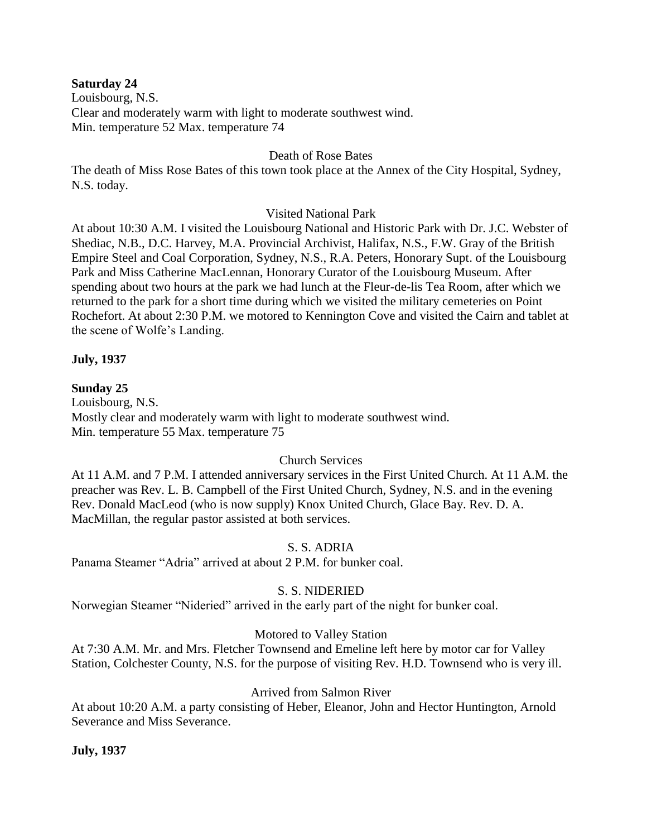### **Saturday 24**

Louisbourg, N.S. Clear and moderately warm with light to moderate southwest wind. Min. temperature 52 Max. temperature 74

#### Death of Rose Bates

The death of Miss Rose Bates of this town took place at the Annex of the City Hospital, Sydney, N.S. today.

### Visited National Park

At about 10:30 A.M. I visited the Louisbourg National and Historic Park with Dr. J.C. Webster of Shediac, N.B., D.C. Harvey, M.A. Provincial Archivist, Halifax, N.S., F.W. Gray of the British Empire Steel and Coal Corporation, Sydney, N.S., R.A. Peters, Honorary Supt. of the Louisbourg Park and Miss Catherine MacLennan, Honorary Curator of the Louisbourg Museum. After spending about two hours at the park we had lunch at the Fleur-de-lis Tea Room, after which we returned to the park for a short time during which we visited the military cemeteries on Point Rochefort. At about 2:30 P.M. we motored to Kennington Cove and visited the Cairn and tablet at the scene of Wolfe's Landing.

#### **July, 1937**

#### **Sunday 25**

Louisbourg, N.S. Mostly clear and moderately warm with light to moderate southwest wind. Min. temperature 55 Max. temperature 75

### Church Services

At 11 A.M. and 7 P.M. I attended anniversary services in the First United Church. At 11 A.M. the preacher was Rev. L. B. Campbell of the First United Church, Sydney, N.S. and in the evening Rev. Donald MacLeod (who is now supply) Knox United Church, Glace Bay. Rev. D. A. MacMillan, the regular pastor assisted at both services.

### S. S. ADRIA

Panama Steamer "Adria" arrived at about 2 P.M. for bunker coal.

### S. S. NIDERIED

Norwegian Steamer "Nideried" arrived in the early part of the night for bunker coal.

### Motored to Valley Station

At 7:30 A.M. Mr. and Mrs. Fletcher Townsend and Emeline left here by motor car for Valley Station, Colchester County, N.S. for the purpose of visiting Rev. H.D. Townsend who is very ill.

### Arrived from Salmon River

At about 10:20 A.M. a party consisting of Heber, Eleanor, John and Hector Huntington, Arnold Severance and Miss Severance.

#### **July, 1937**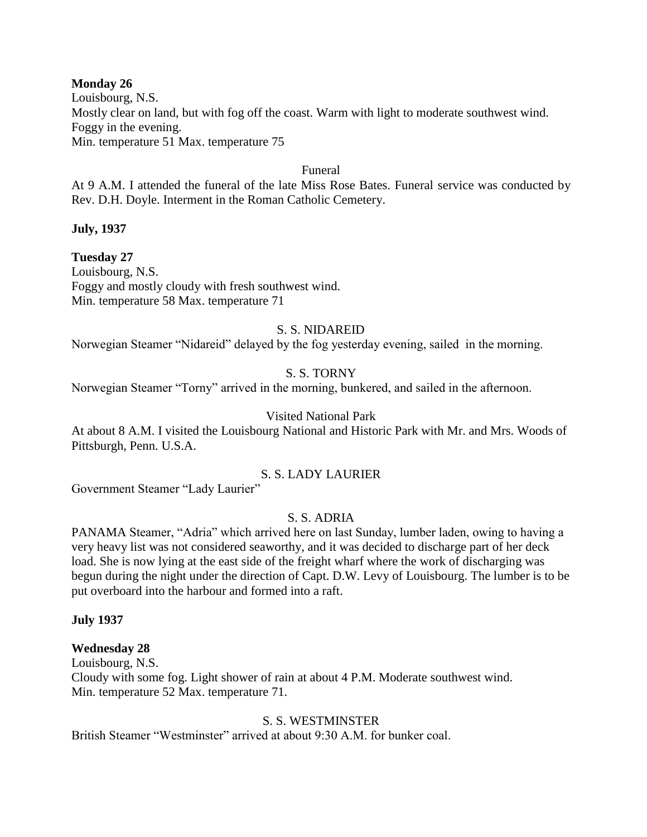### **Monday 26**

Louisbourg, N.S. Mostly clear on land, but with fog off the coast. Warm with light to moderate southwest wind. Foggy in the evening. Min. temperature 51 Max. temperature 75

#### Funeral

At 9 A.M. I attended the funeral of the late Miss Rose Bates. Funeral service was conducted by Rev. D.H. Doyle. Interment in the Roman Catholic Cemetery.

**July, 1937**

### **Tuesday 27**

Louisbourg, N.S. Foggy and mostly cloudy with fresh southwest wind. Min. temperature 58 Max. temperature 71

### S. S. NIDAREID

Norwegian Steamer "Nidareid" delayed by the fog yesterday evening, sailed in the morning.

# S. S. TORNY

Norwegian Steamer "Torny" arrived in the morning, bunkered, and sailed in the afternoon.

### Visited National Park

At about 8 A.M. I visited the Louisbourg National and Historic Park with Mr. and Mrs. Woods of Pittsburgh, Penn. U.S.A.

### S. S. LADY LAURIER

Government Steamer "Lady Laurier"

# S. S. ADRIA

PANAMA Steamer, "Adria" which arrived here on last Sunday, lumber laden, owing to having a very heavy list was not considered seaworthy, and it was decided to discharge part of her deck load. She is now lying at the east side of the freight wharf where the work of discharging was begun during the night under the direction of Capt. D.W. Levy of Louisbourg. The lumber is to be put overboard into the harbour and formed into a raft.

### **July 1937**

### **Wednesday 28**

Louisbourg, N.S. Cloudy with some fog. Light shower of rain at about 4 P.M. Moderate southwest wind. Min. temperature 52 Max. temperature 71.

### S. S. WESTMINSTER

British Steamer "Westminster" arrived at about 9:30 A.M. for bunker coal.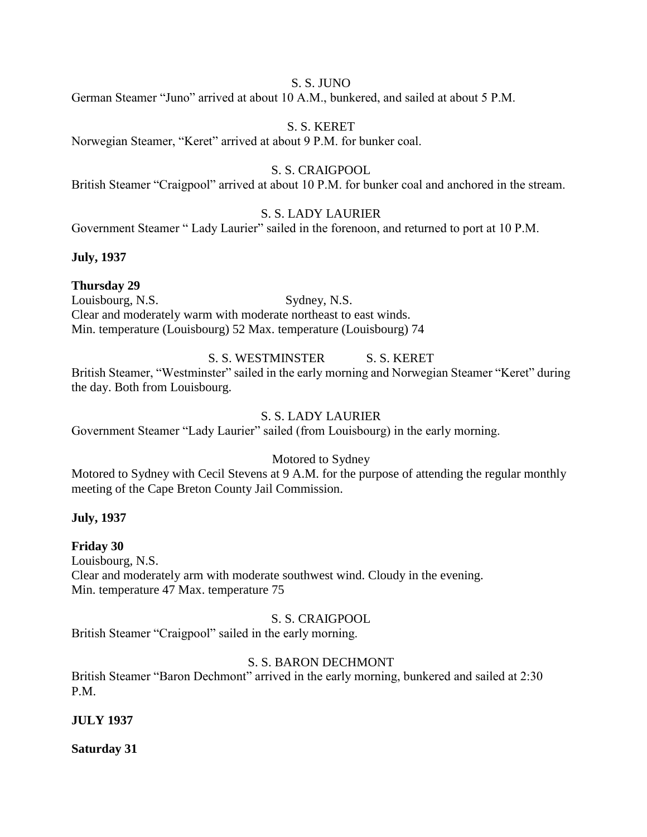### S. S. JUNO

German Steamer "Juno" arrived at about 10 A.M., bunkered, and sailed at about 5 P.M.

### S. S. KERET

Norwegian Steamer, "Keret" arrived at about 9 P.M. for bunker coal.

# S. S. CRAIGPOOL

British Steamer "Craigpool" arrived at about 10 P.M. for bunker coal and anchored in the stream.

# S. S. LADY LAURIER

Government Steamer " Lady Laurier" sailed in the forenoon, and returned to port at 10 P.M.

### **July, 1937**

# **Thursday 29**

Louisbourg, N.S. Sydney, N.S. Clear and moderately warm with moderate northeast to east winds. Min. temperature (Louisbourg) 52 Max. temperature (Louisbourg) 74

# S. S. WESTMINSTER S. S. KERET

British Steamer, "Westminster" sailed in the early morning and Norwegian Steamer "Keret" during the day. Both from Louisbourg.

# S. S. LADY LAURIER

Government Steamer "Lady Laurier" sailed (from Louisbourg) in the early morning.

# Motored to Sydney

Motored to Sydney with Cecil Stevens at 9 A.M. for the purpose of attending the regular monthly meeting of the Cape Breton County Jail Commission.

### **July, 1937**

# **Friday 30**

Louisbourg, N.S. Clear and moderately arm with moderate southwest wind. Cloudy in the evening. Min. temperature 47 Max. temperature 75

### S. S. CRAIGPOOL

British Steamer "Craigpool" sailed in the early morning.

# S. S. BARON DECHMONT

British Steamer "Baron Dechmont" arrived in the early morning, bunkered and sailed at 2:30 P.M.

# **JULY 1937**

# **Saturday 31**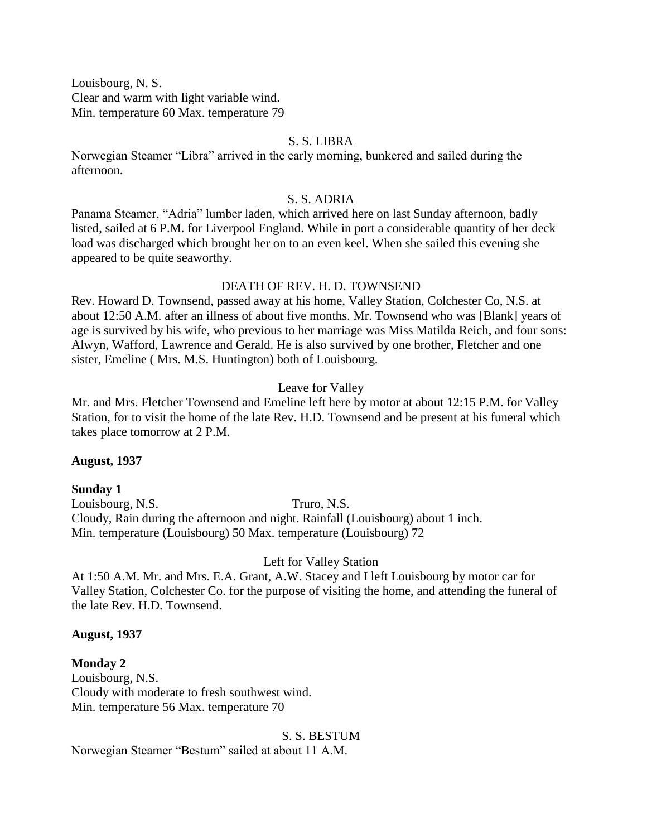Louisbourg, N. S. Clear and warm with light variable wind. Min. temperature 60 Max. temperature 79

### S. S. LIBRA

Norwegian Steamer "Libra" arrived in the early morning, bunkered and sailed during the afternoon.

#### S. S. ADRIA

Panama Steamer, "Adria" lumber laden, which arrived here on last Sunday afternoon, badly listed, sailed at 6 P.M. for Liverpool England. While in port a considerable quantity of her deck load was discharged which brought her on to an even keel. When she sailed this evening she appeared to be quite seaworthy.

### DEATH OF REV. H. D. TOWNSEND

Rev. Howard D. Townsend, passed away at his home, Valley Station, Colchester Co, N.S. at about 12:50 A.M. after an illness of about five months. Mr. Townsend who was [Blank] years of age is survived by his wife, who previous to her marriage was Miss Matilda Reich, and four sons: Alwyn, Wafford, Lawrence and Gerald. He is also survived by one brother, Fletcher and one sister, Emeline ( Mrs. M.S. Huntington) both of Louisbourg.

#### Leave for Valley

Mr. and Mrs. Fletcher Townsend and Emeline left here by motor at about 12:15 P.M. for Valley Station, for to visit the home of the late Rev. H.D. Townsend and be present at his funeral which takes place tomorrow at 2 P.M.

#### **August, 1937**

### **Sunday 1** Louisbourg, N.S. Truro, N.S. Cloudy, Rain during the afternoon and night. Rainfall (Louisbourg) about 1 inch. Min. temperature (Louisbourg) 50 Max. temperature (Louisbourg) 72

Left for Valley Station

At 1:50 A.M. Mr. and Mrs. E.A. Grant, A.W. Stacey and I left Louisbourg by motor car for Valley Station, Colchester Co. for the purpose of visiting the home, and attending the funeral of the late Rev. H.D. Townsend.

### **August, 1937**

**Monday 2** Louisbourg, N.S. Cloudy with moderate to fresh southwest wind. Min. temperature 56 Max. temperature 70

#### S. S. BESTUM

Norwegian Steamer "Bestum" sailed at about 11 A.M.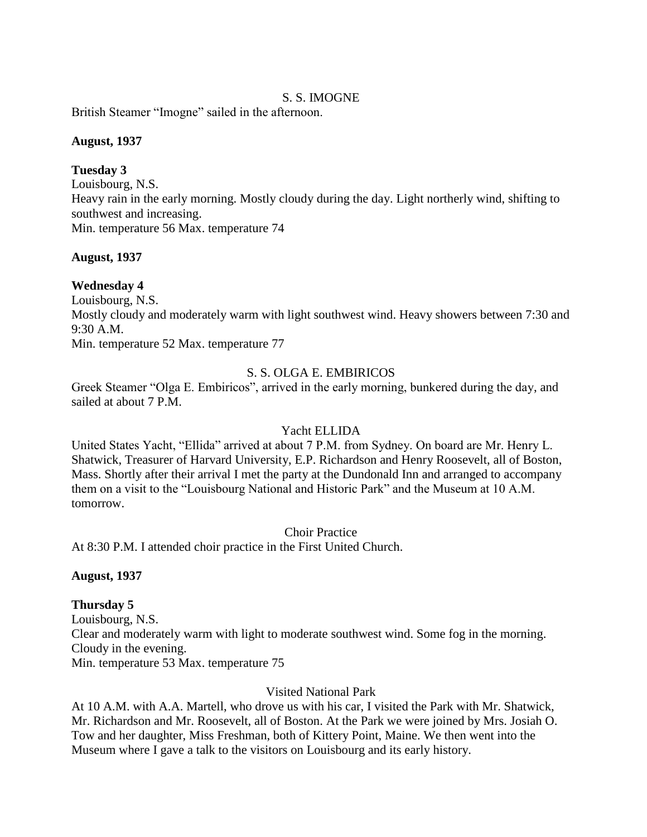# S. S. IMOGNE

British Steamer "Imogne" sailed in the afternoon.

#### **August, 1937**

### **Tuesday 3**

Louisbourg, N.S. Heavy rain in the early morning. Mostly cloudy during the day. Light northerly wind, shifting to southwest and increasing. Min. temperature 56 Max. temperature 74

### **August, 1937**

### **Wednesday 4**

Louisbourg, N.S. Mostly cloudy and moderately warm with light southwest wind. Heavy showers between 7:30 and 9:30 A.M. Min. temperature 52 Max. temperature 77

# S. S. OLGA E. EMBIRICOS

Greek Steamer "Olga E. Embiricos", arrived in the early morning, bunkered during the day, and sailed at about 7 P.M.

# Yacht ELLIDA

United States Yacht, "Ellida" arrived at about 7 P.M. from Sydney. On board are Mr. Henry L. Shatwick, Treasurer of Harvard University, E.P. Richardson and Henry Roosevelt, all of Boston, Mass. Shortly after their arrival I met the party at the Dundonald Inn and arranged to accompany them on a visit to the "Louisbourg National and Historic Park" and the Museum at 10 A.M. tomorrow.

Choir Practice

At 8:30 P.M. I attended choir practice in the First United Church.

### **August, 1937**

# **Thursday 5**

Louisbourg, N.S. Clear and moderately warm with light to moderate southwest wind. Some fog in the morning. Cloudy in the evening. Min. temperature 53 Max. temperature 75

### Visited National Park

At 10 A.M. with A.A. Martell, who drove us with his car, I visited the Park with Mr. Shatwick, Mr. Richardson and Mr. Roosevelt, all of Boston. At the Park we were joined by Mrs. Josiah O. Tow and her daughter, Miss Freshman, both of Kittery Point, Maine. We then went into the Museum where I gave a talk to the visitors on Louisbourg and its early history.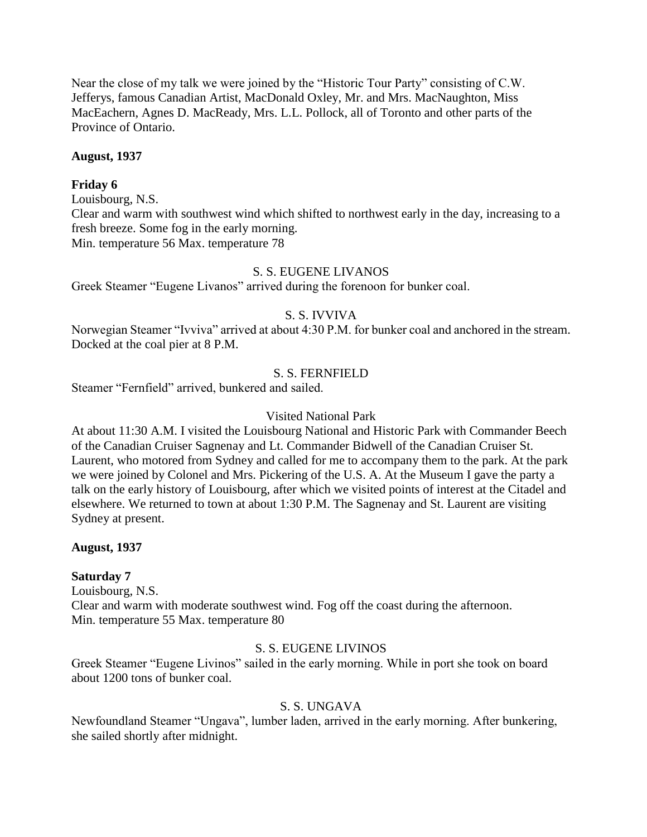Near the close of my talk we were joined by the "Historic Tour Party" consisting of C.W. Jefferys, famous Canadian Artist, MacDonald Oxley, Mr. and Mrs. MacNaughton, Miss MacEachern, Agnes D. MacReady, Mrs. L.L. Pollock, all of Toronto and other parts of the Province of Ontario.

### **August, 1937**

### **Friday 6**

Louisbourg, N.S.

Clear and warm with southwest wind which shifted to northwest early in the day, increasing to a fresh breeze. Some fog in the early morning. Min. temperature 56 Max. temperature 78

### S. S. EUGENE LIVANOS

Greek Steamer "Eugene Livanos" arrived during the forenoon for bunker coal.

### S. S. IVVIVA

Norwegian Steamer "Ivviva" arrived at about 4:30 P.M. for bunker coal and anchored in the stream. Docked at the coal pier at 8 P.M.

### S. S. FERNFIELD

Steamer "Fernfield" arrived, bunkered and sailed.

#### Visited National Park

At about 11:30 A.M. I visited the Louisbourg National and Historic Park with Commander Beech of the Canadian Cruiser Sagnenay and Lt. Commander Bidwell of the Canadian Cruiser St. Laurent, who motored from Sydney and called for me to accompany them to the park. At the park we were joined by Colonel and Mrs. Pickering of the U.S. A. At the Museum I gave the party a talk on the early history of Louisbourg, after which we visited points of interest at the Citadel and elsewhere. We returned to town at about 1:30 P.M. The Sagnenay and St. Laurent are visiting Sydney at present.

### **August, 1937**

### **Saturday 7**

Louisbourg, N.S. Clear and warm with moderate southwest wind. Fog off the coast during the afternoon. Min. temperature 55 Max. temperature 80

### S. S. EUGENE LIVINOS

Greek Steamer "Eugene Livinos" sailed in the early morning. While in port she took on board about 1200 tons of bunker coal.

### S. S. UNGAVA

Newfoundland Steamer "Ungava", lumber laden, arrived in the early morning. After bunkering, she sailed shortly after midnight.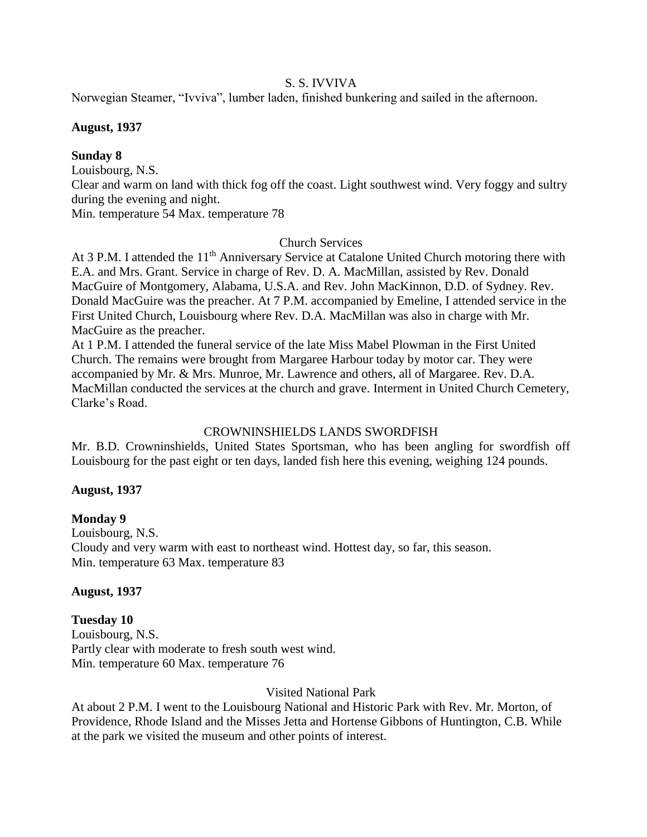#### S. S. IVVIVA

Norwegian Steamer, "Ivviva", lumber laden, finished bunkering and sailed in the afternoon.

#### **August, 1937**

### **Sunday 8**

Louisbourg, N.S.

Clear and warm on land with thick fog off the coast. Light southwest wind. Very foggy and sultry during the evening and night.

Min. temperature 54 Max. temperature 78

### Church Services

At 3 P.M. I attended the  $11<sup>th</sup>$  Anniversary Service at Catalone United Church motoring there with E.A. and Mrs. Grant. Service in charge of Rev. D. A. MacMillan, assisted by Rev. Donald MacGuire of Montgomery, Alabama, U.S.A. and Rev. John MacKinnon, D.D. of Sydney. Rev. Donald MacGuire was the preacher. At 7 P.M. accompanied by Emeline, I attended service in the First United Church, Louisbourg where Rev. D.A. MacMillan was also in charge with Mr. MacGuire as the preacher.

At 1 P.M. I attended the funeral service of the late Miss Mabel Plowman in the First United Church. The remains were brought from Margaree Harbour today by motor car. They were accompanied by Mr. & Mrs. Munroe, Mr. Lawrence and others, all of Margaree. Rev. D.A. MacMillan conducted the services at the church and grave. Interment in United Church Cemetery, Clarke's Road.

# CROWNINSHIELDS LANDS SWORDFISH

Mr. B.D. Crowninshields, United States Sportsman, who has been angling for swordfish off Louisbourg for the past eight or ten days, landed fish here this evening, weighing 124 pounds.

### **August, 1937**

# **Monday 9**

Louisbourg, N.S. Cloudy and very warm with east to northeast wind. Hottest day, so far, this season. Min. temperature 63 Max. temperature 83

### **August, 1937**

# **Tuesday 10**

Louisbourg, N.S. Partly clear with moderate to fresh south west wind. Min. temperature 60 Max. temperature 76

### Visited National Park

At about 2 P.M. I went to the Louisbourg National and Historic Park with Rev. Mr. Morton, of Providence, Rhode Island and the Misses Jetta and Hortense Gibbons of Huntington, C.B. While at the park we visited the museum and other points of interest.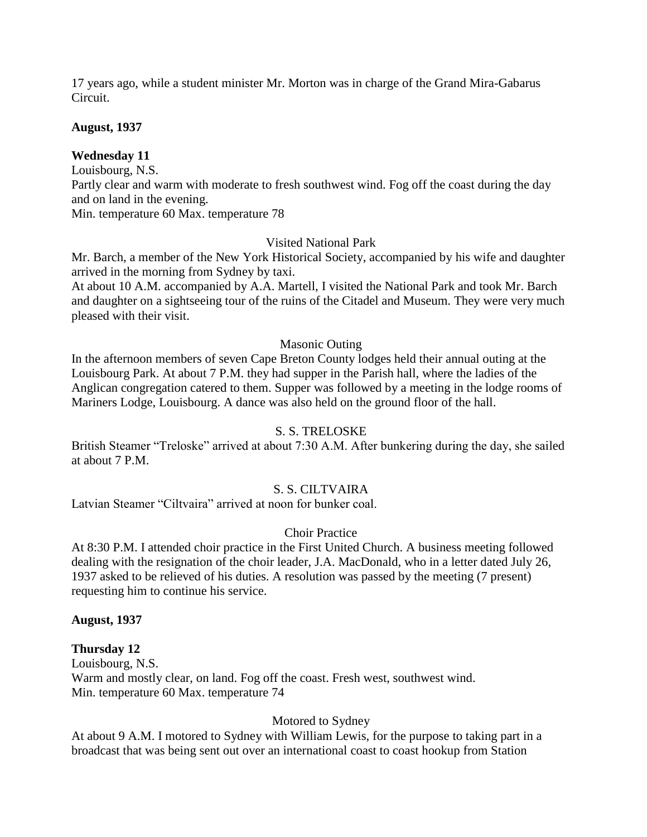17 years ago, while a student minister Mr. Morton was in charge of the Grand Mira-Gabarus Circuit.

#### **August, 1937**

### **Wednesday 11**

Louisbourg, N.S.

Partly clear and warm with moderate to fresh southwest wind. Fog off the coast during the day and on land in the evening.

Min. temperature 60 Max. temperature 78

#### Visited National Park

Mr. Barch, a member of the New York Historical Society, accompanied by his wife and daughter arrived in the morning from Sydney by taxi.

At about 10 A.M. accompanied by A.A. Martell, I visited the National Park and took Mr. Barch and daughter on a sightseeing tour of the ruins of the Citadel and Museum. They were very much pleased with their visit.

#### Masonic Outing

In the afternoon members of seven Cape Breton County lodges held their annual outing at the Louisbourg Park. At about 7 P.M. they had supper in the Parish hall, where the ladies of the Anglican congregation catered to them. Supper was followed by a meeting in the lodge rooms of Mariners Lodge, Louisbourg. A dance was also held on the ground floor of the hall.

### S. S. TRELOSKE

British Steamer "Treloske" arrived at about 7:30 A.M. After bunkering during the day, she sailed at about 7 P.M.

### S. S. CILTVAIRA

Latvian Steamer "Ciltvaira" arrived at noon for bunker coal.

### Choir Practice

At 8:30 P.M. I attended choir practice in the First United Church. A business meeting followed dealing with the resignation of the choir leader, J.A. MacDonald, who in a letter dated July 26, 1937 asked to be relieved of his duties. A resolution was passed by the meeting (7 present) requesting him to continue his service.

#### **August, 1937**

### **Thursday 12**

Louisbourg, N.S. Warm and mostly clear, on land. Fog off the coast. Fresh west, southwest wind. Min. temperature 60 Max. temperature 74

### Motored to Sydney

At about 9 A.M. I motored to Sydney with William Lewis, for the purpose to taking part in a broadcast that was being sent out over an international coast to coast hookup from Station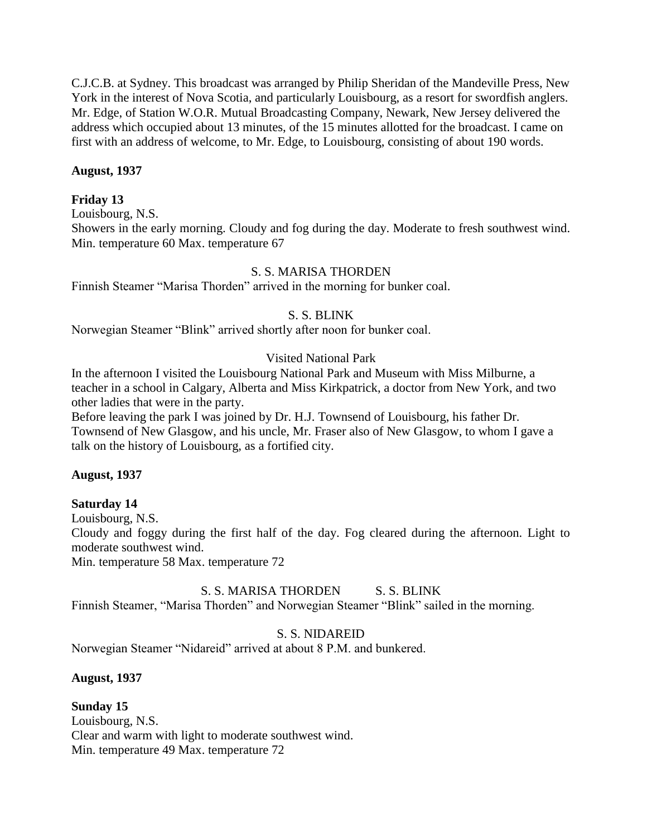C.J.C.B. at Sydney. This broadcast was arranged by Philip Sheridan of the Mandeville Press, New York in the interest of Nova Scotia, and particularly Louisbourg, as a resort for swordfish anglers. Mr. Edge, of Station W.O.R. Mutual Broadcasting Company, Newark, New Jersey delivered the address which occupied about 13 minutes, of the 15 minutes allotted for the broadcast. I came on first with an address of welcome, to Mr. Edge, to Louisbourg, consisting of about 190 words.

### **August, 1937**

### **Friday 13**

Louisbourg, N.S.

Showers in the early morning. Cloudy and fog during the day. Moderate to fresh southwest wind. Min. temperature 60 Max. temperature 67

### S. S. MARISA THORDEN

Finnish Steamer "Marisa Thorden" arrived in the morning for bunker coal.

### S. S. BLINK

Norwegian Steamer "Blink" arrived shortly after noon for bunker coal.

#### Visited National Park

In the afternoon I visited the Louisbourg National Park and Museum with Miss Milburne, a teacher in a school in Calgary, Alberta and Miss Kirkpatrick, a doctor from New York, and two other ladies that were in the party.

Before leaving the park I was joined by Dr. H.J. Townsend of Louisbourg, his father Dr. Townsend of New Glasgow, and his uncle, Mr. Fraser also of New Glasgow, to whom I gave a talk on the history of Louisbourg, as a fortified city.

#### **August, 1937**

### **Saturday 14**

Louisbourg, N.S. Cloudy and foggy during the first half of the day. Fog cleared during the afternoon. Light to moderate southwest wind. Min. temperature 58 Max. temperature 72

### S. S. MARISA THORDEN S. S. BLINK

Finnish Steamer, "Marisa Thorden" and Norwegian Steamer "Blink" sailed in the morning.

#### S. S. NIDAREID

Norwegian Steamer "Nidareid" arrived at about 8 P.M. and bunkered.

### **August, 1937**

**Sunday 15** Louisbourg, N.S. Clear and warm with light to moderate southwest wind. Min. temperature 49 Max. temperature 72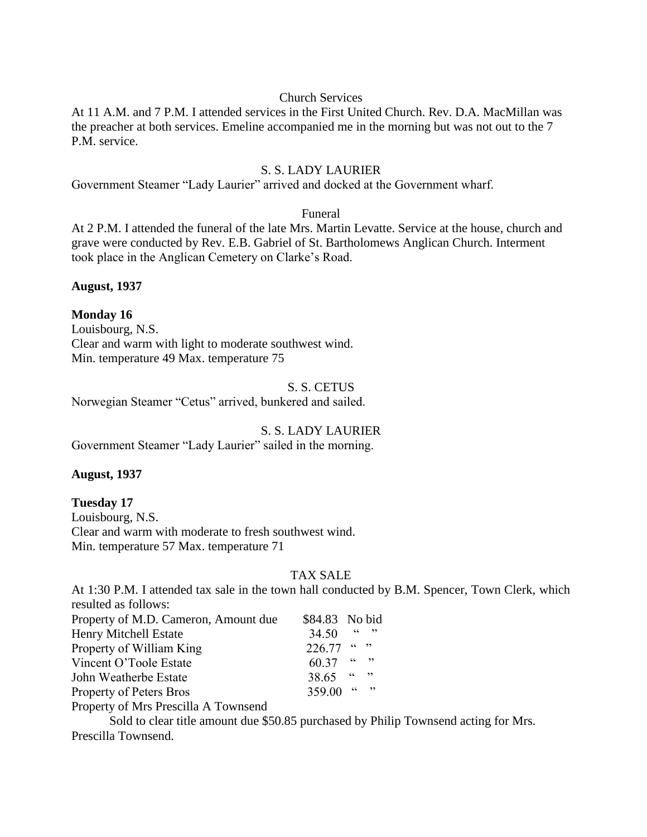#### Church Services

At 11 A.M. and 7 P.M. I attended services in the First United Church. Rev. D.A. MacMillan was the preacher at both services. Emeline accompanied me in the morning but was not out to the 7 P.M. service.

#### S. S. LADY LAURIER

Government Steamer "Lady Laurier" arrived and docked at the Government wharf.

#### Funeral

At 2 P.M. I attended the funeral of the late Mrs. Martin Levatte. Service at the house, church and grave were conducted by Rev. E.B. Gabriel of St. Bartholomews Anglican Church. Interment took place in the Anglican Cemetery on Clarke's Road.

**August, 1937**

### **Monday 16**

Louisbourg, N.S. Clear and warm with light to moderate southwest wind. Min. temperature 49 Max. temperature 75

#### S. S. CETUS

Norwegian Steamer "Cetus" arrived, bunkered and sailed.

# S. S. LADY LAURIER

Government Steamer "Lady Laurier" sailed in the morning.

### **August, 1937**

### **Tuesday 17**

Louisbourg, N.S. Clear and warm with moderate to fresh southwest wind. Min. temperature 57 Max. temperature 71

# TAX SALE

At 1:30 P.M. I attended tax sale in the town hall conducted by B.M. Spencer, Town Clerk, which resulted as follows:

| Property of M.D. Cameron, Amount due                                                                                                                                                                                                                                                                                               | \$84.83 No bid |        |      |
|------------------------------------------------------------------------------------------------------------------------------------------------------------------------------------------------------------------------------------------------------------------------------------------------------------------------------------|----------------|--------|------|
| <b>Henry Mitchell Estate</b>                                                                                                                                                                                                                                                                                                       | 34.50          | cc     | , 22 |
| Property of William King                                                                                                                                                                                                                                                                                                           | $226.77$ " "   |        |      |
| Vincent O'Toole Estate                                                                                                                                                                                                                                                                                                             | 60.37          | (1)    |      |
| John Weatherbe Estate                                                                                                                                                                                                                                                                                                              | 38.65          | (1)    |      |
| Property of Peters Bros                                                                                                                                                                                                                                                                                                            | 359.00         | (6, 9) |      |
| $\mathbf{D}$ $\mathbf{L}$ $\mathbf{L}$ $\mathbf{L}$ $\mathbf{L}$ $\mathbf{L}$ $\mathbf{L}$ $\mathbf{L}$ $\mathbf{L}$ $\mathbf{L}$ $\mathbf{L}$ $\mathbf{L}$ $\mathbf{L}$ $\mathbf{L}$ $\mathbf{L}$ $\mathbf{L}$ $\mathbf{L}$ $\mathbf{L}$ $\mathbf{L}$ $\mathbf{L}$ $\mathbf{L}$ $\mathbf{L}$ $\mathbf{L}$ $\mathbf{L}$ $\mathbf{$ |                |        |      |

Property of Mrs Prescilla A Townsend

Sold to clear title amount due \$50.85 purchased by Philip Townsend acting for Mrs. Prescilla Townsend.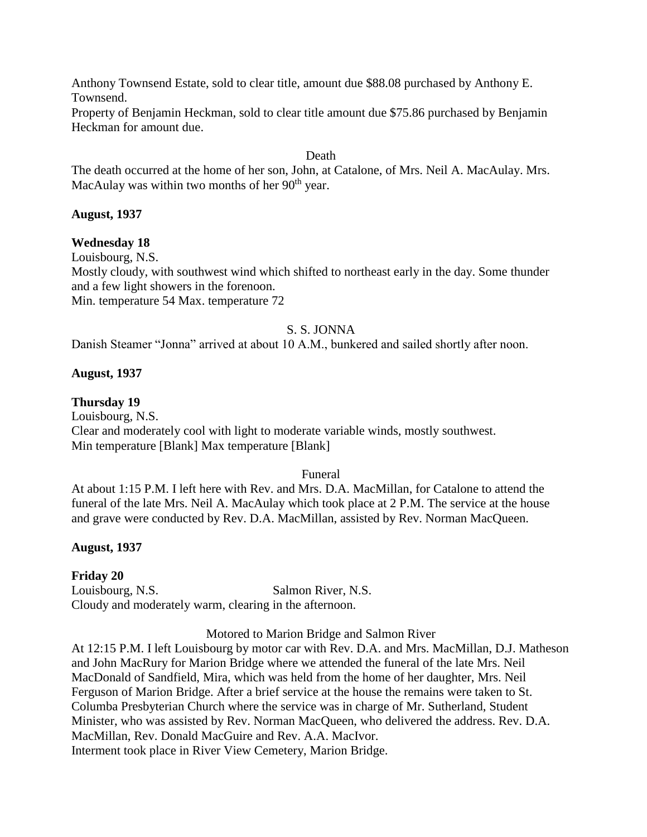Anthony Townsend Estate, sold to clear title, amount due \$88.08 purchased by Anthony E. Townsend.

Property of Benjamin Heckman, sold to clear title amount due \$75.86 purchased by Benjamin Heckman for amount due.

#### Death

The death occurred at the home of her son, John, at Catalone, of Mrs. Neil A. MacAulay. Mrs. MacAulay was within two months of her  $90<sup>th</sup>$  year.

### **August, 1937**

### **Wednesday 18**

Louisbourg, N.S.

Mostly cloudy, with southwest wind which shifted to northeast early in the day. Some thunder and a few light showers in the forenoon.

Min. temperature 54 Max. temperature 72

### S. S. JONNA

Danish Steamer "Jonna" arrived at about 10 A.M., bunkered and sailed shortly after noon.

### **August, 1937**

### **Thursday 19**

Louisbourg, N.S. Clear and moderately cool with light to moderate variable winds, mostly southwest. Min temperature [Blank] Max temperature [Blank]

### Funeral

At about 1:15 P.M. I left here with Rev. and Mrs. D.A. MacMillan, for Catalone to attend the funeral of the late Mrs. Neil A. MacAulay which took place at 2 P.M. The service at the house and grave were conducted by Rev. D.A. MacMillan, assisted by Rev. Norman MacQueen.

# **August, 1937**

# **Friday 20**

Louisbourg, N.S. Salmon River, N.S. Cloudy and moderately warm, clearing in the afternoon.

Motored to Marion Bridge and Salmon River

At 12:15 P.M. I left Louisbourg by motor car with Rev. D.A. and Mrs. MacMillan, D.J. Matheson and John MacRury for Marion Bridge where we attended the funeral of the late Mrs. Neil MacDonald of Sandfield, Mira, which was held from the home of her daughter, Mrs. Neil Ferguson of Marion Bridge. After a brief service at the house the remains were taken to St. Columba Presbyterian Church where the service was in charge of Mr. Sutherland, Student Minister, who was assisted by Rev. Norman MacQueen, who delivered the address. Rev. D.A. MacMillan, Rev. Donald MacGuire and Rev. A.A. MacIvor. Interment took place in River View Cemetery, Marion Bridge.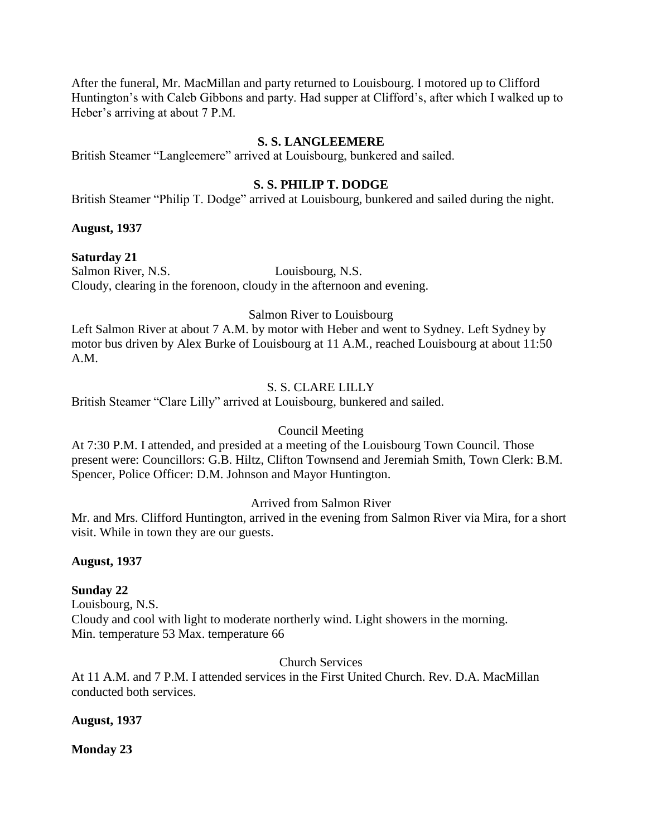After the funeral, Mr. MacMillan and party returned to Louisbourg. I motored up to Clifford Huntington's with Caleb Gibbons and party. Had supper at Clifford's, after which I walked up to Heber's arriving at about 7 P.M.

### **S. S. LANGLEEMERE**

British Steamer "Langleemere" arrived at Louisbourg, bunkered and sailed.

### **S. S. PHILIP T. DODGE**

British Steamer "Philip T. Dodge" arrived at Louisbourg, bunkered and sailed during the night.

#### **August, 1937**

### **Saturday 21**

Salmon River, N.S. Louisbourg, N.S. Cloudy, clearing in the forenoon, cloudy in the afternoon and evening.

### Salmon River to Louisbourg

Left Salmon River at about 7 A.M. by motor with Heber and went to Sydney. Left Sydney by motor bus driven by Alex Burke of Louisbourg at 11 A.M., reached Louisbourg at about 11:50 A.M.

### S. S. CLARE LILLY

British Steamer "Clare Lilly" arrived at Louisbourg, bunkered and sailed.

### Council Meeting

At 7:30 P.M. I attended, and presided at a meeting of the Louisbourg Town Council. Those present were: Councillors: G.B. Hiltz, Clifton Townsend and Jeremiah Smith, Town Clerk: B.M. Spencer, Police Officer: D.M. Johnson and Mayor Huntington.

### Arrived from Salmon River

Mr. and Mrs. Clifford Huntington, arrived in the evening from Salmon River via Mira, for a short visit. While in town they are our guests.

### **August, 1937**

# **Sunday 22**

Louisbourg, N.S. Cloudy and cool with light to moderate northerly wind. Light showers in the morning. Min. temperature 53 Max. temperature 66

Church Services

At 11 A.M. and 7 P.M. I attended services in the First United Church. Rev. D.A. MacMillan conducted both services.

### **August, 1937**

### **Monday 23**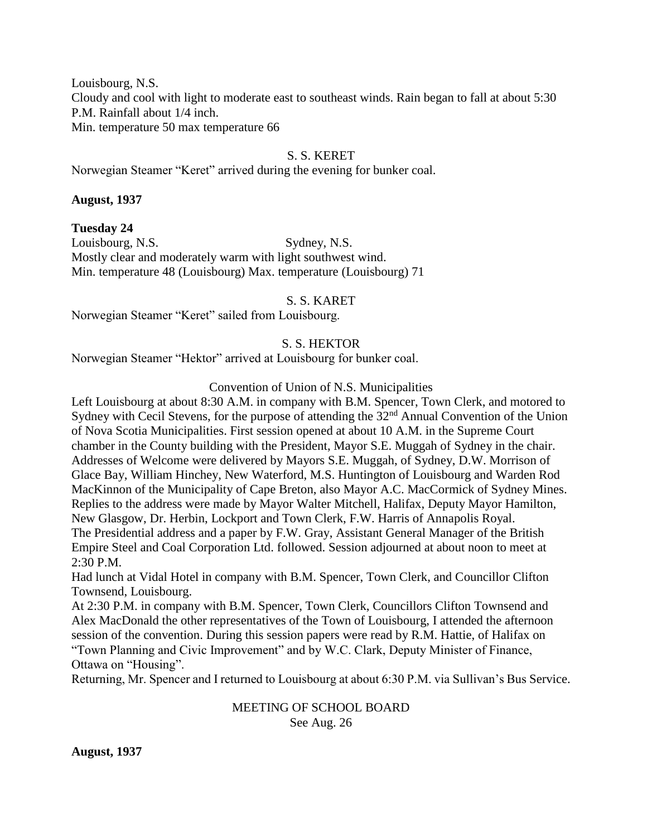Louisbourg, N.S. Cloudy and cool with light to moderate east to southeast winds. Rain began to fall at about 5:30 P.M. Rainfall about 1/4 inch. Min. temperature 50 max temperature 66

### S. S. KERET

Norwegian Steamer "Keret" arrived during the evening for bunker coal.

#### **August, 1937**

**Tuesday 24** Louisbourg, N.S. Sydney, N.S. Mostly clear and moderately warm with light southwest wind. Min. temperature 48 (Louisbourg) Max. temperature (Louisbourg) 71

S. S. KARET

Norwegian Steamer "Keret" sailed from Louisbourg.

### S. S. HEKTOR

Norwegian Steamer "Hektor" arrived at Louisbourg for bunker coal.

### Convention of Union of N.S. Municipalities

Left Louisbourg at about 8:30 A.M. in company with B.M. Spencer, Town Clerk, and motored to Sydney with Cecil Stevens, for the purpose of attending the 32<sup>nd</sup> Annual Convention of the Union of Nova Scotia Municipalities. First session opened at about 10 A.M. in the Supreme Court chamber in the County building with the President, Mayor S.E. Muggah of Sydney in the chair. Addresses of Welcome were delivered by Mayors S.E. Muggah, of Sydney, D.W. Morrison of Glace Bay, William Hinchey, New Waterford, M.S. Huntington of Louisbourg and Warden Rod MacKinnon of the Municipality of Cape Breton, also Mayor A.C. MacCormick of Sydney Mines. Replies to the address were made by Mayor Walter Mitchell, Halifax, Deputy Mayor Hamilton, New Glasgow, Dr. Herbin, Lockport and Town Clerk, F.W. Harris of Annapolis Royal. The Presidential address and a paper by F.W. Gray, Assistant General Manager of the British Empire Steel and Coal Corporation Ltd. followed. Session adjourned at about noon to meet at 2:30 P.M.

Had lunch at Vidal Hotel in company with B.M. Spencer, Town Clerk, and Councillor Clifton Townsend, Louisbourg.

At 2:30 P.M. in company with B.M. Spencer, Town Clerk, Councillors Clifton Townsend and Alex MacDonald the other representatives of the Town of Louisbourg, I attended the afternoon session of the convention. During this session papers were read by R.M. Hattie, of Halifax on "Town Planning and Civic Improvement" and by W.C. Clark, Deputy Minister of Finance, Ottawa on "Housing".

Returning, Mr. Spencer and I returned to Louisbourg at about 6:30 P.M. via Sullivan's Bus Service.

MEETING OF SCHOOL BOARD See Aug. 26

**August, 1937**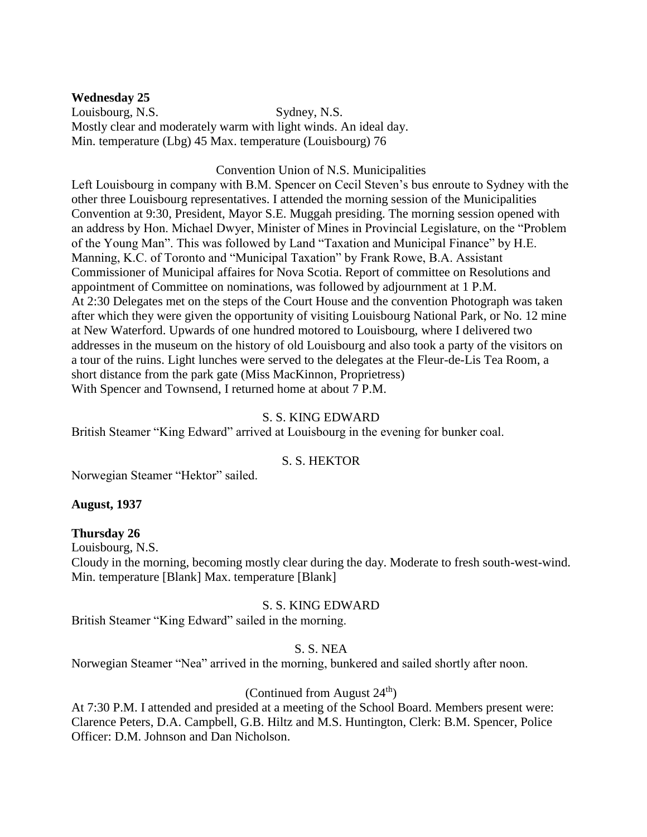**Wednesday 25** Louisbourg, N.S. Sydney, N.S. Mostly clear and moderately warm with light winds. An ideal day. Min. temperature (Lbg) 45 Max. temperature (Louisbourg) 76

#### Convention Union of N.S. Municipalities

Left Louisbourg in company with B.M. Spencer on Cecil Steven's bus enroute to Sydney with the other three Louisbourg representatives. I attended the morning session of the Municipalities Convention at 9:30, President, Mayor S.E. Muggah presiding. The morning session opened with an address by Hon. Michael Dwyer, Minister of Mines in Provincial Legislature, on the "Problem of the Young Man". This was followed by Land "Taxation and Municipal Finance" by H.E. Manning, K.C. of Toronto and "Municipal Taxation" by Frank Rowe, B.A. Assistant Commissioner of Municipal affaires for Nova Scotia. Report of committee on Resolutions and appointment of Committee on nominations, was followed by adjournment at 1 P.M. At 2:30 Delegates met on the steps of the Court House and the convention Photograph was taken after which they were given the opportunity of visiting Louisbourg National Park, or No. 12 mine at New Waterford. Upwards of one hundred motored to Louisbourg, where I delivered two addresses in the museum on the history of old Louisbourg and also took a party of the visitors on a tour of the ruins. Light lunches were served to the delegates at the Fleur-de-Lis Tea Room, a short distance from the park gate (Miss MacKinnon, Proprietress) With Spencer and Townsend, I returned home at about 7 P.M.

#### S. S. KING EDWARD

British Steamer "King Edward" arrived at Louisbourg in the evening for bunker coal.

### S. S. HEKTOR

Norwegian Steamer "Hektor" sailed.

### **August, 1937**

### **Thursday 26**

Louisbourg, N.S.

Cloudy in the morning, becoming mostly clear during the day. Moderate to fresh south-west-wind. Min. temperature [Blank] Max. temperature [Blank]

#### S. S. KING EDWARD

British Steamer "King Edward" sailed in the morning.

### S. S. NEA

Norwegian Steamer "Nea" arrived in the morning, bunkered and sailed shortly after noon.

### (Continued from August  $24<sup>th</sup>$ )

At 7:30 P.M. I attended and presided at a meeting of the School Board. Members present were: Clarence Peters, D.A. Campbell, G.B. Hiltz and M.S. Huntington, Clerk: B.M. Spencer, Police Officer: D.M. Johnson and Dan Nicholson.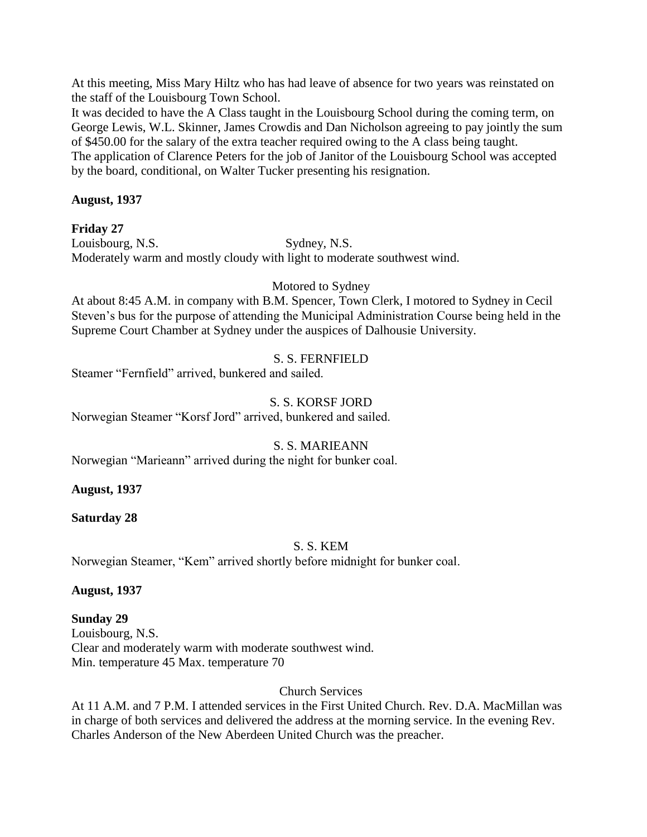At this meeting, Miss Mary Hiltz who has had leave of absence for two years was reinstated on the staff of the Louisbourg Town School.

It was decided to have the A Class taught in the Louisbourg School during the coming term, on George Lewis, W.L. Skinner, James Crowdis and Dan Nicholson agreeing to pay jointly the sum of \$450.00 for the salary of the extra teacher required owing to the A class being taught. The application of Clarence Peters for the job of Janitor of the Louisbourg School was accepted by the board, conditional, on Walter Tucker presenting his resignation.

### **August, 1937**

### **Friday 27**

Louisbourg, N.S. Sydney, N.S. Moderately warm and mostly cloudy with light to moderate southwest wind.

### Motored to Sydney

At about 8:45 A.M. in company with B.M. Spencer, Town Clerk, I motored to Sydney in Cecil Steven's bus for the purpose of attending the Municipal Administration Course being held in the Supreme Court Chamber at Sydney under the auspices of Dalhousie University.

### S. S. FERNFIELD

Steamer "Fernfield" arrived, bunkered and sailed.

### S. S. KORSF JORD

Norwegian Steamer "Korsf Jord" arrived, bunkered and sailed.

# S. S. MARIEANN

Norwegian "Marieann" arrived during the night for bunker coal.

### **August, 1937**

# **Saturday 28**

# S. S. KEM

Norwegian Steamer, "Kem" arrived shortly before midnight for bunker coal.

### **August, 1937**

# **Sunday 29**

Louisbourg, N.S. Clear and moderately warm with moderate southwest wind. Min. temperature 45 Max. temperature 70

# Church Services

At 11 A.M. and 7 P.M. I attended services in the First United Church. Rev. D.A. MacMillan was in charge of both services and delivered the address at the morning service. In the evening Rev. Charles Anderson of the New Aberdeen United Church was the preacher.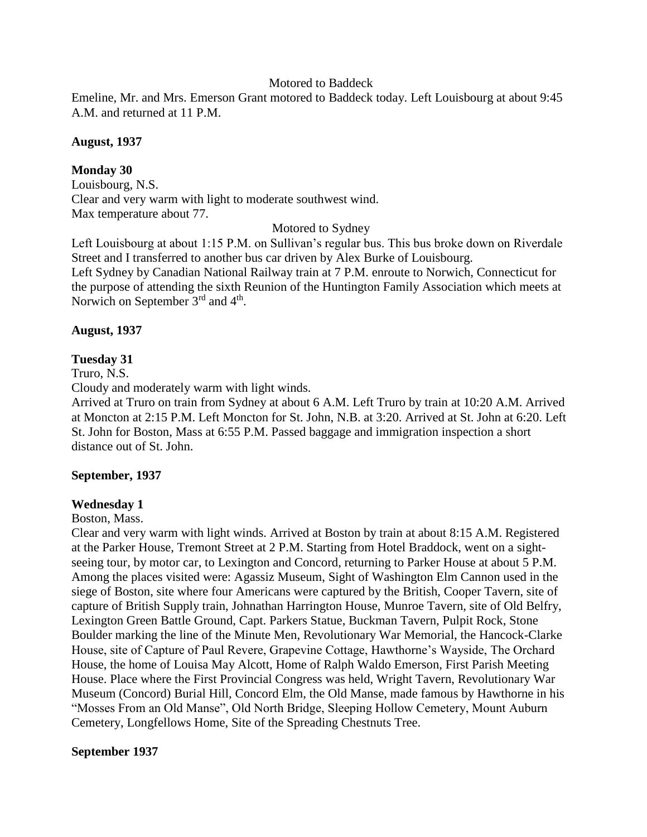#### Motored to Baddeck

Emeline, Mr. and Mrs. Emerson Grant motored to Baddeck today. Left Louisbourg at about 9:45 A.M. and returned at 11 P.M.

#### **August, 1937**

### **Monday 30**

Louisbourg, N.S. Clear and very warm with light to moderate southwest wind. Max temperature about 77.

Motored to Sydney

Left Louisbourg at about 1:15 P.M. on Sullivan's regular bus. This bus broke down on Riverdale Street and I transferred to another bus car driven by Alex Burke of Louisbourg.

Left Sydney by Canadian National Railway train at 7 P.M. enroute to Norwich, Connecticut for the purpose of attending the sixth Reunion of the Huntington Family Association which meets at Norwich on September 3<sup>rd</sup> and 4<sup>th</sup>.

#### **August, 1937**

#### **Tuesday 31**

Truro, N.S.

Cloudy and moderately warm with light winds.

Arrived at Truro on train from Sydney at about 6 A.M. Left Truro by train at 10:20 A.M. Arrived at Moncton at 2:15 P.M. Left Moncton for St. John, N.B. at 3:20. Arrived at St. John at 6:20. Left St. John for Boston, Mass at 6:55 P.M. Passed baggage and immigration inspection a short distance out of St. John.

#### **September, 1937**

### **Wednesday 1**

#### Boston, Mass.

Clear and very warm with light winds. Arrived at Boston by train at about 8:15 A.M. Registered at the Parker House, Tremont Street at 2 P.M. Starting from Hotel Braddock, went on a sightseeing tour, by motor car, to Lexington and Concord, returning to Parker House at about 5 P.M. Among the places visited were: Agassiz Museum, Sight of Washington Elm Cannon used in the siege of Boston, site where four Americans were captured by the British, Cooper Tavern, site of capture of British Supply train, Johnathan Harrington House, Munroe Tavern, site of Old Belfry, Lexington Green Battle Ground, Capt. Parkers Statue, Buckman Tavern, Pulpit Rock, Stone Boulder marking the line of the Minute Men, Revolutionary War Memorial, the Hancock-Clarke House, site of Capture of Paul Revere, Grapevine Cottage, Hawthorne's Wayside, The Orchard House, the home of Louisa May Alcott, Home of Ralph Waldo Emerson, First Parish Meeting House. Place where the First Provincial Congress was held, Wright Tavern, Revolutionary War Museum (Concord) Burial Hill, Concord Elm, the Old Manse, made famous by Hawthorne in his "Mosses From an Old Manse", Old North Bridge, Sleeping Hollow Cemetery, Mount Auburn Cemetery, Longfellows Home, Site of the Spreading Chestnuts Tree.

### **September 1937**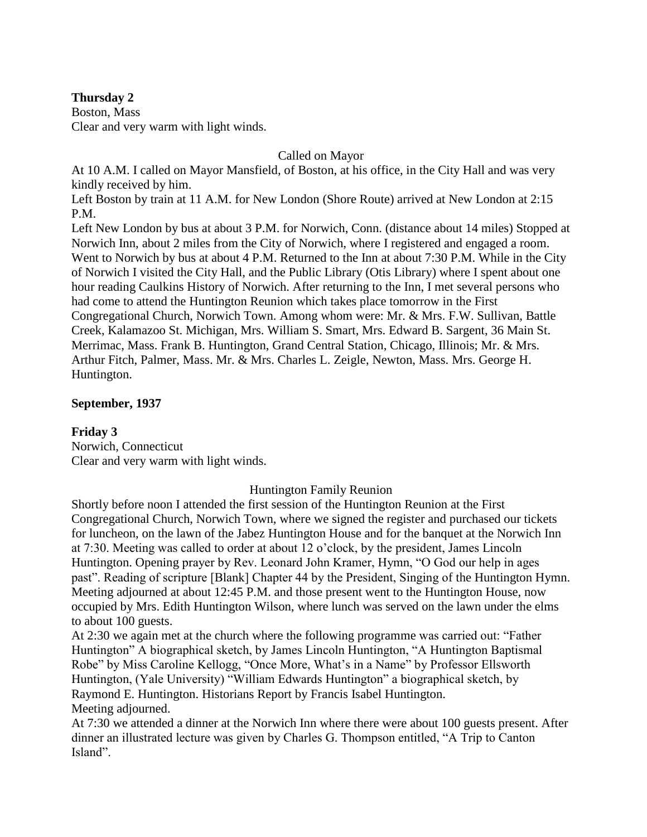# **Thursday 2**

Boston, Mass Clear and very warm with light winds.

### Called on Mayor

At 10 A.M. I called on Mayor Mansfield, of Boston, at his office, in the City Hall and was very kindly received by him.

Left Boston by train at 11 A.M. for New London (Shore Route) arrived at New London at 2:15 P.M.

Left New London by bus at about 3 P.M. for Norwich, Conn. (distance about 14 miles) Stopped at Norwich Inn, about 2 miles from the City of Norwich, where I registered and engaged a room. Went to Norwich by bus at about 4 P.M. Returned to the Inn at about 7:30 P.M. While in the City of Norwich I visited the City Hall, and the Public Library (Otis Library) where I spent about one hour reading Caulkins History of Norwich. After returning to the Inn, I met several persons who had come to attend the Huntington Reunion which takes place tomorrow in the First Congregational Church, Norwich Town. Among whom were: Mr. & Mrs. F.W. Sullivan, Battle Creek, Kalamazoo St. Michigan, Mrs. William S. Smart, Mrs. Edward B. Sargent, 36 Main St. Merrimac, Mass. Frank B. Huntington, Grand Central Station, Chicago, Illinois; Mr. & Mrs. Arthur Fitch, Palmer, Mass. Mr. & Mrs. Charles L. Zeigle, Newton, Mass. Mrs. George H. Huntington.

### **September, 1937**

# **Friday 3**

Norwich, Connecticut Clear and very warm with light winds.

### Huntington Family Reunion

Shortly before noon I attended the first session of the Huntington Reunion at the First Congregational Church, Norwich Town, where we signed the register and purchased our tickets for luncheon, on the lawn of the Jabez Huntington House and for the banquet at the Norwich Inn at 7:30. Meeting was called to order at about 12 o'clock, by the president, James Lincoln Huntington. Opening prayer by Rev. Leonard John Kramer, Hymn, "O God our help in ages past". Reading of scripture [Blank] Chapter 44 by the President, Singing of the Huntington Hymn. Meeting adjourned at about 12:45 P.M. and those present went to the Huntington House, now occupied by Mrs. Edith Huntington Wilson, where lunch was served on the lawn under the elms to about 100 guests.

At 2:30 we again met at the church where the following programme was carried out: "Father Huntington" A biographical sketch, by James Lincoln Huntington, "A Huntington Baptismal Robe" by Miss Caroline Kellogg, "Once More, What's in a Name" by Professor Ellsworth Huntington, (Yale University) "William Edwards Huntington" a biographical sketch, by Raymond E. Huntington. Historians Report by Francis Isabel Huntington. Meeting adjourned.

At 7:30 we attended a dinner at the Norwich Inn where there were about 100 guests present. After dinner an illustrated lecture was given by Charles G. Thompson entitled, "A Trip to Canton Island".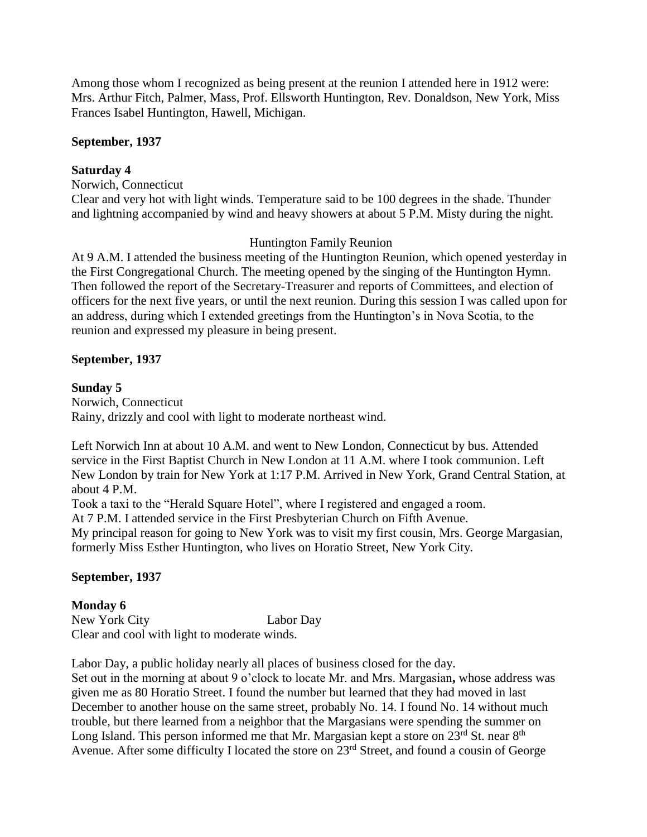Among those whom I recognized as being present at the reunion I attended here in 1912 were: Mrs. Arthur Fitch, Palmer, Mass, Prof. Ellsworth Huntington, Rev. Donaldson, New York, Miss Frances Isabel Huntington, Hawell, Michigan.

### **September, 1937**

# **Saturday 4**

Norwich, Connecticut

Clear and very hot with light winds. Temperature said to be 100 degrees in the shade. Thunder and lightning accompanied by wind and heavy showers at about 5 P.M. Misty during the night.

### Huntington Family Reunion

At 9 A.M. I attended the business meeting of the Huntington Reunion, which opened yesterday in the First Congregational Church. The meeting opened by the singing of the Huntington Hymn. Then followed the report of the Secretary-Treasurer and reports of Committees, and election of officers for the next five years, or until the next reunion. During this session I was called upon for an address, during which I extended greetings from the Huntington's in Nova Scotia, to the reunion and expressed my pleasure in being present.

### **September, 1937**

#### **Sunday 5**

Norwich, Connecticut Rainy, drizzly and cool with light to moderate northeast wind.

Left Norwich Inn at about 10 A.M. and went to New London, Connecticut by bus. Attended service in the First Baptist Church in New London at 11 A.M. where I took communion. Left New London by train for New York at 1:17 P.M. Arrived in New York, Grand Central Station, at about 4 P.M.

Took a taxi to the "Herald Square Hotel", where I registered and engaged a room.

At 7 P.M. I attended service in the First Presbyterian Church on Fifth Avenue.

My principal reason for going to New York was to visit my first cousin, Mrs. George Margasian, formerly Miss Esther Huntington, who lives on Horatio Street, New York City.

### **September, 1937**

### **Monday 6**

New York City Labor Day Clear and cool with light to moderate winds.

Labor Day, a public holiday nearly all places of business closed for the day.

Set out in the morning at about 9 o'clock to locate Mr. and Mrs. Margasian**,** whose address was given me as 80 Horatio Street. I found the number but learned that they had moved in last December to another house on the same street, probably No. 14. I found No. 14 without much trouble, but there learned from a neighbor that the Margasians were spending the summer on Long Island. This person informed me that Mr. Margasian kept a store on  $23<sup>rd</sup>$  St. near  $8<sup>th</sup>$ Avenue. After some difficulty I located the store on  $23<sup>rd</sup>$  Street, and found a cousin of George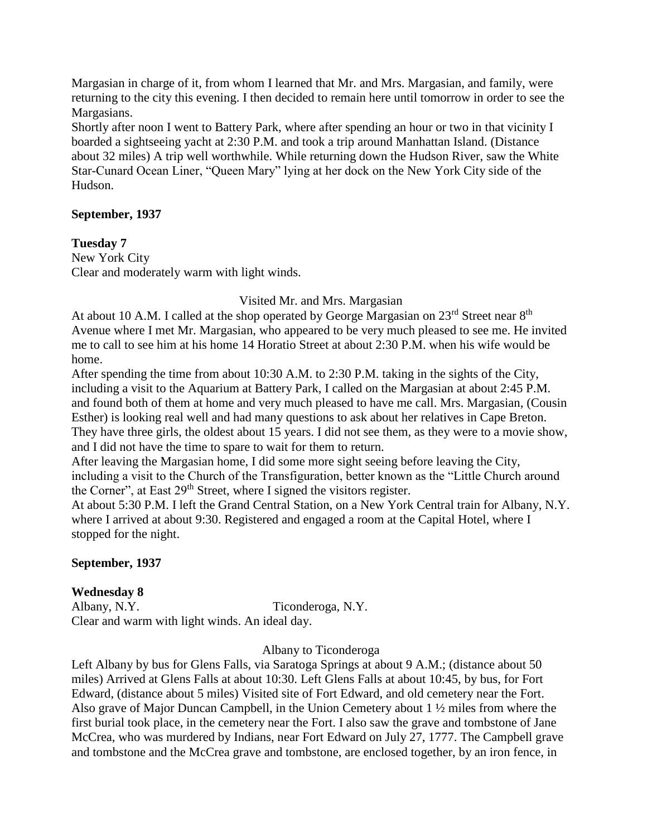Margasian in charge of it, from whom I learned that Mr. and Mrs. Margasian, and family, were returning to the city this evening. I then decided to remain here until tomorrow in order to see the Margasians.

Shortly after noon I went to Battery Park, where after spending an hour or two in that vicinity I boarded a sightseeing yacht at 2:30 P.M. and took a trip around Manhattan Island. (Distance about 32 miles) A trip well worthwhile. While returning down the Hudson River, saw the White Star-Cunard Ocean Liner, "Queen Mary" lying at her dock on the New York City side of the Hudson.

### **September, 1937**

### **Tuesday 7**

New York City Clear and moderately warm with light winds.

### Visited Mr. and Mrs. Margasian

At about 10 A.M. I called at the shop operated by George Margasian on  $23^{\text{rd}}$  Street near  $8^{\text{th}}$ Avenue where I met Mr. Margasian, who appeared to be very much pleased to see me. He invited me to call to see him at his home 14 Horatio Street at about 2:30 P.M. when his wife would be home.

After spending the time from about 10:30 A.M. to 2:30 P.M. taking in the sights of the City, including a visit to the Aquarium at Battery Park, I called on the Margasian at about 2:45 P.M. and found both of them at home and very much pleased to have me call. Mrs. Margasian, (Cousin Esther) is looking real well and had many questions to ask about her relatives in Cape Breton. They have three girls, the oldest about 15 years. I did not see them, as they were to a movie show, and I did not have the time to spare to wait for them to return.

After leaving the Margasian home, I did some more sight seeing before leaving the City, including a visit to the Church of the Transfiguration, better known as the "Little Church around the Corner", at East 29<sup>th</sup> Street, where I signed the visitors register.

At about 5:30 P.M. I left the Grand Central Station, on a New York Central train for Albany, N.Y. where I arrived at about 9:30. Registered and engaged a room at the Capital Hotel, where I stopped for the night.

# **September, 1937**

# **Wednesday 8**

Albany, N.Y. Ticonderoga, N.Y. Clear and warm with light winds. An ideal day.

Albany to Ticonderoga

Left Albany by bus for Glens Falls, via Saratoga Springs at about 9 A.M.; (distance about 50 miles) Arrived at Glens Falls at about 10:30. Left Glens Falls at about 10:45, by bus, for Fort Edward, (distance about 5 miles) Visited site of Fort Edward, and old cemetery near the Fort. Also grave of Major Duncan Campbell, in the Union Cemetery about 1 ½ miles from where the first burial took place, in the cemetery near the Fort. I also saw the grave and tombstone of Jane McCrea, who was murdered by Indians, near Fort Edward on July 27, 1777. The Campbell grave and tombstone and the McCrea grave and tombstone, are enclosed together, by an iron fence, in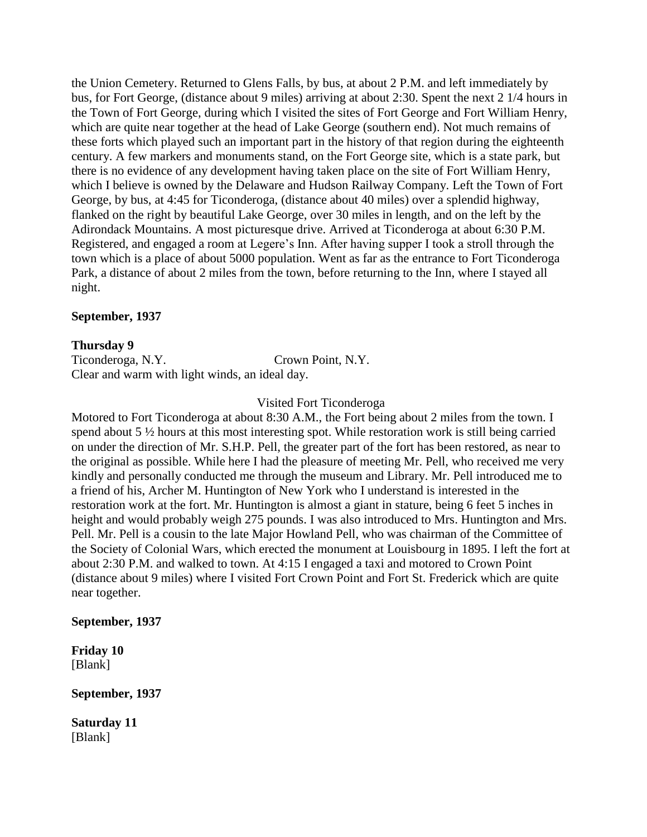the Union Cemetery. Returned to Glens Falls, by bus, at about 2 P.M. and left immediately by bus, for Fort George, (distance about 9 miles) arriving at about 2:30. Spent the next 2 1/4 hours in the Town of Fort George, during which I visited the sites of Fort George and Fort William Henry, which are quite near together at the head of Lake George (southern end). Not much remains of these forts which played such an important part in the history of that region during the eighteenth century. A few markers and monuments stand, on the Fort George site, which is a state park, but there is no evidence of any development having taken place on the site of Fort William Henry, which I believe is owned by the Delaware and Hudson Railway Company. Left the Town of Fort George, by bus, at 4:45 for Ticonderoga, (distance about 40 miles) over a splendid highway, flanked on the right by beautiful Lake George, over 30 miles in length, and on the left by the Adirondack Mountains. A most picturesque drive. Arrived at Ticonderoga at about 6:30 P.M. Registered, and engaged a room at Legere's Inn. After having supper I took a stroll through the town which is a place of about 5000 population. Went as far as the entrance to Fort Ticonderoga Park, a distance of about 2 miles from the town, before returning to the Inn, where I stayed all night.

#### **September, 1937**

#### **Thursday 9**

Ticonderoga, N.Y. Crown Point, N.Y. Clear and warm with light winds, an ideal day.

Visited Fort Ticonderoga

Motored to Fort Ticonderoga at about 8:30 A.M., the Fort being about 2 miles from the town. I spend about 5  $\frac{1}{2}$  hours at this most interesting spot. While restoration work is still being carried on under the direction of Mr. S.H.P. Pell, the greater part of the fort has been restored, as near to the original as possible. While here I had the pleasure of meeting Mr. Pell, who received me very kindly and personally conducted me through the museum and Library. Mr. Pell introduced me to a friend of his, Archer M. Huntington of New York who I understand is interested in the restoration work at the fort. Mr. Huntington is almost a giant in stature, being 6 feet 5 inches in height and would probably weigh 275 pounds. I was also introduced to Mrs. Huntington and Mrs. Pell. Mr. Pell is a cousin to the late Major Howland Pell, who was chairman of the Committee of the Society of Colonial Wars, which erected the monument at Louisbourg in 1895. I left the fort at about 2:30 P.M. and walked to town. At 4:15 I engaged a taxi and motored to Crown Point (distance about 9 miles) where I visited Fort Crown Point and Fort St. Frederick which are quite near together.

### **September, 1937**

**Friday 10** [Blank]

**September, 1937**

**Saturday 11** [Blank]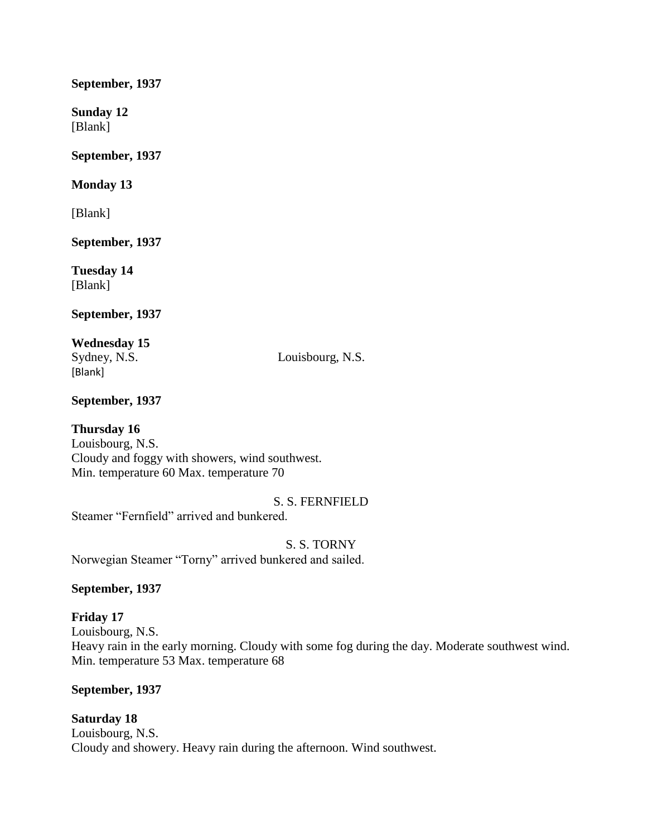### **September, 1937**

**Sunday 12** [Blank]

**September, 1937**

# **Monday 13**

[Blank]

**September, 1937**

**Tuesday 14** [Blank]

# **September, 1937**

**Wednesday 15** [Blank]

Sydney, N.S. Louisbourg, N.S.

# **September, 1937**

# **Thursday 16**

Louisbourg, N.S. Cloudy and foggy with showers, wind southwest. Min. temperature 60 Max. temperature 70

# S. S. FERNFIELD

Steamer "Fernfield" arrived and bunkered.

S. S. TORNY Norwegian Steamer "Torny" arrived bunkered and sailed.

# **September, 1937**

# **Friday 17** Louisbourg, N.S. Heavy rain in the early morning. Cloudy with some fog during the day. Moderate southwest wind. Min. temperature 53 Max. temperature 68

# **September, 1937**

**Saturday 18** Louisbourg, N.S. Cloudy and showery. Heavy rain during the afternoon. Wind southwest.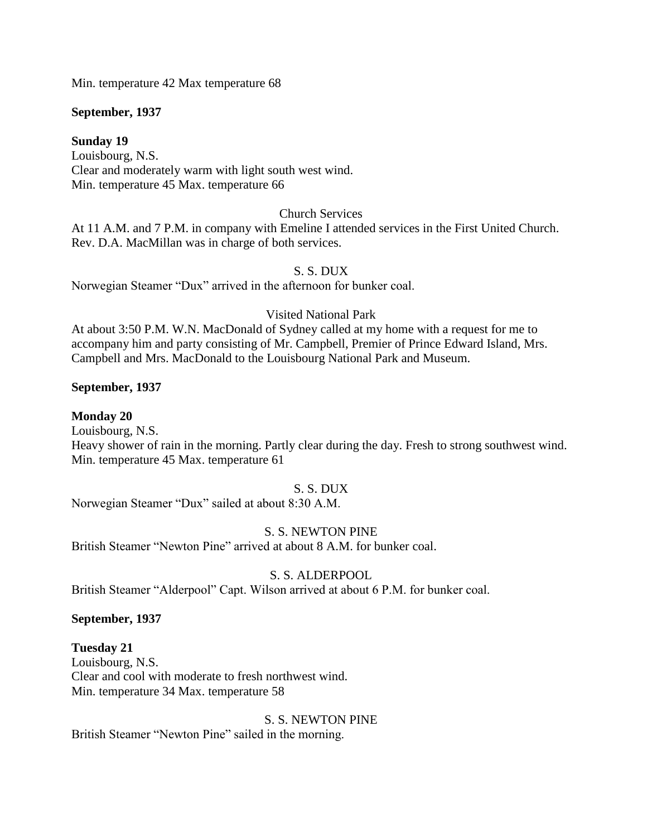Min. temperature 42 Max temperature 68

### **September, 1937**

### **Sunday 19**

Louisbourg, N.S. Clear and moderately warm with light south west wind. Min. temperature 45 Max. temperature 66

### Church Services

At 11 A.M. and 7 P.M. in company with Emeline I attended services in the First United Church. Rev. D.A. MacMillan was in charge of both services.

### S. S. DUX

Norwegian Steamer "Dux" arrived in the afternoon for bunker coal.

### Visited National Park

At about 3:50 P.M. W.N. MacDonald of Sydney called at my home with a request for me to accompany him and party consisting of Mr. Campbell, Premier of Prince Edward Island, Mrs. Campbell and Mrs. MacDonald to the Louisbourg National Park and Museum.

### **September, 1937**

# **Monday 20**

Louisbourg, N.S.

Heavy shower of rain in the morning. Partly clear during the day. Fresh to strong southwest wind. Min. temperature 45 Max. temperature 61

### S. S. DUX

Norwegian Steamer "Dux" sailed at about 8:30 A.M.

### S. S. NEWTON PINE

British Steamer "Newton Pine" arrived at about 8 A.M. for bunker coal.

### S. S. ALDERPOOL

British Steamer "Alderpool" Capt. Wilson arrived at about 6 P.M. for bunker coal.

### **September, 1937**

# **Tuesday 21**

Louisbourg, N.S. Clear and cool with moderate to fresh northwest wind. Min. temperature 34 Max. temperature 58

S. S. NEWTON PINE British Steamer "Newton Pine" sailed in the morning.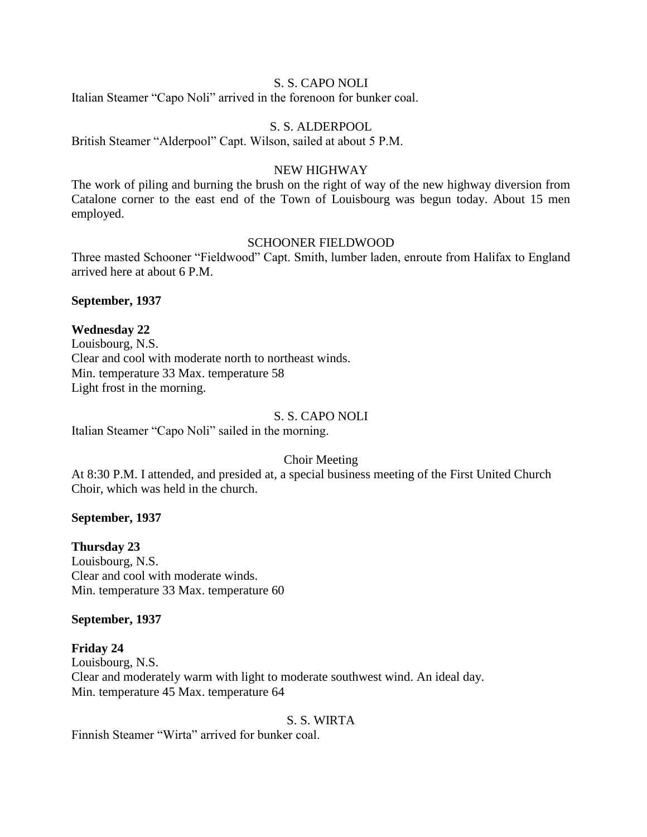### S. S. CAPO NOLI

Italian Steamer "Capo Noli" arrived in the forenoon for bunker coal.

### S. S. ALDERPOOL

British Steamer "Alderpool" Capt. Wilson, sailed at about 5 P.M.

#### NEW HIGHWAY

The work of piling and burning the brush on the right of way of the new highway diversion from Catalone corner to the east end of the Town of Louisbourg was begun today. About 15 men employed.

#### SCHOONER FIELDWOOD

Three masted Schooner "Fieldwood" Capt. Smith, lumber laden, enroute from Halifax to England arrived here at about 6 P.M.

#### **September, 1937**

#### **Wednesday 22**

Louisbourg, N.S. Clear and cool with moderate north to northeast winds. Min. temperature 33 Max. temperature 58 Light frost in the morning.

#### S. S. CAPO NOLI

Italian Steamer "Capo Noli" sailed in the morning.

### Choir Meeting

At 8:30 P.M. I attended, and presided at, a special business meeting of the First United Church Choir, which was held in the church.

#### **September, 1937**

### **Thursday 23**

Louisbourg, N.S. Clear and cool with moderate winds. Min. temperature 33 Max. temperature 60

#### **September, 1937**

### **Friday 24**

Louisbourg, N.S. Clear and moderately warm with light to moderate southwest wind. An ideal day. Min. temperature 45 Max. temperature 64

#### S. S. WIRTA

Finnish Steamer "Wirta" arrived for bunker coal.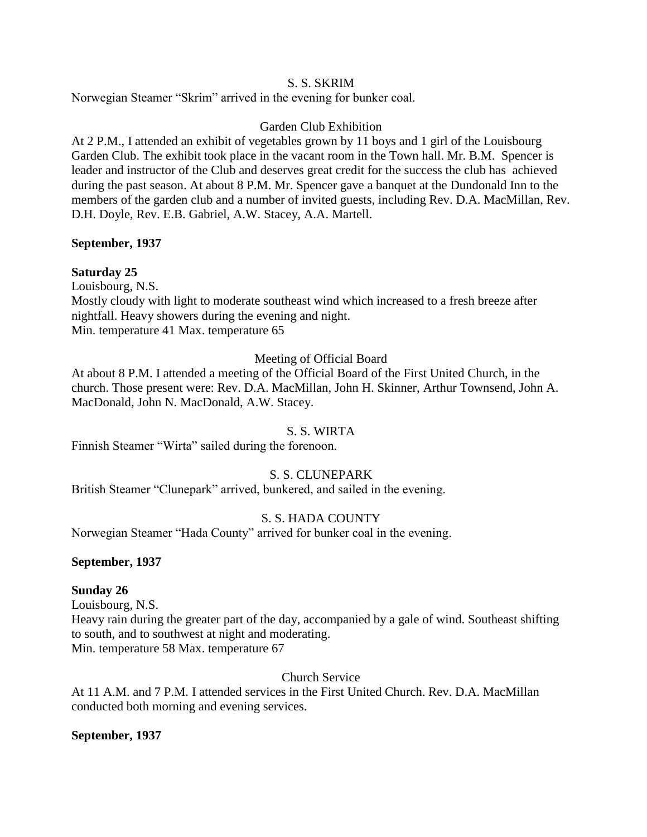### S. S. SKRIM

Norwegian Steamer "Skrim" arrived in the evening for bunker coal.

# Garden Club Exhibition

At 2 P.M., I attended an exhibit of vegetables grown by 11 boys and 1 girl of the Louisbourg Garden Club. The exhibit took place in the vacant room in the Town hall. Mr. B.M. Spencer is leader and instructor of the Club and deserves great credit for the success the club has achieved during the past season. At about 8 P.M. Mr. Spencer gave a banquet at the Dundonald Inn to the members of the garden club and a number of invited guests, including Rev. D.A. MacMillan, Rev. D.H. Doyle, Rev. E.B. Gabriel, A.W. Stacey, A.A. Martell.

### **September, 1937**

# **Saturday 25**

Louisbourg, N.S.

Mostly cloudy with light to moderate southeast wind which increased to a fresh breeze after nightfall. Heavy showers during the evening and night. Min. temperature 41 Max. temperature 65

### Meeting of Official Board

At about 8 P.M. I attended a meeting of the Official Board of the First United Church, in the church. Those present were: Rev. D.A. MacMillan, John H. Skinner, Arthur Townsend, John A. MacDonald, John N. MacDonald, A.W. Stacey.

### S. S. WIRTA

Finnish Steamer "Wirta" sailed during the forenoon.

# S. S. CLUNEPARK

British Steamer "Clunepark" arrived, bunkered, and sailed in the evening.

# S. S. HADA COUNTY

Norwegian Steamer "Hada County" arrived for bunker coal in the evening.

### **September, 1937**

# **Sunday 26**

Louisbourg, N.S.

Heavy rain during the greater part of the day, accompanied by a gale of wind. Southeast shifting to south, and to southwest at night and moderating. Min. temperature 58 Max. temperature 67

Church Service

At 11 A.M. and 7 P.M. I attended services in the First United Church. Rev. D.A. MacMillan conducted both morning and evening services.

### **September, 1937**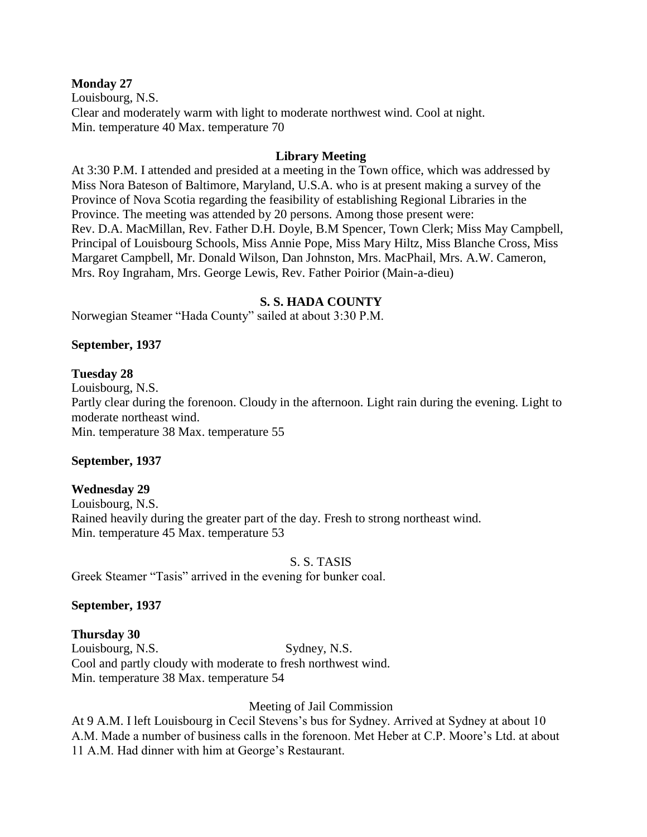#### **Monday 27**

Louisbourg, N.S. Clear and moderately warm with light to moderate northwest wind. Cool at night. Min. temperature 40 Max. temperature 70

### **Library Meeting**

At 3:30 P.M. I attended and presided at a meeting in the Town office, which was addressed by Miss Nora Bateson of Baltimore, Maryland, U.S.A. who is at present making a survey of the Province of Nova Scotia regarding the feasibility of establishing Regional Libraries in the Province. The meeting was attended by 20 persons. Among those present were: Rev. D.A. MacMillan, Rev. Father D.H. Doyle, B.M Spencer, Town Clerk; Miss May Campbell, Principal of Louisbourg Schools, Miss Annie Pope, Miss Mary Hiltz, Miss Blanche Cross, Miss Margaret Campbell, Mr. Donald Wilson, Dan Johnston, Mrs. MacPhail, Mrs. A.W. Cameron, Mrs. Roy Ingraham, Mrs. George Lewis, Rev. Father Poirior (Main-a-dieu)

#### **S. S. HADA COUNTY**

Norwegian Steamer "Hada County" sailed at about 3:30 P.M.

#### **September, 1937**

#### **Tuesday 28**

Louisbourg, N.S. Partly clear during the forenoon. Cloudy in the afternoon. Light rain during the evening. Light to moderate northeast wind. Min. temperature 38 Max. temperature 55

### **September, 1937**

### **Wednesday 29**

Louisbourg, N.S. Rained heavily during the greater part of the day. Fresh to strong northeast wind. Min. temperature 45 Max. temperature 53

S. S. TASIS

Greek Steamer "Tasis" arrived in the evening for bunker coal.

### **September, 1937**

### **Thursday 30**

Louisbourg, N.S. Sydney, N.S. Cool and partly cloudy with moderate to fresh northwest wind. Min. temperature 38 Max. temperature 54

### Meeting of Jail Commission

At 9 A.M. I left Louisbourg in Cecil Stevens's bus for Sydney. Arrived at Sydney at about 10 A.M. Made a number of business calls in the forenoon. Met Heber at C.P. Moore's Ltd. at about 11 A.M. Had dinner with him at George's Restaurant.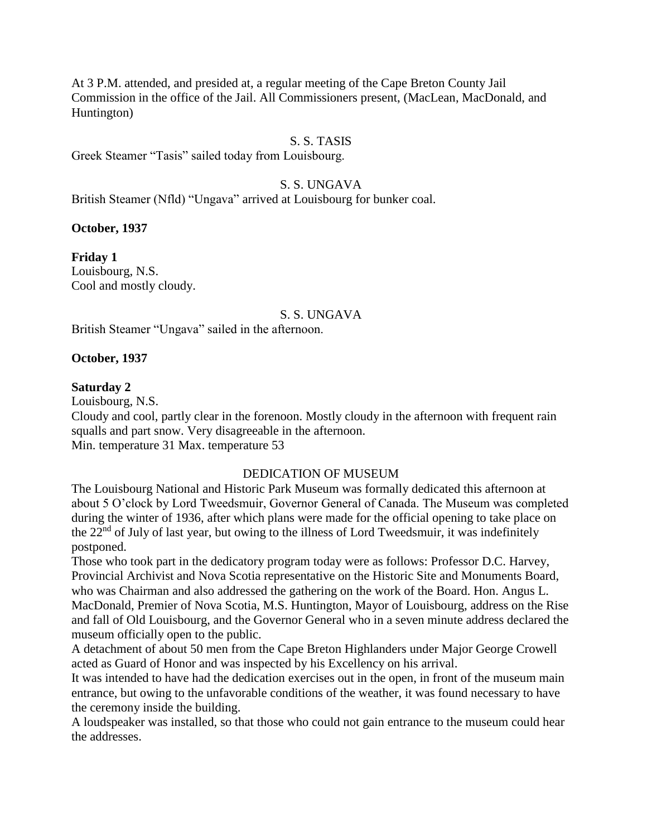At 3 P.M. attended, and presided at, a regular meeting of the Cape Breton County Jail Commission in the office of the Jail. All Commissioners present, (MacLean, MacDonald, and Huntington)

### S. S. TASIS

Greek Steamer "Tasis" sailed today from Louisbourg.

### S. S. UNGAVA

British Steamer (Nfld) "Ungava" arrived at Louisbourg for bunker coal.

**October, 1937**

**Friday 1** Louisbourg, N.S. Cool and mostly cloudy.

#### S. S. UNGAVA

British Steamer "Ungava" sailed in the afternoon.

#### **October, 1937**

#### **Saturday 2**

Louisbourg, N.S.

Cloudy and cool, partly clear in the forenoon. Mostly cloudy in the afternoon with frequent rain squalls and part snow. Very disagreeable in the afternoon. Min. temperature 31 Max. temperature 53

### DEDICATION OF MUSEUM

The Louisbourg National and Historic Park Museum was formally dedicated this afternoon at about 5 O'clock by Lord Tweedsmuir, Governor General of Canada. The Museum was completed during the winter of 1936, after which plans were made for the official opening to take place on the 22<sup>nd</sup> of July of last year, but owing to the illness of Lord Tweedsmuir, it was indefinitely postponed.

Those who took part in the dedicatory program today were as follows: Professor D.C. Harvey, Provincial Archivist and Nova Scotia representative on the Historic Site and Monuments Board, who was Chairman and also addressed the gathering on the work of the Board. Hon. Angus L. MacDonald, Premier of Nova Scotia, M.S. Huntington, Mayor of Louisbourg, address on the Rise and fall of Old Louisbourg, and the Governor General who in a seven minute address declared the museum officially open to the public.

A detachment of about 50 men from the Cape Breton Highlanders under Major George Crowell acted as Guard of Honor and was inspected by his Excellency on his arrival.

It was intended to have had the dedication exercises out in the open, in front of the museum main entrance, but owing to the unfavorable conditions of the weather, it was found necessary to have the ceremony inside the building.

A loudspeaker was installed, so that those who could not gain entrance to the museum could hear the addresses.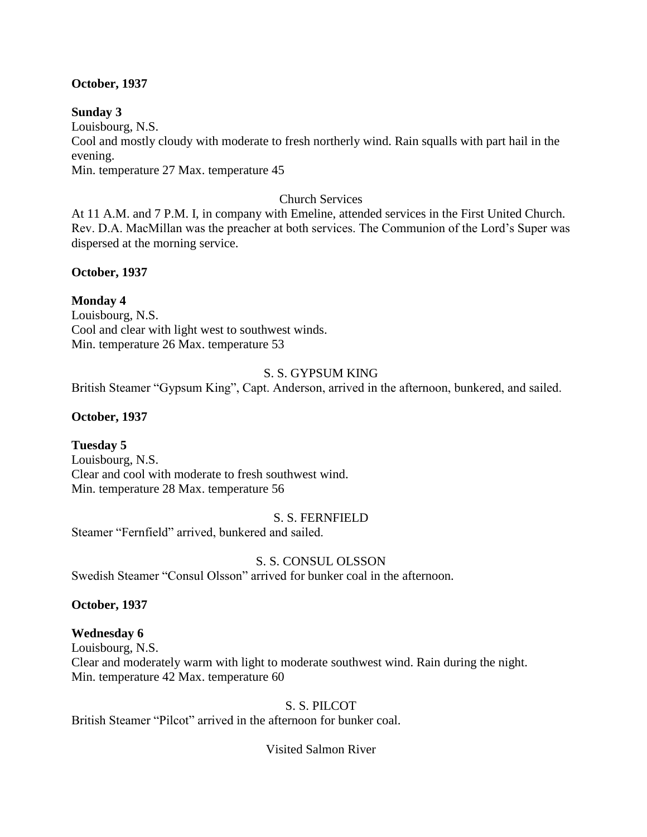### **October, 1937**

### **Sunday 3**

Louisbourg, N.S.

Cool and mostly cloudy with moderate to fresh northerly wind. Rain squalls with part hail in the evening.

Min. temperature 27 Max. temperature 45

### Church Services

At 11 A.M. and 7 P.M. I, in company with Emeline, attended services in the First United Church. Rev. D.A. MacMillan was the preacher at both services. The Communion of the Lord's Super was dispersed at the morning service.

### **October, 1937**

### **Monday 4**

Louisbourg, N.S. Cool and clear with light west to southwest winds. Min. temperature 26 Max. temperature 53

### S. S. GYPSUM KING

British Steamer "Gypsum King", Capt. Anderson, arrived in the afternoon, bunkered, and sailed.

## **October, 1937**

## **Tuesday 5**

Louisbourg, N.S. Clear and cool with moderate to fresh southwest wind. Min. temperature 28 Max. temperature 56

### S. S. FERNFIELD

Steamer "Fernfield" arrived, bunkered and sailed.

## S. S. CONSUL OLSSON

Swedish Steamer "Consul Olsson" arrived for bunker coal in the afternoon.

## **October, 1937**

## **Wednesday 6**

Louisbourg, N.S. Clear and moderately warm with light to moderate southwest wind. Rain during the night. Min. temperature 42 Max. temperature 60

### S. S. PILCOT

British Steamer "Pilcot" arrived in the afternoon for bunker coal.

## Visited Salmon River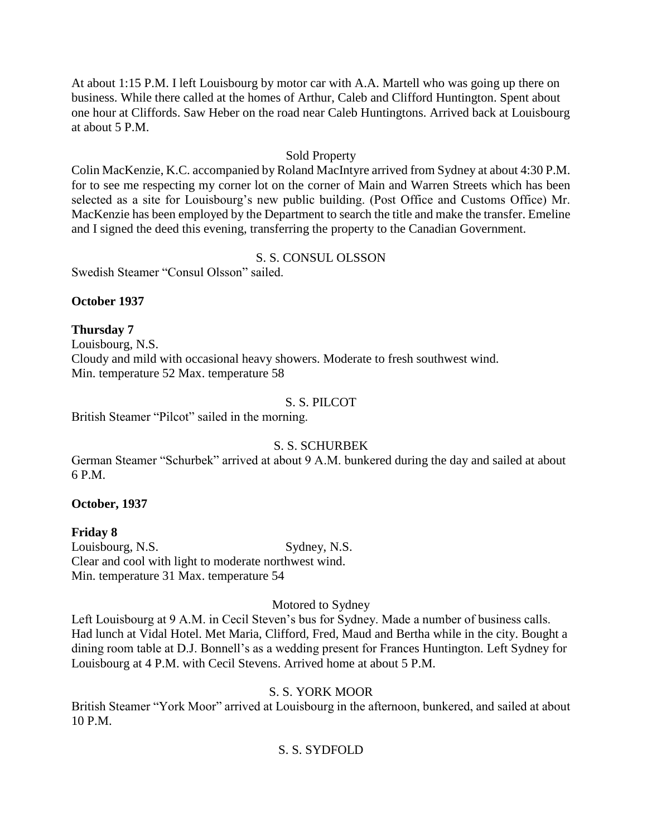At about 1:15 P.M. I left Louisbourg by motor car with A.A. Martell who was going up there on business. While there called at the homes of Arthur, Caleb and Clifford Huntington. Spent about one hour at Cliffords. Saw Heber on the road near Caleb Huntingtons. Arrived back at Louisbourg at about 5 P.M.

### Sold Property

Colin MacKenzie, K.C. accompanied by Roland MacIntyre arrived from Sydney at about 4:30 P.M. for to see me respecting my corner lot on the corner of Main and Warren Streets which has been selected as a site for Louisbourg's new public building. (Post Office and Customs Office) Mr. MacKenzie has been employed by the Department to search the title and make the transfer. Emeline and I signed the deed this evening, transferring the property to the Canadian Government.

## S. S. CONSUL OLSSON

Swedish Steamer "Consul Olsson" sailed.

### **October 1937**

**Thursday 7** Louisbourg, N.S. Cloudy and mild with occasional heavy showers. Moderate to fresh southwest wind. Min. temperature 52 Max. temperature 58

## S. S. PILCOT

British Steamer "Pilcot" sailed in the morning.

## S. S. SCHURBEK

German Steamer "Schurbek" arrived at about 9 A.M. bunkered during the day and sailed at about 6 P.M.

## **October, 1937**

**Friday 8** Louisbourg, N.S. Sydney, N.S. Clear and cool with light to moderate northwest wind. Min. temperature 31 Max. temperature 54

# Motored to Sydney

Left Louisbourg at 9 A.M. in Cecil Steven's bus for Sydney. Made a number of business calls. Had lunch at Vidal Hotel. Met Maria, Clifford, Fred, Maud and Bertha while in the city. Bought a dining room table at D.J. Bonnell's as a wedding present for Frances Huntington. Left Sydney for Louisbourg at 4 P.M. with Cecil Stevens. Arrived home at about 5 P.M.

## S. S. YORK MOOR

British Steamer "York Moor" arrived at Louisbourg in the afternoon, bunkered, and sailed at about 10 P.M.

## S. S. SYDFOLD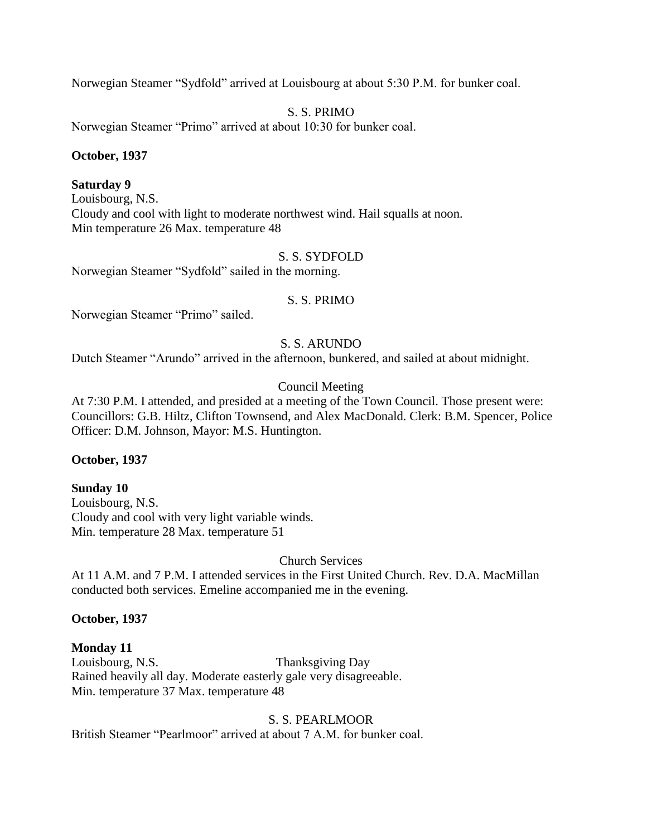Norwegian Steamer "Sydfold" arrived at Louisbourg at about 5:30 P.M. for bunker coal.

S. S. PRIMO

Norwegian Steamer "Primo" arrived at about 10:30 for bunker coal.

### **October, 1937**

### **Saturday 9**

Louisbourg, N.S. Cloudy and cool with light to moderate northwest wind. Hail squalls at noon. Min temperature 26 Max. temperature 48

### S. S. SYDFOLD

Norwegian Steamer "Sydfold" sailed in the morning.

### S. S. PRIMO

Norwegian Steamer "Primo" sailed.

### S. S. ARUNDO

Dutch Steamer "Arundo" arrived in the afternoon, bunkered, and sailed at about midnight.

## Council Meeting

At 7:30 P.M. I attended, and presided at a meeting of the Town Council. Those present were: Councillors: G.B. Hiltz, Clifton Townsend, and Alex MacDonald. Clerk: B.M. Spencer, Police Officer: D.M. Johnson, Mayor: M.S. Huntington.

### **October, 1937**

### **Sunday 10** Louisbourg, N.S. Cloudy and cool with very light variable winds. Min. temperature 28 Max. temperature 51

Church Services

At 11 A.M. and 7 P.M. I attended services in the First United Church. Rev. D.A. MacMillan conducted both services. Emeline accompanied me in the evening.

### **October, 1937**

**Monday 11**  Louisbourg, N.S. Thanksgiving Day Rained heavily all day. Moderate easterly gale very disagreeable. Min. temperature 37 Max. temperature 48

S. S. PEARLMOOR British Steamer "Pearlmoor" arrived at about 7 A.M. for bunker coal.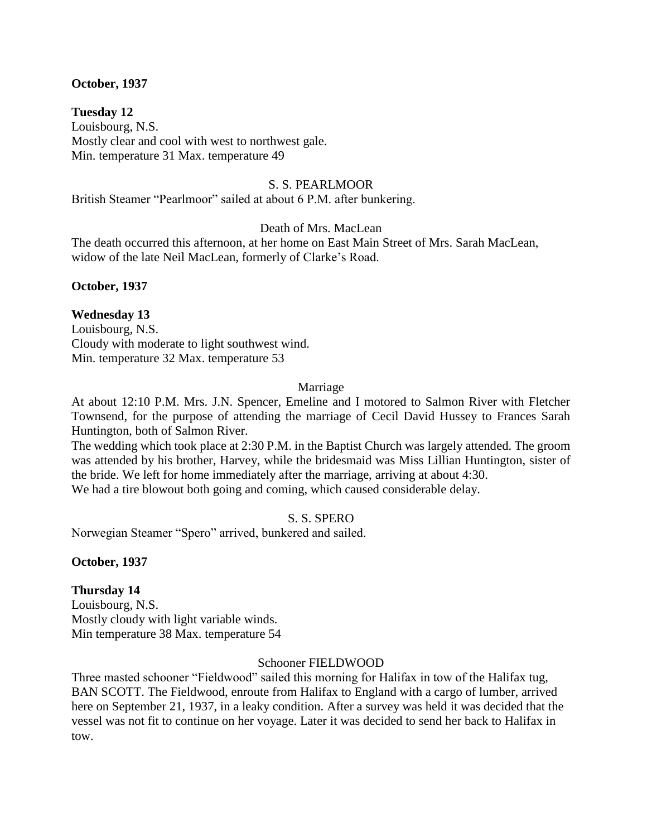### **October, 1937**

**Tuesday 12** Louisbourg, N.S. Mostly clear and cool with west to northwest gale. Min. temperature 31 Max. temperature 49

### S. S. PEARLMOOR

British Steamer "Pearlmoor" sailed at about 6 P.M. after bunkering.

Death of Mrs. MacLean

The death occurred this afternoon, at her home on East Main Street of Mrs. Sarah MacLean, widow of the late Neil MacLean, formerly of Clarke's Road.

**October, 1937**

### **Wednesday 13**

Louisbourg, N.S. Cloudy with moderate to light southwest wind. Min. temperature 32 Max. temperature 53

### Marriage

At about 12:10 P.M. Mrs. J.N. Spencer, Emeline and I motored to Salmon River with Fletcher Townsend, for the purpose of attending the marriage of Cecil David Hussey to Frances Sarah Huntington, both of Salmon River.

The wedding which took place at 2:30 P.M. in the Baptist Church was largely attended. The groom was attended by his brother, Harvey, while the bridesmaid was Miss Lillian Huntington, sister of the bride. We left for home immediately after the marriage, arriving at about 4:30.

We had a tire blowout both going and coming, which caused considerable delay.

S. S. SPERO

Norwegian Steamer "Spero" arrived, bunkered and sailed.

**October, 1937**

## **Thursday 14**

Louisbourg, N.S. Mostly cloudy with light variable winds. Min temperature 38 Max. temperature 54

### Schooner FIELDWOOD

Three masted schooner "Fieldwood" sailed this morning for Halifax in tow of the Halifax tug, BAN SCOTT. The Fieldwood, enroute from Halifax to England with a cargo of lumber, arrived here on September 21, 1937, in a leaky condition. After a survey was held it was decided that the vessel was not fit to continue on her voyage. Later it was decided to send her back to Halifax in tow.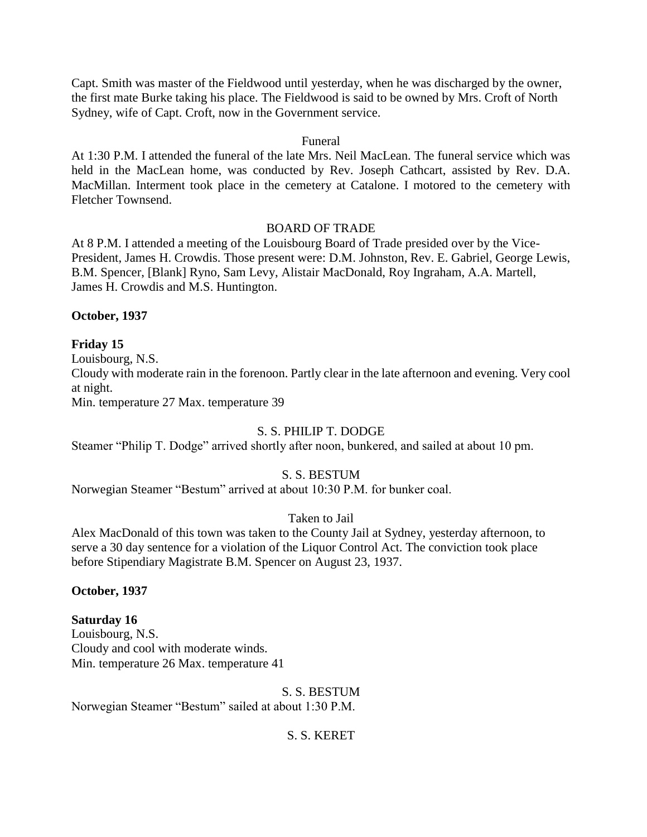Capt. Smith was master of the Fieldwood until yesterday, when he was discharged by the owner, the first mate Burke taking his place. The Fieldwood is said to be owned by Mrs. Croft of North Sydney, wife of Capt. Croft, now in the Government service.

#### Funeral

At 1:30 P.M. I attended the funeral of the late Mrs. Neil MacLean. The funeral service which was held in the MacLean home, was conducted by Rev. Joseph Cathcart, assisted by Rev. D.A. MacMillan. Interment took place in the cemetery at Catalone. I motored to the cemetery with Fletcher Townsend.

### BOARD OF TRADE

At 8 P.M. I attended a meeting of the Louisbourg Board of Trade presided over by the Vice-President, James H. Crowdis. Those present were: D.M. Johnston, Rev. E. Gabriel, George Lewis, B.M. Spencer, [Blank] Ryno, Sam Levy, Alistair MacDonald, Roy Ingraham, A.A. Martell, James H. Crowdis and M.S. Huntington.

#### **October, 1937**

### **Friday 15**

Louisbourg, N.S.

Cloudy with moderate rain in the forenoon. Partly clear in the late afternoon and evening. Very cool at night.

Min. temperature 27 Max. temperature 39

### S. S. PHILIP T. DODGE

Steamer "Philip T. Dodge" arrived shortly after noon, bunkered, and sailed at about 10 pm.

### S. S. BESTUM

Norwegian Steamer "Bestum" arrived at about 10:30 P.M. for bunker coal.

#### Taken to Jail

Alex MacDonald of this town was taken to the County Jail at Sydney, yesterday afternoon, to serve a 30 day sentence for a violation of the Liquor Control Act. The conviction took place before Stipendiary Magistrate B.M. Spencer on August 23, 1937.

#### **October, 1937**

#### **Saturday 16**

Louisbourg, N.S. Cloudy and cool with moderate winds. Min. temperature 26 Max. temperature 41

S. S. BESTUM

Norwegian Steamer "Bestum" sailed at about 1:30 P.M.

S. S. KERET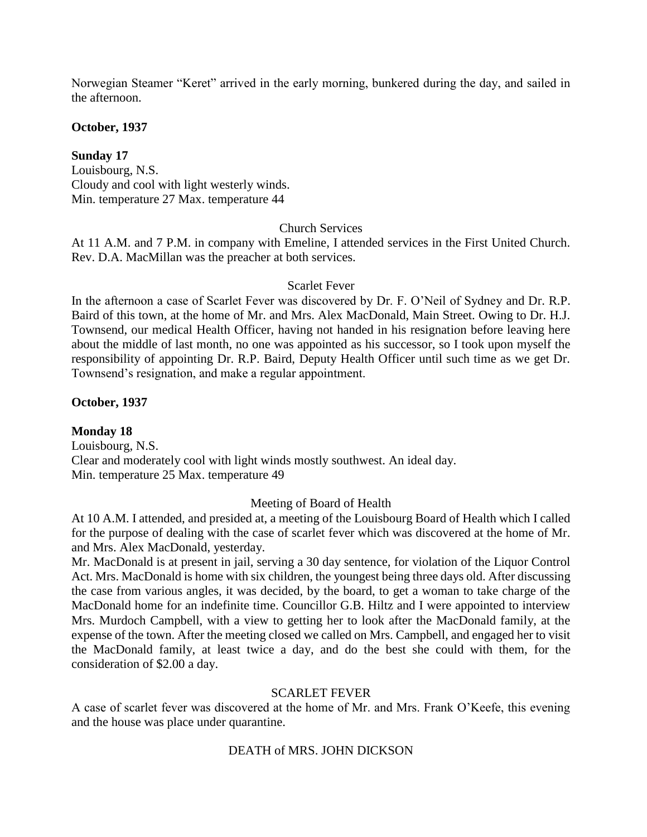Norwegian Steamer "Keret" arrived in the early morning, bunkered during the day, and sailed in the afternoon.

**October, 1937**

**Sunday 17** Louisbourg, N.S. Cloudy and cool with light westerly winds. Min. temperature 27 Max. temperature 44

### Church Services

At 11 A.M. and 7 P.M. in company with Emeline, I attended services in the First United Church. Rev. D.A. MacMillan was the preacher at both services.

### Scarlet Fever

In the afternoon a case of Scarlet Fever was discovered by Dr. F. O'Neil of Sydney and Dr. R.P. Baird of this town, at the home of Mr. and Mrs. Alex MacDonald, Main Street. Owing to Dr. H.J. Townsend, our medical Health Officer, having not handed in his resignation before leaving here about the middle of last month, no one was appointed as his successor, so I took upon myself the responsibility of appointing Dr. R.P. Baird, Deputy Health Officer until such time as we get Dr. Townsend's resignation, and make a regular appointment.

### **October, 1937**

## **Monday 18**

Louisbourg, N.S. Clear and moderately cool with light winds mostly southwest. An ideal day. Min. temperature 25 Max. temperature 49

### Meeting of Board of Health

At 10 A.M. I attended, and presided at, a meeting of the Louisbourg Board of Health which I called for the purpose of dealing with the case of scarlet fever which was discovered at the home of Mr. and Mrs. Alex MacDonald, yesterday.

Mr. MacDonald is at present in jail, serving a 30 day sentence, for violation of the Liquor Control Act. Mrs. MacDonald is home with six children, the youngest being three days old. After discussing the case from various angles, it was decided, by the board, to get a woman to take charge of the MacDonald home for an indefinite time. Councillor G.B. Hiltz and I were appointed to interview Mrs. Murdoch Campbell, with a view to getting her to look after the MacDonald family, at the expense of the town. After the meeting closed we called on Mrs. Campbell, and engaged her to visit the MacDonald family, at least twice a day, and do the best she could with them, for the consideration of \$2.00 a day.

## SCARLET FEVER

A case of scarlet fever was discovered at the home of Mr. and Mrs. Frank O'Keefe, this evening and the house was place under quarantine.

## DEATH of MRS. JOHN DICKSON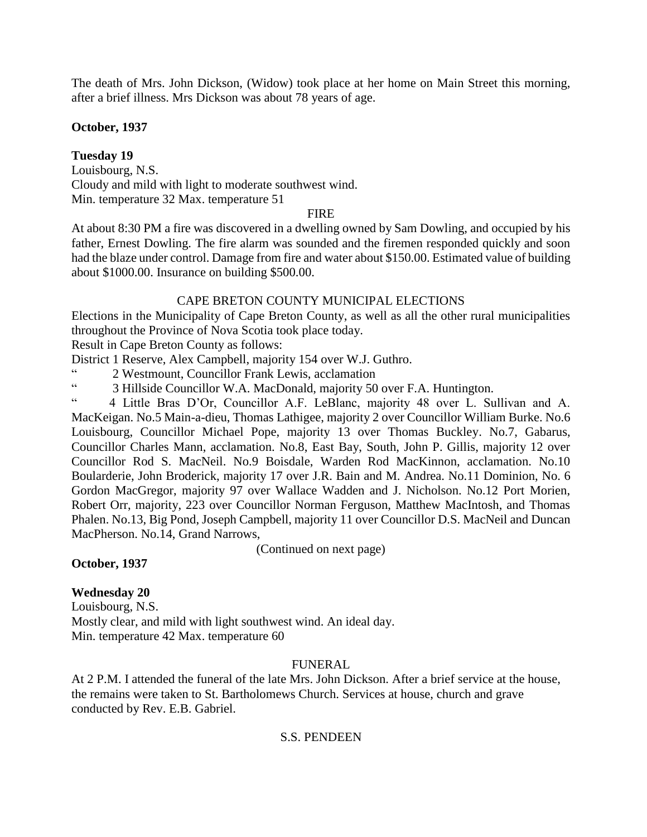The death of Mrs. John Dickson, (Widow) took place at her home on Main Street this morning, after a brief illness. Mrs Dickson was about 78 years of age.

### **October, 1937**

## **Tuesday 19**

Louisbourg, N.S. Cloudy and mild with light to moderate southwest wind. Min. temperature 32 Max. temperature 51

## FIRE

At about 8:30 PM a fire was discovered in a dwelling owned by Sam Dowling, and occupied by his father, Ernest Dowling. The fire alarm was sounded and the firemen responded quickly and soon had the blaze under control. Damage from fire and water about \$150.00. Estimated value of building about \$1000.00. Insurance on building \$500.00.

## CAPE BRETON COUNTY MUNICIPAL ELECTIONS

Elections in the Municipality of Cape Breton County, as well as all the other rural municipalities throughout the Province of Nova Scotia took place today.

Result in Cape Breton County as follows:

District 1 Reserve, Alex Campbell, majority 154 over W.J. Guthro.

" 2 Westmount, Councillor Frank Lewis, acclamation<br>"3 Hillside Councillor W.A. MeeDonald majority 50

<sup>"</sup> 3 Hillside Councillor W.A. MacDonald, majority 50 over F.A. Huntington.<br>"<sup>4</sup> A Little Pres. D'Or. Councillor A E, LeBlane, majority 48, over L. Su

" 4 Little Bras D'Or, Councillor A.F. LeBlanc, majority 48 over L. Sullivan and A. MacKeigan. No.5 Main-a-dieu, Thomas Lathigee, majority 2 over Councillor William Burke. No.6 Louisbourg, Councillor Michael Pope, majority 13 over Thomas Buckley. No.7, Gabarus, Councillor Charles Mann, acclamation. No.8, East Bay, South, John P. Gillis, majority 12 over Councillor Rod S. MacNeil. No.9 Boisdale, Warden Rod MacKinnon, acclamation. No.10 Boularderie, John Broderick, majority 17 over J.R. Bain and M. Andrea. No.11 Dominion, No. 6 Gordon MacGregor, majority 97 over Wallace Wadden and J. Nicholson. No.12 Port Morien, Robert Orr, majority, 223 over Councillor Norman Ferguson, Matthew MacIntosh, and Thomas Phalen. No.13, Big Pond, Joseph Campbell, majority 11 over Councillor D.S. MacNeil and Duncan MacPherson. No.14, Grand Narrows,

(Continued on next page)

## **October, 1937**

# **Wednesday 20**

Louisbourg, N.S. Mostly clear, and mild with light southwest wind. An ideal day. Min. temperature 42 Max. temperature 60

## FUNERAL

At 2 P.M. I attended the funeral of the late Mrs. John Dickson. After a brief service at the house, the remains were taken to St. Bartholomews Church. Services at house, church and grave conducted by Rev. E.B. Gabriel.

## S.S. PENDEEN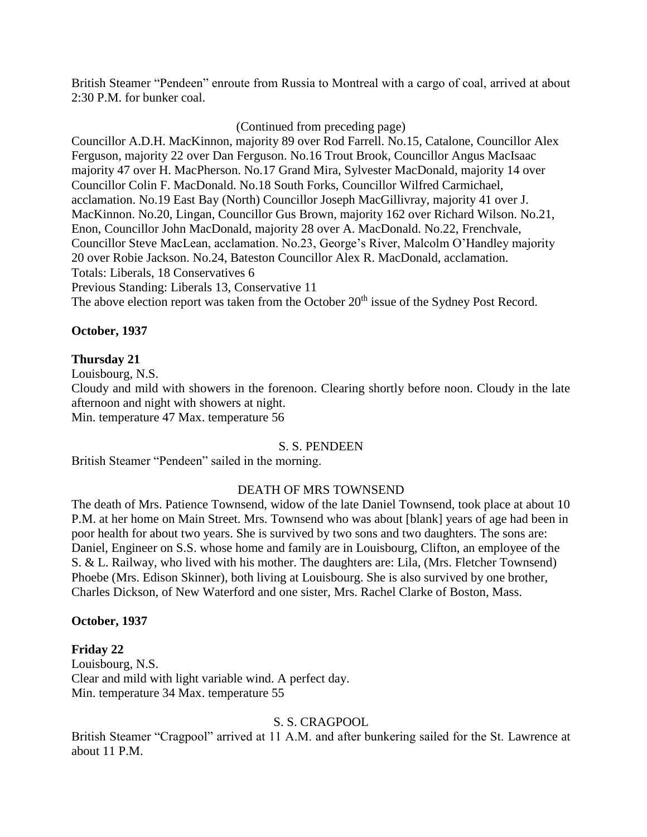British Steamer "Pendeen" enroute from Russia to Montreal with a cargo of coal, arrived at about 2:30 P.M. for bunker coal.

### (Continued from preceding page)

Councillor A.D.H. MacKinnon, majority 89 over Rod Farrell. No.15, Catalone, Councillor Alex Ferguson, majority 22 over Dan Ferguson. No.16 Trout Brook, Councillor Angus MacIsaac majority 47 over H. MacPherson. No.17 Grand Mira, Sylvester MacDonald, majority 14 over Councillor Colin F. MacDonald. No.18 South Forks, Councillor Wilfred Carmichael, acclamation. No.19 East Bay (North) Councillor Joseph MacGillivray, majority 41 over J. MacKinnon. No.20, Lingan, Councillor Gus Brown, majority 162 over Richard Wilson. No.21, Enon, Councillor John MacDonald, majority 28 over A. MacDonald. No.22, Frenchvale, Councillor Steve MacLean, acclamation. No.23, George's River, Malcolm O'Handley majority 20 over Robie Jackson. No.24, Bateston Councillor Alex R. MacDonald, acclamation. Totals: Liberals, 18 Conservatives 6 Previous Standing: Liberals 13, Conservative 11 The above election report was taken from the October 20<sup>th</sup> issue of the Sydney Post Record.

### **October, 1937**

### **Thursday 21**

Louisbourg, N.S. Cloudy and mild with showers in the forenoon. Clearing shortly before noon. Cloudy in the late afternoon and night with showers at night. Min. temperature 47 Max. temperature 56

### S. S. PENDEEN

British Steamer "Pendeen" sailed in the morning.

### DEATH OF MRS TOWNSEND

The death of Mrs. Patience Townsend, widow of the late Daniel Townsend, took place at about 10 P.M. at her home on Main Street. Mrs. Townsend who was about [blank] years of age had been in poor health for about two years. She is survived by two sons and two daughters. The sons are: Daniel, Engineer on S.S. whose home and family are in Louisbourg, Clifton, an employee of the S. & L. Railway, who lived with his mother. The daughters are: Lila, (Mrs. Fletcher Townsend) Phoebe (Mrs. Edison Skinner), both living at Louisbourg. She is also survived by one brother, Charles Dickson, of New Waterford and one sister, Mrs. Rachel Clarke of Boston, Mass.

### **October, 1937**

### **Friday 22**

Louisbourg, N.S. Clear and mild with light variable wind. A perfect day. Min. temperature 34 Max. temperature 55

### S. S. CRAGPOOL

British Steamer "Cragpool" arrived at 11 A.M. and after bunkering sailed for the St. Lawrence at about 11 P.M.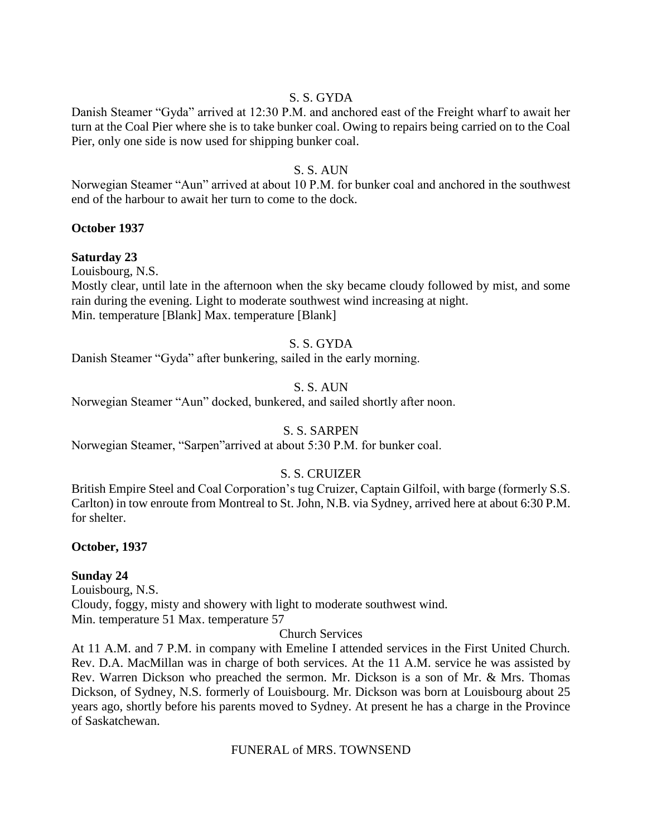### S. S. GYDA

Danish Steamer "Gyda" arrived at 12:30 P.M. and anchored east of the Freight wharf to await her turn at the Coal Pier where she is to take bunker coal. Owing to repairs being carried on to the Coal Pier, only one side is now used for shipping bunker coal.

### S. S. AUN

Norwegian Steamer "Aun" arrived at about 10 P.M. for bunker coal and anchored in the southwest end of the harbour to await her turn to come to the dock.

### **October 1937**

### **Saturday 23**

Louisbourg, N.S.

Mostly clear, until late in the afternoon when the sky became cloudy followed by mist, and some rain during the evening. Light to moderate southwest wind increasing at night. Min. temperature [Blank] Max. temperature [Blank]

### S. S. GYDA

Danish Steamer "Gyda" after bunkering, sailed in the early morning.

### S. S. AUN

Norwegian Steamer "Aun" docked, bunkered, and sailed shortly after noon.

## S. S. SARPEN

Norwegian Steamer, "Sarpen"arrived at about 5:30 P.M. for bunker coal.

## S. S. CRUIZER

British Empire Steel and Coal Corporation's tug Cruizer, Captain Gilfoil, with barge (formerly S.S. Carlton) in tow enroute from Montreal to St. John, N.B. via Sydney, arrived here at about 6:30 P.M. for shelter.

### **October, 1937**

### **Sunday 24**

Louisbourg, N.S. Cloudy, foggy, misty and showery with light to moderate southwest wind. Min. temperature 51 Max. temperature 57

Church Services

At 11 A.M. and 7 P.M. in company with Emeline I attended services in the First United Church. Rev. D.A. MacMillan was in charge of both services. At the 11 A.M. service he was assisted by Rev. Warren Dickson who preached the sermon. Mr. Dickson is a son of Mr. & Mrs. Thomas Dickson, of Sydney, N.S. formerly of Louisbourg. Mr. Dickson was born at Louisbourg about 25 years ago, shortly before his parents moved to Sydney. At present he has a charge in the Province of Saskatchewan.

FUNERAL of MRS. TOWNSEND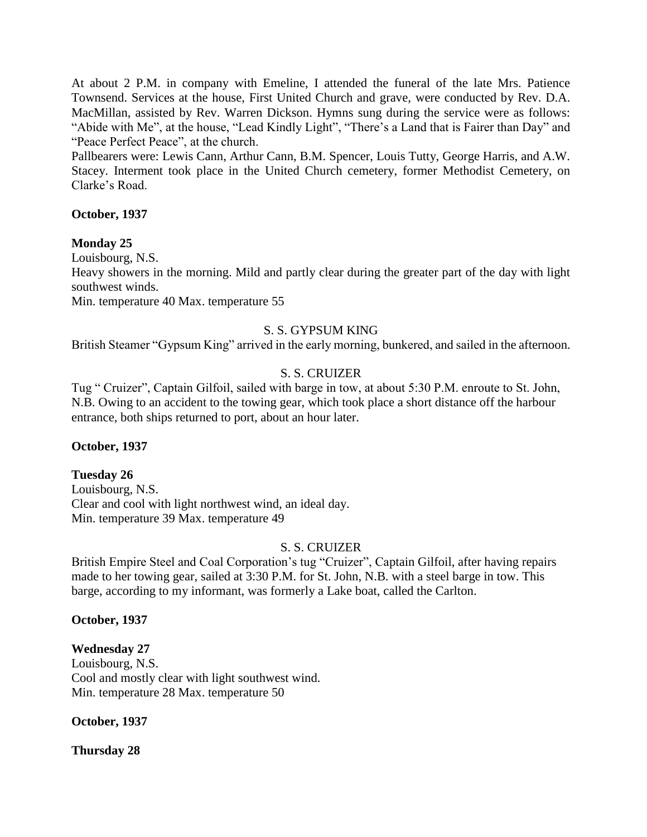At about 2 P.M. in company with Emeline, I attended the funeral of the late Mrs. Patience Townsend. Services at the house, First United Church and grave, were conducted by Rev. D.A. MacMillan, assisted by Rev. Warren Dickson. Hymns sung during the service were as follows: "Abide with Me", at the house, "Lead Kindly Light", "There's a Land that is Fairer than Day" and "Peace Perfect Peace", at the church.

Pallbearers were: Lewis Cann, Arthur Cann, B.M. Spencer, Louis Tutty, George Harris, and A.W. Stacey. Interment took place in the United Church cemetery, former Methodist Cemetery, on Clarke's Road.

### **October, 1937**

#### **Monday 25**

Louisbourg, N.S.

Heavy showers in the morning. Mild and partly clear during the greater part of the day with light southwest winds.

Min. temperature 40 Max. temperature 55

### S. S. GYPSUM KING

British Steamer "Gypsum King" arrived in the early morning, bunkered, and sailed in the afternoon.

### S. S. CRUIZER

Tug " Cruizer", Captain Gilfoil, sailed with barge in tow, at about 5:30 P.M. enroute to St. John, N.B. Owing to an accident to the towing gear, which took place a short distance off the harbour entrance, both ships returned to port, about an hour later.

### **October, 1937**

#### **Tuesday 26**

Louisbourg, N.S. Clear and cool with light northwest wind, an ideal day. Min. temperature 39 Max. temperature 49

### S. S. CRUIZER

British Empire Steel and Coal Corporation's tug "Cruizer", Captain Gilfoil, after having repairs made to her towing gear, sailed at 3:30 P.M. for St. John, N.B. with a steel barge in tow. This barge, according to my informant, was formerly a Lake boat, called the Carlton.

#### **October, 1937**

### **Wednesday 27**

Louisbourg, N.S. Cool and mostly clear with light southwest wind. Min. temperature 28 Max. temperature 50

### **October, 1937**

#### **Thursday 28**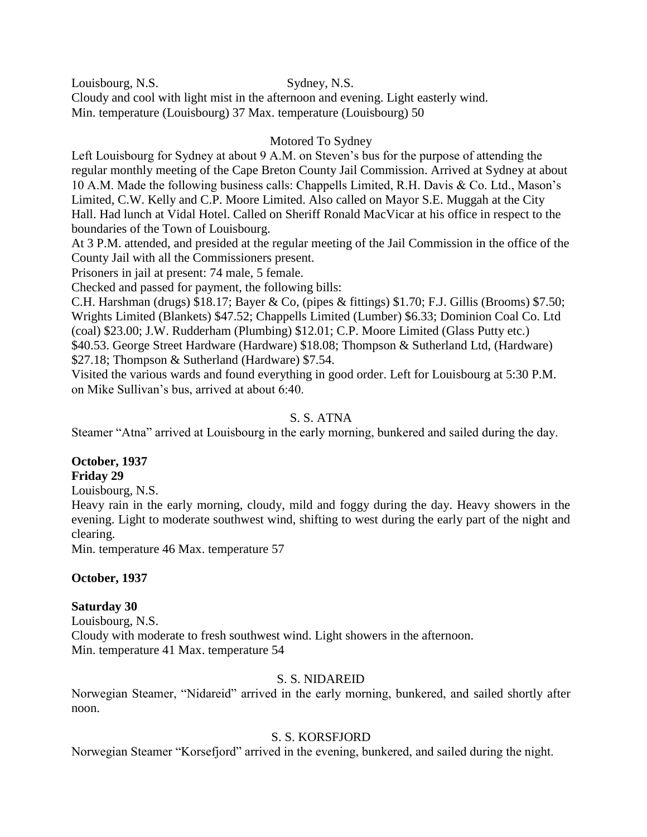Louisbourg, N.S. Sydney, N.S. Cloudy and cool with light mist in the afternoon and evening. Light easterly wind. Min. temperature (Louisbourg) 37 Max. temperature (Louisbourg) 50

## Motored To Sydney

Left Louisbourg for Sydney at about 9 A.M. on Steven's bus for the purpose of attending the regular monthly meeting of the Cape Breton County Jail Commission. Arrived at Sydney at about 10 A.M. Made the following business calls: Chappells Limited, R.H. Davis & Co. Ltd., Mason's Limited, C.W. Kelly and C.P. Moore Limited. Also called on Mayor S.E. Muggah at the City Hall. Had lunch at Vidal Hotel. Called on Sheriff Ronald MacVicar at his office in respect to the boundaries of the Town of Louisbourg.

At 3 P.M. attended, and presided at the regular meeting of the Jail Commission in the office of the County Jail with all the Commissioners present.

Prisoners in jail at present: 74 male, 5 female.

Checked and passed for payment, the following bills:

C.H. Harshman (drugs) \$18.17; Bayer & Co, (pipes & fittings) \$1.70; F.J. Gillis (Brooms) \$7.50; Wrights Limited (Blankets) \$47.52; Chappells Limited (Lumber) \$6.33; Dominion Coal Co. Ltd (coal) \$23.00; J.W. Rudderham (Plumbing) \$12.01; C.P. Moore Limited (Glass Putty etc.) \$40.53. George Street Hardware (Hardware) \$18.08; Thompson & Sutherland Ltd, (Hardware) \$27.18; Thompson & Sutherland (Hardware) \$7.54.

Visited the various wards and found everything in good order. Left for Louisbourg at 5:30 P.M. on Mike Sullivan's bus, arrived at about 6:40.

### S. S. ATNA

Steamer "Atna" arrived at Louisbourg in the early morning, bunkered and sailed during the day.

#### **October, 1937 Friday 29**

Louisbourg, N.S.

Heavy rain in the early morning, cloudy, mild and foggy during the day. Heavy showers in the evening. Light to moderate southwest wind, shifting to west during the early part of the night and clearing.

Min. temperature 46 Max. temperature 57

## **October, 1937**

## **Saturday 30**

Louisbourg, N.S. Cloudy with moderate to fresh southwest wind. Light showers in the afternoon. Min. temperature 41 Max. temperature 54

### S. S. NIDAREID

Norwegian Steamer, "Nidareid" arrived in the early morning, bunkered, and sailed shortly after noon.

## S. S. KORSFJORD

Norwegian Steamer "Korsefjord" arrived in the evening, bunkered, and sailed during the night.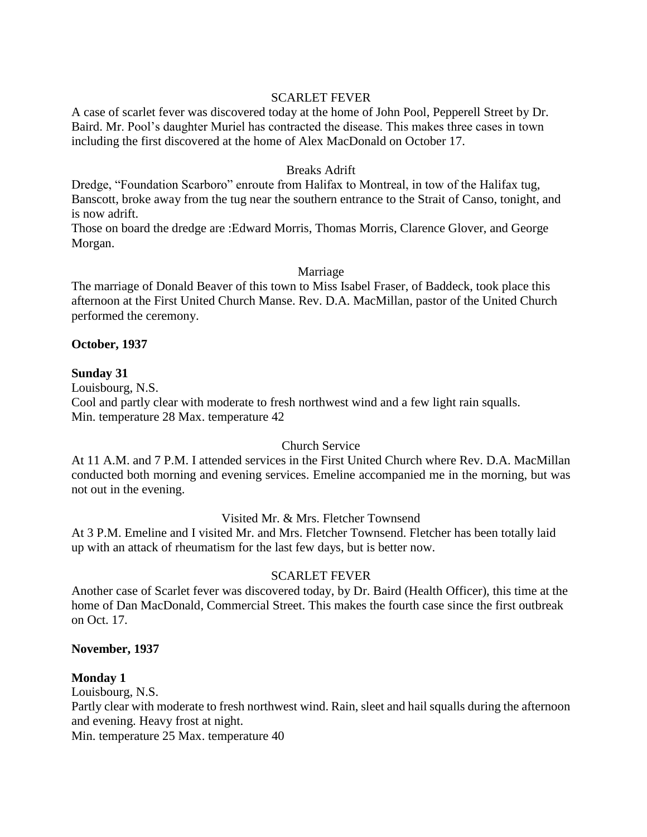### SCARLET FEVER

A case of scarlet fever was discovered today at the home of John Pool, Pepperell Street by Dr. Baird. Mr. Pool's daughter Muriel has contracted the disease. This makes three cases in town including the first discovered at the home of Alex MacDonald on October 17.

#### Breaks Adrift

Dredge, "Foundation Scarboro" enroute from Halifax to Montreal, in tow of the Halifax tug, Banscott, broke away from the tug near the southern entrance to the Strait of Canso, tonight, and is now adrift.

Those on board the dredge are :Edward Morris, Thomas Morris, Clarence Glover, and George Morgan.

#### Marriage

The marriage of Donald Beaver of this town to Miss Isabel Fraser, of Baddeck, took place this afternoon at the First United Church Manse. Rev. D.A. MacMillan, pastor of the United Church performed the ceremony.

#### **October, 1937**

#### **Sunday 31**

Louisbourg, N.S.

Cool and partly clear with moderate to fresh northwest wind and a few light rain squalls. Min. temperature 28 Max. temperature 42

### Church Service

At 11 A.M. and 7 P.M. I attended services in the First United Church where Rev. D.A. MacMillan conducted both morning and evening services. Emeline accompanied me in the morning, but was not out in the evening.

### Visited Mr. & Mrs. Fletcher Townsend

At 3 P.M. Emeline and I visited Mr. and Mrs. Fletcher Townsend. Fletcher has been totally laid up with an attack of rheumatism for the last few days, but is better now.

### SCARLET FEVER

Another case of Scarlet fever was discovered today, by Dr. Baird (Health Officer), this time at the home of Dan MacDonald, Commercial Street. This makes the fourth case since the first outbreak on Oct. 17.

#### **November, 1937**

### **Monday 1**

Louisbourg, N.S.

Partly clear with moderate to fresh northwest wind. Rain, sleet and hail squalls during the afternoon and evening. Heavy frost at night.

Min. temperature 25 Max. temperature 40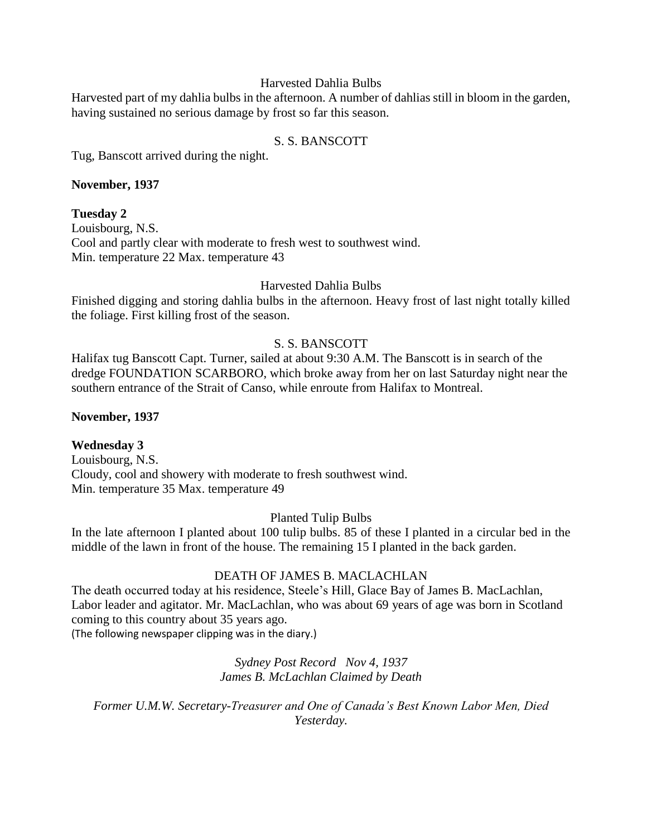#### Harvested Dahlia Bulbs

Harvested part of my dahlia bulbs in the afternoon. A number of dahlias still in bloom in the garden, having sustained no serious damage by frost so far this season.

### S. S. BANSCOTT

Tug, Banscott arrived during the night.

### **November, 1937**

### **Tuesday 2**

Louisbourg, N.S. Cool and partly clear with moderate to fresh west to southwest wind. Min. temperature 22 Max. temperature 43

### Harvested Dahlia Bulbs

Finished digging and storing dahlia bulbs in the afternoon. Heavy frost of last night totally killed the foliage. First killing frost of the season.

## S. S. BANSCOTT

Halifax tug Banscott Capt. Turner, sailed at about 9:30 A.M. The Banscott is in search of the dredge FOUNDATION SCARBORO, which broke away from her on last Saturday night near the southern entrance of the Strait of Canso, while enroute from Halifax to Montreal.

### **November, 1937**

## **Wednesday 3**

Louisbourg, N.S. Cloudy, cool and showery with moderate to fresh southwest wind. Min. temperature 35 Max. temperature 49

### Planted Tulip Bulbs

In the late afternoon I planted about 100 tulip bulbs. 85 of these I planted in a circular bed in the middle of the lawn in front of the house. The remaining 15 I planted in the back garden.

## DEATH OF JAMES B. MACLACHLAN

The death occurred today at his residence, Steele's Hill, Glace Bay of James B. MacLachlan, Labor leader and agitator. Mr. MacLachlan, who was about 69 years of age was born in Scotland coming to this country about 35 years ago.

(The following newspaper clipping was in the diary.)

### *Sydney Post Record Nov 4, 1937 James B. McLachlan Claimed by Death*

*Former U.M.W. Secretary-Treasurer and One of Canada's Best Known Labor Men, Died Yesterday.*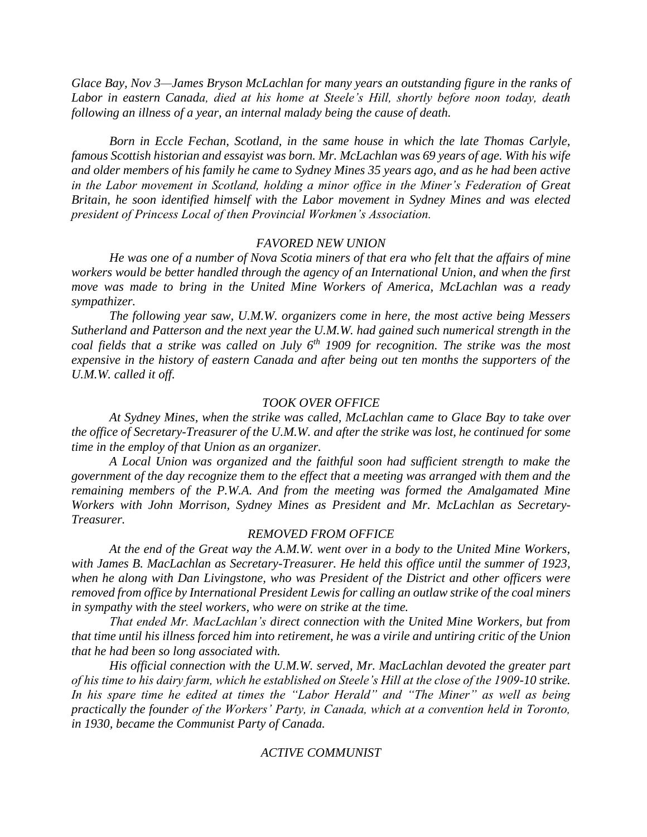*Glace Bay, Nov 3—James Bryson McLachlan for many years an outstanding figure in the ranks of Labor in eastern Canada, died at his home at Steele's Hill, shortly before noon today, death following an illness of a year, an internal malady being the cause of death.* 

*Born in Eccle Fechan, Scotland, in the same house in which the late Thomas Carlyle, famous Scottish historian and essayist was born. Mr. McLachlan was 69 years of age. With his wife and older members of his family he came to Sydney Mines 35 years ago, and as he had been active in the Labor movement in Scotland, holding a minor office in the Miner's Federation of Great Britain, he soon identified himself with the Labor movement in Sydney Mines and was elected president of Princess Local of then Provincial Workmen's Association.*

#### *FAVORED NEW UNION*

*He was one of a number of Nova Scotia miners of that era who felt that the affairs of mine workers would be better handled through the agency of an International Union, and when the first move was made to bring in the United Mine Workers of America, McLachlan was a ready sympathizer.*

*The following year saw, U.M.W. organizers come in here, the most active being Messers Sutherland and Patterson and the next year the U.M.W. had gained such numerical strength in the coal fields that a strike was called on July 6th 1909 for recognition. The strike was the most expensive in the history of eastern Canada and after being out ten months the supporters of the U.M.W. called it off.*

#### *TOOK OVER OFFICE*

*At Sydney Mines, when the strike was called, McLachlan came to Glace Bay to take over the office of Secretary-Treasurer of the U.M.W. and after the strike was lost, he continued for some time in the employ of that Union as an organizer.*

*A Local Union was organized and the faithful soon had sufficient strength to make the government of the day recognize them to the effect that a meeting was arranged with them and the remaining members of the P.W.A. And from the meeting was formed the Amalgamated Mine Workers with John Morrison, Sydney Mines as President and Mr. McLachlan as Secretary-Treasurer.*

#### *REMOVED FROM OFFICE*

*At the end of the Great way the A.M.W. went over in a body to the United Mine Workers, with James B. MacLachlan as Secretary-Treasurer. He held this office until the summer of 1923, when he along with Dan Livingstone, who was President of the District and other officers were removed from office by International President Lewis for calling an outlaw strike of the coal miners in sympathy with the steel workers, who were on strike at the time.*

*That ended Mr. MacLachlan's direct connection with the United Mine Workers, but from that time until his illness forced him into retirement, he was a virile and untiring critic of the Union that he had been so long associated with.* 

*His official connection with the U.M.W. served, Mr. MacLachlan devoted the greater part of his time to his dairy farm, which he established on Steele's Hill at the close of the 1909-10 strike.*  In his spare time he edited at times the "Labor Herald" and "The Miner" as well as being *practically the founder of the Workers' Party, in Canada, which at a convention held in Toronto, in 1930, became the Communist Party of Canada.*

#### *ACTIVE COMMUNIST*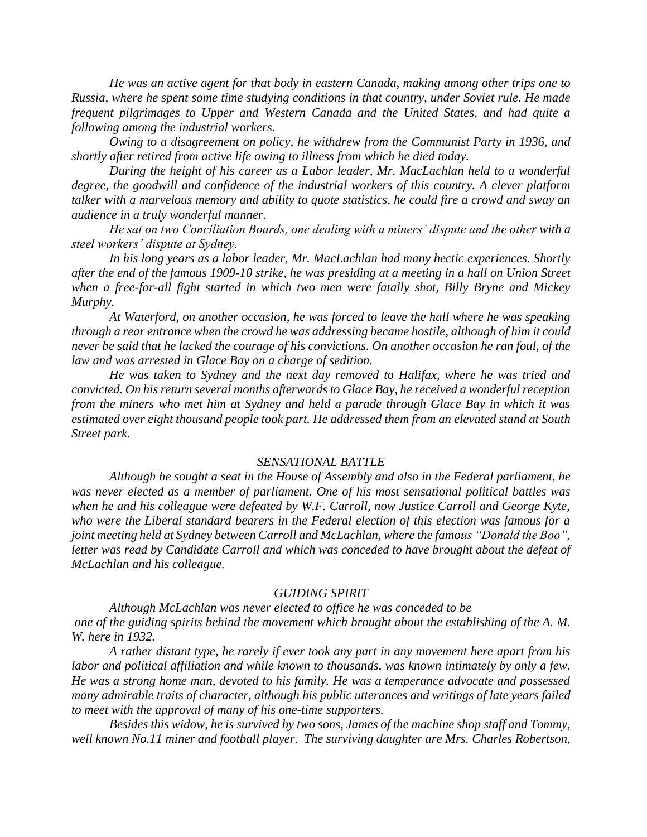*He was an active agent for that body in eastern Canada, making among other trips one to Russia, where he spent some time studying conditions in that country, under Soviet rule. He made frequent pilgrimages to Upper and Western Canada and the United States, and had quite a following among the industrial workers.*

*Owing to a disagreement on policy, he withdrew from the Communist Party in 1936, and shortly after retired from active life owing to illness from which he died today.*

*During the height of his career as a Labor leader, Mr. MacLachlan held to a wonderful degree, the goodwill and confidence of the industrial workers of this country. A clever platform talker with a marvelous memory and ability to quote statistics, he could fire a crowd and sway an audience in a truly wonderful manner.*

*He sat on two Conciliation Boards, one dealing with a miners' dispute and the other with a steel workers' dispute at Sydney.*

*In his long years as a labor leader, Mr. MacLachlan had many hectic experiences. Shortly after the end of the famous 1909-10 strike, he was presiding at a meeting in a hall on Union Street when a free-for-all fight started in which two men were fatally shot, Billy Bryne and Mickey Murphy.*

*At Waterford, on another occasion, he was forced to leave the hall where he was speaking through a rear entrance when the crowd he was addressing became hostile, although of him it could never be said that he lacked the courage of his convictions. On another occasion he ran foul, of the law and was arrested in Glace Bay on a charge of sedition.*

*He was taken to Sydney and the next day removed to Halifax, where he was tried and convicted. On his return several months afterwards to Glace Bay, he received a wonderful reception from the miners who met him at Sydney and held a parade through Glace Bay in which it was estimated over eight thousand people took part. He addressed them from an elevated stand at South Street park.*

#### *SENSATIONAL BATTLE*

*Although he sought a seat in the House of Assembly and also in the Federal parliament, he was never elected as a member of parliament. One of his most sensational political battles was when he and his colleague were defeated by W.F. Carroll, now Justice Carroll and George Kyte, who were the Liberal standard bearers in the Federal election of this election was famous for a joint meeting held at Sydney between Carroll and McLachlan, where the famous "Donald the Boo",*  letter was read by Candidate Carroll and which was conceded to have brought about the defeat of *McLachlan and his colleague.*

#### *GUIDING SPIRIT*

*Although McLachlan was never elected to office he was conceded to be one of the guiding spirits behind the movement which brought about the establishing of the A. M. W. here in 1932.*

*A rather distant type, he rarely if ever took any part in any movement here apart from his labor and political affiliation and while known to thousands, was known intimately by only a few. He was a strong home man, devoted to his family. He was a temperance advocate and possessed many admirable traits of character, although his public utterances and writings of late years failed to meet with the approval of many of his one-time supporters.* 

*Besides this widow, he is survived by two sons, James of the machine shop staff and Tommy, well known No.11 miner and football player. The surviving daughter are Mrs. Charles Robertson,*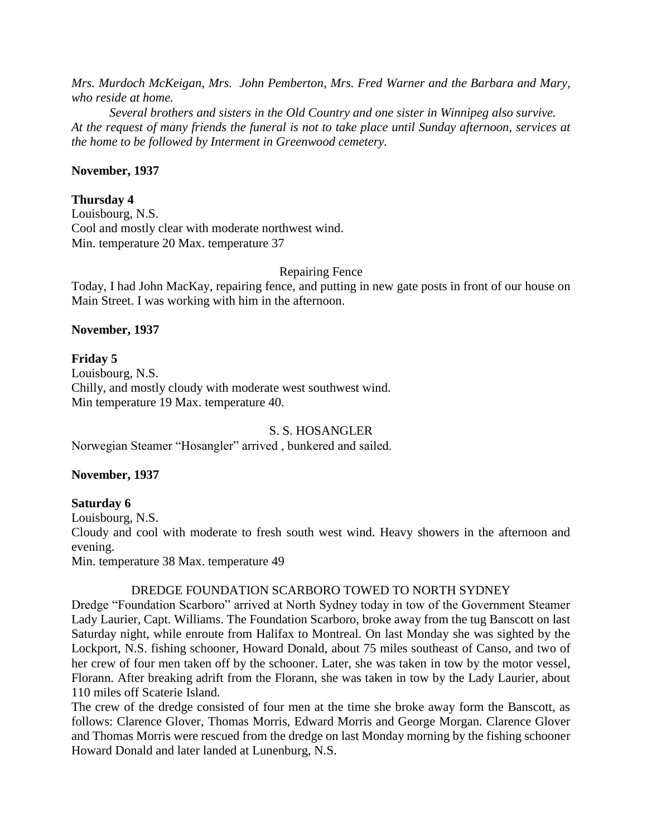*Mrs. Murdoch McKeigan, Mrs. John Pemberton, Mrs. Fred Warner and the Barbara and Mary, who reside at home.* 

*Several brothers and sisters in the Old Country and one sister in Winnipeg also survive. At the request of many friends the funeral is not to take place until Sunday afternoon, services at the home to be followed by Interment in Greenwood cemetery.*

#### **November, 1937**

#### **Thursday 4**

Louisbourg, N.S. Cool and mostly clear with moderate northwest wind. Min. temperature 20 Max. temperature 37

Repairing Fence

Today, I had John MacKay, repairing fence, and putting in new gate posts in front of our house on Main Street. I was working with him in the afternoon.

#### **November, 1937**

### **Friday 5**

Louisbourg, N.S. Chilly, and mostly cloudy with moderate west southwest wind. Min temperature 19 Max. temperature 40.

S. S. HOSANGLER

Norwegian Steamer "Hosangler" arrived , bunkered and sailed.

### **November, 1937**

### **Saturday 6**

Louisbourg, N.S.

Cloudy and cool with moderate to fresh south west wind. Heavy showers in the afternoon and evening.

Min. temperature 38 Max. temperature 49

### DREDGE FOUNDATION SCARBORO TOWED TO NORTH SYDNEY

Dredge "Foundation Scarboro" arrived at North Sydney today in tow of the Government Steamer Lady Laurier, Capt. Williams. The Foundation Scarboro, broke away from the tug Banscott on last Saturday night, while enroute from Halifax to Montreal. On last Monday she was sighted by the Lockport, N.S. fishing schooner, Howard Donald, about 75 miles southeast of Canso, and two of her crew of four men taken off by the schooner. Later, she was taken in tow by the motor vessel, Florann. After breaking adrift from the Florann, she was taken in tow by the Lady Laurier, about 110 miles off Scaterie Island.

The crew of the dredge consisted of four men at the time she broke away form the Banscott, as follows: Clarence Glover, Thomas Morris, Edward Morris and George Morgan. Clarence Glover and Thomas Morris were rescued from the dredge on last Monday morning by the fishing schooner Howard Donald and later landed at Lunenburg, N.S.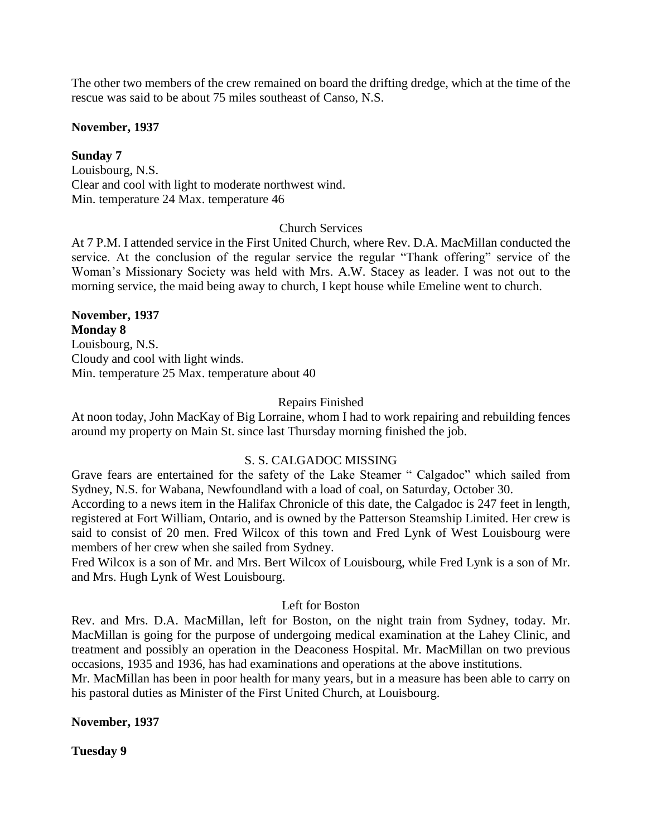The other two members of the crew remained on board the drifting dredge, which at the time of the rescue was said to be about 75 miles southeast of Canso, N.S.

**November, 1937**

**Sunday 7**

Louisbourg, N.S. Clear and cool with light to moderate northwest wind. Min. temperature 24 Max. temperature 46

### Church Services

At 7 P.M. I attended service in the First United Church, where Rev. D.A. MacMillan conducted the service. At the conclusion of the regular service the regular "Thank offering" service of the Woman's Missionary Society was held with Mrs. A.W. Stacey as leader. I was not out to the morning service, the maid being away to church, I kept house while Emeline went to church.

**November, 1937 Monday 8** Louisbourg, N.S. Cloudy and cool with light winds. Min. temperature 25 Max. temperature about 40

### Repairs Finished

At noon today, John MacKay of Big Lorraine, whom I had to work repairing and rebuilding fences around my property on Main St. since last Thursday morning finished the job.

## S. S. CALGADOC MISSING

Grave fears are entertained for the safety of the Lake Steamer " Calgadoc" which sailed from Sydney, N.S. for Wabana, Newfoundland with a load of coal, on Saturday, October 30.

According to a news item in the Halifax Chronicle of this date, the Calgadoc is 247 feet in length, registered at Fort William, Ontario, and is owned by the Patterson Steamship Limited. Her crew is said to consist of 20 men. Fred Wilcox of this town and Fred Lynk of West Louisbourg were members of her crew when she sailed from Sydney.

Fred Wilcox is a son of Mr. and Mrs. Bert Wilcox of Louisbourg, while Fred Lynk is a son of Mr. and Mrs. Hugh Lynk of West Louisbourg.

### Left for Boston

Rev. and Mrs. D.A. MacMillan, left for Boston, on the night train from Sydney, today. Mr. MacMillan is going for the purpose of undergoing medical examination at the Lahey Clinic, and treatment and possibly an operation in the Deaconess Hospital. Mr. MacMillan on two previous occasions, 1935 and 1936, has had examinations and operations at the above institutions.

Mr. MacMillan has been in poor health for many years, but in a measure has been able to carry on his pastoral duties as Minister of the First United Church, at Louisbourg.

**November, 1937**

**Tuesday 9**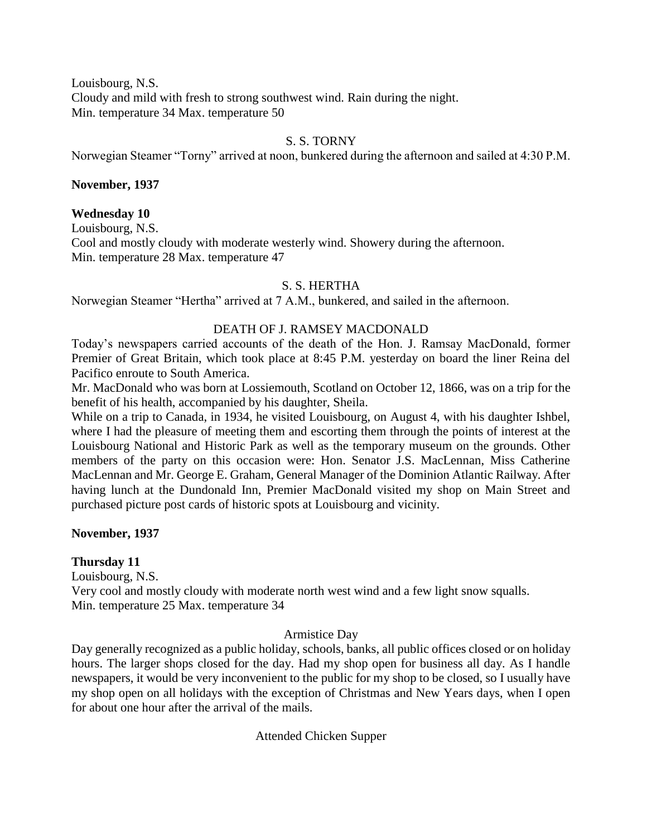Louisbourg, N.S. Cloudy and mild with fresh to strong southwest wind. Rain during the night. Min. temperature 34 Max. temperature 50

## S. S. TORNY

Norwegian Steamer "Torny" arrived at noon, bunkered during the afternoon and sailed at 4:30 P.M.

#### **November, 1937**

#### **Wednesday 10**

Louisbourg, N.S.

Cool and mostly cloudy with moderate westerly wind. Showery during the afternoon. Min. temperature 28 Max. temperature 47

### S. S. HERTHA

Norwegian Steamer "Hertha" arrived at 7 A.M., bunkered, and sailed in the afternoon.

#### DEATH OF J. RAMSEY MACDONALD

Today's newspapers carried accounts of the death of the Hon. J. Ramsay MacDonald, former Premier of Great Britain, which took place at 8:45 P.M. yesterday on board the liner Reina del Pacifico enroute to South America.

Mr. MacDonald who was born at Lossiemouth, Scotland on October 12, 1866, was on a trip for the benefit of his health, accompanied by his daughter, Sheila.

While on a trip to Canada, in 1934, he visited Louisbourg, on August 4, with his daughter Ishbel, where I had the pleasure of meeting them and escorting them through the points of interest at the Louisbourg National and Historic Park as well as the temporary museum on the grounds. Other members of the party on this occasion were: Hon. Senator J.S. MacLennan, Miss Catherine MacLennan and Mr. George E. Graham, General Manager of the Dominion Atlantic Railway. After having lunch at the Dundonald Inn, Premier MacDonald visited my shop on Main Street and purchased picture post cards of historic spots at Louisbourg and vicinity.

### **November, 1937**

### **Thursday 11**

Louisbourg, N.S. Very cool and mostly cloudy with moderate north west wind and a few light snow squalls. Min. temperature 25 Max. temperature 34

### Armistice Day

Day generally recognized as a public holiday, schools, banks, all public offices closed or on holiday hours. The larger shops closed for the day. Had my shop open for business all day. As I handle newspapers, it would be very inconvenient to the public for my shop to be closed, so I usually have my shop open on all holidays with the exception of Christmas and New Years days, when I open for about one hour after the arrival of the mails.

Attended Chicken Supper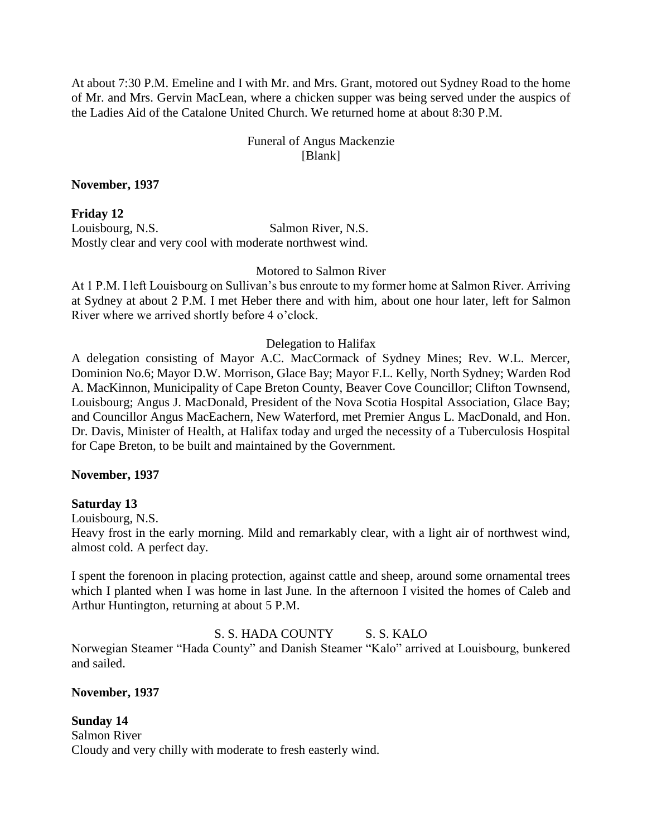At about 7:30 P.M. Emeline and I with Mr. and Mrs. Grant, motored out Sydney Road to the home of Mr. and Mrs. Gervin MacLean, where a chicken supper was being served under the auspics of the Ladies Aid of the Catalone United Church. We returned home at about 8:30 P.M.

## Funeral of Angus Mackenzie [Blank]

#### **November, 1937**

**Friday 12** Louisbourg, N.S. Salmon River, N.S. Mostly clear and very cool with moderate northwest wind.

Motored to Salmon River

At 1 P.M. I left Louisbourg on Sullivan's bus enroute to my former home at Salmon River. Arriving at Sydney at about 2 P.M. I met Heber there and with him, about one hour later, left for Salmon River where we arrived shortly before 4 o'clock.

### Delegation to Halifax

A delegation consisting of Mayor A.C. MacCormack of Sydney Mines; Rev. W.L. Mercer, Dominion No.6; Mayor D.W. Morrison, Glace Bay; Mayor F.L. Kelly, North Sydney; Warden Rod A. MacKinnon, Municipality of Cape Breton County, Beaver Cove Councillor; Clifton Townsend, Louisbourg; Angus J. MacDonald, President of the Nova Scotia Hospital Association, Glace Bay; and Councillor Angus MacEachern, New Waterford, met Premier Angus L. MacDonald, and Hon. Dr. Davis, Minister of Health, at Halifax today and urged the necessity of a Tuberculosis Hospital for Cape Breton, to be built and maintained by the Government.

#### **November, 1937**

### **Saturday 13**

Louisbourg, N.S.

Heavy frost in the early morning. Mild and remarkably clear, with a light air of northwest wind, almost cold. A perfect day.

I spent the forenoon in placing protection, against cattle and sheep, around some ornamental trees which I planted when I was home in last June. In the afternoon I visited the homes of Caleb and Arthur Huntington, returning at about 5 P.M.

### S. S. HADA COUNTY S. S. KALO

Norwegian Steamer "Hada County" and Danish Steamer "Kalo" arrived at Louisbourg, bunkered and sailed.

**November, 1937**

**Sunday 14** Salmon River Cloudy and very chilly with moderate to fresh easterly wind.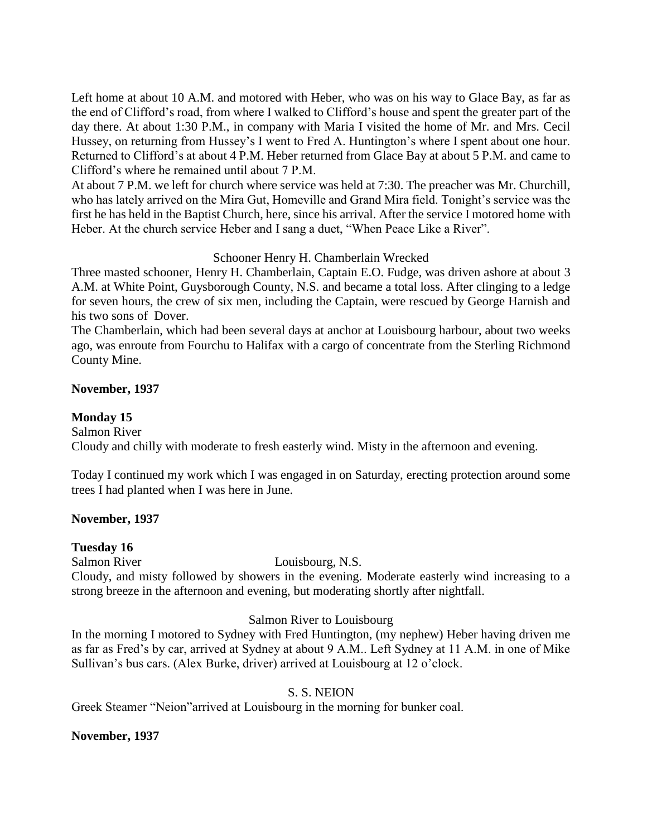Left home at about 10 A.M. and motored with Heber, who was on his way to Glace Bay, as far as the end of Clifford's road, from where I walked to Clifford's house and spent the greater part of the day there. At about 1:30 P.M., in company with Maria I visited the home of Mr. and Mrs. Cecil Hussey, on returning from Hussey's I went to Fred A. Huntington's where I spent about one hour. Returned to Clifford's at about 4 P.M. Heber returned from Glace Bay at about 5 P.M. and came to Clifford's where he remained until about 7 P.M.

At about 7 P.M. we left for church where service was held at 7:30. The preacher was Mr. Churchill, who has lately arrived on the Mira Gut, Homeville and Grand Mira field. Tonight's service was the first he has held in the Baptist Church, here, since his arrival. After the service I motored home with Heber. At the church service Heber and I sang a duet, "When Peace Like a River".

Schooner Henry H. Chamberlain Wrecked

Three masted schooner, Henry H. Chamberlain, Captain E.O. Fudge, was driven ashore at about 3 A.M. at White Point, Guysborough County, N.S. and became a total loss. After clinging to a ledge for seven hours, the crew of six men, including the Captain, were rescued by George Harnish and his two sons of Dover.

The Chamberlain, which had been several days at anchor at Louisbourg harbour, about two weeks ago, was enroute from Fourchu to Halifax with a cargo of concentrate from the Sterling Richmond County Mine.

### **November, 1937**

### **Monday 15**

Salmon River

Cloudy and chilly with moderate to fresh easterly wind. Misty in the afternoon and evening.

Today I continued my work which I was engaged in on Saturday, erecting protection around some trees I had planted when I was here in June.

### **November, 1937**

### **Tuesday 16**

Salmon River Louisbourg, N.S.

Cloudy, and misty followed by showers in the evening. Moderate easterly wind increasing to a strong breeze in the afternoon and evening, but moderating shortly after nightfall.

### Salmon River to Louisbourg

In the morning I motored to Sydney with Fred Huntington, (my nephew) Heber having driven me as far as Fred's by car, arrived at Sydney at about 9 A.M.. Left Sydney at 11 A.M. in one of Mike Sullivan's bus cars. (Alex Burke, driver) arrived at Louisbourg at 12 o'clock.

## S. S. NEION

Greek Steamer "Neion"arrived at Louisbourg in the morning for bunker coal.

### **November, 1937**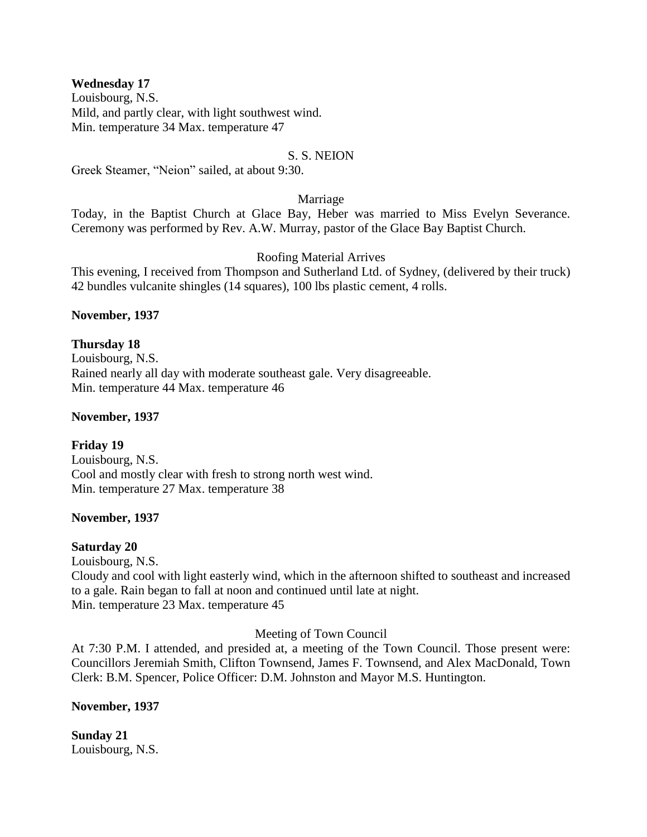#### **Wednesday 17**

Louisbourg, N.S. Mild, and partly clear, with light southwest wind. Min. temperature 34 Max. temperature 47

### S. S. NEION

Greek Steamer, "Neion" sailed, at about 9:30.

#### Marriage

Today, in the Baptist Church at Glace Bay, Heber was married to Miss Evelyn Severance. Ceremony was performed by Rev. A.W. Murray, pastor of the Glace Bay Baptist Church.

### Roofing Material Arrives

This evening, I received from Thompson and Sutherland Ltd. of Sydney, (delivered by their truck) 42 bundles vulcanite shingles (14 squares), 100 lbs plastic cement, 4 rolls.

#### **November, 1937**

### **Thursday 18**

Louisbourg, N.S. Rained nearly all day with moderate southeast gale. Very disagreeable. Min. temperature 44 Max. temperature 46

#### **November, 1937**

## **Friday 19**

Louisbourg, N.S. Cool and mostly clear with fresh to strong north west wind. Min. temperature 27 Max. temperature 38

### **November, 1937**

### **Saturday 20**

Louisbourg, N.S. Cloudy and cool with light easterly wind, which in the afternoon shifted to southeast and increased to a gale. Rain began to fall at noon and continued until late at night. Min. temperature 23 Max. temperature 45

### Meeting of Town Council

At 7:30 P.M. I attended, and presided at, a meeting of the Town Council. Those present were: Councillors Jeremiah Smith, Clifton Townsend, James F. Townsend, and Alex MacDonald, Town Clerk: B.M. Spencer, Police Officer: D.M. Johnston and Mayor M.S. Huntington.

### **November, 1937**

**Sunday 21** Louisbourg, N.S.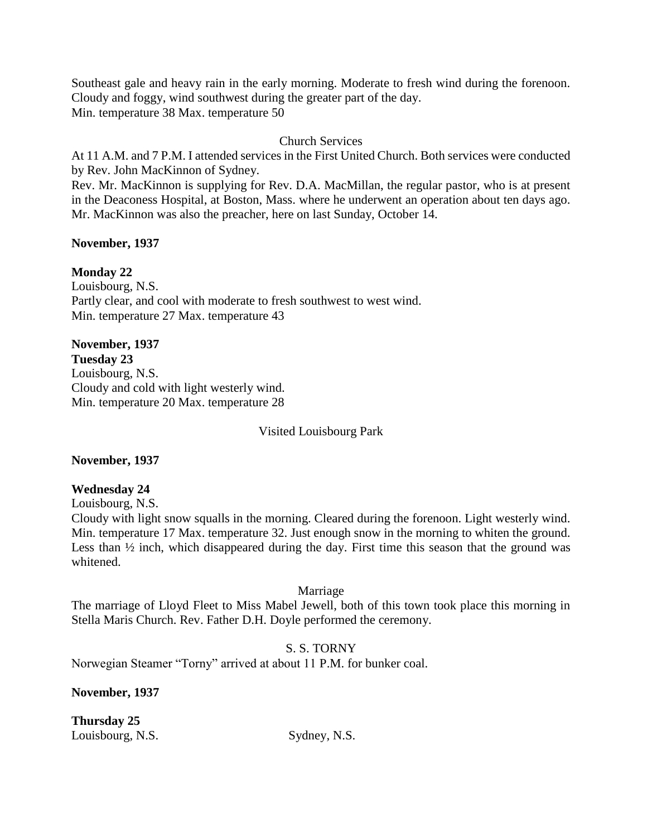Southeast gale and heavy rain in the early morning. Moderate to fresh wind during the forenoon. Cloudy and foggy, wind southwest during the greater part of the day. Min. temperature 38 Max. temperature 50

### Church Services

At 11 A.M. and 7 P.M. I attended services in the First United Church. Both services were conducted by Rev. John MacKinnon of Sydney.

Rev. Mr. MacKinnon is supplying for Rev. D.A. MacMillan, the regular pastor, who is at present in the Deaconess Hospital, at Boston, Mass. where he underwent an operation about ten days ago. Mr. MacKinnon was also the preacher, here on last Sunday, October 14.

### **November, 1937**

## **Monday 22**

Louisbourg, N.S. Partly clear, and cool with moderate to fresh southwest to west wind. Min. temperature 27 Max. temperature 43

# **November, 1937**

**Tuesday 23** Louisbourg, N.S. Cloudy and cold with light westerly wind. Min. temperature 20 Max. temperature 28

Visited Louisbourg Park

### **November, 1937**

## **Wednesday 24**

Louisbourg, N.S.

Cloudy with light snow squalls in the morning. Cleared during the forenoon. Light westerly wind. Min. temperature 17 Max. temperature 32. Just enough snow in the morning to whiten the ground. Less than ½ inch, which disappeared during the day. First time this season that the ground was whitened.

### Marriage

The marriage of Lloyd Fleet to Miss Mabel Jewell, both of this town took place this morning in Stella Maris Church. Rev. Father D.H. Doyle performed the ceremony.

### S. S. TORNY

Norwegian Steamer "Torny" arrived at about 11 P.M. for bunker coal.

**November, 1937**

**Thursday 25** Louisbourg, N.S. Sydney, N.S.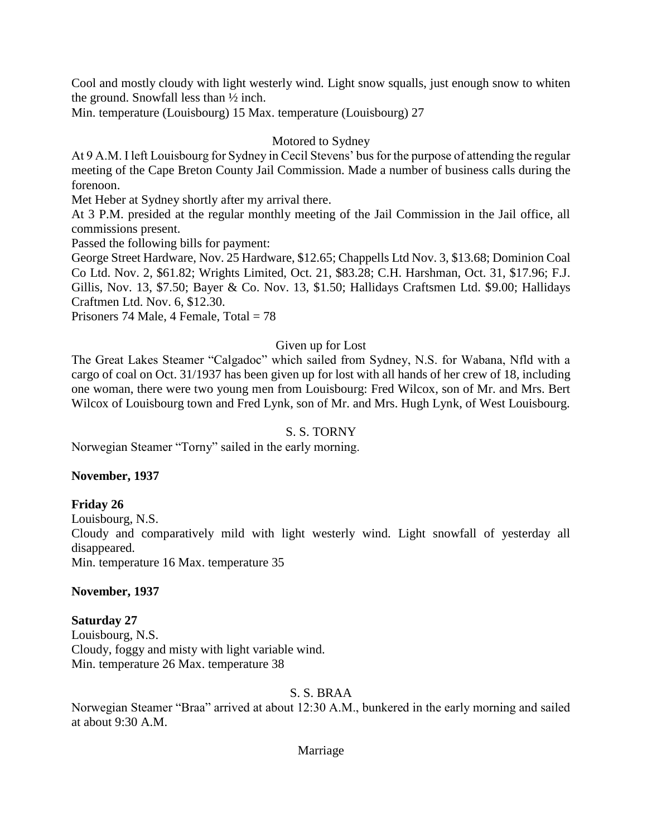Cool and mostly cloudy with light westerly wind. Light snow squalls, just enough snow to whiten the ground. Snowfall less than ½ inch.

Min. temperature (Louisbourg) 15 Max. temperature (Louisbourg) 27

### Motored to Sydney

At 9 A.M. I left Louisbourg for Sydney in Cecil Stevens' bus for the purpose of attending the regular meeting of the Cape Breton County Jail Commission. Made a number of business calls during the forenoon.

Met Heber at Sydney shortly after my arrival there.

At 3 P.M. presided at the regular monthly meeting of the Jail Commission in the Jail office, all commissions present.

Passed the following bills for payment:

George Street Hardware, Nov. 25 Hardware, \$12.65; Chappells Ltd Nov. 3, \$13.68; Dominion Coal Co Ltd. Nov. 2, \$61.82; Wrights Limited, Oct. 21, \$83.28; C.H. Harshman, Oct. 31, \$17.96; F.J. Gillis, Nov. 13, \$7.50; Bayer & Co. Nov. 13, \$1.50; Hallidays Craftsmen Ltd. \$9.00; Hallidays Craftmen Ltd. Nov. 6, \$12.30.

Prisoners 74 Male, 4 Female,  $Total = 78$ 

## Given up for Lost

The Great Lakes Steamer "Calgadoc" which sailed from Sydney, N.S. for Wabana, Nfld with a cargo of coal on Oct. 31/1937 has been given up for lost with all hands of her crew of 18, including one woman, there were two young men from Louisbourg: Fred Wilcox, son of Mr. and Mrs. Bert Wilcox of Louisbourg town and Fred Lynk, son of Mr. and Mrs. Hugh Lynk, of West Louisbourg.

## S. S. TORNY

Norwegian Steamer "Torny" sailed in the early morning.

### **November, 1937**

## **Friday 26**

Louisbourg, N.S.

Cloudy and comparatively mild with light westerly wind. Light snowfall of yesterday all disappeared.

Min. temperature 16 Max. temperature 35

### **November, 1937**

## **Saturday 27**

Louisbourg, N.S. Cloudy, foggy and misty with light variable wind. Min. temperature 26 Max. temperature 38

## S. S. BRAA

Norwegian Steamer "Braa" arrived at about 12:30 A.M., bunkered in the early morning and sailed at about 9:30 A.M.

### Marriage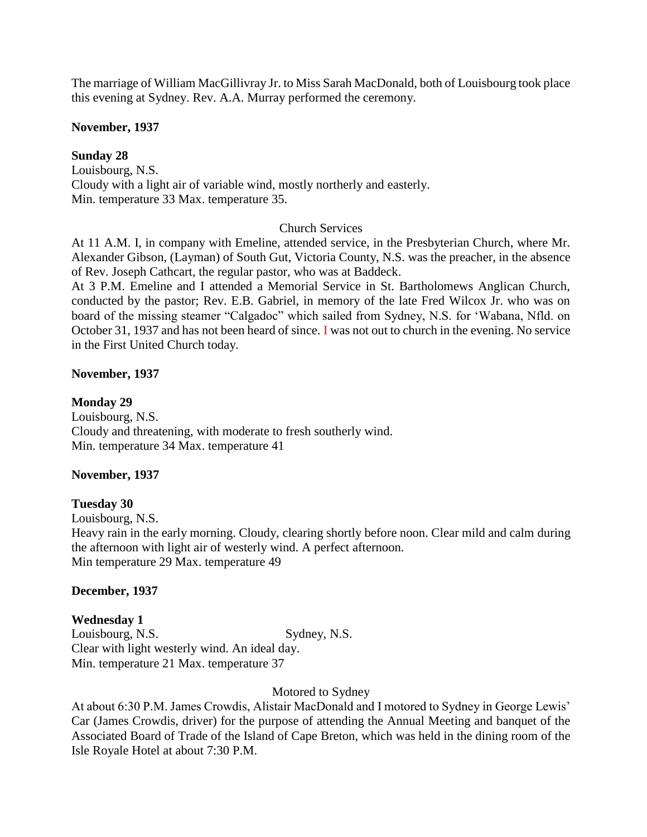The marriage of William MacGillivray Jr. to Miss Sarah MacDonald, both of Louisbourg took place this evening at Sydney. Rev. A.A. Murray performed the ceremony.

### **November, 1937**

### **Sunday 28**

Louisbourg, N.S. Cloudy with a light air of variable wind, mostly northerly and easterly. Min. temperature 33 Max. temperature 35.

### Church Services

At 11 A.M. I, in company with Emeline, attended service, in the Presbyterian Church, where Mr. Alexander Gibson, (Layman) of South Gut, Victoria County, N.S. was the preacher, in the absence of Rev. Joseph Cathcart, the regular pastor, who was at Baddeck.

At 3 P.M. Emeline and I attended a Memorial Service in St. Bartholomews Anglican Church, conducted by the pastor; Rev. E.B. Gabriel, in memory of the late Fred Wilcox Jr. who was on board of the missing steamer "Calgadoc" which sailed from Sydney, N.S. for 'Wabana, Nfld. on October 31, 1937 and has not been heard of since. I was not out to church in the evening. No service in the First United Church today.

### **November, 1937**

### **Monday 29**

Louisbourg, N.S. Cloudy and threatening, with moderate to fresh southerly wind. Min. temperature 34 Max. temperature 41

### **November, 1937**

### **Tuesday 30**

Louisbourg, N.S. Heavy rain in the early morning. Cloudy, clearing shortly before noon. Clear mild and calm during the afternoon with light air of westerly wind. A perfect afternoon. Min temperature 29 Max. temperature 49

### **December, 1937**

**Wednesday 1** Louisbourg, N.S. Sydney, N.S. Clear with light westerly wind. An ideal day. Min. temperature 21 Max. temperature 37

### Motored to Sydney

At about 6:30 P.M. James Crowdis, Alistair MacDonald and I motored to Sydney in George Lewis' Car (James Crowdis, driver) for the purpose of attending the Annual Meeting and banquet of the Associated Board of Trade of the Island of Cape Breton, which was held in the dining room of the Isle Royale Hotel at about 7:30 P.M.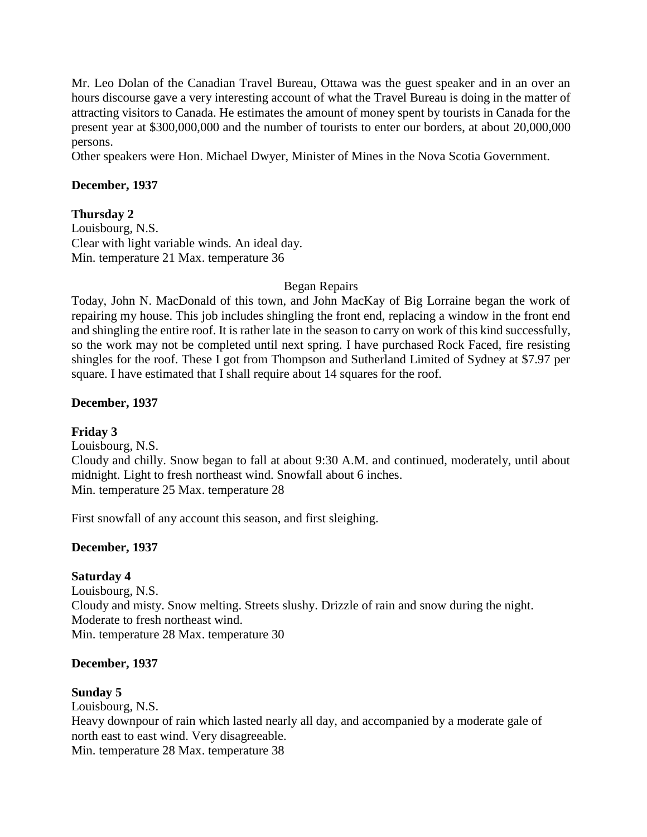Mr. Leo Dolan of the Canadian Travel Bureau, Ottawa was the guest speaker and in an over an hours discourse gave a very interesting account of what the Travel Bureau is doing in the matter of attracting visitors to Canada. He estimates the amount of money spent by tourists in Canada for the present year at \$300,000,000 and the number of tourists to enter our borders, at about 20,000,000 persons.

Other speakers were Hon. Michael Dwyer, Minister of Mines in the Nova Scotia Government.

#### **December, 1937**

#### **Thursday 2**

Louisbourg, N.S. Clear with light variable winds. An ideal day. Min. temperature 21 Max. temperature 36

#### Began Repairs

Today, John N. MacDonald of this town, and John MacKay of Big Lorraine began the work of repairing my house. This job includes shingling the front end, replacing a window in the front end and shingling the entire roof. It is rather late in the season to carry on work of this kind successfully, so the work may not be completed until next spring. I have purchased Rock Faced, fire resisting shingles for the roof. These I got from Thompson and Sutherland Limited of Sydney at \$7.97 per square. I have estimated that I shall require about 14 squares for the roof.

### **December, 1937**

### **Friday 3**

Louisbourg, N.S. Cloudy and chilly. Snow began to fall at about 9:30 A.M. and continued, moderately, until about midnight. Light to fresh northeast wind. Snowfall about 6 inches. Min. temperature 25 Max. temperature 28

First snowfall of any account this season, and first sleighing.

### **December, 1937**

### **Saturday 4**

Louisbourg, N.S. Cloudy and misty. Snow melting. Streets slushy. Drizzle of rain and snow during the night. Moderate to fresh northeast wind. Min. temperature 28 Max. temperature 30

#### **December, 1937**

### **Sunday 5**

Louisbourg, N.S. Heavy downpour of rain which lasted nearly all day, and accompanied by a moderate gale of north east to east wind. Very disagreeable. Min. temperature 28 Max. temperature 38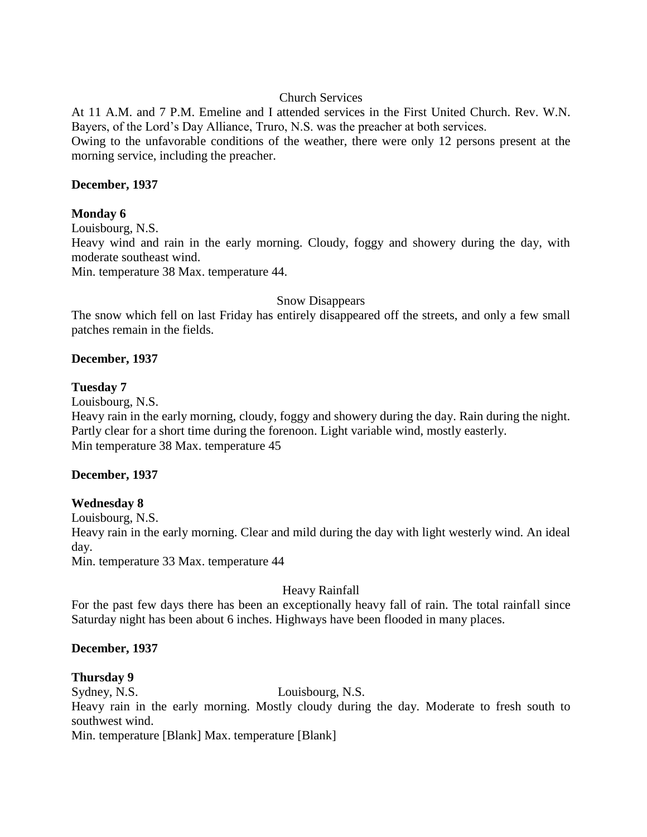### Church Services

At 11 A.M. and 7 P.M. Emeline and I attended services in the First United Church. Rev. W.N. Bayers, of the Lord's Day Alliance, Truro, N.S. was the preacher at both services.

Owing to the unfavorable conditions of the weather, there were only 12 persons present at the morning service, including the preacher.

### **December, 1937**

### **Monday 6**

Louisbourg, N.S.

Heavy wind and rain in the early morning. Cloudy, foggy and showery during the day, with moderate southeast wind.

Min. temperature 38 Max. temperature 44.

#### Snow Disappears

The snow which fell on last Friday has entirely disappeared off the streets, and only a few small patches remain in the fields.

### **December, 1937**

#### **Tuesday 7**

Louisbourg, N.S.

Heavy rain in the early morning, cloudy, foggy and showery during the day. Rain during the night. Partly clear for a short time during the forenoon. Light variable wind, mostly easterly. Min temperature 38 Max. temperature 45

### **December, 1937**

### **Wednesday 8**

Louisbourg, N.S. Heavy rain in the early morning. Clear and mild during the day with light westerly wind. An ideal day.

Min. temperature 33 Max. temperature 44

### Heavy Rainfall

For the past few days there has been an exceptionally heavy fall of rain. The total rainfall since Saturday night has been about 6 inches. Highways have been flooded in many places.

### **December, 1937**

### **Thursday 9**

Sydney, N.S. Louisbourg, N.S. Heavy rain in the early morning. Mostly cloudy during the day. Moderate to fresh south to southwest wind. Min. temperature [Blank] Max. temperature [Blank]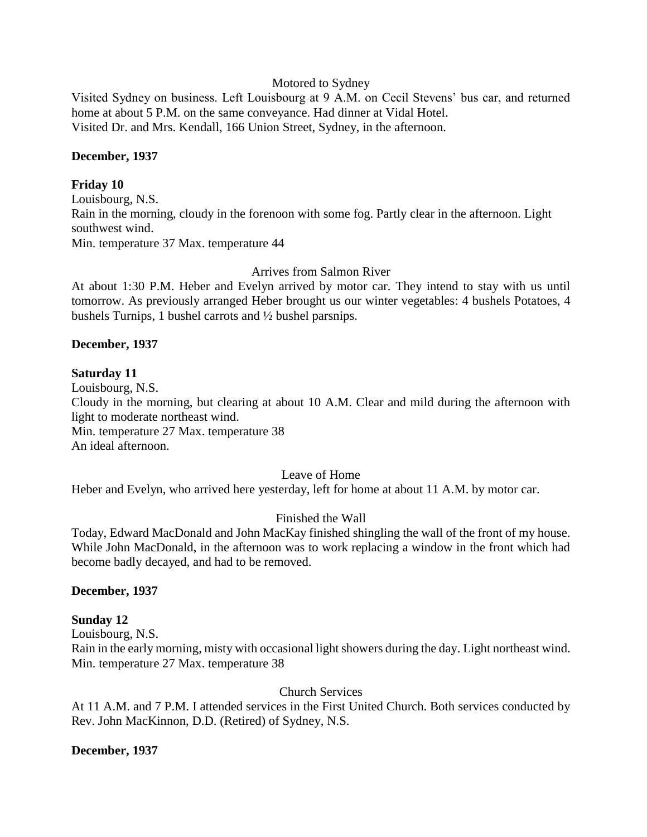#### Motored to Sydney

Visited Sydney on business. Left Louisbourg at 9 A.M. on Cecil Stevens' bus car, and returned home at about 5 P.M. on the same conveyance. Had dinner at Vidal Hotel. Visited Dr. and Mrs. Kendall, 166 Union Street, Sydney, in the afternoon.

#### **December, 1937**

#### **Friday 10**

Louisbourg, N.S. Rain in the morning, cloudy in the forenoon with some fog. Partly clear in the afternoon. Light southwest wind. Min. temperature 37 Max. temperature 44

### Arrives from Salmon River

At about 1:30 P.M. Heber and Evelyn arrived by motor car. They intend to stay with us until tomorrow. As previously arranged Heber brought us our winter vegetables: 4 bushels Potatoes, 4 bushels Turnips, 1 bushel carrots and ½ bushel parsnips.

#### **December, 1937**

#### **Saturday 11**

Louisbourg, N.S.

Cloudy in the morning, but clearing at about 10 A.M. Clear and mild during the afternoon with light to moderate northeast wind.

Min. temperature 27 Max. temperature 38

An ideal afternoon.

### Leave of Home

Heber and Evelyn, who arrived here yesterday, left for home at about 11 A.M. by motor car.

### Finished the Wall

Today, Edward MacDonald and John MacKay finished shingling the wall of the front of my house. While John MacDonald, in the afternoon was to work replacing a window in the front which had become badly decayed, and had to be removed.

#### **December, 1937**

### **Sunday 12**

Louisbourg, N.S.

Rain in the early morning, misty with occasional light showers during the day. Light northeast wind. Min. temperature 27 Max. temperature 38

Church Services

At 11 A.M. and 7 P.M. I attended services in the First United Church. Both services conducted by Rev. John MacKinnon, D.D. (Retired) of Sydney, N.S.

#### **December, 1937**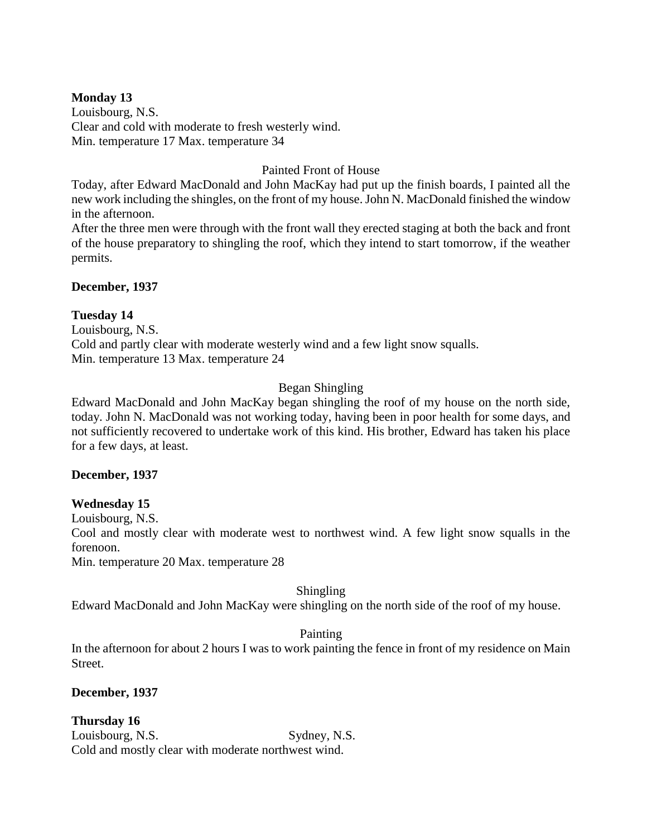### **Monday 13**

Louisbourg, N.S. Clear and cold with moderate to fresh westerly wind. Min. temperature 17 Max. temperature 34

### Painted Front of House

Today, after Edward MacDonald and John MacKay had put up the finish boards, I painted all the new work including the shingles, on the front of my house. John N. MacDonald finished the window in the afternoon.

After the three men were through with the front wall they erected staging at both the back and front of the house preparatory to shingling the roof, which they intend to start tomorrow, if the weather permits.

### **December, 1937**

### **Tuesday 14**

Louisbourg, N.S. Cold and partly clear with moderate westerly wind and a few light snow squalls. Min. temperature 13 Max. temperature 24

## Began Shingling

Edward MacDonald and John MacKay began shingling the roof of my house on the north side, today. John N. MacDonald was not working today, having been in poor health for some days, and not sufficiently recovered to undertake work of this kind. His brother, Edward has taken his place for a few days, at least.

### **December, 1937**

## **Wednesday 15**

Louisbourg, N.S.

Cool and mostly clear with moderate west to northwest wind. A few light snow squalls in the forenoon.

Min. temperature 20 Max. temperature 28

### Shingling

Edward MacDonald and John MacKay were shingling on the north side of the roof of my house.

## Painting

In the afternoon for about 2 hours I was to work painting the fence in front of my residence on Main Street.

**December, 1937**

**Thursday 16** Louisbourg, N.S. Sydney, N.S. Cold and mostly clear with moderate northwest wind.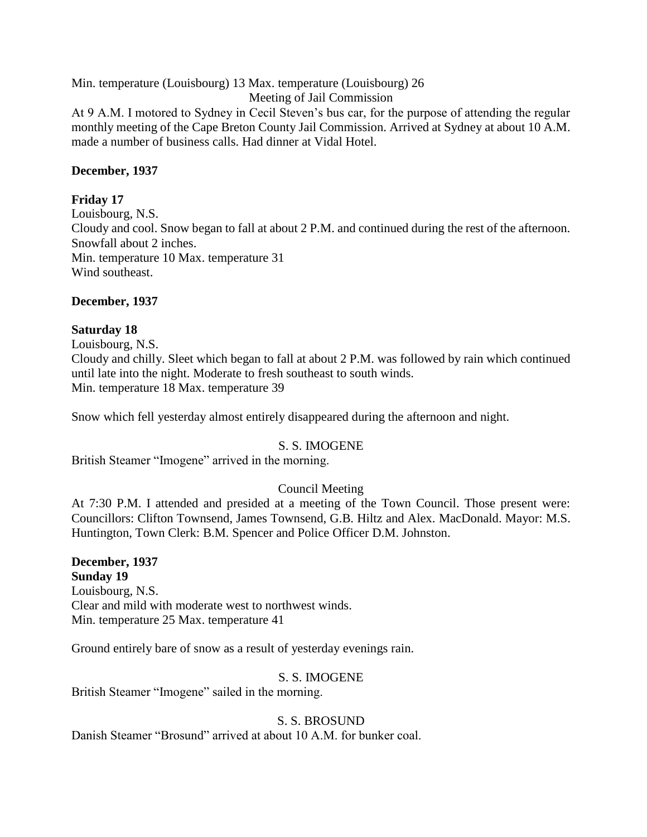Min. temperature (Louisbourg) 13 Max. temperature (Louisbourg) 26

Meeting of Jail Commission

At 9 A.M. I motored to Sydney in Cecil Steven's bus car, for the purpose of attending the regular monthly meeting of the Cape Breton County Jail Commission. Arrived at Sydney at about 10 A.M. made a number of business calls. Had dinner at Vidal Hotel.

### **December, 1937**

### **Friday 17**

Louisbourg, N.S. Cloudy and cool. Snow began to fall at about 2 P.M. and continued during the rest of the afternoon. Snowfall about 2 inches. Min. temperature 10 Max. temperature 31 Wind southeast.

### **December, 1937**

### **Saturday 18**

Louisbourg, N.S. Cloudy and chilly. Sleet which began to fall at about 2 P.M. was followed by rain which continued until late into the night. Moderate to fresh southeast to south winds. Min. temperature 18 Max. temperature 39

Snow which fell yesterday almost entirely disappeared during the afternoon and night.

### S. S. IMOGENE

British Steamer "Imogene" arrived in the morning.

## Council Meeting

At 7:30 P.M. I attended and presided at a meeting of the Town Council. Those present were: Councillors: Clifton Townsend, James Townsend, G.B. Hiltz and Alex. MacDonald. Mayor: M.S. Huntington, Town Clerk: B.M. Spencer and Police Officer D.M. Johnston.

### **December, 1937 Sunday 19** Louisbourg, N.S. Clear and mild with moderate west to northwest winds. Min. temperature 25 Max. temperature 41

Ground entirely bare of snow as a result of yesterday evenings rain.

### S. S. IMOGENE

British Steamer "Imogene" sailed in the morning.

## S. S. BROSUND

Danish Steamer "Brosund" arrived at about 10 A.M. for bunker coal.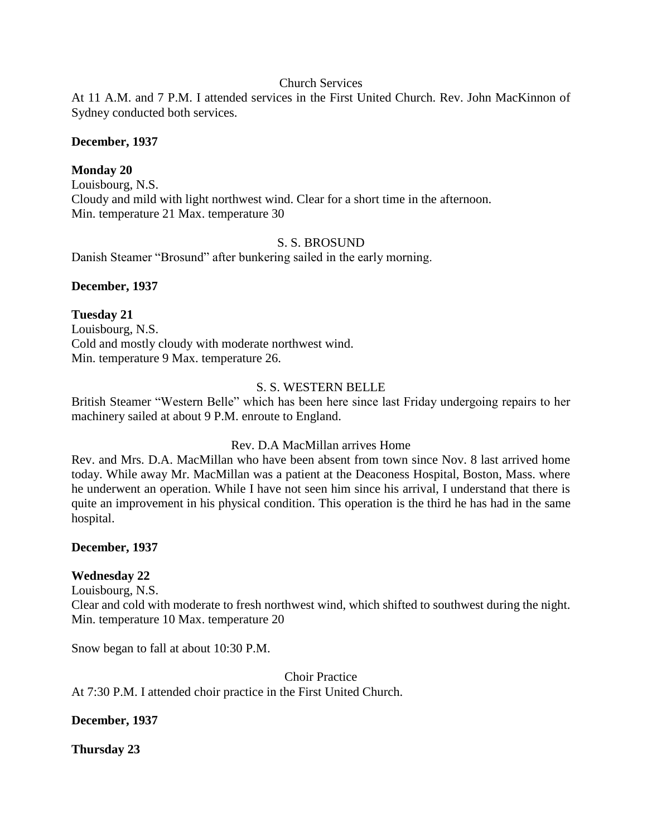### Church Services

At 11 A.M. and 7 P.M. I attended services in the First United Church. Rev. John MacKinnon of Sydney conducted both services.

#### **December, 1937**

### **Monday 20**

Louisbourg, N.S. Cloudy and mild with light northwest wind. Clear for a short time in the afternoon. Min. temperature 21 Max. temperature 30

### S. S. BROSUND

Danish Steamer "Brosund" after bunkering sailed in the early morning.

### **December, 1937**

### **Tuesday 21**

Louisbourg, N.S. Cold and mostly cloudy with moderate northwest wind. Min. temperature 9 Max. temperature 26.

### S. S. WESTERN BELLE

British Steamer "Western Belle" which has been here since last Friday undergoing repairs to her machinery sailed at about 9 P.M. enroute to England.

### Rev. D.A MacMillan arrives Home

Rev. and Mrs. D.A. MacMillan who have been absent from town since Nov. 8 last arrived home today. While away Mr. MacMillan was a patient at the Deaconess Hospital, Boston, Mass. where he underwent an operation. While I have not seen him since his arrival, I understand that there is quite an improvement in his physical condition. This operation is the third he has had in the same hospital.

### **December, 1937**

## **Wednesday 22**

Louisbourg, N.S.

Clear and cold with moderate to fresh northwest wind, which shifted to southwest during the night. Min. temperature 10 Max. temperature 20

Snow began to fall at about 10:30 P.M.

Choir Practice

At 7:30 P.M. I attended choir practice in the First United Church.

### **December, 1937**

### **Thursday 23**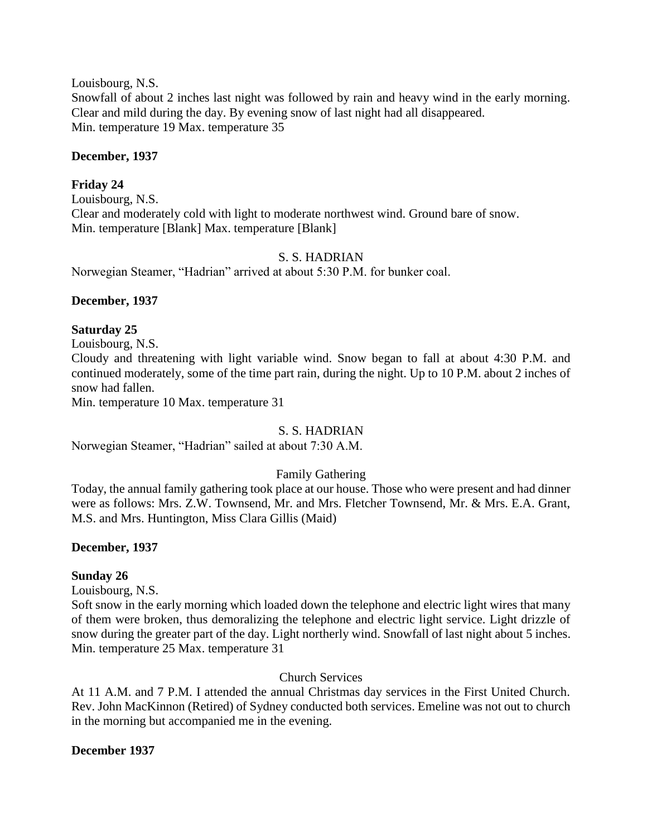Louisbourg, N.S.

Snowfall of about 2 inches last night was followed by rain and heavy wind in the early morning. Clear and mild during the day. By evening snow of last night had all disappeared. Min. temperature 19 Max. temperature 35

### **December, 1937**

## **Friday 24**

Louisbourg, N.S. Clear and moderately cold with light to moderate northwest wind. Ground bare of snow. Min. temperature [Blank] Max. temperature [Blank]

## S. S. HADRIAN

Norwegian Steamer, "Hadrian" arrived at about 5:30 P.M. for bunker coal.

### **December, 1937**

### **Saturday 25**

Louisbourg, N.S.

Cloudy and threatening with light variable wind. Snow began to fall at about 4:30 P.M. and continued moderately, some of the time part rain, during the night. Up to 10 P.M. about 2 inches of snow had fallen.

Min. temperature 10 Max. temperature 31

## S. S. HADRIAN

Norwegian Steamer, "Hadrian" sailed at about 7:30 A.M.

## Family Gathering

Today, the annual family gathering took place at our house. Those who were present and had dinner were as follows: Mrs. Z.W. Townsend, Mr. and Mrs. Fletcher Townsend, Mr. & Mrs. E.A. Grant, M.S. and Mrs. Huntington, Miss Clara Gillis (Maid)

## **December, 1937**

## **Sunday 26**

Louisbourg, N.S.

Soft snow in the early morning which loaded down the telephone and electric light wires that many of them were broken, thus demoralizing the telephone and electric light service. Light drizzle of snow during the greater part of the day. Light northerly wind. Snowfall of last night about 5 inches. Min. temperature 25 Max. temperature 31

## Church Services

At 11 A.M. and 7 P.M. I attended the annual Christmas day services in the First United Church. Rev. John MacKinnon (Retired) of Sydney conducted both services. Emeline was not out to church in the morning but accompanied me in the evening.

## **December 1937**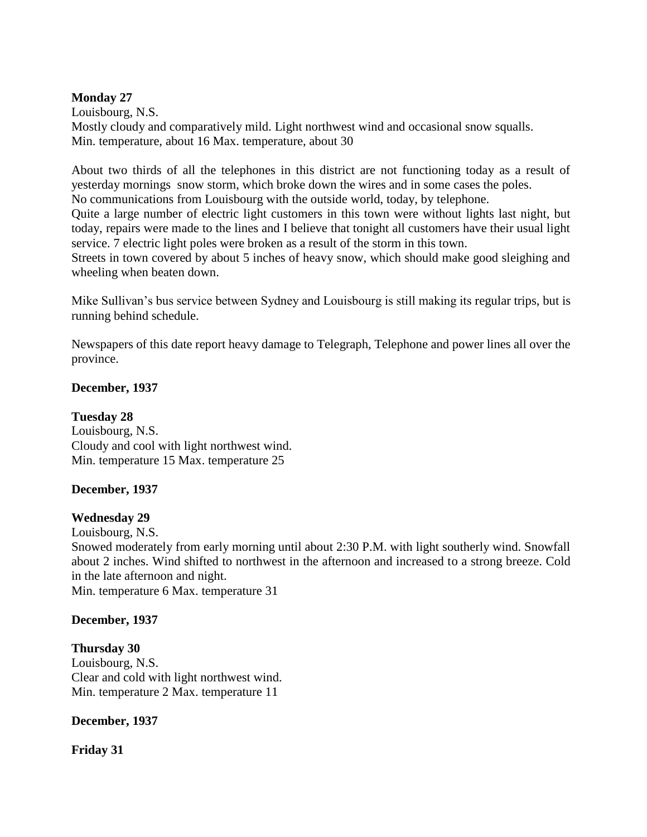### **Monday 27**

Louisbourg, N.S. Mostly cloudy and comparatively mild. Light northwest wind and occasional snow squalls. Min. temperature, about 16 Max. temperature, about 30

About two thirds of all the telephones in this district are not functioning today as a result of yesterday mornings snow storm, which broke down the wires and in some cases the poles.

No communications from Louisbourg with the outside world, today, by telephone.

Quite a large number of electric light customers in this town were without lights last night, but today, repairs were made to the lines and I believe that tonight all customers have their usual light service. 7 electric light poles were broken as a result of the storm in this town.

Streets in town covered by about 5 inches of heavy snow, which should make good sleighing and wheeling when beaten down.

Mike Sullivan's bus service between Sydney and Louisbourg is still making its regular trips, but is running behind schedule.

Newspapers of this date report heavy damage to Telegraph, Telephone and power lines all over the province.

### **December, 1937**

**Tuesday 28** Louisbourg, N.S. Cloudy and cool with light northwest wind. Min. temperature 15 Max. temperature 25

## **December, 1937**

## **Wednesday 29**

Louisbourg, N.S.

Snowed moderately from early morning until about 2:30 P.M. with light southerly wind. Snowfall about 2 inches. Wind shifted to northwest in the afternoon and increased to a strong breeze. Cold in the late afternoon and night.

Min. temperature 6 Max. temperature 31

## **December, 1937**

## **Thursday 30**

Louisbourg, N.S. Clear and cold with light northwest wind. Min. temperature 2 Max. temperature 11

## **December, 1937**

## **Friday 31**